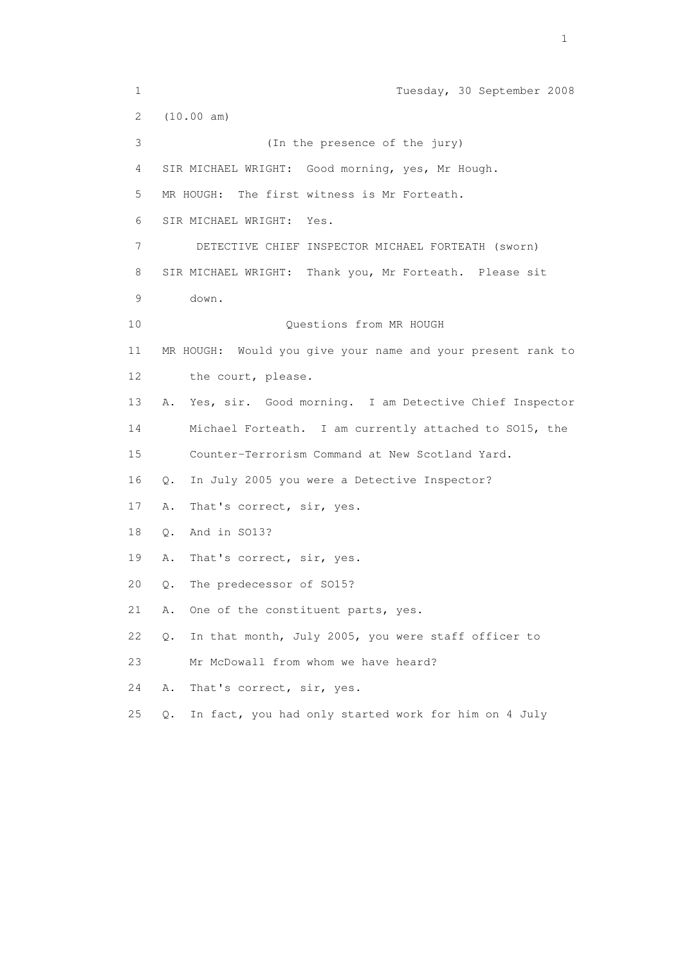1 Tuesday, 30 September 2008 2 (10.00 am) 3 (In the presence of the jury) 4 SIR MICHAEL WRIGHT: Good morning, yes, Mr Hough. 5 MR HOUGH: The first witness is Mr Forteath. 6 SIR MICHAEL WRIGHT: Yes. 7 DETECTIVE CHIEF INSPECTOR MICHAEL FORTEATH (sworn) 8 SIR MICHAEL WRIGHT: Thank you, Mr Forteath. Please sit 9 down. 10 Questions from MR HOUGH 11 MR HOUGH: Would you give your name and your present rank to 12 the court, please. 13 A. Yes, sir. Good morning. I am Detective Chief Inspector 14 Michael Forteath. I am currently attached to SO15, the 15 Counter-Terrorism Command at New Scotland Yard. 16 Q. In July 2005 you were a Detective Inspector? 17 A. That's correct, sir, yes. 18 Q. And in SO13? 19 A. That's correct, sir, yes. 20 Q. The predecessor of SO15? 21 A. One of the constituent parts, yes. 22 Q. In that month, July 2005, you were staff officer to 23 Mr McDowall from whom we have heard? 24 A. That's correct, sir, yes. 25 Q. In fact, you had only started work for him on 4 July

the contract of the contract of the contract of the contract of the contract of the contract of the contract of the contract of the contract of the contract of the contract of the contract of the contract of the contract o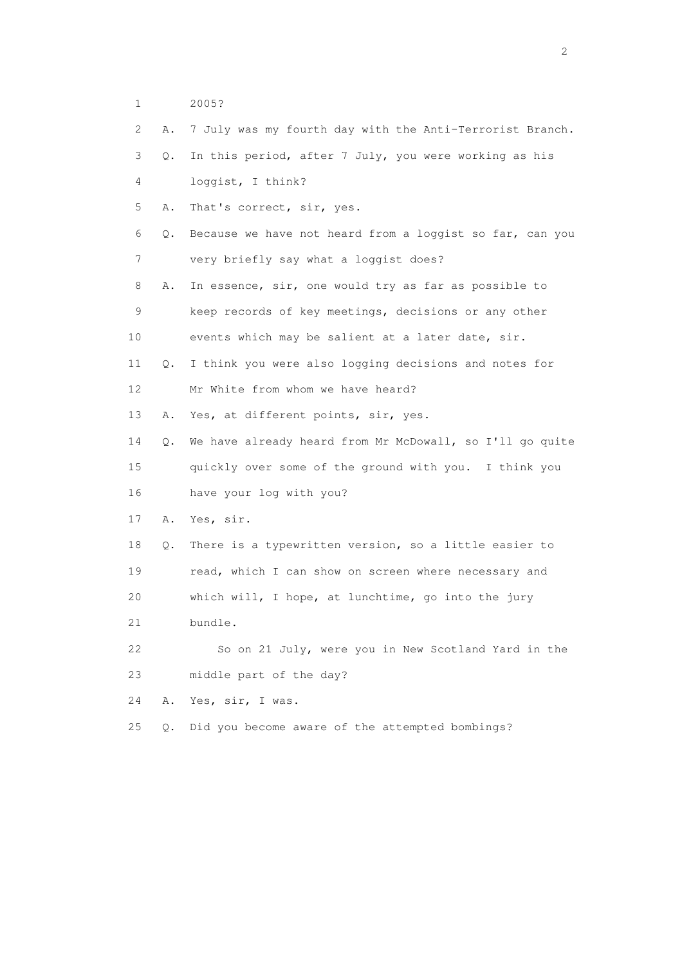1 2005?

| $\mathbf{2}^{\prime}$ | Α.            | 7 July was my fourth day with the Anti-Terrorist Branch. |
|-----------------------|---------------|----------------------------------------------------------|
| 3                     | Q.            | In this period, after 7 July, you were working as his    |
| 4                     |               | loggist, I think?                                        |
| 5                     | Α.            | That's correct, sir, yes.                                |
| 6                     | Q.            | Because we have not heard from a loggist so far, can you |
| 7                     |               | very briefly say what a loggist does?                    |
| 8                     | Α.            | In essence, sir, one would try as far as possible to     |
| 9                     |               | keep records of key meetings, decisions or any other     |
| 10                    |               | events which may be salient at a later date, sir.        |
| 11                    | $Q_{\bullet}$ | I think you were also logging decisions and notes for    |
| 12 <sup>°</sup>       |               | Mr White from whom we have heard?                        |
| 13                    | Α.            | Yes, at different points, sir, yes.                      |
| 14                    | Q.            | We have already heard from Mr McDowall, so I'll go quite |
| 15                    |               | quickly over some of the ground with you. I think you    |
| 16                    |               | have your log with you?                                  |
| 17                    | Α.            | Yes, sir.                                                |
| 18                    | Q.            | There is a typewritten version, so a little easier to    |
| 19                    |               | read, which I can show on screen where necessary and     |
| 20                    |               | which will, I hope, at lunchtime, go into the jury       |
| 21                    |               | bundle.                                                  |
| 22                    |               | So on 21 July, were you in New Scotland Yard in the      |
| 23                    |               | middle part of the day?                                  |
| 24                    | Α.            | Yes, sir, I was.                                         |
| 25                    | $Q$ .         | Did you become aware of the attempted bombings?          |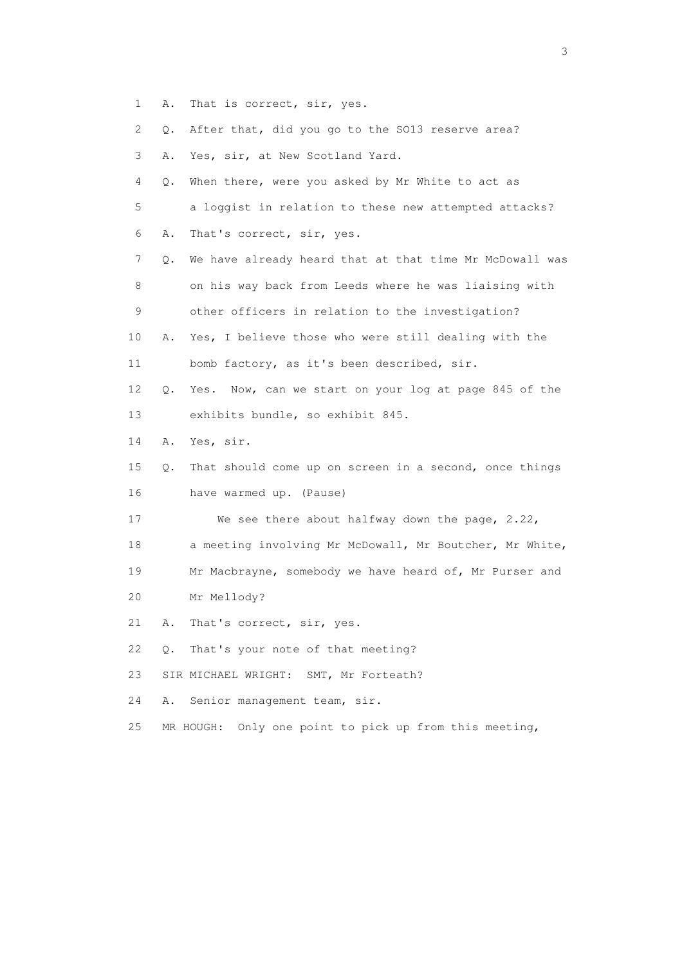- 1 A. That is correct, sir, yes.
- 2 Q. After that, did you go to the SO13 reserve area?
- 3 A. Yes, sir, at New Scotland Yard.
- 4 Q. When there, were you asked by Mr White to act as 5 a loggist in relation to these new attempted attacks?
- 6 A. That's correct, sir, yes.
- 7 Q. We have already heard that at that time Mr McDowall was 8 on his way back from Leeds where he was liaising with 9 other officers in relation to the investigation?
- 10 A. Yes, I believe those who were still dealing with the 11 bomb factory, as it's been described, sir.
- 12 Q. Yes. Now, can we start on your log at page 845 of the 13 exhibits bundle, so exhibit 845.
- 14 A. Yes, sir.
- 15 Q. That should come up on screen in a second, once things 16 have warmed up. (Pause)
- 17 We see there about halfway down the page, 2.22,
- 18 a meeting involving Mr McDowall, Mr Boutcher, Mr White,
- 19 Mr Macbrayne, somebody we have heard of, Mr Purser and
- 20 Mr Mellody?
- 21 A. That's correct, sir, yes.
- 22 Q. That's your note of that meeting?
- 23 SIR MICHAEL WRIGHT: SMT, Mr Forteath?
- 24 A. Senior management team, sir.
- 25 MR HOUGH: Only one point to pick up from this meeting,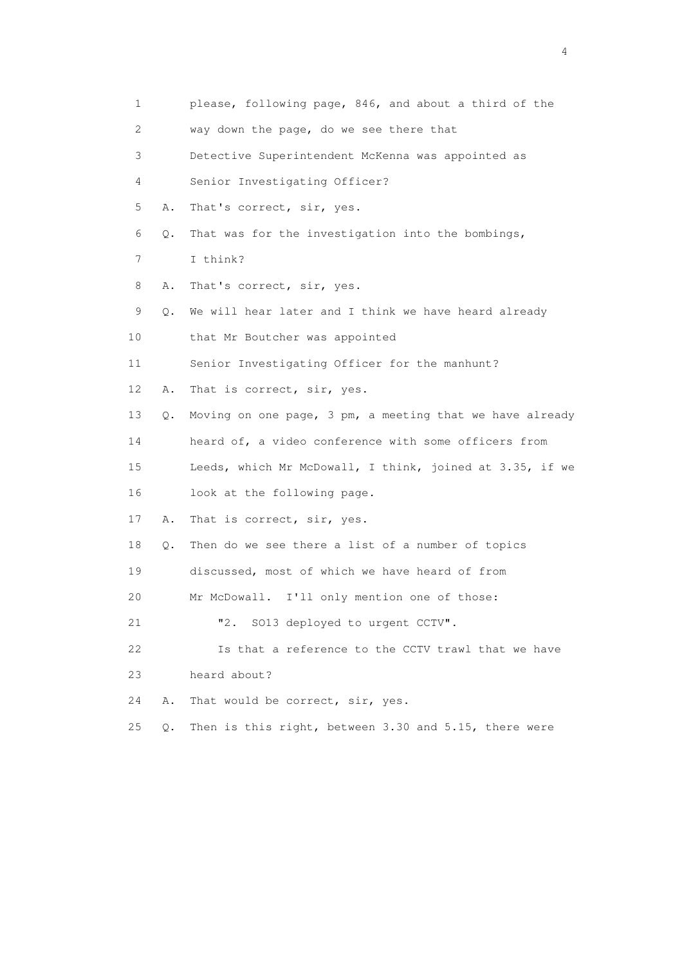|    | 1       | please, following page, 846, and about a third of the    |
|----|---------|----------------------------------------------------------|
|    | 2       | way down the page, do we see there that                  |
|    | 3       | Detective Superintendent McKenna was appointed as        |
|    | 4       | Senior Investigating Officer?                            |
|    | 5<br>Α. | That's correct, sir, yes.                                |
|    | 6<br>Q. | That was for the investigation into the bombings,        |
|    | 7       | I think?                                                 |
|    | 8<br>Α. | That's correct, sir, yes.                                |
|    | 9<br>Q. | We will hear later and I think we have heard already     |
| 10 |         | that Mr Boutcher was appointed                           |
| 11 |         | Senior Investigating Officer for the manhunt?            |
| 12 | Α.      | That is correct, sir, yes.                               |
| 13 | Q.      | Moving on one page, 3 pm, a meeting that we have already |
| 14 |         | heard of, a video conference with some officers from     |
| 15 |         | Leeds, which Mr McDowall, I think, joined at 3.35, if we |
| 16 |         | look at the following page.                              |
| 17 | Α.      | That is correct, sir, yes.                               |
| 18 | Q.      | Then do we see there a list of a number of topics        |
| 19 |         | discussed, most of which we have heard of from           |
| 20 |         | Mr McDowall. I'll only mention one of those:             |
| 21 |         | SO13 deployed to urgent CCTV".<br>"2.                    |
| 22 |         | Is that a reference to the CCTV trawl that we have       |
| 23 |         | heard about?                                             |
| 24 | Α.      | That would be correct, sir, yes.                         |
| 25 | $Q$ .   | Then is this right, between 3.30 and 5.15, there were    |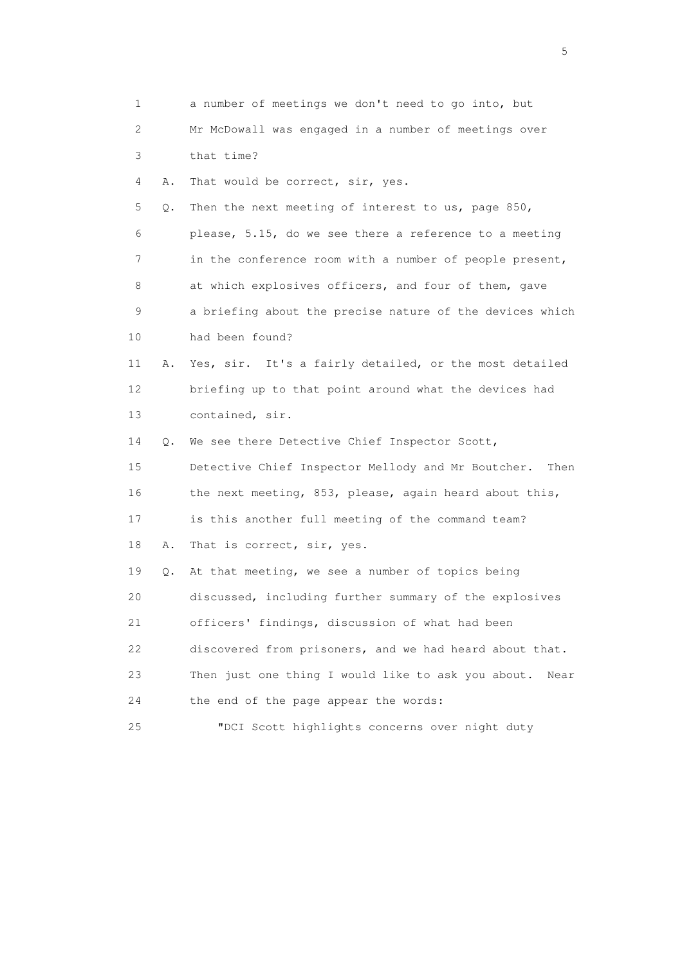| 1        | a number of meetings we don't need to go into, but         |
|----------|------------------------------------------------------------|
| 2        | Mr McDowall was engaged in a number of meetings over       |
| 3        | that time?                                                 |
| 4<br>Α.  | That would be correct, sir, yes.                           |
| 5<br>Q.  | Then the next meeting of interest to us, page 850,         |
| 6        | please, 5.15, do we see there a reference to a meeting     |
| 7        | in the conference room with a number of people present,    |
| 8        | at which explosives officers, and four of them, gave       |
| 9        | a briefing about the precise nature of the devices which   |
| 10       | had been found?                                            |
| 11<br>Α. | Yes, sir. It's a fairly detailed, or the most detailed     |
| 12       | briefing up to that point around what the devices had      |
| 13       | contained, sir.                                            |
| 14<br>Q. | We see there Detective Chief Inspector Scott,              |
| 15       | Detective Chief Inspector Mellody and Mr Boutcher.<br>Then |
| 16       | the next meeting, 853, please, again heard about this,     |
| 17       | is this another full meeting of the command team?          |
| 18<br>Α. | That is correct, sir, yes.                                 |
| 19<br>Q. | At that meeting, we see a number of topics being           |
| 20       | discussed, including further summary of the explosives     |
| 21       | officers' findings, discussion of what had been            |
| 22       | discovered from prisoners, and we had heard about that.    |
| 23       | Then just one thing I would like to ask you about.<br>Near |
| 24       | the end of the page appear the words:                      |
| 25       | "DCI Scott highlights concerns over night duty             |

 $\sim$  5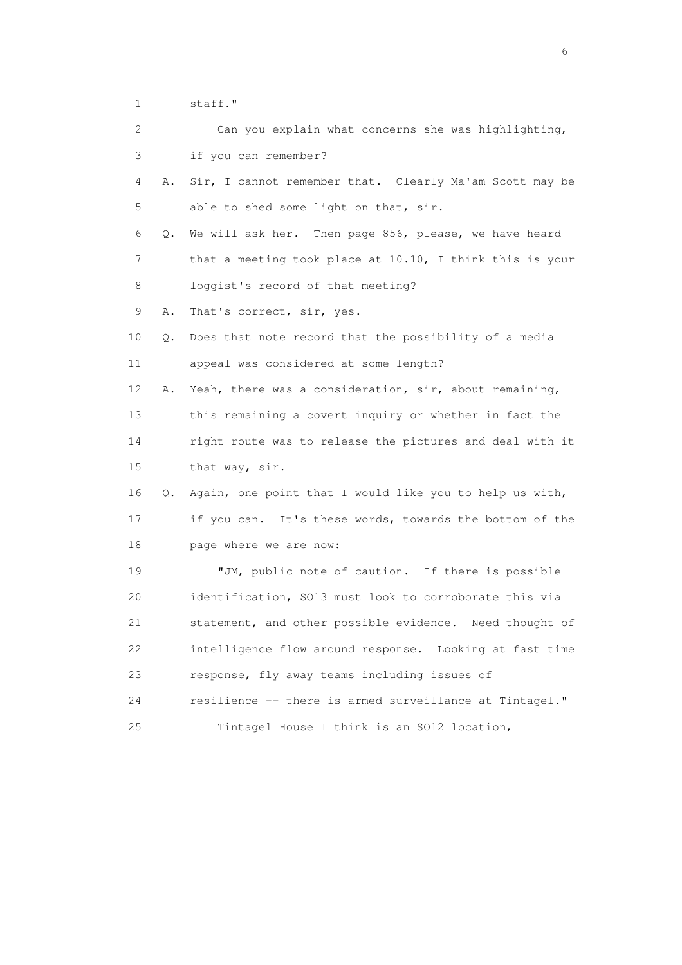1 staff."

|    | 2       | Can you explain what concerns she was highlighting,      |
|----|---------|----------------------------------------------------------|
|    | 3       | if you can remember?                                     |
|    | 4<br>Α. | Sir, I cannot remember that. Clearly Ma'am Scott may be  |
|    | 5       | able to shed some light on that, sir.                    |
|    | 6<br>Q. | We will ask her. Then page 856, please, we have heard    |
|    | 7       | that a meeting took place at 10.10, I think this is your |
|    | 8       | loggist's record of that meeting?                        |
|    | 9<br>Α. | That's correct, sir, yes.                                |
| 10 | Q.      | Does that note record that the possibility of a media    |
| 11 |         | appeal was considered at some length?                    |
| 12 | Α.      | Yeah, there was a consideration, sir, about remaining,   |
| 13 |         | this remaining a covert inquiry or whether in fact the   |
| 14 |         | right route was to release the pictures and deal with it |
| 15 |         | that way, sir.                                           |
| 16 | Q.      | Again, one point that I would like you to help us with,  |
| 17 |         | if you can. It's these words, towards the bottom of the  |
| 18 |         | page where we are now:                                   |
|    | 19      | "JM, public note of caution. If there is possible        |
|    | 20      | identification, SO13 must look to corroborate this via   |
| 21 |         | statement, and other possible evidence. Need thought of  |
| 22 |         | intelligence flow around response. Looking at fast time  |
|    | 23      | response, fly away teams including issues of             |
| 24 |         | resilience -- there is armed surveillance at Tintagel."  |
| 25 |         | Tintagel House I think is an SO12 location,              |

 $\sim$  6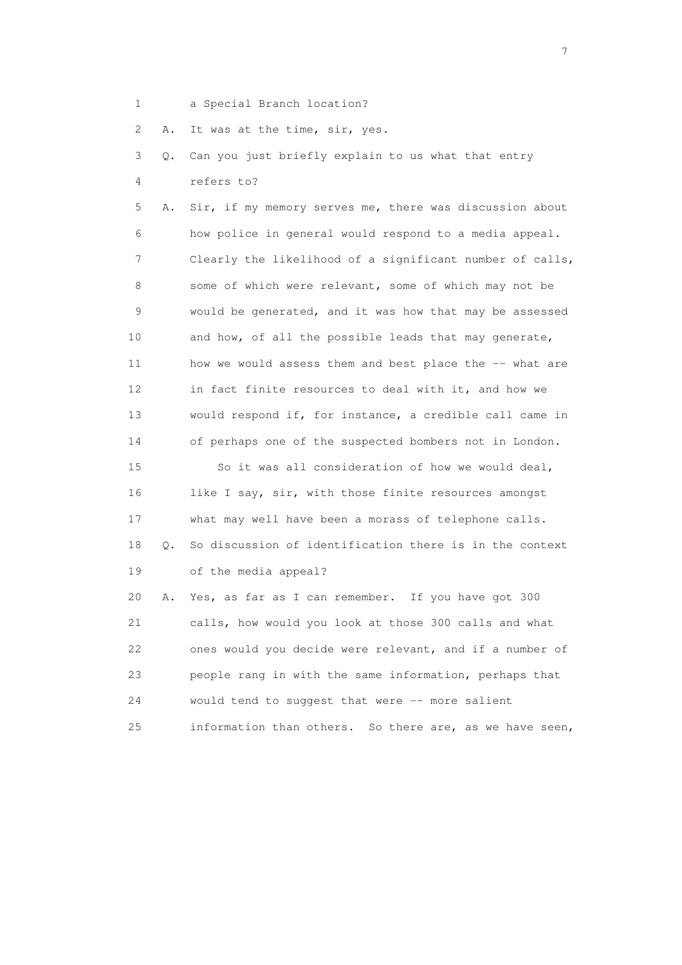1 a Special Branch location?

2 A. It was at the time, sir, yes.

 3 Q. Can you just briefly explain to us what that entry 4 refers to?

 5 A. Sir, if my memory serves me, there was discussion about 6 how police in general would respond to a media appeal. 7 Clearly the likelihood of a significant number of calls, 8 some of which were relevant, some of which may not be 9 would be generated, and it was how that may be assessed 10 and how, of all the possible leads that may generate, 11 how we would assess them and best place the -- what are 12 in fact finite resources to deal with it, and how we 13 would respond if, for instance, a credible call came in 14 of perhaps one of the suspected bombers not in London. 15 So it was all consideration of how we would deal, 16 like I say, sir, with those finite resources amongst 17 what may well have been a morass of telephone calls. 18 Q. So discussion of identification there is in the context

19 of the media appeal?

 20 A. Yes, as far as I can remember. If you have got 300 21 calls, how would you look at those 300 calls and what 22 ones would you decide were relevant, and if a number of 23 people rang in with the same information, perhaps that 24 would tend to suggest that were -- more salient 25 information than others. So there are, as we have seen,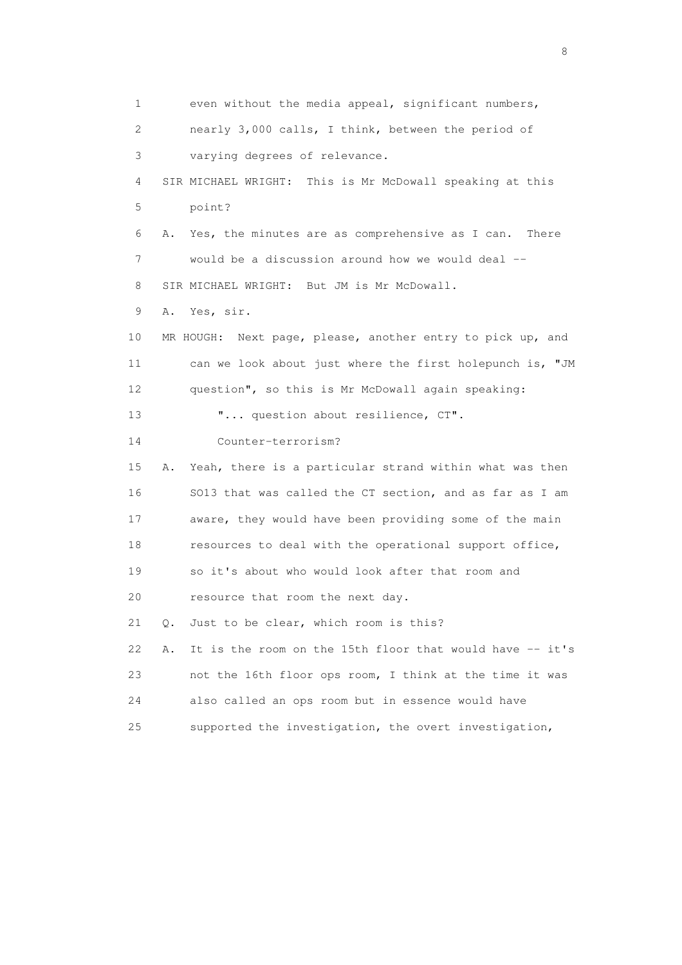1 even without the media appeal, significant numbers, 2 nearly 3,000 calls, I think, between the period of 3 varying degrees of relevance. 4 SIR MICHAEL WRIGHT: This is Mr McDowall speaking at this 5 point? 6 A. Yes, the minutes are as comprehensive as I can. There 7 would be a discussion around how we would deal -- 8 SIR MICHAEL WRIGHT: But JM is Mr McDowall. 9 A. Yes, sir. 10 MR HOUGH: Next page, please, another entry to pick up, and 11 can we look about just where the first holepunch is, "JM 12 question", so this is Mr McDowall again speaking: 13  $\ldots$  question about resilience, CT". 14 Counter-terrorism? 15 A. Yeah, there is a particular strand within what was then 16 SO13 that was called the CT section, and as far as I am 17 aware, they would have been providing some of the main 18 resources to deal with the operational support office, 19 so it's about who would look after that room and 20 resource that room the next day. 21 Q. Just to be clear, which room is this? 22 A. It is the room on the 15th floor that would have -- it's 23 not the 16th floor ops room, I think at the time it was 24 also called an ops room but in essence would have 25 supported the investigation, the overt investigation,

en de la construction de la construction de la construction de la construction de la construction de la constr<br>En 1980, en 1980, en 1980, en 1980, en 1980, en 1980, en 1980, en 1980, en 1980, en 1980, en 1980, en 1980, en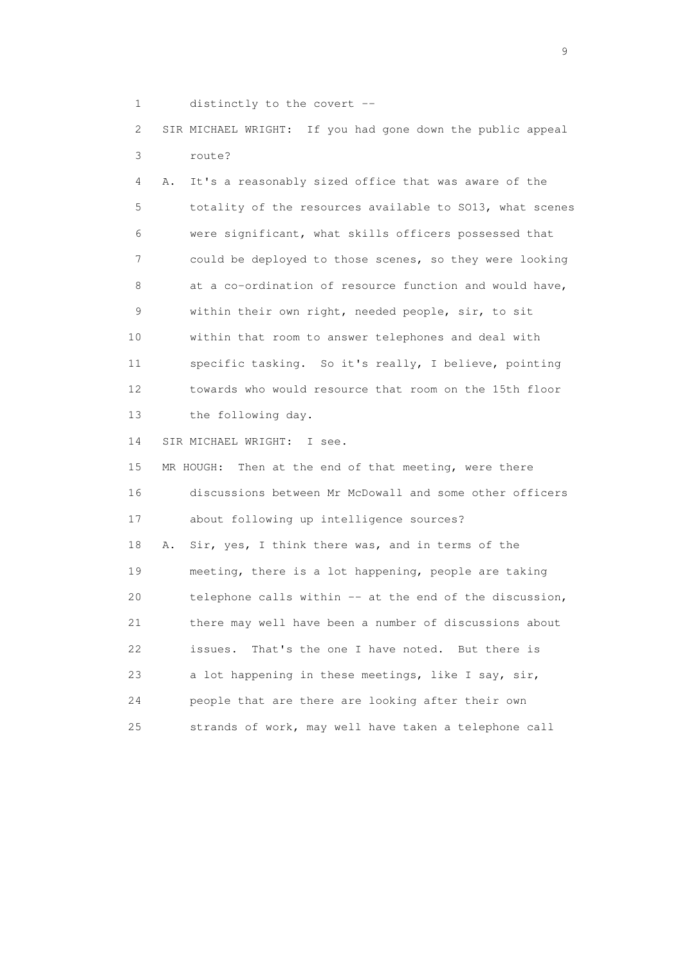1 distinctly to the covert --

 2 SIR MICHAEL WRIGHT: If you had gone down the public appeal 3 route?

 4 A. It's a reasonably sized office that was aware of the 5 totality of the resources available to SO13, what scenes 6 were significant, what skills officers possessed that 7 could be deployed to those scenes, so they were looking 8 at a co-ordination of resource function and would have, 9 within their own right, needed people, sir, to sit 10 within that room to answer telephones and deal with 11 specific tasking. So it's really, I believe, pointing 12 towards who would resource that room on the 15th floor 13 the following day.

14 SIR MICHAEL WRIGHT: I see.

 15 MR HOUGH: Then at the end of that meeting, were there 16 discussions between Mr McDowall and some other officers 17 about following up intelligence sources? 18 A. Sir, yes, I think there was, and in terms of the 19 meeting, there is a lot happening, people are taking 20 telephone calls within -- at the end of the discussion, 21 there may well have been a number of discussions about 22 issues. That's the one I have noted. But there is 23 a lot happening in these meetings, like I say, sir, 24 people that are there are looking after their own 25 strands of work, may well have taken a telephone call

en de la construction de la construction de la construction de la construction de la construction de la constr<br>1911 : la construction de la construction de la construction de la construction de la construction de la const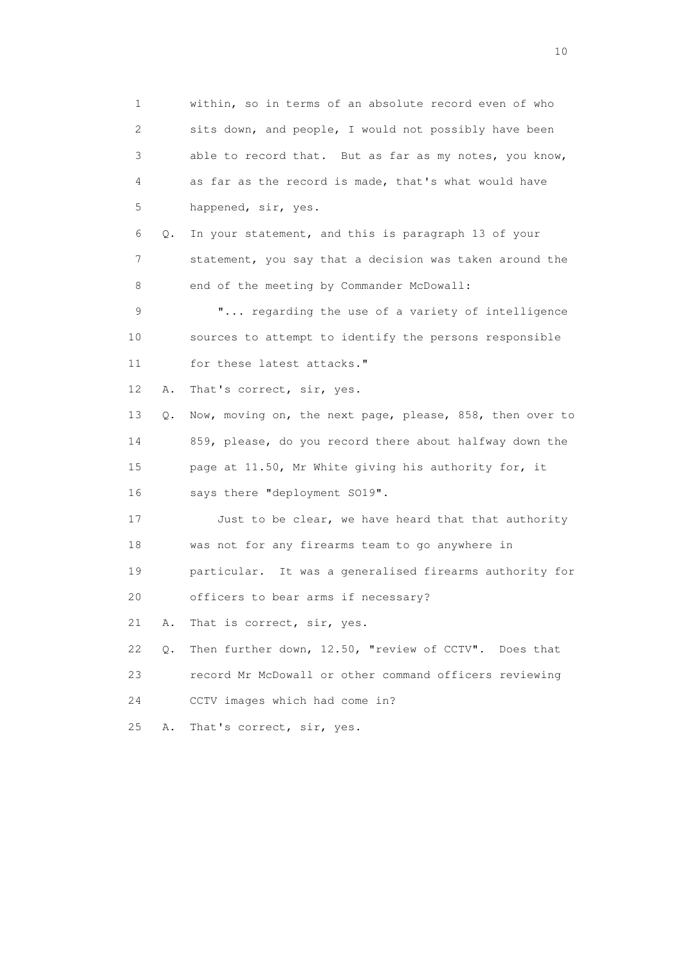1 within, so in terms of an absolute record even of who 2 sits down, and people, I would not possibly have been 3 able to record that. But as far as my notes, you know, 4 as far as the record is made, that's what would have 5 happened, sir, yes. 6 Q. In your statement, and this is paragraph 13 of your 7 statement, you say that a decision was taken around the 8 end of the meeting by Commander McDowall: 9 "... regarding the use of a variety of intelligence 10 sources to attempt to identify the persons responsible 11 for these latest attacks." 12 A. That's correct, sir, yes. 13 Q. Now, moving on, the next page, please, 858, then over to 14 859, please, do you record there about halfway down the 15 page at 11.50, Mr White giving his authority for, it 16 says there "deployment SO19". 17 Just to be clear, we have heard that that authority 18 was not for any firearms team to go anywhere in 19 particular. It was a generalised firearms authority for 20 officers to bear arms if necessary? 21 A. That is correct, sir, yes. 22 Q. Then further down, 12.50, "review of CCTV". Does that 23 record Mr McDowall or other command officers reviewing 24 CCTV images which had come in? 25 A. That's correct, sir, yes.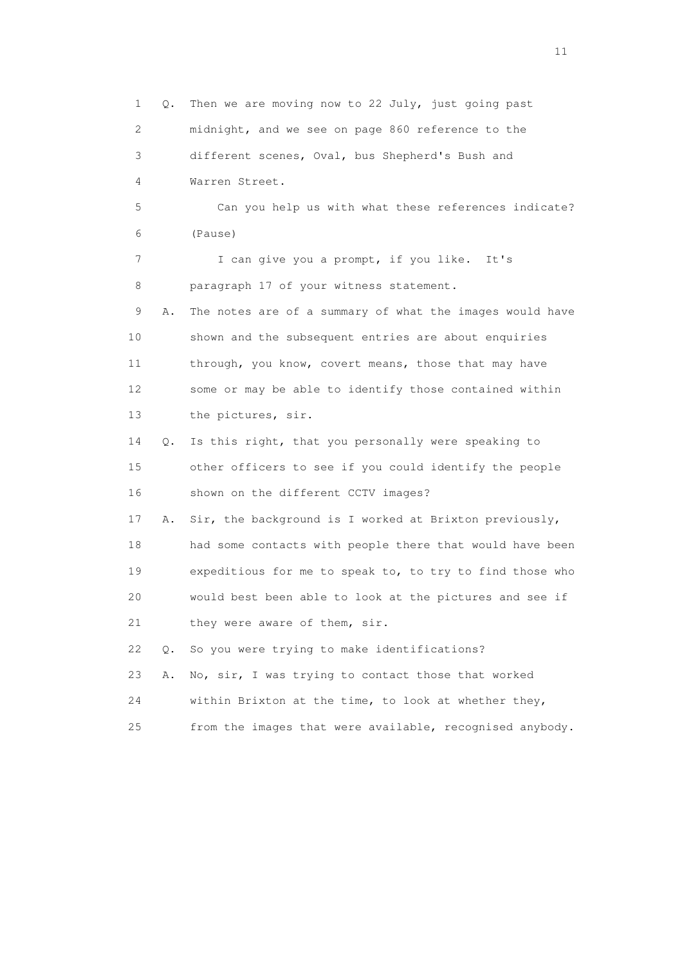1 Q. Then we are moving now to 22 July, just going past 2 midnight, and we see on page 860 reference to the 3 different scenes, Oval, bus Shepherd's Bush and 4 Warren Street. 5 Can you help us with what these references indicate? 6 (Pause) 7 I can give you a prompt, if you like. It's 8 paragraph 17 of your witness statement. 9 A. The notes are of a summary of what the images would have 10 shown and the subsequent entries are about enquiries 11 through, you know, covert means, those that may have 12 some or may be able to identify those contained within 13 the pictures, sir. 14 Q. Is this right, that you personally were speaking to 15 other officers to see if you could identify the people 16 shown on the different CCTV images? 17 A. Sir, the background is I worked at Brixton previously, 18 had some contacts with people there that would have been 19 expeditious for me to speak to, to try to find those who 20 would best been able to look at the pictures and see if 21 they were aware of them, sir. 22 Q. So you were trying to make identifications? 23 A. No, sir, I was trying to contact those that worked 24 within Brixton at the time, to look at whether they, 25 from the images that were available, recognised anybody.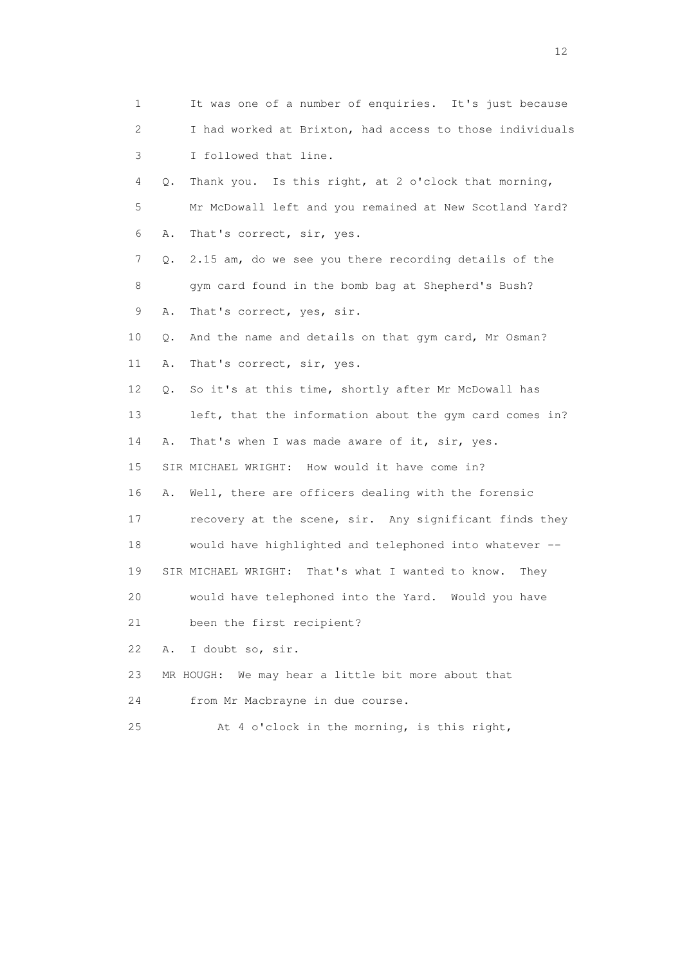1 It was one of a number of enquiries. It's just because 2 I had worked at Brixton, had access to those individuals 3 I followed that line. 4 Q. Thank you. Is this right, at 2 o'clock that morning, 5 Mr McDowall left and you remained at New Scotland Yard? 6 A. That's correct, sir, yes. 7 Q. 2.15 am, do we see you there recording details of the 8 gym card found in the bomb bag at Shepherd's Bush? 9 A. That's correct, yes, sir. 10 Q. And the name and details on that gym card, Mr Osman? 11 A. That's correct, sir, yes. 12 Q. So it's at this time, shortly after Mr McDowall has 13 left, that the information about the gym card comes in? 14 A. That's when I was made aware of it, sir, yes. 15 SIR MICHAEL WRIGHT: How would it have come in? 16 A. Well, there are officers dealing with the forensic 17 recovery at the scene, sir. Any significant finds they 18 would have highlighted and telephoned into whatever -- 19 SIR MICHAEL WRIGHT: That's what I wanted to know. They 20 would have telephoned into the Yard. Would you have 21 been the first recipient? 22 A. I doubt so, sir. 23 MR HOUGH: We may hear a little bit more about that 24 from Mr Macbrayne in due course. 25 At 4 o'clock in the morning, is this right,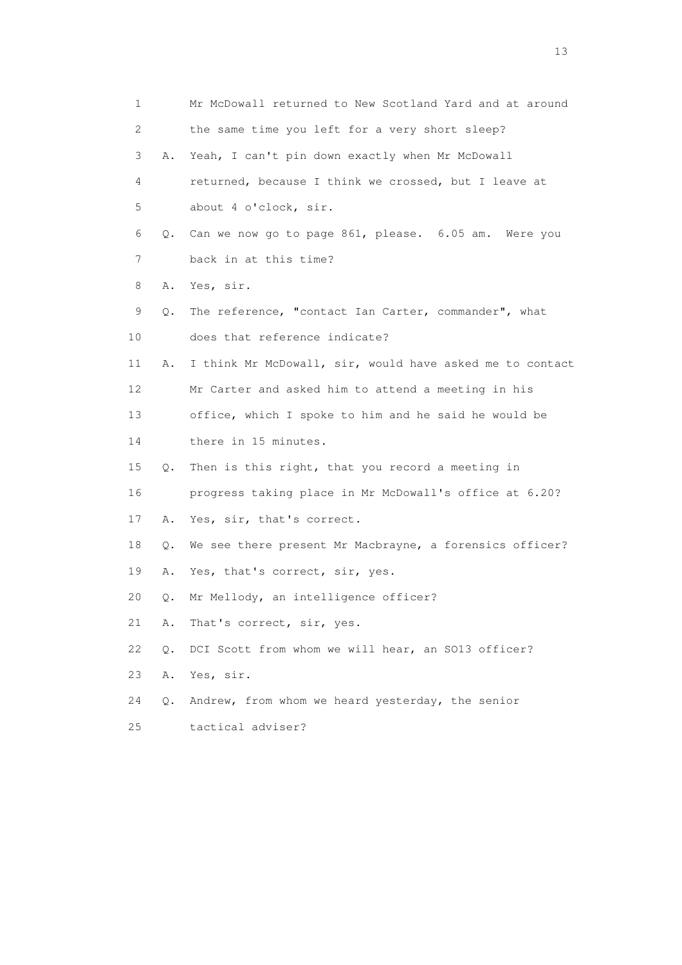| 1  |    | Mr McDowall returned to New Scotland Yard and at around  |
|----|----|----------------------------------------------------------|
| 2  |    | the same time you left for a very short sleep?           |
| 3  | Α. | Yeah, I can't pin down exactly when Mr McDowall          |
| 4  |    | returned, because I think we crossed, but I leave at     |
| 5  |    | about 4 o'clock, sir.                                    |
| 6  | Q. | Can we now go to page 861, please. 6.05 am. Were you     |
| 7  |    | back in at this time?                                    |
| 8  | Α. | Yes, sir.                                                |
| 9  | Q. | The reference, "contact Ian Carter, commander", what     |
| 10 |    | does that reference indicate?                            |
| 11 | Α. | I think Mr McDowall, sir, would have asked me to contact |
| 12 |    | Mr Carter and asked him to attend a meeting in his       |
| 13 |    | office, which I spoke to him and he said he would be     |
| 14 |    | there in 15 minutes.                                     |
| 15 | Q. | Then is this right, that you record a meeting in         |
| 16 |    | progress taking place in Mr McDowall's office at 6.20?   |
| 17 | Α. | Yes, sir, that's correct.                                |
| 18 | Q. | We see there present Mr Macbrayne, a forensics officer?  |
| 19 | Α. | Yes, that's correct, sir, yes.                           |
| 20 | Q. | Mr Mellody, an intelligence officer?                     |
| 21 | Α. | That's correct, sir, yes.                                |
| 22 | Q. | DCI Scott from whom we will hear, an SO13 officer?       |
| 23 | Α. | Yes, sir.                                                |
| 24 | О. | Andrew, from whom we heard yesterday, the senior         |
| 25 |    | tactical adviser?                                        |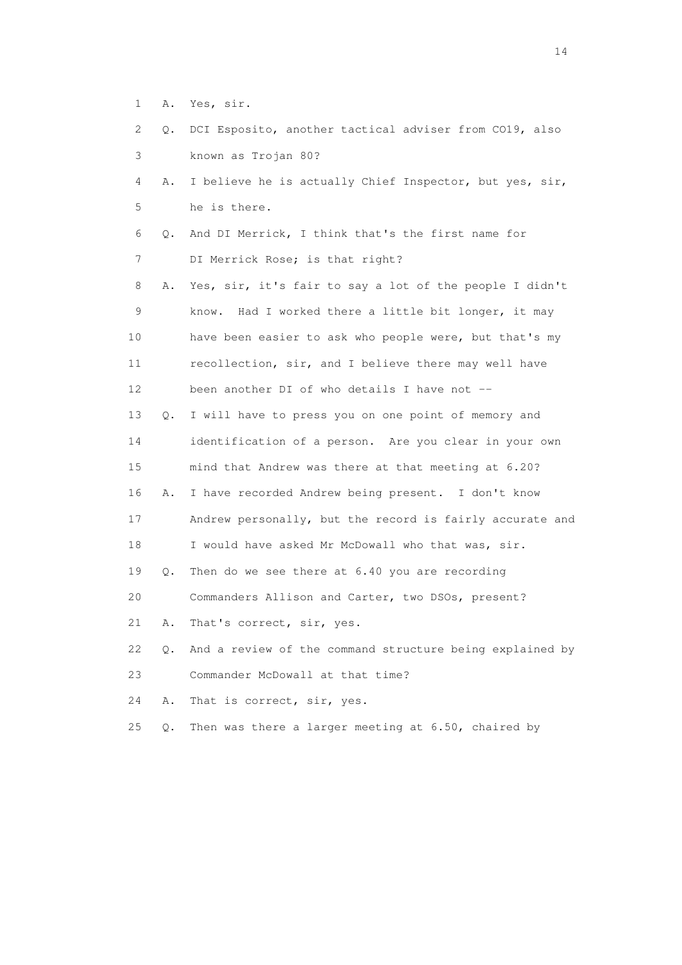- 1 A. Yes, sir.
- 2 Q. DCI Esposito, another tactical adviser from CO19, also 3 known as Trojan 80?
- 4 A. I believe he is actually Chief Inspector, but yes, sir, 5 he is there.
- 6 Q. And DI Merrick, I think that's the first name for 7 DI Merrick Rose; is that right?

 8 A. Yes, sir, it's fair to say a lot of the people I didn't 9 know. Had I worked there a little bit longer, it may 10 have been easier to ask who people were, but that's my 11 recollection, sir, and I believe there may well have 12 been another DI of who details I have not -- 13 Q. I will have to press you on one point of memory and 14 identification of a person. Are you clear in your own 15 mind that Andrew was there at that meeting at 6.20? 16 A. I have recorded Andrew being present. I don't know 17 Andrew personally, but the record is fairly accurate and 18 I would have asked Mr McDowall who that was, sir.

19 Q. Then do we see there at 6.40 you are recording

20 Commanders Allison and Carter, two DSOs, present?

21 A. That's correct, sir, yes.

 22 Q. And a review of the command structure being explained by 23 Commander McDowall at that time?

24 A. That is correct, sir, yes.

25 Q. Then was there a larger meeting at 6.50, chaired by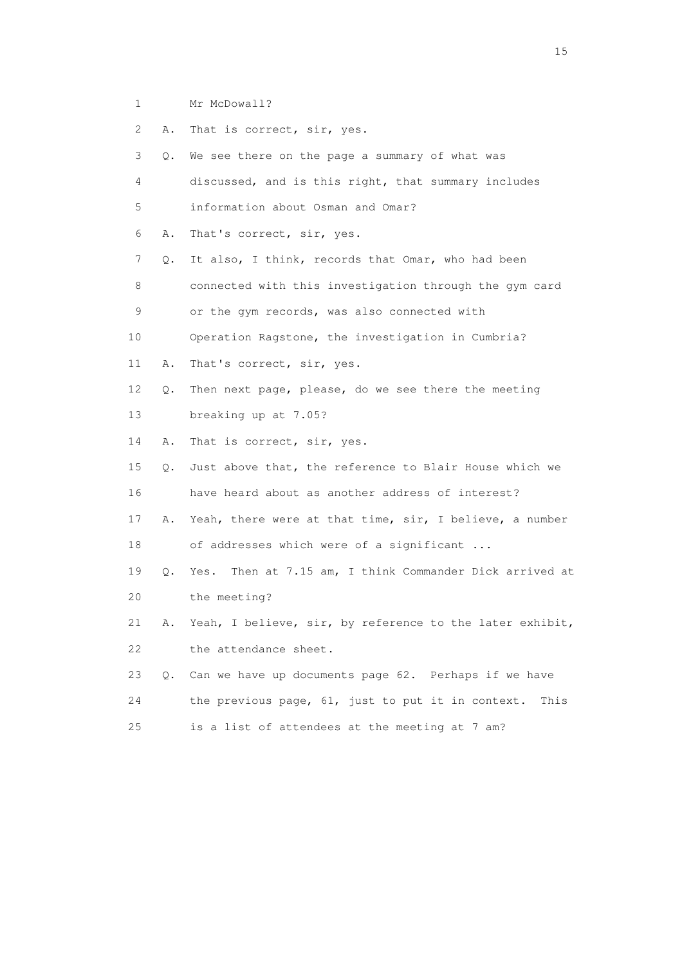1 Mr McDowall?

 2 A. That is correct, sir, yes. 3 Q. We see there on the page a summary of what was 4 discussed, and is this right, that summary includes 5 information about Osman and Omar? 6 A. That's correct, sir, yes. 7 Q. It also, I think, records that Omar, who had been 8 connected with this investigation through the gym card 9 or the gym records, was also connected with 10 Operation Ragstone, the investigation in Cumbria? 11 A. That's correct, sir, yes. 12 Q. Then next page, please, do we see there the meeting 13 breaking up at 7.05? 14 A. That is correct, sir, yes. 15 Q. Just above that, the reference to Blair House which we 16 have heard about as another address of interest? 17 A. Yeah, there were at that time, sir, I believe, a number 18 of addresses which were of a significant ... 19 Q. Yes. Then at 7.15 am, I think Commander Dick arrived at 20 the meeting? 21 A. Yeah, I believe, sir, by reference to the later exhibit, 22 the attendance sheet. 23 Q. Can we have up documents page 62. Perhaps if we have 24 the previous page, 61, just to put it in context. This 25 is a list of attendees at the meeting at 7 am?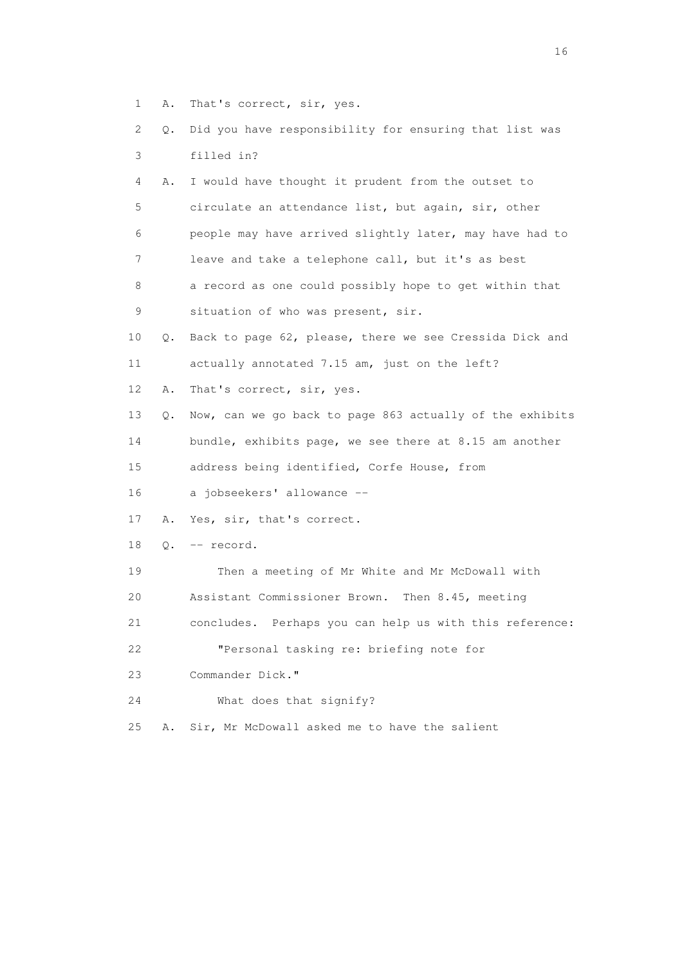- 1 A. That's correct, sir, yes.
- 2 Q. Did you have responsibility for ensuring that list was 3 filled in?

| 4  | Α.        | I would have thought it prudent from the outset to       |
|----|-----------|----------------------------------------------------------|
| 5  |           | circulate an attendance list, but again, sir, other      |
| 6  |           | people may have arrived slightly later, may have had to  |
| 7  |           | leave and take a telephone call, but it's as best        |
| 8  |           | a record as one could possibly hope to get within that   |
| 9  |           | situation of who was present, sir.                       |
| 10 | Q.        | Back to page 62, please, there we see Cressida Dick and  |
| 11 |           | actually annotated 7.15 am, just on the left?            |
| 12 | Α.        | That's correct, sir, yes.                                |
| 13 | Q.        | Now, can we go back to page 863 actually of the exhibits |
| 14 |           | bundle, exhibits page, we see there at 8.15 am another   |
| 15 |           | address being identified, Corfe House, from              |
| 16 |           | a jobseekers' allowance --                               |
| 17 | Α.        | Yes, sir, that's correct.                                |
| 18 | $\circ$ . | -- record.                                               |
| 19 |           | Then a meeting of Mr White and Mr McDowall with          |
| 20 |           | Assistant Commissioner Brown. Then 8.45, meeting         |
| 21 |           | concludes. Perhaps you can help us with this reference:  |
| 22 |           | "Personal tasking re: briefing note for                  |
| 23 |           | Commander Dick."                                         |
| 24 |           | What does that signify?                                  |

25 A. Sir, Mr McDowall asked me to have the salient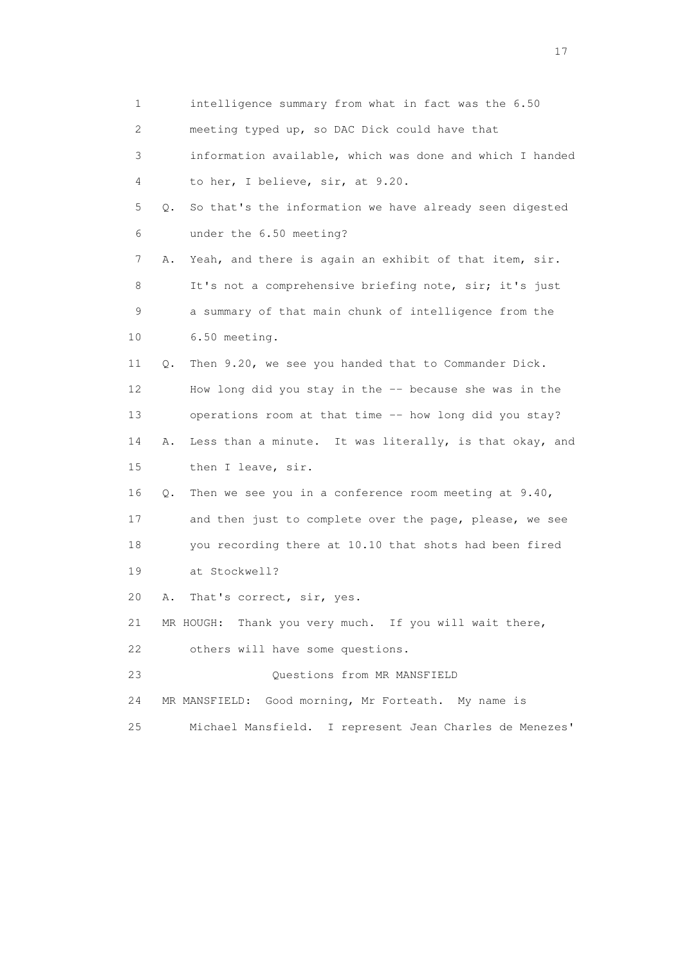| $\mathbf 1$     |    | intelligence summary from what in fact was the 6.50      |
|-----------------|----|----------------------------------------------------------|
| 2               |    | meeting typed up, so DAC Dick could have that            |
| 3               |    | information available, which was done and which I handed |
| 4               |    | to her, I believe, sir, at 9.20.                         |
| 5               | Q. | So that's the information we have already seen digested  |
| 6               |    | under the 6.50 meeting?                                  |
| 7               | Α. | Yeah, and there is again an exhibit of that item, sir.   |
| 8               |    | It's not a comprehensive briefing note, sir; it's just   |
| 9               |    | a summary of that main chunk of intelligence from the    |
| 10              |    | 6.50 meeting.                                            |
| 11              | Q. | Then 9.20, we see you handed that to Commander Dick.     |
| 12 <sup>°</sup> |    | How long did you stay in the -- because she was in the   |
| 13              |    | operations room at that time -- how long did you stay?   |
| 14              | Α. | Less than a minute. It was literally, is that okay, and  |
| 15              |    | then I leave, sir.                                       |
| 16              | Q. | Then we see you in a conference room meeting at 9.40,    |
| 17              |    | and then just to complete over the page, please, we see  |
| 18              |    | you recording there at 10.10 that shots had been fired   |
| 19              |    | at Stockwell?                                            |
| 20              | Α. | That's correct, sir, yes.                                |
| 21              |    | MR HOUGH: Thank you very much. If you will wait there,   |
| 22              |    | others will have some questions.                         |
| 23              |    | Questions from MR MANSFIELD                              |
| 24              |    | MR MANSFIELD: Good morning, Mr Forteath. My name is      |
| 25              |    | Michael Mansfield. I represent Jean Charles de Menezes'  |
|                 |    |                                                          |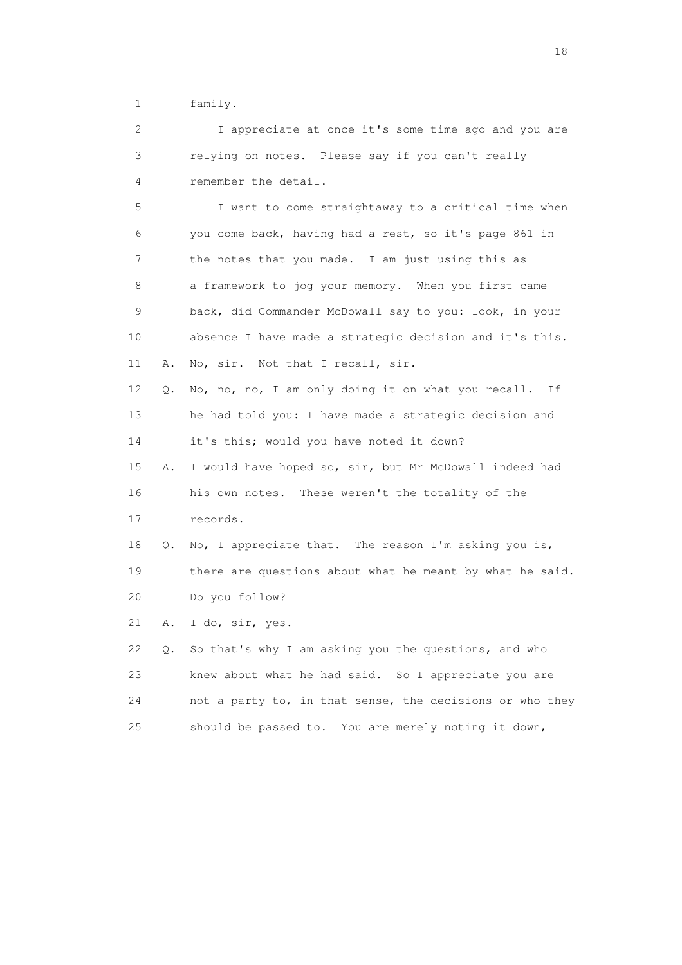1 family.

 2 I appreciate at once it's some time ago and you are 3 relying on notes. Please say if you can't really 4 remember the detail.

 5 I want to come straightaway to a critical time when 6 you come back, having had a rest, so it's page 861 in 7 the notes that you made. I am just using this as 8 a framework to jog your memory. When you first came 9 back, did Commander McDowall say to you: look, in your 10 absence I have made a strategic decision and it's this. 11 A. No, sir. Not that I recall, sir. 12 Q. No, no, no, I am only doing it on what you recall. If 13 he had told you: I have made a strategic decision and 14 it's this; would you have noted it down? 15 A. I would have hoped so, sir, but Mr McDowall indeed had 16 his own notes. These weren't the totality of the 17 records. 18 Q. No, I appreciate that. The reason I'm asking you is,

 19 there are questions about what he meant by what he said. 20 Do you follow?

21 A. I do, sir, yes.

 22 Q. So that's why I am asking you the questions, and who 23 knew about what he had said. So I appreciate you are 24 not a party to, in that sense, the decisions or who they 25 should be passed to. You are merely noting it down,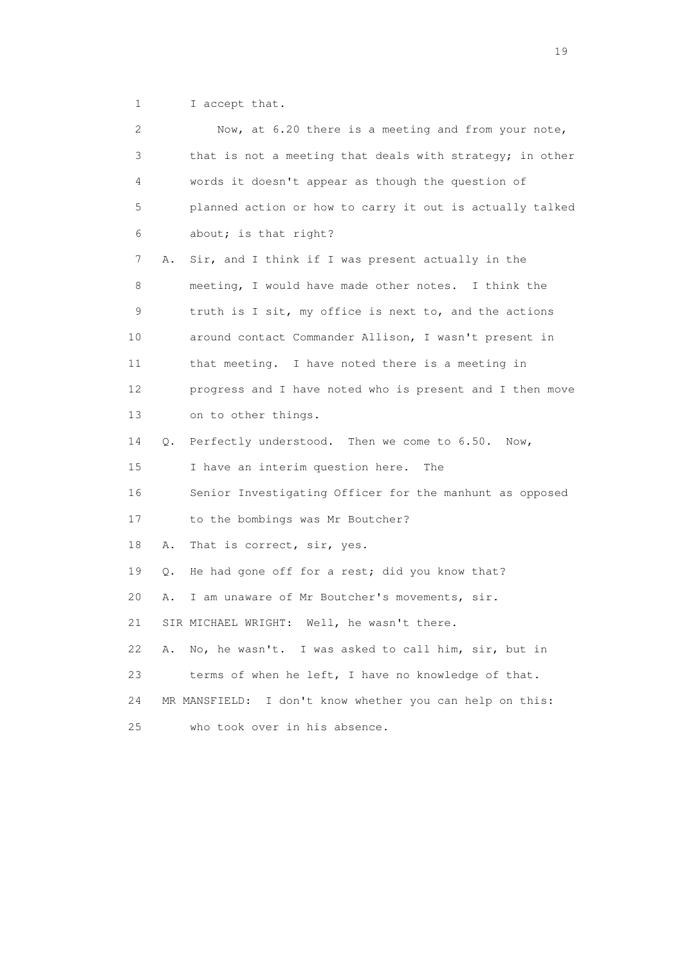1 I accept that.

| 2  |    | Now, at 6.20 there is a meeting and from your note,         |
|----|----|-------------------------------------------------------------|
| 3  |    | that is not a meeting that deals with strategy; in other    |
| 4  |    | words it doesn't appear as though the question of           |
| 5  |    | planned action or how to carry it out is actually talked    |
| 6  |    | about; is that right?                                       |
| 7  | Α. | Sir, and I think if I was present actually in the           |
| 8  |    | meeting, I would have made other notes. I think the         |
| 9  |    | truth is I sit, my office is next to, and the actions       |
| 10 |    | around contact Commander Allison, I wasn't present in       |
| 11 |    | that meeting. I have noted there is a meeting in            |
| 12 |    | progress and I have noted who is present and I then move    |
| 13 |    | on to other things.                                         |
| 14 | Q. | Perfectly understood. Then we come to 6.50.<br>Now,         |
| 15 |    | I have an interim question here.<br>The                     |
| 16 |    | Senior Investigating Officer for the manhunt as opposed     |
| 17 |    | to the bombings was Mr Boutcher?                            |
| 18 | Α. | That is correct, sir, yes.                                  |
| 19 | Q. | He had gone off for a rest; did you know that?              |
| 20 | Α. | I am unaware of Mr Boutcher's movements, sir.               |
| 21 |    | SIR MICHAEL WRIGHT: Well, he wasn't there.                  |
| 22 | Α. | No, he wasn't. I was asked to call him, sir, but in         |
| 23 |    | terms of when he left, I have no knowledge of that.         |
| 24 |    | I don't know whether you can help on this:<br>MR MANSFIELD: |
| 25 |    | who took over in his absence.                               |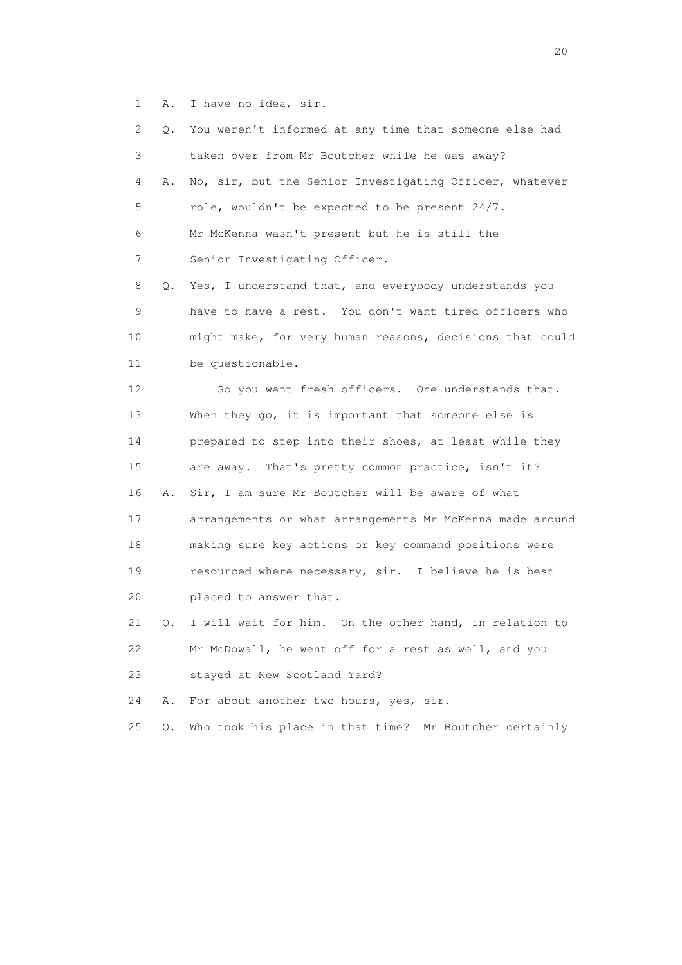1 A. I have no idea, sir.

|    | 2       | Q. You weren't informed at any time that someone else had |
|----|---------|-----------------------------------------------------------|
|    | 3       | taken over from Mr Boutcher while he was away?            |
|    | 4<br>Α. | No, sir, but the Senior Investigating Officer, whatever   |
|    | 5       | role, wouldn't be expected to be present 24/7.            |
|    | 6       | Mr McKenna wasn't present but he is still the             |
|    | 7       | Senior Investigating Officer.                             |
|    | 8       | Q. Yes, I understand that, and everybody understands you  |
|    | 9       | have to have a rest. You don't want tired officers who    |
| 10 |         | might make, for very human reasons, decisions that could  |
| 11 |         | be questionable.                                          |
| 12 |         | So you want fresh officers. One understands that.         |
| 13 |         | When they go, it is important that someone else is        |
| 14 |         | prepared to step into their shoes, at least while they    |
| 15 |         | are away. That's pretty common practice, isn't it?        |
| 16 | Α.      | Sir, I am sure Mr Boutcher will be aware of what          |
| 17 |         | arrangements or what arrangements Mr McKenna made around  |
| 18 |         | making sure key actions or key command positions were     |
| 19 |         | resourced where necessary, sir. I believe he is best      |
| 20 |         | placed to answer that.                                    |
| 21 | Q.      | I will wait for him. On the other hand, in relation to    |
| 22 |         | Mr McDowall, he went off for a rest as well, and you      |
| 23 |         | stayed at New Scotland Yard?                              |
| 24 | Α.      | For about another two hours, yes, sir.                    |
| 25 | $Q$ .   | Who took his place in that time?<br>Mr Boutcher certainly |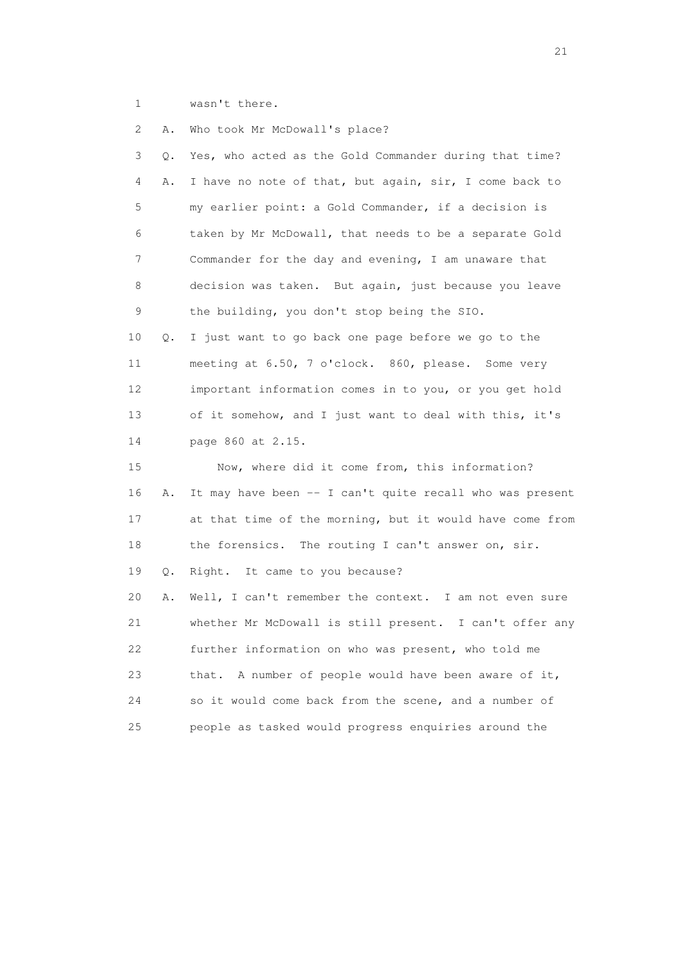1 wasn't there.

 2 A. Who took Mr McDowall's place? 3 Q. Yes, who acted as the Gold Commander during that time? 4 A. I have no note of that, but again, sir, I come back to 5 my earlier point: a Gold Commander, if a decision is 6 taken by Mr McDowall, that needs to be a separate Gold 7 Commander for the day and evening, I am unaware that 8 decision was taken. But again, just because you leave 9 the building, you don't stop being the SIO. 10 Q. I just want to go back one page before we go to the 11 meeting at 6.50, 7 o'clock. 860, please. Some very 12 important information comes in to you, or you get hold 13 of it somehow, and I just want to deal with this, it's 14 page 860 at 2.15. 15 Now, where did it come from, this information? 16 A. It may have been -- I can't quite recall who was present 17 at that time of the morning, but it would have come from 18 the forensics. The routing I can't answer on, sir. 19 Q. Right. It came to you because? 20 A. Well, I can't remember the context. I am not even sure 21 whether Mr McDowall is still present. I can't offer any 22 further information on who was present, who told me 23 that. A number of people would have been aware of it, 24 so it would come back from the scene, and a number of 25 people as tasked would progress enquiries around the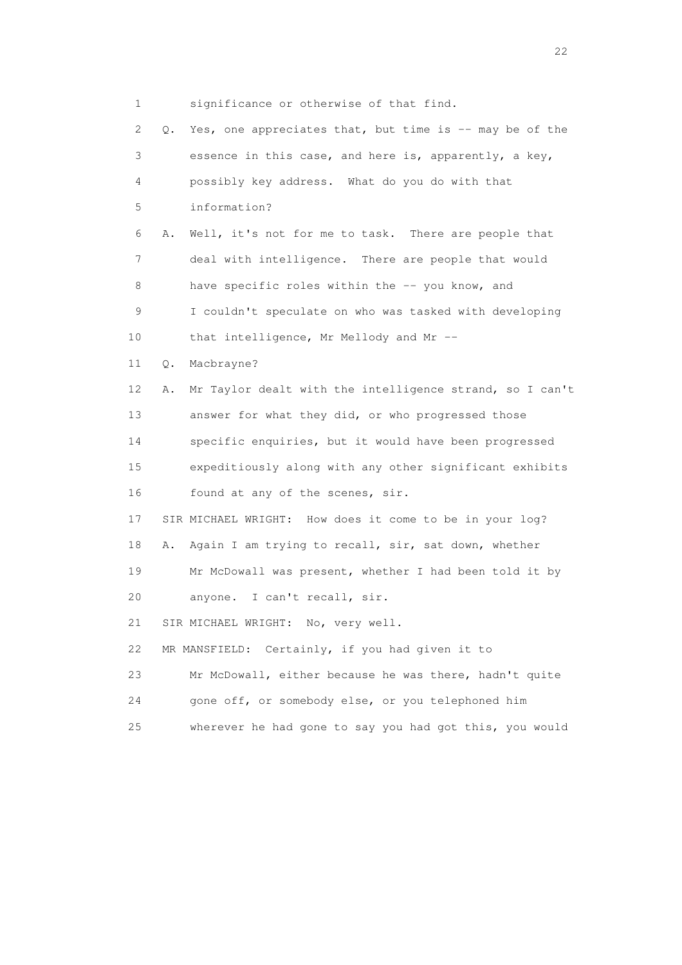1 significance or otherwise of that find. 2 Q. Yes, one appreciates that, but time is -- may be of the 3 essence in this case, and here is, apparently, a key, 4 possibly key address. What do you do with that 5 information? 6 A. Well, it's not for me to task. There are people that 7 deal with intelligence. There are people that would 8 have specific roles within the -- you know, and 9 I couldn't speculate on who was tasked with developing 10 that intelligence, Mr Mellody and Mr -- 11 Q. Macbrayne? 12 A. Mr Taylor dealt with the intelligence strand, so I can't 13 answer for what they did, or who progressed those 14 specific enquiries, but it would have been progressed 15 expeditiously along with any other significant exhibits 16 found at any of the scenes, sir. 17 SIR MICHAEL WRIGHT: How does it come to be in your log? 18 A. Again I am trying to recall, sir, sat down, whether 19 Mr McDowall was present, whether I had been told it by 20 anyone. I can't recall, sir. 21 SIR MICHAEL WRIGHT: No, very well. 22 MR MANSFIELD: Certainly, if you had given it to 23 Mr McDowall, either because he was there, hadn't quite 24 gone off, or somebody else, or you telephoned him 25 wherever he had gone to say you had got this, you would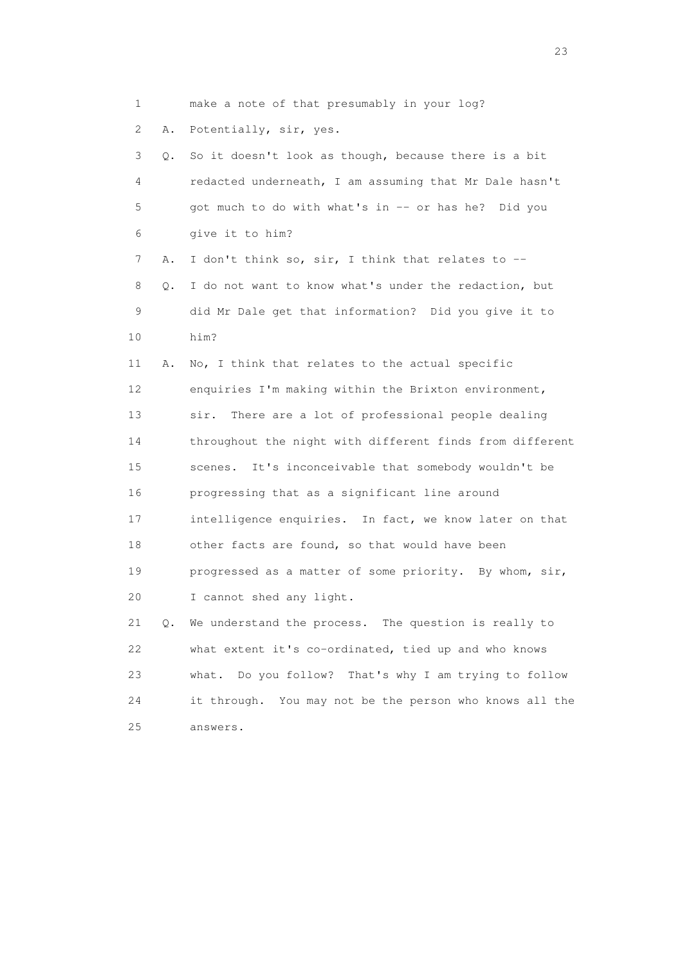1 make a note of that presumably in your log?

2 A. Potentially, sir, yes.

 3 Q. So it doesn't look as though, because there is a bit 4 redacted underneath, I am assuming that Mr Dale hasn't 5 got much to do with what's in -- or has he? Did you 6 give it to him?

7 A. I don't think so, sir, I think that relates to -- 8 Q. I do not want to know what's under the redaction, but 9 did Mr Dale get that information? Did you give it to 10 him?

 11 A. No, I think that relates to the actual specific 12 enquiries I'm making within the Brixton environment, 13 sir. There are a lot of professional people dealing 14 throughout the night with different finds from different 15 scenes. It's inconceivable that somebody wouldn't be 16 progressing that as a significant line around 17 intelligence enquiries. In fact, we know later on that 18 other facts are found, so that would have been 19 progressed as a matter of some priority. By whom, sir, 20 I cannot shed any light.

 21 Q. We understand the process. The question is really to 22 what extent it's co-ordinated, tied up and who knows 23 what. Do you follow? That's why I am trying to follow 24 it through. You may not be the person who knows all the 25 answers.

23 and 23 and 23 and 23 and 23 and 23 and 23 and 23 and 23 and 23 and 23 and 23 and 23 and 23 and 23 and 23 and 24 and 25 and 25 and 26 and 26 and 26 and 26 and 26 and 26 and 26 and 26 and 26 and 26 and 26 and 26 and 26 an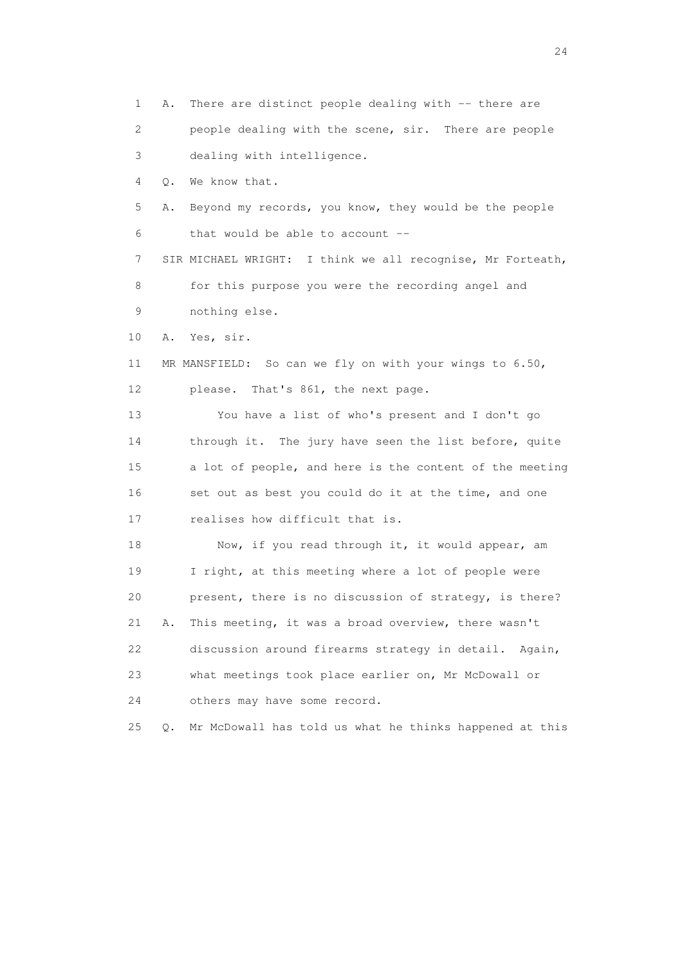1 A. There are distinct people dealing with -- there are 2 people dealing with the scene, sir. There are people 3 dealing with intelligence. 4 Q. We know that. 5 A. Beyond my records, you know, they would be the people 6 that would be able to account -- 7 SIR MICHAEL WRIGHT: I think we all recognise, Mr Forteath, 8 for this purpose you were the recording angel and 9 nothing else. 10 A. Yes, sir. 11 MR MANSFIELD: So can we fly on with your wings to 6.50, 12 please. That's 861, the next page. 13 You have a list of who's present and I don't go 14 through it. The jury have seen the list before, quite 15 a lot of people, and here is the content of the meeting 16 set out as best you could do it at the time, and one 17 realises how difficult that is. 18 Now, if you read through it, it would appear, am 19 I right, at this meeting where a lot of people were 20 present, there is no discussion of strategy, is there? 21 A. This meeting, it was a broad overview, there wasn't 22 discussion around firearms strategy in detail. Again, 23 what meetings took place earlier on, Mr McDowall or 24 others may have some record. 25 Q. Mr McDowall has told us what he thinks happened at this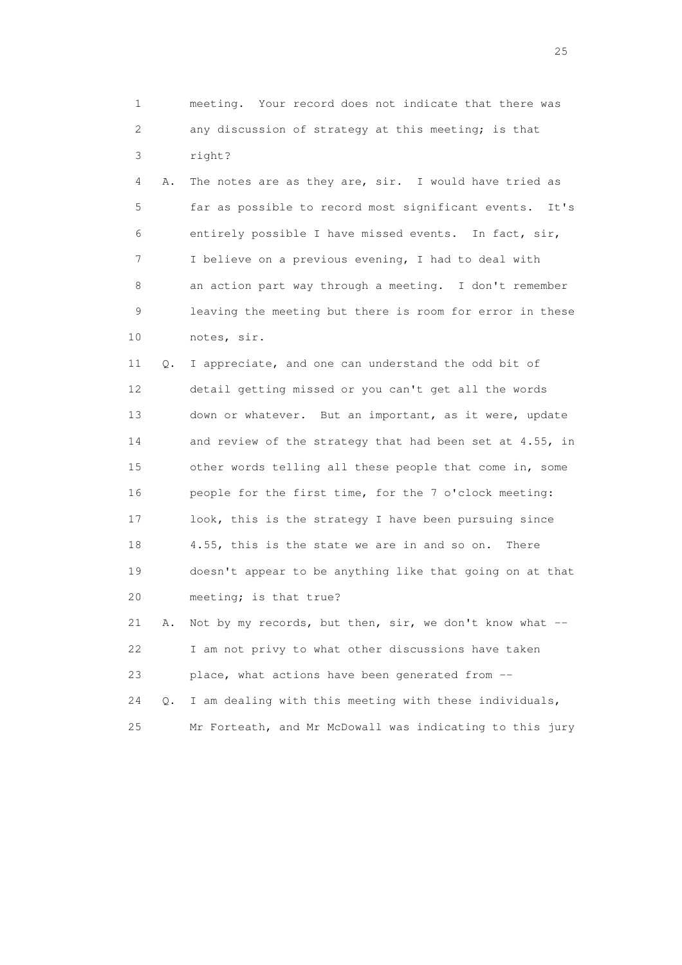1 meeting. Your record does not indicate that there was 2 any discussion of strategy at this meeting; is that 3 right?

 4 A. The notes are as they are, sir. I would have tried as 5 far as possible to record most significant events. It's 6 entirely possible I have missed events. In fact, sir, 7 I believe on a previous evening, I had to deal with 8 an action part way through a meeting. I don't remember 9 leaving the meeting but there is room for error in these 10 notes, sir.

 11 Q. I appreciate, and one can understand the odd bit of 12 detail getting missed or you can't get all the words 13 down or whatever. But an important, as it were, update 14 and review of the strategy that had been set at 4.55, in 15 other words telling all these people that come in, some 16 people for the first time, for the 7 o'clock meeting: 17 look, this is the strategy I have been pursuing since 18 4.55, this is the state we are in and so on. There 19 doesn't appear to be anything like that going on at that 20 meeting; is that true?

21 A. Not by my records, but then, sir, we don't know what -- 22 I am not privy to what other discussions have taken 23 place, what actions have been generated from -- 24 Q. I am dealing with this meeting with these individuals, 25 Mr Forteath, and Mr McDowall was indicating to this jury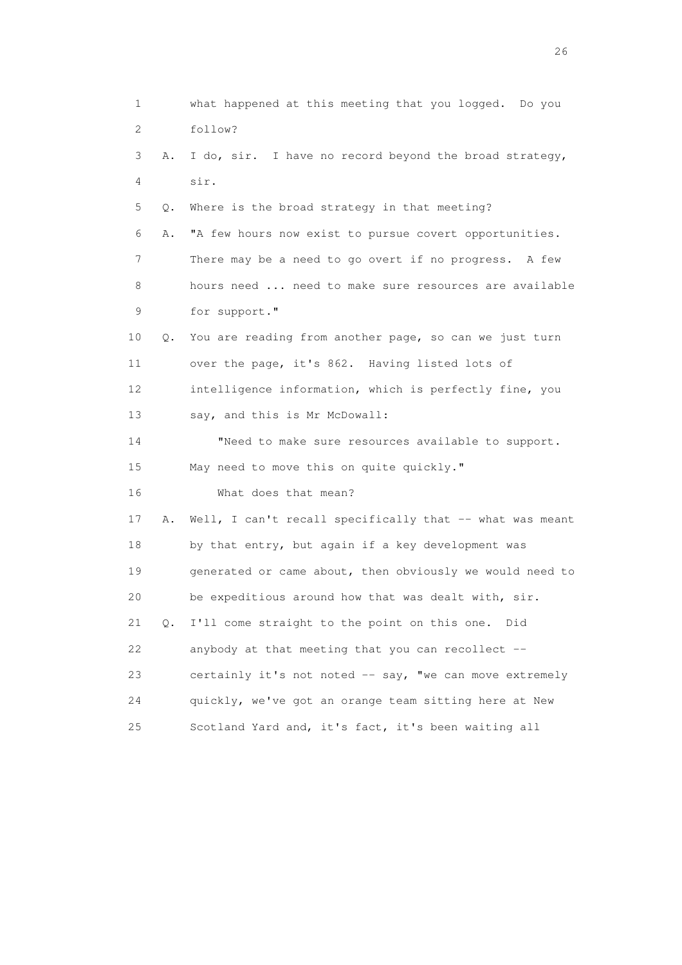1 what happened at this meeting that you logged. Do you 2 follow? 3 A. I do, sir. I have no record beyond the broad strategy, 4 sir. 5 Q. Where is the broad strategy in that meeting? 6 A. "A few hours now exist to pursue covert opportunities. 7 There may be a need to go overt if no progress. A few 8 hours need ... need to make sure resources are available 9 for support." 10 Q. You are reading from another page, so can we just turn 11 over the page, it's 862. Having listed lots of 12 intelligence information, which is perfectly fine, you 13 say, and this is Mr McDowall: 14 "Need to make sure resources available to support. 15 May need to move this on quite quickly." 16 What does that mean? 17 A. Well, I can't recall specifically that -- what was meant 18 by that entry, but again if a key development was 19 generated or came about, then obviously we would need to 20 be expeditious around how that was dealt with, sir. 21 Q. I'll come straight to the point on this one. Did 22 anybody at that meeting that you can recollect -- 23 certainly it's not noted -- say, "we can move extremely 24 quickly, we've got an orange team sitting here at New 25 Scotland Yard and, it's fact, it's been waiting all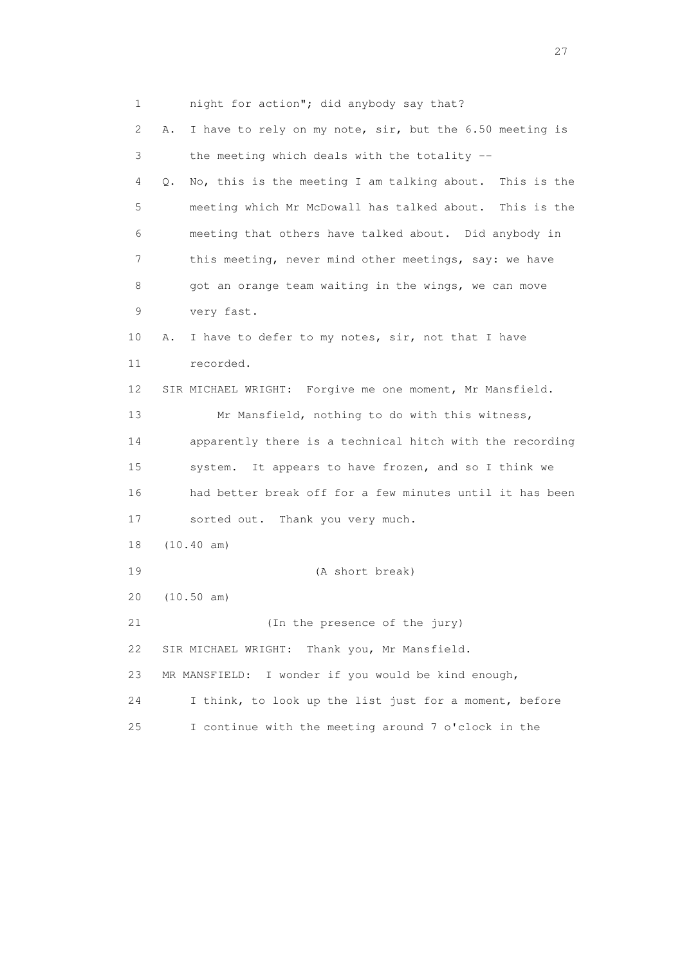1 night for action"; did anybody say that? 2 A. I have to rely on my note, sir, but the 6.50 meeting is 3 the meeting which deals with the totality -- 4 Q. No, this is the meeting I am talking about. This is the 5 meeting which Mr McDowall has talked about. This is the 6 meeting that others have talked about. Did anybody in 7 this meeting, never mind other meetings, say: we have 8 got an orange team waiting in the wings, we can move 9 very fast. 10 A. I have to defer to my notes, sir, not that I have 11 recorded. 12 SIR MICHAEL WRIGHT: Forgive me one moment, Mr Mansfield. 13 Mr Mansfield, nothing to do with this witness, 14 apparently there is a technical hitch with the recording 15 system. It appears to have frozen, and so I think we 16 had better break off for a few minutes until it has been 17 sorted out. Thank you very much. 18 (10.40 am) 19 (A short break) 20 (10.50 am) 21 (In the presence of the jury) 22 SIR MICHAEL WRIGHT: Thank you, Mr Mansfield. 23 MR MANSFIELD: I wonder if you would be kind enough, 24 I think, to look up the list just for a moment, before 25 I continue with the meeting around 7 o'clock in the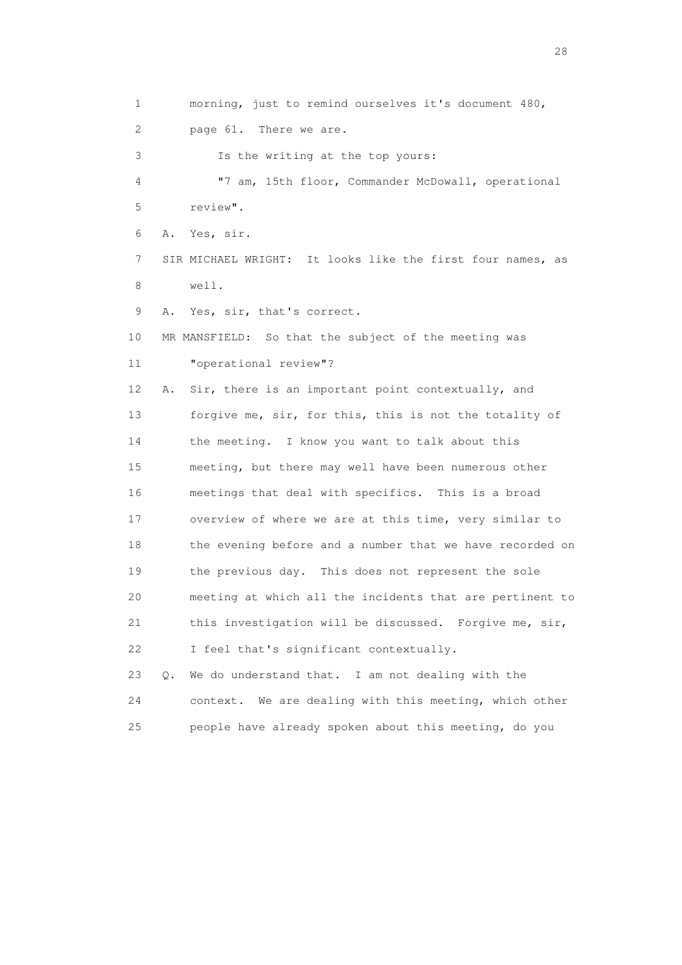1 morning, just to remind ourselves it's document 480, 2 page 61. There we are. 3 Is the writing at the top yours: 4 "7 am, 15th floor, Commander McDowall, operational 5 review". 6 A. Yes, sir. 7 SIR MICHAEL WRIGHT: It looks like the first four names, as 8 well. 9 A. Yes, sir, that's correct. 10 MR MANSFIELD: So that the subject of the meeting was 11 "operational review"? 12 A. Sir, there is an important point contextually, and 13 forgive me, sir, for this, this is not the totality of 14 the meeting. I know you want to talk about this 15 meeting, but there may well have been numerous other 16 meetings that deal with specifics. This is a broad 17 overview of where we are at this time, very similar to 18 the evening before and a number that we have recorded on 19 the previous day. This does not represent the sole 20 meeting at which all the incidents that are pertinent to 21 this investigation will be discussed. Forgive me, sir, 22 I feel that's significant contextually. 23 Q. We do understand that. I am not dealing with the 24 context. We are dealing with this meeting, which other

25 people have already spoken about this meeting, do you

28 and 28 and 28 and 28 and 28 and 28 and 28 and 28 and 28 and 28 and 28 and 28 and 28 and 28 and 28 and 28 and 28 and 28 and 28 and 28 and 28 and 28 and 28 and 28 and 28 and 28 and 28 and 28 and 28 and 28 and 28 and 28 an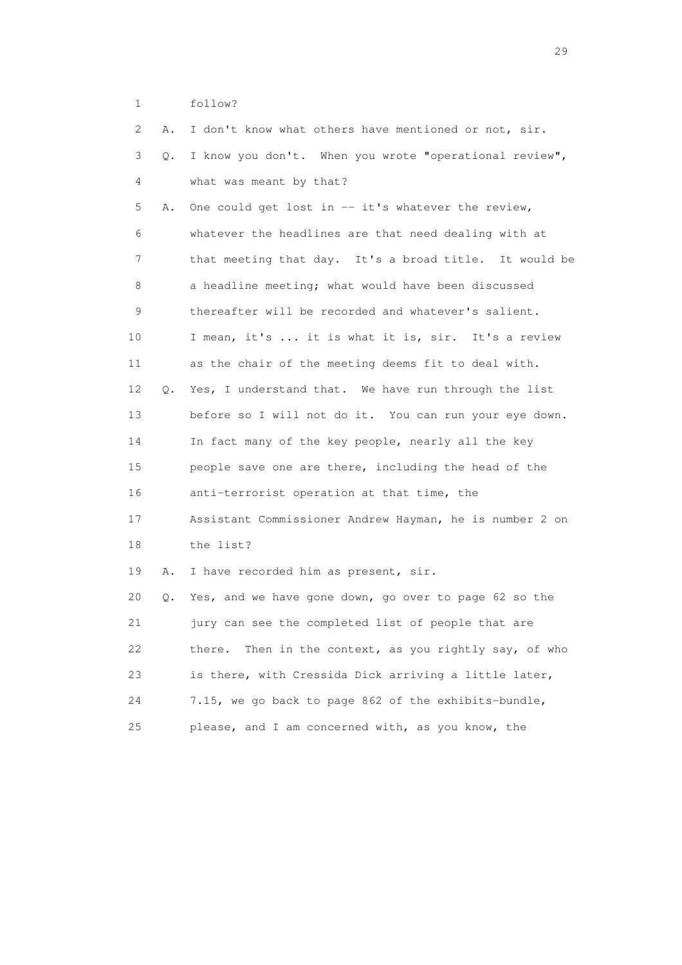1 follow?

| 2  | Α. | I don't know what others have mentioned or not, sir.      |
|----|----|-----------------------------------------------------------|
| 3  | Q. | I know you don't. When you wrote "operational review",    |
| 4  |    | what was meant by that?                                   |
| 5  | Α. | One could get lost in -- it's whatever the review,        |
| 6  |    | whatever the headlines are that need dealing with at      |
| 7  |    | that meeting that day. It's a broad title. It would be    |
| 8  |    | a headline meeting; what would have been discussed        |
| 9  |    | thereafter will be recorded and whatever's salient.       |
| 10 |    | I mean, it's  it is what it is, sir. It's a review        |
| 11 |    | as the chair of the meeting deems fit to deal with.       |
| 12 | 0. | Yes, I understand that. We have run through the list      |
| 13 |    | before so I will not do it. You can run your eye down.    |
| 14 |    | In fact many of the key people, nearly all the key        |
| 15 |    | people save one are there, including the head of the      |
| 16 |    | anti-terrorist operation at that time, the                |
| 17 |    | Assistant Commissioner Andrew Hayman, he is number 2 on   |
| 18 |    | the list?                                                 |
| 19 | Α. | I have recorded him as present, sir.                      |
| 20 | Q. | Yes, and we have gone down, go over to page 62 so the     |
| 21 |    | jury can see the completed list of people that are        |
| 22 |    | Then in the context, as you rightly say, of who<br>there. |
| 23 |    | is there, with Cressida Dick arriving a little later,     |
| 24 |    | 7.15, we go back to page 862 of the exhibits-bundle,      |
| 25 |    | please, and I am concerned with, as you know, the         |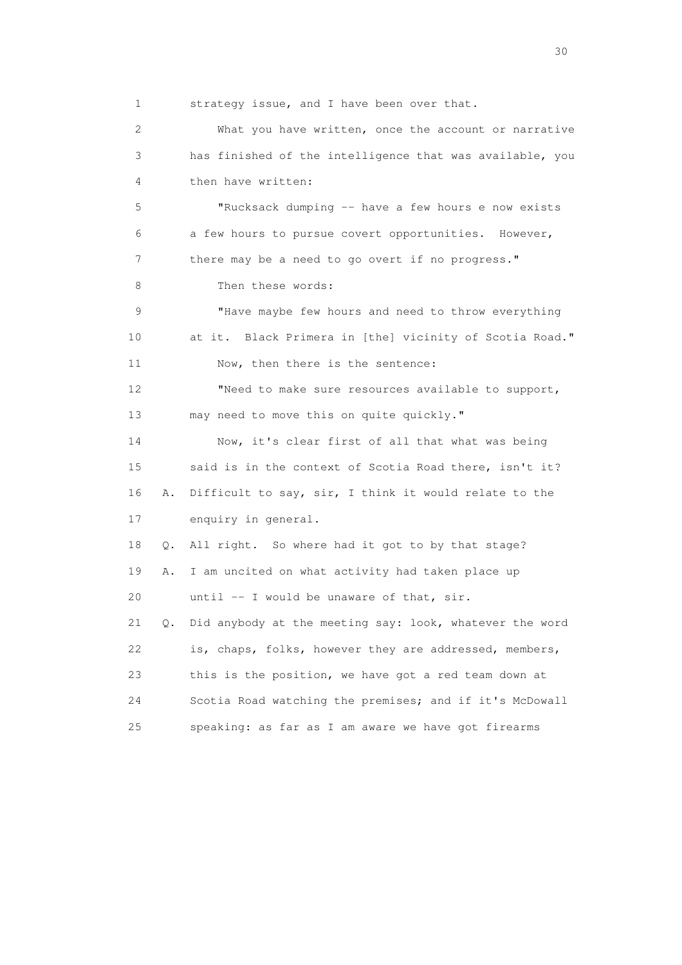1 strategy issue, and I have been over that. 2 What you have written, once the account or narrative 3 has finished of the intelligence that was available, you 4 then have written: 5 "Rucksack dumping -- have a few hours e now exists 6 a few hours to pursue covert opportunities. However, 7 there may be a need to go overt if no progress." 8 Then these words: 9 "Have maybe few hours and need to throw everything 10 at it. Black Primera in [the] vicinity of Scotia Road." 11 Now, then there is the sentence: 12 "Need to make sure resources available to support, 13 may need to move this on quite quickly." 14 Now, it's clear first of all that what was being 15 said is in the context of Scotia Road there, isn't it? 16 A. Difficult to say, sir, I think it would relate to the 17 enquiry in general. 18 Q. All right. So where had it got to by that stage? 19 A. I am uncited on what activity had taken place up 20 until -- I would be unaware of that, sir. 21 Q. Did anybody at the meeting say: look, whatever the word 22 is, chaps, folks, however they are addressed, members, 23 this is the position, we have got a red team down at 24 Scotia Road watching the premises; and if it's McDowall 25 speaking: as far as I am aware we have got firearms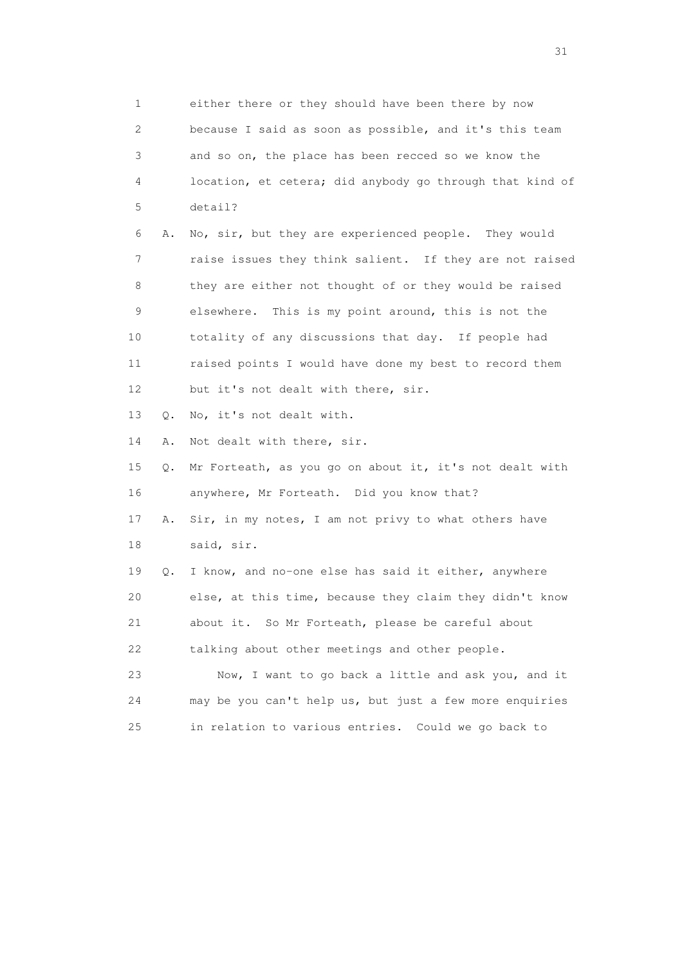1 either there or they should have been there by now 2 because I said as soon as possible, and it's this team 3 and so on, the place has been recced so we know the 4 location, et cetera; did anybody go through that kind of 5 detail? 6 A. No, sir, but they are experienced people. They would 7 raise issues they think salient. If they are not raised 8 they are either not thought of or they would be raised 9 elsewhere. This is my point around, this is not the 10 totality of any discussions that day. If people had 11 raised points I would have done my best to record them 12 but it's not dealt with there, sir. 13 Q. No, it's not dealt with. 14 A. Not dealt with there, sir. 15 Q. Mr Forteath, as you go on about it, it's not dealt with 16 anywhere, Mr Forteath. Did you know that? 17 A. Sir, in my notes, I am not privy to what others have 18 said, sir. 19 Q. I know, and no-one else has said it either, anywhere 20 else, at this time, because they claim they didn't know 21 about it. So Mr Forteath, please be careful about 22 talking about other meetings and other people. 23 Now, I want to go back a little and ask you, and it 24 may be you can't help us, but just a few more enquiries 25 in relation to various entries. Could we go back to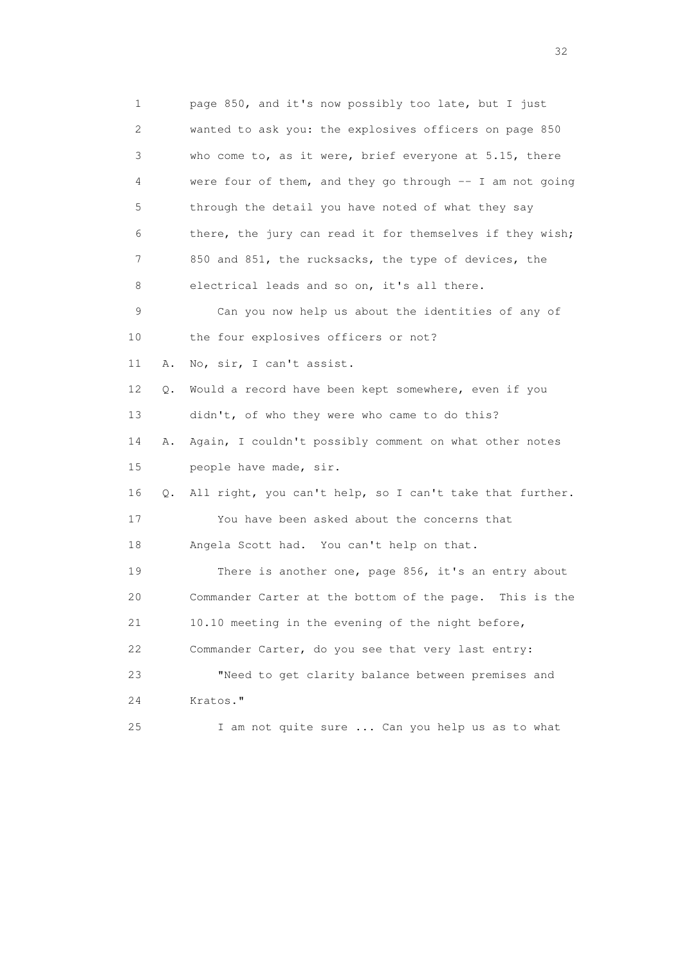1 page 850, and it's now possibly too late, but I just 2 wanted to ask you: the explosives officers on page 850 3 who come to, as it were, brief everyone at 5.15, there 4 were four of them, and they go through -- I am not going 5 through the detail you have noted of what they say 6 there, the jury can read it for themselves if they wish; 7 850 and 851, the rucksacks, the type of devices, the 8 electrical leads and so on, it's all there. 9 Can you now help us about the identities of any of 10 the four explosives officers or not? 11 A. No, sir, I can't assist. 12 Q. Would a record have been kept somewhere, even if you 13 didn't, of who they were who came to do this? 14 A. Again, I couldn't possibly comment on what other notes 15 people have made, sir. 16 Q. All right, you can't help, so I can't take that further. 17 You have been asked about the concerns that 18 Angela Scott had. You can't help on that. 19 There is another one, page 856, it's an entry about 20 Commander Carter at the bottom of the page. This is the 21 10.10 meeting in the evening of the night before, 22 Commander Carter, do you see that very last entry: 23 "Need to get clarity balance between premises and 24 Kratos." 25 I am not quite sure ... Can you help us as to what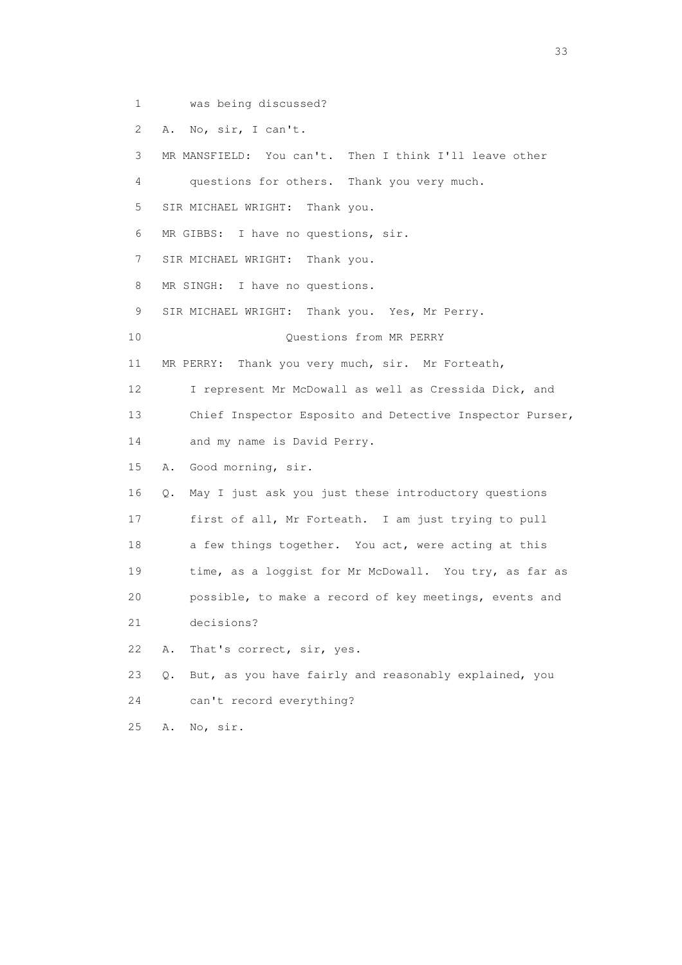- 1 was being discussed?
- 2 A. No, sir, I can't.

 3 MR MANSFIELD: You can't. Then I think I'll leave other 4 questions for others. Thank you very much. 5 SIR MICHAEL WRIGHT: Thank you. 6 MR GIBBS: I have no questions, sir. 7 SIR MICHAEL WRIGHT: Thank you. 8 MR SINGH: I have no questions. 9 SIR MICHAEL WRIGHT: Thank you. Yes, Mr Perry. 10 Questions from MR PERRY 11 MR PERRY: Thank you very much, sir. Mr Forteath, 12 I represent Mr McDowall as well as Cressida Dick, and 13 Chief Inspector Esposito and Detective Inspector Purser, 14 and my name is David Perry. 15 A. Good morning, sir. 16 Q. May I just ask you just these introductory questions 17 first of all, Mr Forteath. I am just trying to pull 18 a few things together. You act, were acting at this 19 time, as a loggist for Mr McDowall. You try, as far as 20 possible, to make a record of key meetings, events and 21 decisions? 22 A. That's correct, sir, yes. 23 Q. But, as you have fairly and reasonably explained, you 24 can't record everything?

25 A. No, sir.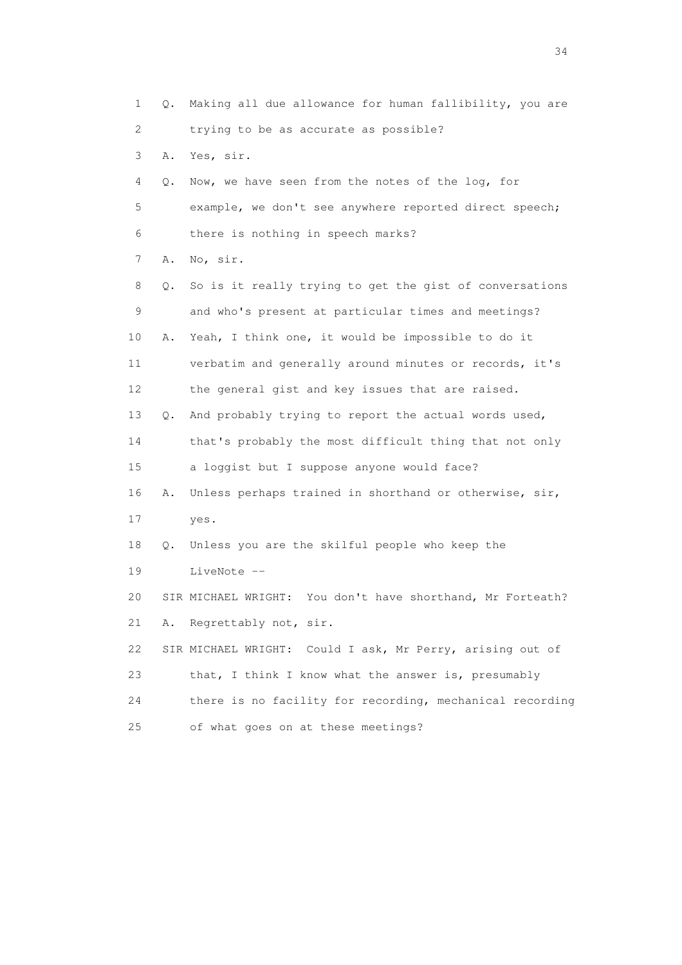1 Q. Making all due allowance for human fallibility, you are 2 trying to be as accurate as possible? 3 A. Yes, sir. 4 Q. Now, we have seen from the notes of the log, for 5 example, we don't see anywhere reported direct speech; 6 there is nothing in speech marks? 7 A. No, sir. 8 Q. So is it really trying to get the gist of conversations 9 and who's present at particular times and meetings? 10 A. Yeah, I think one, it would be impossible to do it 11 verbatim and generally around minutes or records, it's 12 the general gist and key issues that are raised. 13 Q. And probably trying to report the actual words used, 14 that's probably the most difficult thing that not only 15 a loggist but I suppose anyone would face? 16 A. Unless perhaps trained in shorthand or otherwise, sir, 17 yes. 18 Q. Unless you are the skilful people who keep the 19 LiveNote -- 20 SIR MICHAEL WRIGHT: You don't have shorthand, Mr Forteath? 21 A. Regrettably not, sir. 22 SIR MICHAEL WRIGHT: Could I ask, Mr Perry, arising out of 23 that, I think I know what the answer is, presumably 24 there is no facility for recording, mechanical recording 25 of what goes on at these meetings?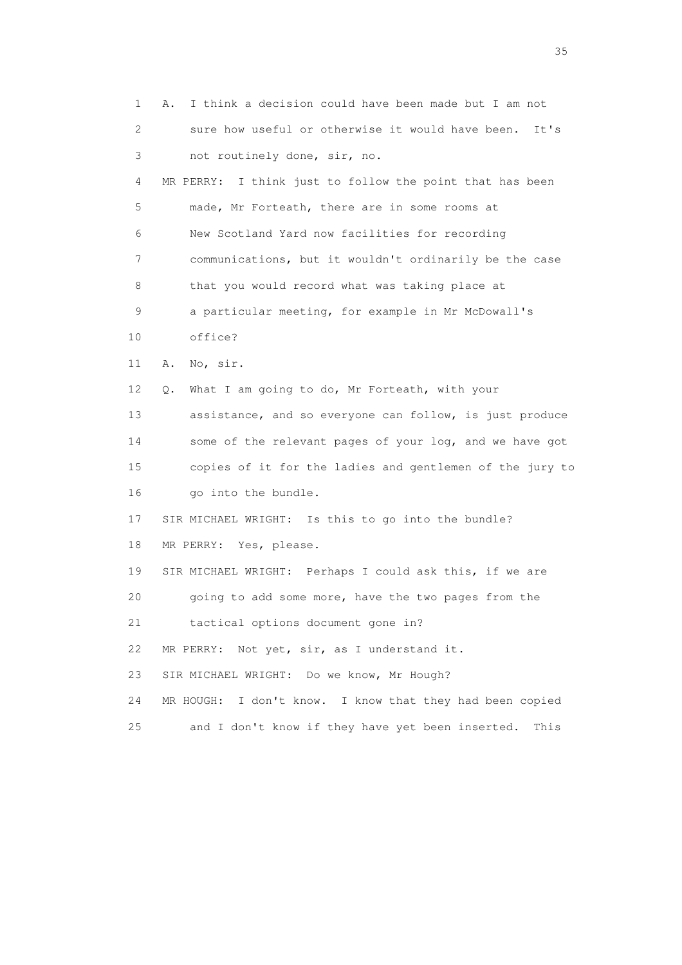1 A. I think a decision could have been made but I am not 2 sure how useful or otherwise it would have been. It's 3 not routinely done, sir, no. 4 MR PERRY: I think just to follow the point that has been 5 made, Mr Forteath, there are in some rooms at 6 New Scotland Yard now facilities for recording 7 communications, but it wouldn't ordinarily be the case 8 that you would record what was taking place at 9 a particular meeting, for example in Mr McDowall's 10 office? 11 A. No, sir. 12 Q. What I am going to do, Mr Forteath, with your 13 assistance, and so everyone can follow, is just produce 14 some of the relevant pages of your log, and we have got 15 copies of it for the ladies and gentlemen of the jury to 16 go into the bundle. 17 SIR MICHAEL WRIGHT: Is this to go into the bundle? 18 MR PERRY: Yes, please. 19 SIR MICHAEL WRIGHT: Perhaps I could ask this, if we are 20 going to add some more, have the two pages from the 21 tactical options document gone in? 22 MR PERRY: Not yet, sir, as I understand it. 23 SIR MICHAEL WRIGHT: Do we know, Mr Hough? 24 MR HOUGH: I don't know. I know that they had been copied 25 and I don't know if they have yet been inserted. This

<u>35</u> and the state of the state of the state of the state of the state of the state of the state of the state of the state of the state of the state of the state of the state of the state of the state of the state of the s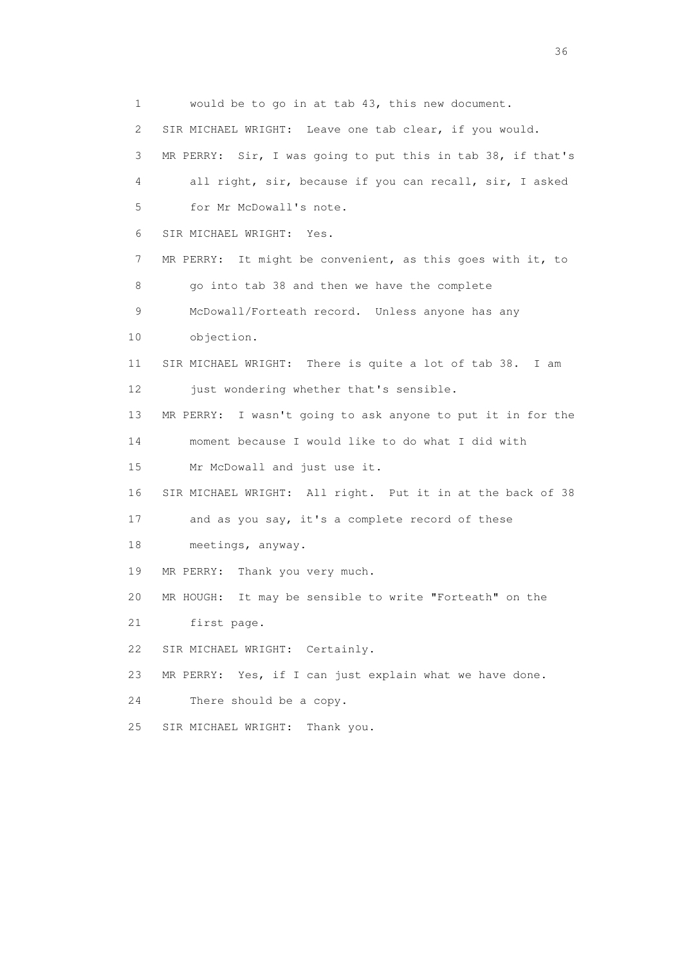1 would be to go in at tab 43, this new document. 2 SIR MICHAEL WRIGHT: Leave one tab clear, if you would. 3 MR PERRY: Sir, I was going to put this in tab 38, if that's 4 all right, sir, because if you can recall, sir, I asked 5 for Mr McDowall's note. 6 SIR MICHAEL WRIGHT: Yes. 7 MR PERRY: It might be convenient, as this goes with it, to 8 go into tab 38 and then we have the complete 9 McDowall/Forteath record. Unless anyone has any 10 objection. 11 SIR MICHAEL WRIGHT: There is quite a lot of tab 38. I am 12 just wondering whether that's sensible. 13 MR PERRY: I wasn't going to ask anyone to put it in for the 14 moment because I would like to do what I did with 15 Mr McDowall and just use it. 16 SIR MICHAEL WRIGHT: All right. Put it in at the back of 38 17 and as you say, it's a complete record of these 18 meetings, anyway. 19 MR PERRY: Thank you very much. 20 MR HOUGH: It may be sensible to write "Forteath" on the 21 first page. 22 SIR MICHAEL WRIGHT: Certainly. 23 MR PERRY: Yes, if I can just explain what we have done. 24 There should be a copy. 25 SIR MICHAEL WRIGHT: Thank you.

 $36<sup>2</sup>$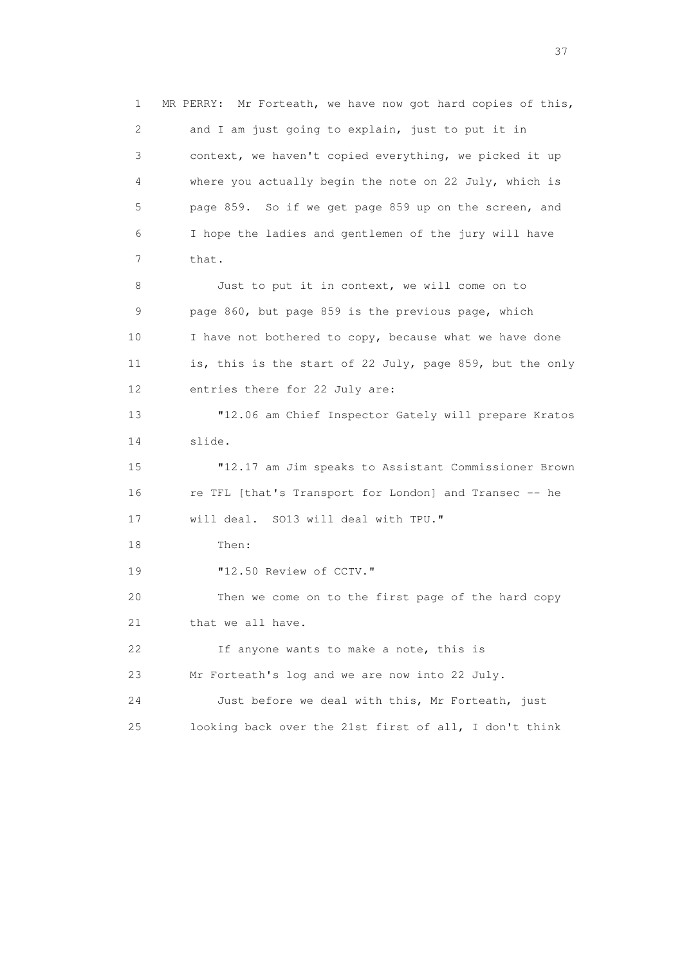1 MR PERRY: Mr Forteath, we have now got hard copies of this, 2 and I am just going to explain, just to put it in 3 context, we haven't copied everything, we picked it up 4 where you actually begin the note on 22 July, which is 5 page 859. So if we get page 859 up on the screen, and 6 I hope the ladies and gentlemen of the jury will have 7 that. 8 Just to put it in context, we will come on to 9 page 860, but page 859 is the previous page, which 10 I have not bothered to copy, because what we have done 11 is, this is the start of 22 July, page 859, but the only 12 entries there for 22 July are: 13 "12.06 am Chief Inspector Gately will prepare Kratos 14 slide. 15 "12.17 am Jim speaks to Assistant Commissioner Brown 16 re TFL [that's Transport for London] and Transec -- he 17 will deal. SO13 will deal with TPU." 18 Then: 19 "12.50 Review of CCTV." 20 Then we come on to the first page of the hard copy 21 that we all have. 22 If anyone wants to make a note, this is 23 Mr Forteath's log and we are now into 22 July. 24 Just before we deal with this, Mr Forteath, just 25 looking back over the 21st first of all, I don't think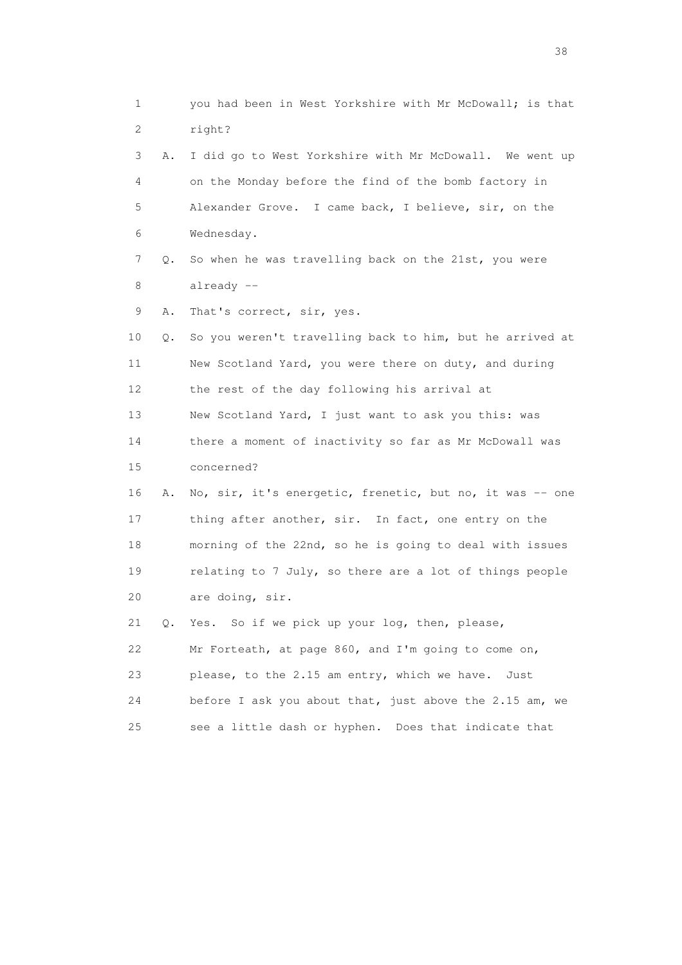1 you had been in West Yorkshire with Mr McDowall; is that 2 right? 3 A. I did go to West Yorkshire with Mr McDowall. We went up 4 on the Monday before the find of the bomb factory in 5 Alexander Grove. I came back, I believe, sir, on the 6 Wednesday. 7 Q. So when he was travelling back on the 21st, you were 8 already -- 9 A. That's correct, sir, yes. 10 Q. So you weren't travelling back to him, but he arrived at 11 New Scotland Yard, you were there on duty, and during 12 the rest of the day following his arrival at 13 New Scotland Yard, I just want to ask you this: was 14 there a moment of inactivity so far as Mr McDowall was 15 concerned? 16 A. No, sir, it's energetic, frenetic, but no, it was -- one 17 thing after another, sir. In fact, one entry on the 18 morning of the 22nd, so he is going to deal with issues 19 relating to 7 July, so there are a lot of things people 20 are doing, sir. 21 Q. Yes. So if we pick up your log, then, please, 22 Mr Forteath, at page 860, and I'm going to come on, 23 please, to the 2.15 am entry, which we have. Just 24 before I ask you about that, just above the 2.15 am, we 25 see a little dash or hyphen. Does that indicate that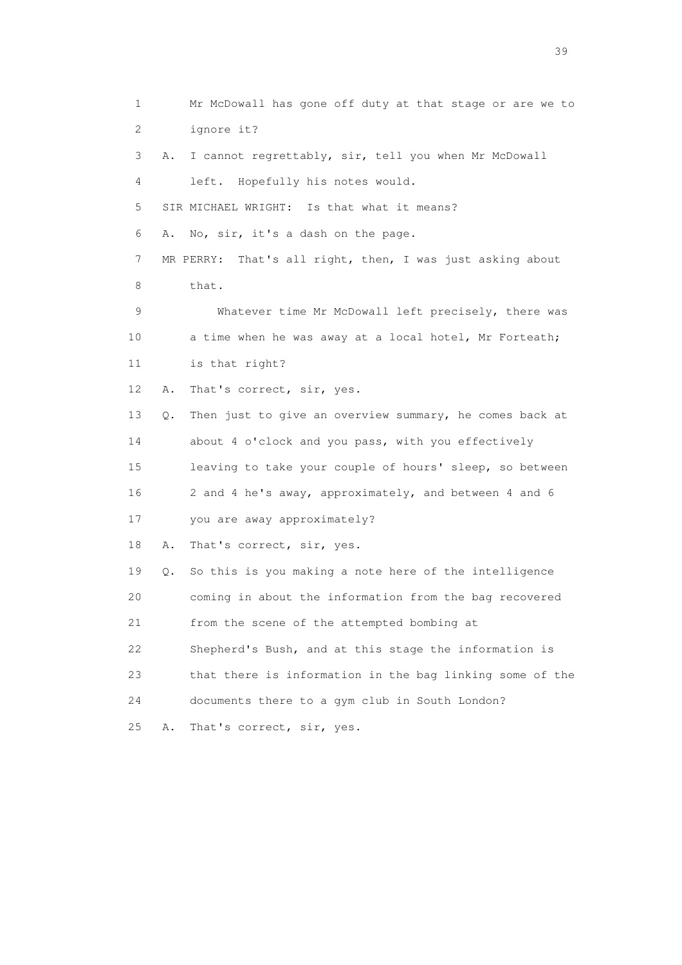1 Mr McDowall has gone off duty at that stage or are we to 2 ignore it? 3 A. I cannot regrettably, sir, tell you when Mr McDowall 4 left. Hopefully his notes would. 5 SIR MICHAEL WRIGHT: Is that what it means? 6 A. No, sir, it's a dash on the page. 7 MR PERRY: That's all right, then, I was just asking about 8 that. 9 Whatever time Mr McDowall left precisely, there was 10 a time when he was away at a local hotel, Mr Forteath; 11 is that right? 12 A. That's correct, sir, yes. 13 Q. Then just to give an overview summary, he comes back at 14 about 4 o'clock and you pass, with you effectively 15 leaving to take your couple of hours' sleep, so between 16 2 and 4 he's away, approximately, and between 4 and 6 17 you are away approximately? 18 A. That's correct, sir, yes. 19 Q. So this is you making a note here of the intelligence 20 coming in about the information from the bag recovered 21 from the scene of the attempted bombing at 22 Shepherd's Bush, and at this stage the information is 23 that there is information in the bag linking some of the 24 documents there to a gym club in South London? 25 A. That's correct, sir, yes.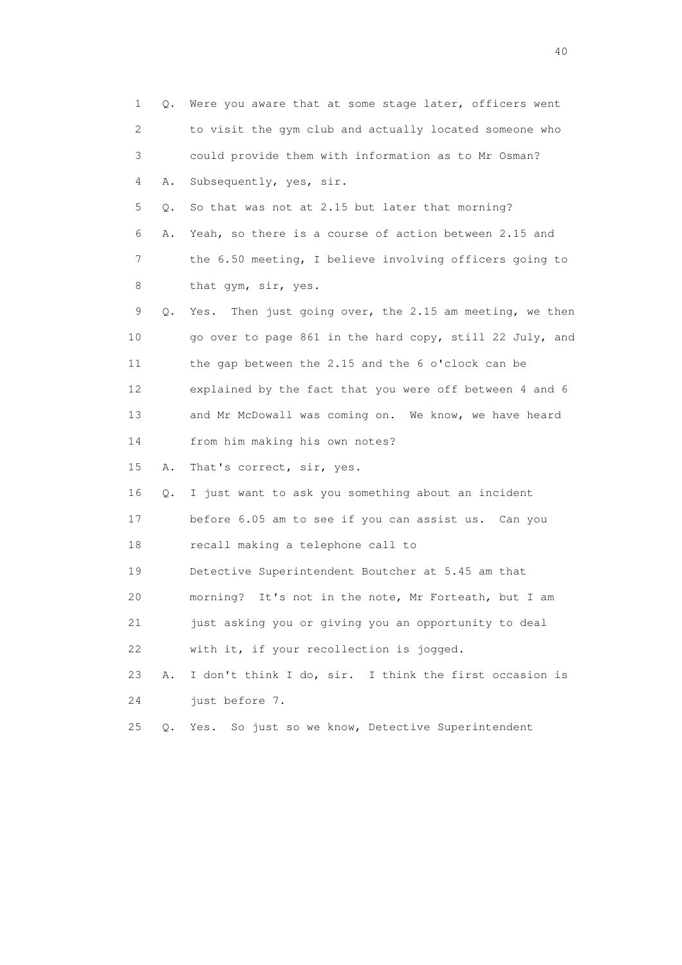| $\mathbf 1$ | Q. | Were you aware that at some stage later, officers went     |
|-------------|----|------------------------------------------------------------|
| 2           |    | to visit the gym club and actually located someone who     |
| 3           |    | could provide them with information as to Mr Osman?        |
| 4           | Α. | Subsequently, yes, sir.                                    |
| 5           | Q. | So that was not at 2.15 but later that morning?            |
| 6           | Α. | Yeah, so there is a course of action between 2.15 and      |
| 7           |    | the 6.50 meeting, I believe involving officers going to    |
| 8           |    | that gym, sir, yes.                                        |
| 9           | Q. | Then just going over, the 2.15 am meeting, we then<br>Yes. |
| 10          |    | go over to page 861 in the hard copy, still 22 July, and   |
| 11          |    | the gap between the 2.15 and the 6 o'clock can be          |
| 12          |    | explained by the fact that you were off between 4 and 6    |
| 13          |    | and Mr McDowall was coming on. We know, we have heard      |
| 14          |    | from him making his own notes?                             |
| 15          | Α. | That's correct, sir, yes.                                  |
| 16          | Q. | I just want to ask you something about an incident         |
| 17          |    | before 6.05 am to see if you can assist us. Can you        |
| 18          |    | recall making a telephone call to                          |
| 19          |    | Detective Superintendent Boutcher at 5.45 am that          |
| 20          |    | morning? It's not in the note, Mr Forteath, but I am       |
| 21          |    | just asking you or giving you an opportunity to deal       |
| 22          |    | with it, if your recollection is jogged.                   |
| 23          | Α. | I don't think I do, sir. I think the first occasion is     |
| 24          |    | just before 7.                                             |
| 25          | Q. | So just so we know, Detective Superintendent<br>Yes.       |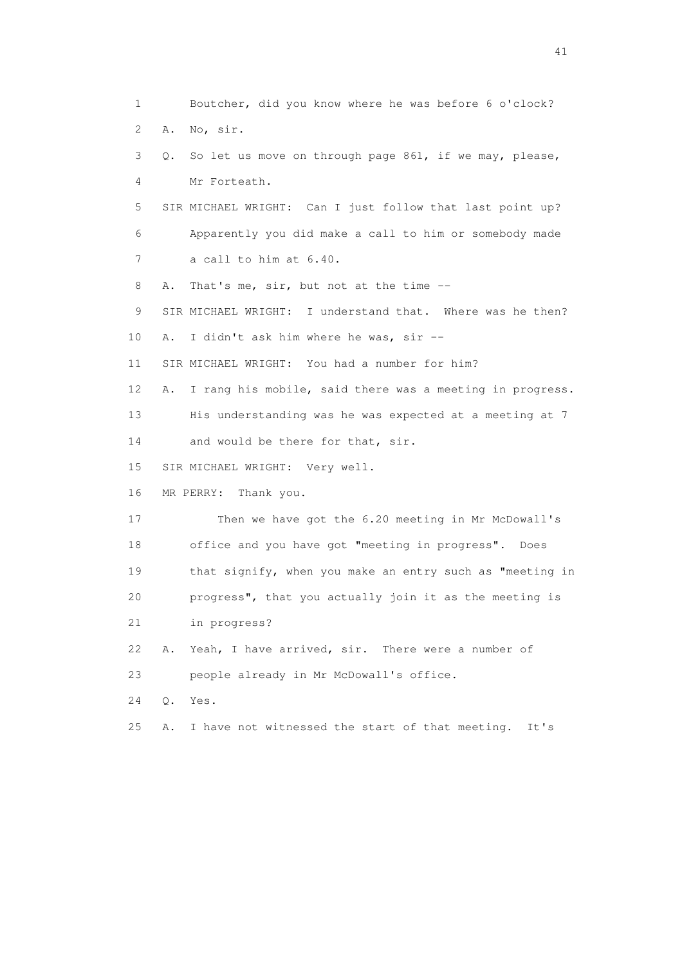1 Boutcher, did you know where he was before 6 o'clock? 2 A. No, sir. 3 Q. So let us move on through page 861, if we may, please, 4 Mr Forteath. 5 SIR MICHAEL WRIGHT: Can I just follow that last point up? 6 Apparently you did make a call to him or somebody made 7 a call to him at 6.40. 8 A. That's me, sir, but not at the time -- 9 SIR MICHAEL WRIGHT: I understand that. Where was he then? 10 A. I didn't ask him where he was, sir -- 11 SIR MICHAEL WRIGHT: You had a number for him? 12 A. I rang his mobile, said there was a meeting in progress. 13 His understanding was he was expected at a meeting at 7 14 and would be there for that, sir. 15 SIR MICHAEL WRIGHT: Very well. 16 MR PERRY: Thank you. 17 Then we have got the 6.20 meeting in Mr McDowall's 18 office and you have got "meeting in progress". Does 19 that signify, when you make an entry such as "meeting in 20 progress", that you actually join it as the meeting is 21 in progress? 22 A. Yeah, I have arrived, sir. There were a number of 23 people already in Mr McDowall's office. 24 Q. Yes. 25 A. I have not witnessed the start of that meeting. It's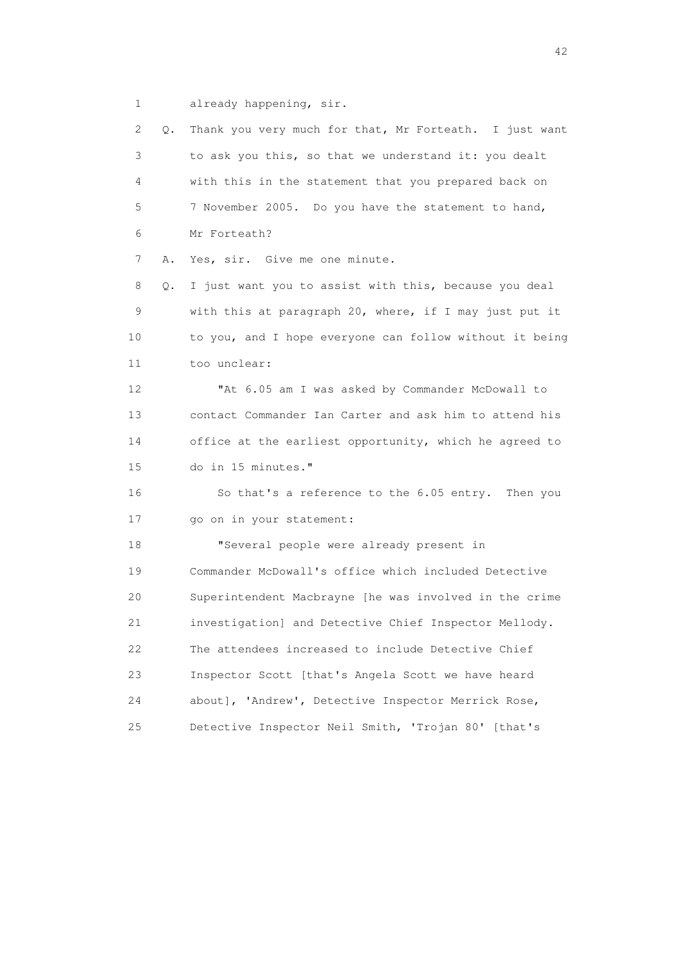1 already happening, sir.

 2 Q. Thank you very much for that, Mr Forteath. I just want 3 to ask you this, so that we understand it: you dealt 4 with this in the statement that you prepared back on 5 7 November 2005. Do you have the statement to hand, 6 Mr Forteath? 7 A. Yes, sir. Give me one minute. 8 Q. I just want you to assist with this, because you deal 9 with this at paragraph 20, where, if I may just put it 10 to you, and I hope everyone can follow without it being 11 too unclear: 12 "At 6.05 am I was asked by Commander McDowall to 13 contact Commander Ian Carter and ask him to attend his 14 office at the earliest opportunity, which he agreed to 15 do in 15 minutes." 16 So that's a reference to the 6.05 entry. Then you 17 go on in your statement: 18 "Several people were already present in 19 Commander McDowall's office which included Detective 20 Superintendent Macbrayne [he was involved in the crime 21 investigation] and Detective Chief Inspector Mellody. 22 The attendees increased to include Detective Chief 23 Inspector Scott [that's Angela Scott we have heard 24 about], 'Andrew', Detective Inspector Merrick Rose, 25 Detective Inspector Neil Smith, 'Trojan 80' [that's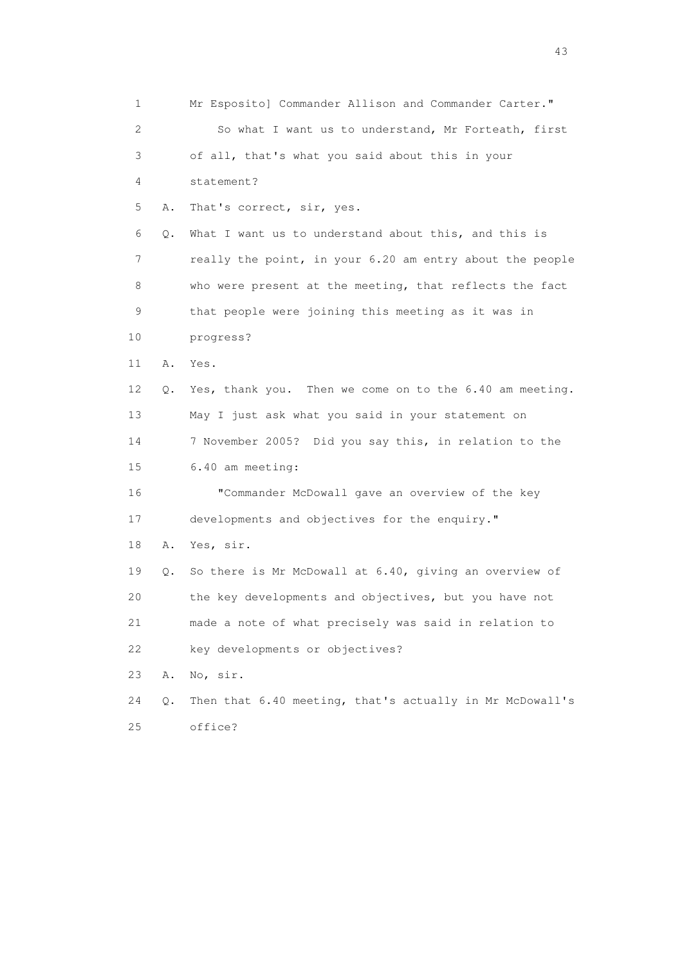1 Mr Esposito] Commander Allison and Commander Carter." 2 So what I want us to understand, Mr Forteath, first 3 of all, that's what you said about this in your 4 statement? 5 A. That's correct, sir, yes. 6 Q. What I want us to understand about this, and this is 7 really the point, in your 6.20 am entry about the people 8 who were present at the meeting, that reflects the fact 9 that people were joining this meeting as it was in 10 progress? 11 A. Yes. 12 Q. Yes, thank you. Then we come on to the 6.40 am meeting. 13 May I just ask what you said in your statement on 14 7 November 2005? Did you say this, in relation to the 15 6.40 am meeting: 16 "Commander McDowall gave an overview of the key 17 developments and objectives for the enquiry." 18 A. Yes, sir. 19 Q. So there is Mr McDowall at 6.40, giving an overview of 20 the key developments and objectives, but you have not 21 made a note of what precisely was said in relation to 22 key developments or objectives? 23 A. No, sir. 24 Q. Then that 6.40 meeting, that's actually in Mr McDowall's 25 office?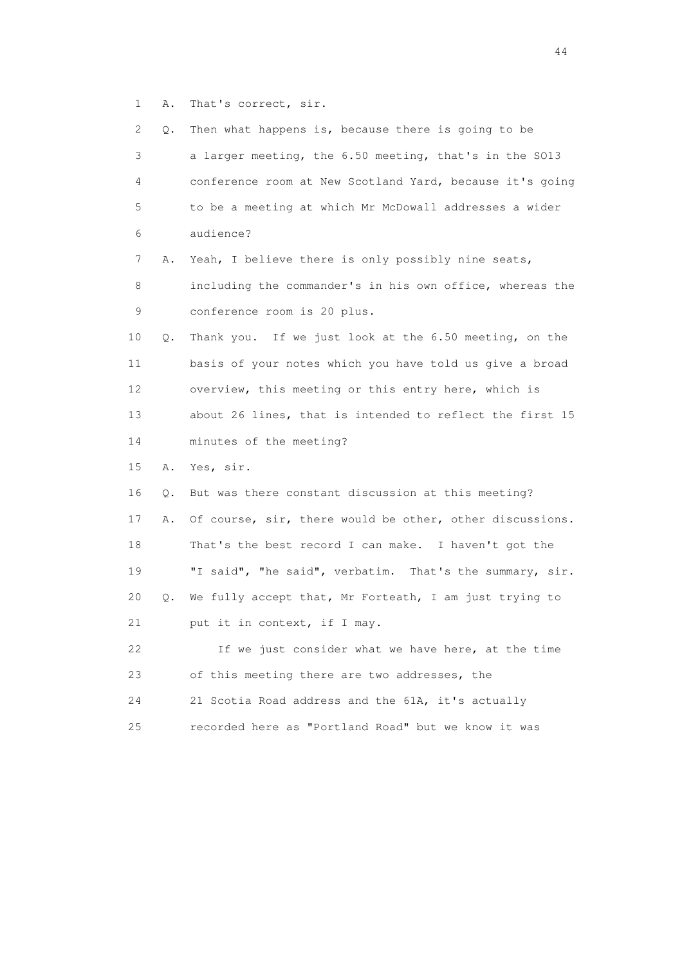1 A. That's correct, sir.

| 2           | Q. | Then what happens is, because there is going to be       |
|-------------|----|----------------------------------------------------------|
| 3           |    | a larger meeting, the 6.50 meeting, that's in the SO13   |
| 4           |    | conference room at New Scotland Yard, because it's going |
| 5           |    | to be a meeting at which Mr McDowall addresses a wider   |
| 6           |    | audience?                                                |
| 7           | Α. | Yeah, I believe there is only possibly nine seats,       |
| 8           |    | including the commander's in his own office, whereas the |
| $\mathsf 9$ |    | conference room is 20 plus.                              |
| 10          | Q. | Thank you. If we just look at the 6.50 meeting, on the   |
| 11          |    | basis of your notes which you have told us give a broad  |
| 12          |    | overview, this meeting or this entry here, which is      |
| 13          |    | about 26 lines, that is intended to reflect the first 15 |
| 14          |    | minutes of the meeting?                                  |
| 15          | Α. | Yes, sir.                                                |
| 16          | Q. | But was there constant discussion at this meeting?       |
| 17          | Α. | Of course, sir, there would be other, other discussions. |
| 18          |    | That's the best record I can make. I haven't got the     |
| 19          |    | "I said", "he said", verbatim. That's the summary, sir.  |
| 20          | Q. | We fully accept that, Mr Forteath, I am just trying to   |
| 21          |    | put it in context, if I may.                             |
| 22          |    | If we just consider what we have here, at the time       |
|             |    |                                                          |
| 23          |    | of this meeting there are two addresses, the             |
| 24          |    | 21 Scotia Road address and the 61A, it's actually        |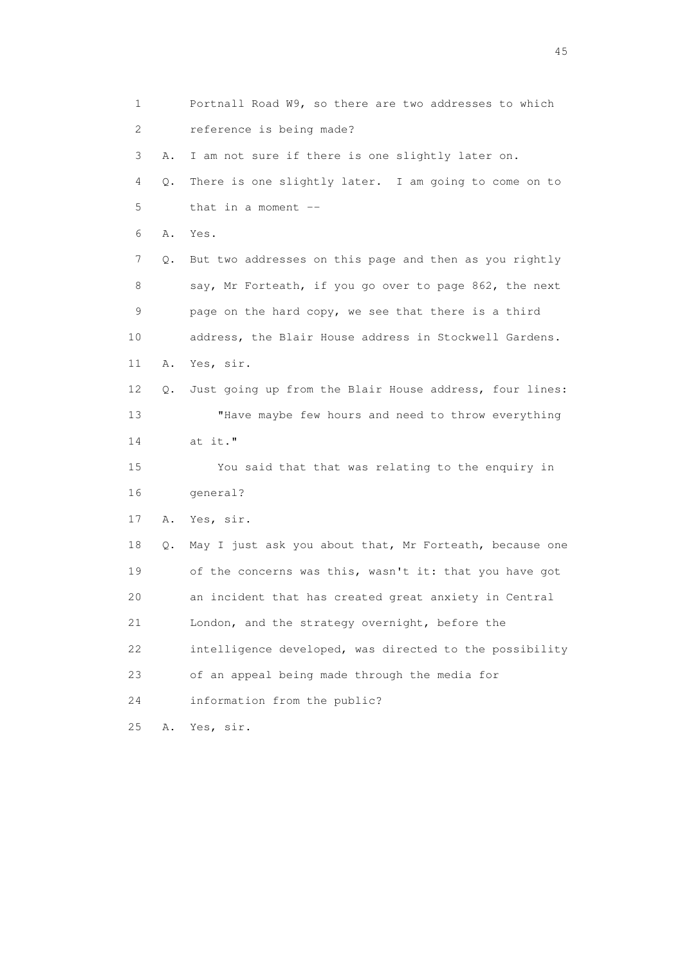1 Portnall Road W9, so there are two addresses to which 2 reference is being made? 3 A. I am not sure if there is one slightly later on. 4 Q. There is one slightly later. I am going to come on to 5 that in a moment -- 6 A. Yes. 7 Q. But two addresses on this page and then as you rightly 8 say, Mr Forteath, if you go over to page 862, the next 9 page on the hard copy, we see that there is a third 10 address, the Blair House address in Stockwell Gardens. 11 A. Yes, sir. 12 Q. Just going up from the Blair House address, four lines: 13 "Have maybe few hours and need to throw everything 14 at it." 15 You said that that was relating to the enquiry in 16 general? 17 A. Yes, sir. 18 Q. May I just ask you about that, Mr Forteath, because one 19 of the concerns was this, wasn't it: that you have got 20 an incident that has created great anxiety in Central 21 London, and the strategy overnight, before the 22 intelligence developed, was directed to the possibility 23 of an appeal being made through the media for 24 information from the public? 25 A. Yes, sir.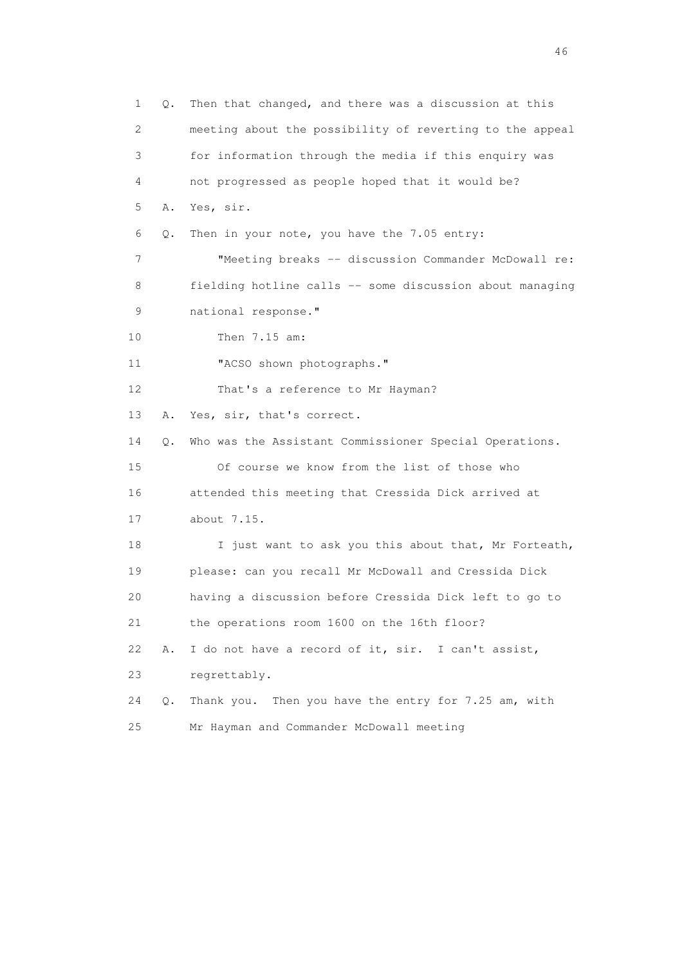1 Q. Then that changed, and there was a discussion at this 2 meeting about the possibility of reverting to the appeal 3 for information through the media if this enquiry was 4 not progressed as people hoped that it would be? 5 A. Yes, sir. 6 Q. Then in your note, you have the 7.05 entry: 7 "Meeting breaks -- discussion Commander McDowall re: 8 fielding hotline calls -- some discussion about managing 9 national response." 10 Then 7.15 am: 11 "ACSO shown photographs." 12 That's a reference to Mr Hayman? 13 A. Yes, sir, that's correct. 14 Q. Who was the Assistant Commissioner Special Operations. 15 Of course we know from the list of those who 16 attended this meeting that Cressida Dick arrived at 17 about 7.15. 18 I just want to ask you this about that, Mr Forteath, 19 please: can you recall Mr McDowall and Cressida Dick 20 having a discussion before Cressida Dick left to go to 21 the operations room 1600 on the 16th floor? 22 A. I do not have a record of it, sir. I can't assist, 23 regrettably. 24 Q. Thank you. Then you have the entry for 7.25 am, with 25 Mr Hayman and Commander McDowall meeting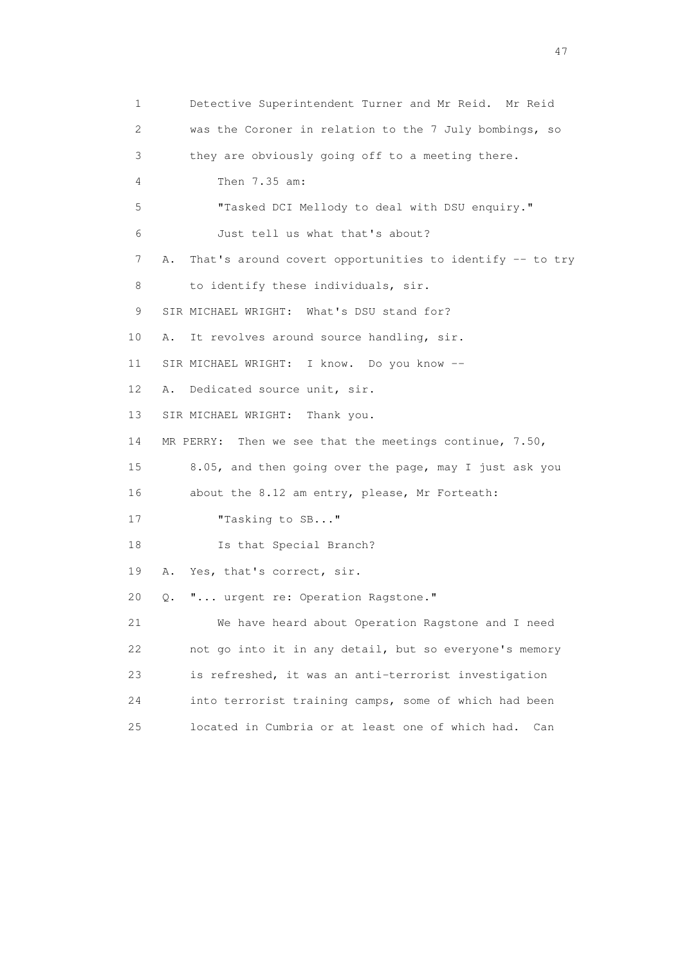1 Detective Superintendent Turner and Mr Reid. Mr Reid 2 was the Coroner in relation to the 7 July bombings, so 3 they are obviously going off to a meeting there. 4 Then 7.35 am: 5 "Tasked DCI Mellody to deal with DSU enquiry." 6 Just tell us what that's about? 7 A. That's around covert opportunities to identify -- to try 8 to identify these individuals, sir. 9 SIR MICHAEL WRIGHT: What's DSU stand for? 10 A. It revolves around source handling, sir. 11 SIR MICHAEL WRIGHT: I know. Do you know -- 12 A. Dedicated source unit, sir. 13 SIR MICHAEL WRIGHT: Thank you. 14 MR PERRY: Then we see that the meetings continue, 7.50, 15 8.05, and then going over the page, may I just ask you 16 about the 8.12 am entry, please, Mr Forteath: 17 Tasking to SB..." 18 Is that Special Branch? 19 A. Yes, that's correct, sir. 20 Q. "... urgent re: Operation Ragstone." 21 We have heard about Operation Ragstone and I need 22 not go into it in any detail, but so everyone's memory 23 is refreshed, it was an anti-terrorist investigation 24 into terrorist training camps, some of which had been 25 located in Cumbria or at least one of which had. Can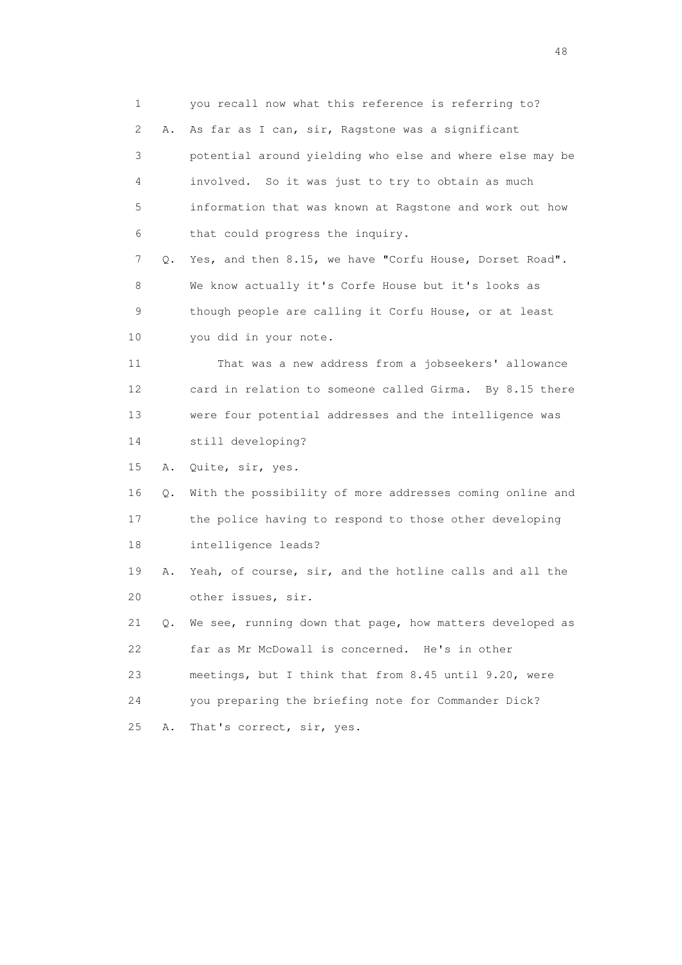1 you recall now what this reference is referring to? 2 A. As far as I can, sir, Ragstone was a significant 3 potential around yielding who else and where else may be 4 involved. So it was just to try to obtain as much 5 information that was known at Ragstone and work out how 6 that could progress the inquiry. 7 Q. Yes, and then 8.15, we have "Corfu House, Dorset Road". 8 We know actually it's Corfe House but it's looks as 9 though people are calling it Corfu House, or at least 10 you did in your note. 11 That was a new address from a jobseekers' allowance 12 card in relation to someone called Girma. By 8.15 there 13 were four potential addresses and the intelligence was 14 still developing? 15 A. Quite, sir, yes. 16 Q. With the possibility of more addresses coming online and 17 the police having to respond to those other developing 18 intelligence leads? 19 A. Yeah, of course, sir, and the hotline calls and all the 20 other issues, sir. 21 Q. We see, running down that page, how matters developed as 22 far as Mr McDowall is concerned. He's in other 23 meetings, but I think that from 8.45 until 9.20, were 24 you preparing the briefing note for Commander Dick? 25 A. That's correct, sir, yes.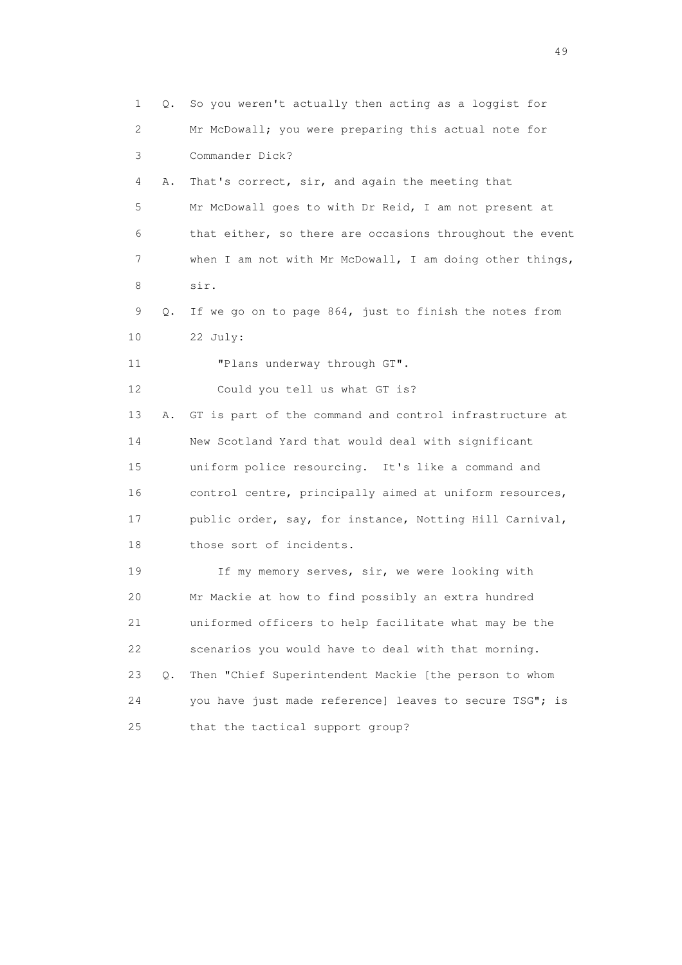| $\mathbf 1$ | Q. | So you weren't actually then acting as a loggist for     |
|-------------|----|----------------------------------------------------------|
| 2           |    | Mr McDowall; you were preparing this actual note for     |
| 3           |    | Commander Dick?                                          |
| 4           | Α. | That's correct, sir, and again the meeting that          |
| 5           |    | Mr McDowall goes to with Dr Reid, I am not present at    |
| 6           |    | that either, so there are occasions throughout the event |
| 7           |    | when I am not with Mr McDowall, I am doing other things, |
| 8           |    | sir.                                                     |
| 9           | Q. | If we go on to page 864, just to finish the notes from   |
| 10          |    | 22 July:                                                 |
| 11          |    | "Plans underway through GT".                             |
| 12          |    | Could you tell us what GT is?                            |
| 13          | Α. | GT is part of the command and control infrastructure at  |
| 14          |    | New Scotland Yard that would deal with significant       |
| 15          |    | uniform police resourcing. It's like a command and       |
| 16          |    | control centre, principally aimed at uniform resources,  |
| 17          |    | public order, say, for instance, Notting Hill Carnival,  |
| 18          |    | those sort of incidents.                                 |
| 19          |    | If my memory serves, sir, we were looking with           |
| 20          |    | Mr Mackie at how to find possibly an extra hundred       |
| 21          |    | uniformed officers to help facilitate what may be the    |
| 22          |    | scenarios you would have to deal with that morning.      |
| 23          | О. | Then "Chief Superintendent Mackie [the person to whom    |
| 24          |    | you have just made reference] leaves to secure TSG"; is  |
| 25          |    | that the tactical support group?                         |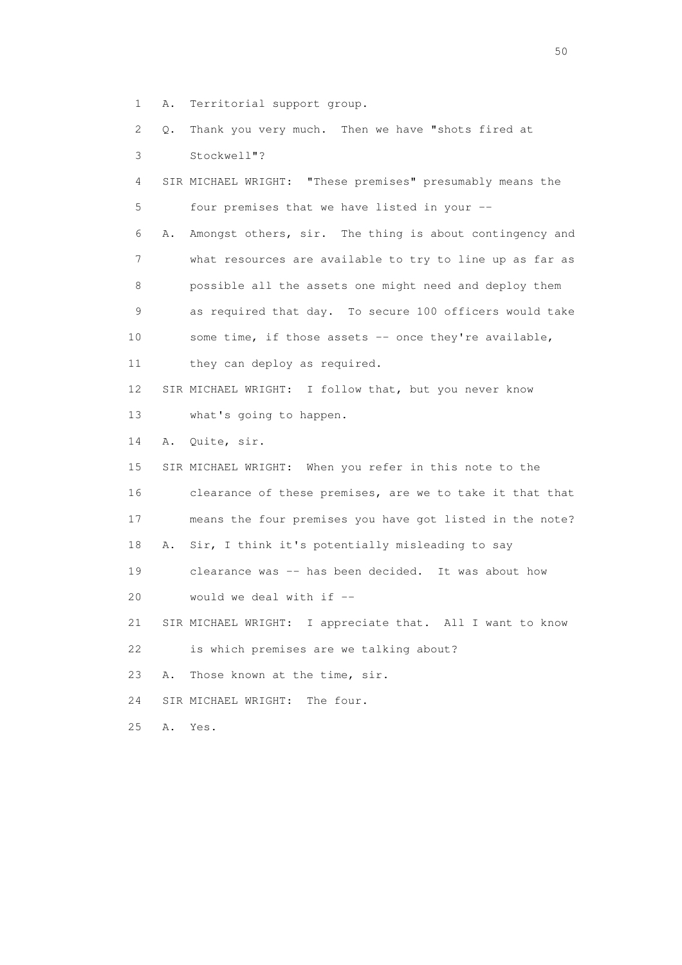1 A. Territorial support group.

 2 Q. Thank you very much. Then we have "shots fired at 3 Stockwell"? 4 SIR MICHAEL WRIGHT: "These premises" presumably means the 5 four premises that we have listed in your -- 6 A. Amongst others, sir. The thing is about contingency and 7 what resources are available to try to line up as far as 8 possible all the assets one might need and deploy them 9 as required that day. To secure 100 officers would take 10 some time, if those assets -- once they're available, 11 they can deploy as required. 12 SIR MICHAEL WRIGHT: I follow that, but you never know 13 what's going to happen. 14 A. Quite, sir. 15 SIR MICHAEL WRIGHT: When you refer in this note to the 16 clearance of these premises, are we to take it that that 17 means the four premises you have got listed in the note? 18 A. Sir, I think it's potentially misleading to say 19 clearance was -- has been decided. It was about how 20 would we deal with if -- 21 SIR MICHAEL WRIGHT: I appreciate that. All I want to know 22 is which premises are we talking about? 23 A. Those known at the time, sir. 24 SIR MICHAEL WRIGHT: The four.

25 A. Yes.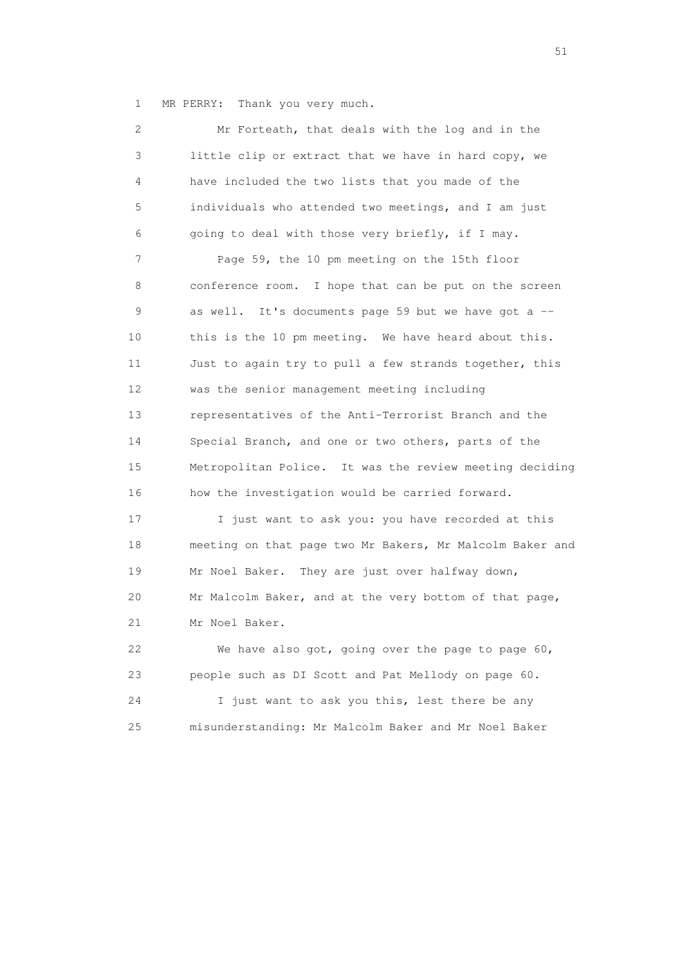1 MR PERRY: Thank you very much.

 2 Mr Forteath, that deals with the log and in the 3 little clip or extract that we have in hard copy, we 4 have included the two lists that you made of the 5 individuals who attended two meetings, and I am just 6 going to deal with those very briefly, if I may. 7 Page 59, the 10 pm meeting on the 15th floor 8 conference room. I hope that can be put on the screen 9 as well. It's documents page 59 but we have got a -- 10 this is the 10 pm meeting. We have heard about this. 11 Just to again try to pull a few strands together, this 12 was the senior management meeting including 13 representatives of the Anti-Terrorist Branch and the 14 Special Branch, and one or two others, parts of the 15 Metropolitan Police. It was the review meeting deciding 16 how the investigation would be carried forward. 17 I just want to ask you: you have recorded at this 18 meeting on that page two Mr Bakers, Mr Malcolm Baker and 19 Mr Noel Baker. They are just over halfway down, 20 Mr Malcolm Baker, and at the very bottom of that page, 21 Mr Noel Baker. 22 We have also got, going over the page to page 60, 23 people such as DI Scott and Pat Mellody on page 60. 24 I just want to ask you this, lest there be any

25 misunderstanding: Mr Malcolm Baker and Mr Noel Baker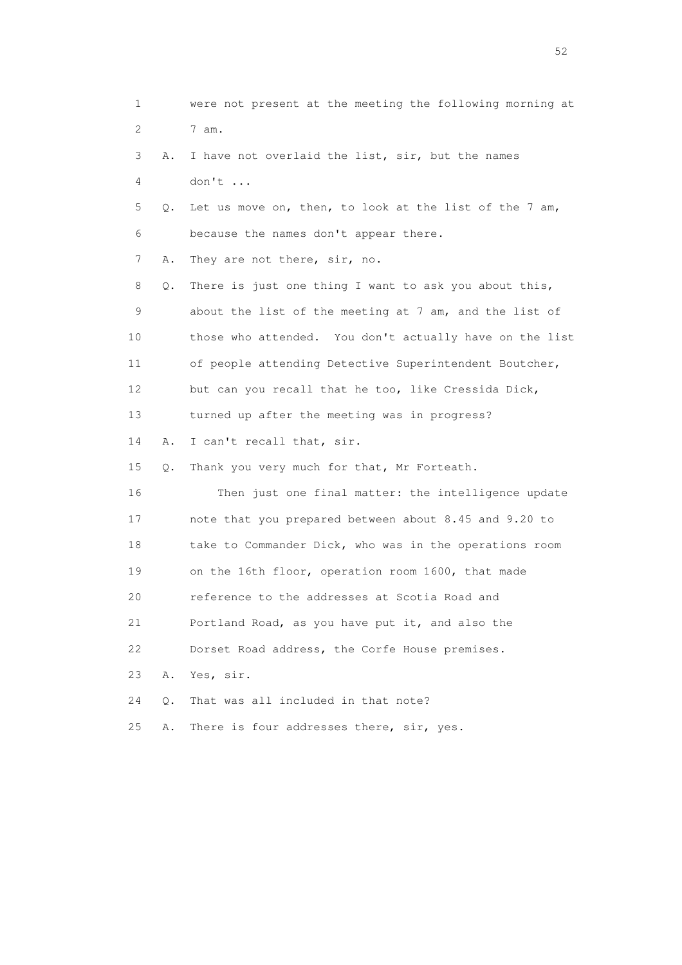| 1  |    | were not present at the meeting the following morning at |
|----|----|----------------------------------------------------------|
| 2  |    | 7 am.                                                    |
| 3  | Α. | I have not overlaid the list, sir, but the names         |
| 4  |    | don't                                                    |
| 5  | Q. | Let us move on, then, to look at the list of the 7 am,   |
| 6  |    | because the names don't appear there.                    |
| 7  | Α. | They are not there, sir, no.                             |
| 8  | Q. | There is just one thing I want to ask you about this,    |
| 9  |    | about the list of the meeting at 7 am, and the list of   |
| 10 |    | those who attended. You don't actually have on the list  |
| 11 |    | of people attending Detective Superintendent Boutcher,   |
| 12 |    | but can you recall that he too, like Cressida Dick,      |
| 13 |    | turned up after the meeting was in progress?             |
| 14 | Α. | I can't recall that, sir.                                |
| 15 | Q. | Thank you very much for that, Mr Forteath.               |
| 16 |    | Then just one final matter: the intelligence update      |
| 17 |    | note that you prepared between about 8.45 and 9.20 to    |
| 18 |    | take to Commander Dick, who was in the operations room   |
| 19 |    | on the 16th floor, operation room 1600, that made        |
| 20 |    | reference to the addresses at Scotia Road and            |
| 21 |    | Portland Road, as you have put it, and also the          |
| 22 |    | Dorset Road address, the Corfe House premises.           |
| 23 | Α. | Yes, sir.                                                |
| 24 | Q. | That was all included in that note?                      |
| 25 | Α. | There is four addresses there, sir, yes.                 |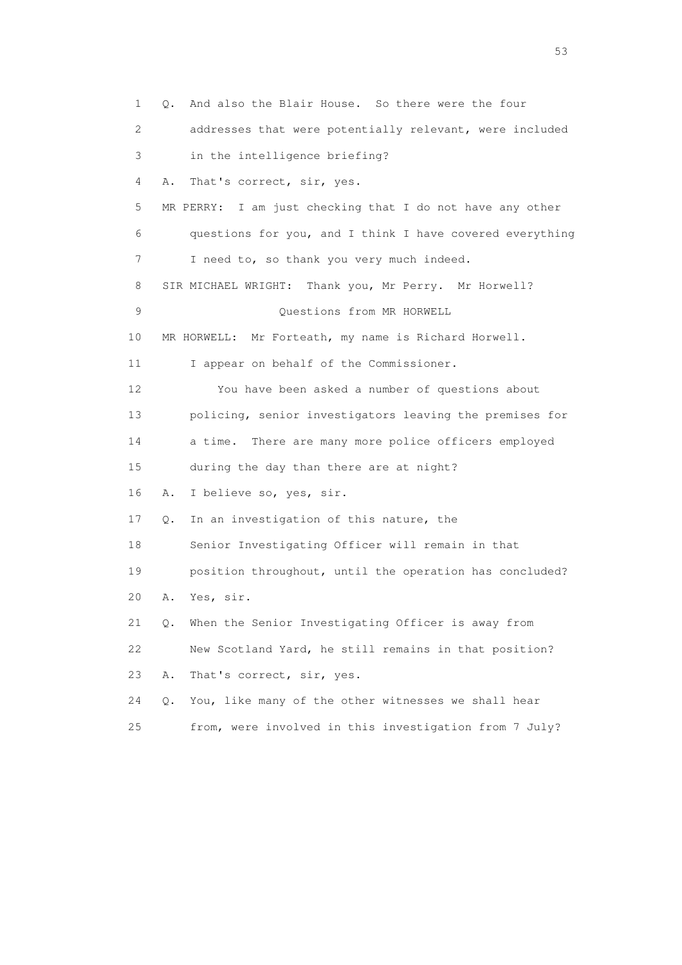1 Q. And also the Blair House. So there were the four 2 addresses that were potentially relevant, were included 3 in the intelligence briefing? 4 A. That's correct, sir, yes. 5 MR PERRY: I am just checking that I do not have any other 6 questions for you, and I think I have covered everything 7 I need to, so thank you very much indeed. 8 SIR MICHAEL WRIGHT: Thank you, Mr Perry. Mr Horwell? 9 Questions from MR HORWELL 10 MR HORWELL: Mr Forteath, my name is Richard Horwell. 11 I appear on behalf of the Commissioner. 12 You have been asked a number of questions about 13 policing, senior investigators leaving the premises for 14 a time. There are many more police officers employed 15 during the day than there are at night? 16 A. I believe so, yes, sir. 17 Q. In an investigation of this nature, the 18 Senior Investigating Officer will remain in that 19 position throughout, until the operation has concluded? 20 A. Yes, sir. 21 Q. When the Senior Investigating Officer is away from 22 New Scotland Yard, he still remains in that position? 23 A. That's correct, sir, yes. 24 Q. You, like many of the other witnesses we shall hear 25 from, were involved in this investigation from 7 July?

 $\sim$  53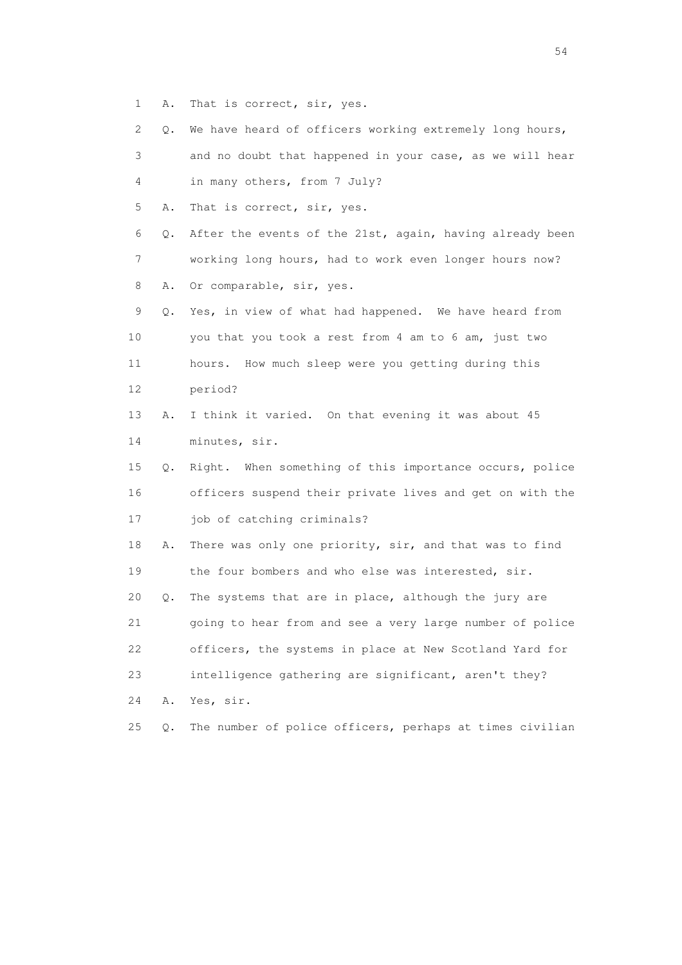1 A. That is correct, sir, yes.

 2 Q. We have heard of officers working extremely long hours, 3 and no doubt that happened in your case, as we will hear 4 in many others, from 7 July? 5 A. That is correct, sir, yes. 6 Q. After the events of the 21st, again, having already been 7 working long hours, had to work even longer hours now? 8 A. Or comparable, sir, yes. 9 Q. Yes, in view of what had happened. We have heard from 10 you that you took a rest from 4 am to 6 am, just two 11 hours. How much sleep were you getting during this 12 period? 13 A. I think it varied. On that evening it was about 45 14 minutes, sir. 15 Q. Right. When something of this importance occurs, police 16 officers suspend their private lives and get on with the 17 job of catching criminals? 18 A. There was only one priority, sir, and that was to find 19 the four bombers and who else was interested, sir. 20 Q. The systems that are in place, although the jury are 21 going to hear from and see a very large number of police 22 officers, the systems in place at New Scotland Yard for 23 intelligence gathering are significant, aren't they? 24 A. Yes, sir. 25 Q. The number of police officers, perhaps at times civilian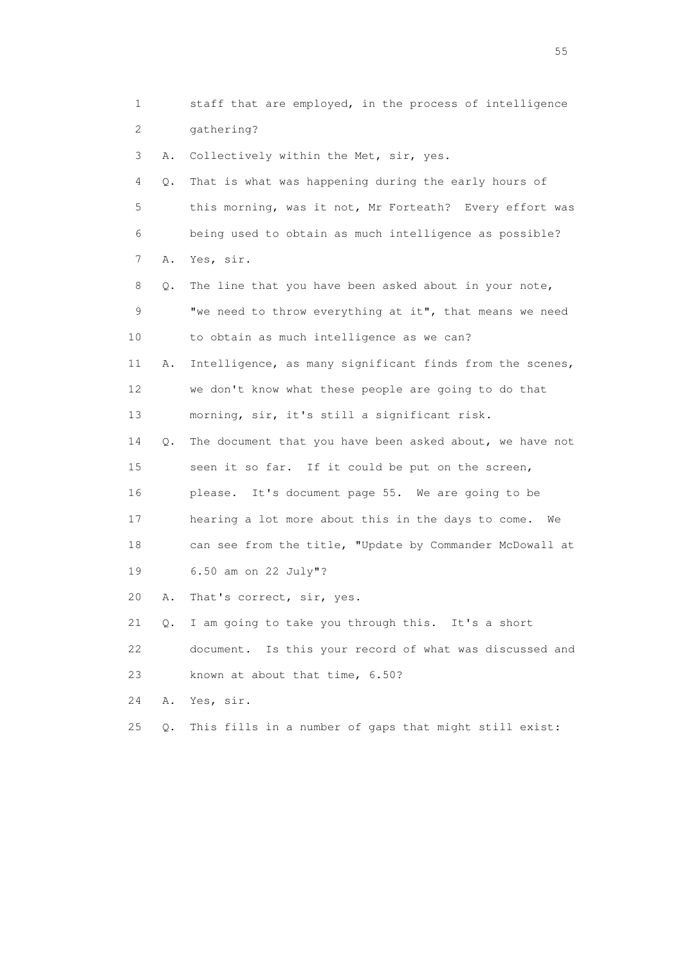1 staff that are employed, in the process of intelligence 2 gathering? 3 A. Collectively within the Met, sir, yes. 4 Q. That is what was happening during the early hours of 5 this morning, was it not, Mr Forteath? Every effort was 6 being used to obtain as much intelligence as possible? 7 A. Yes, sir. 8 Q. The line that you have been asked about in your note, 9 "we need to throw everything at it", that means we need 10 to obtain as much intelligence as we can? 11 A. Intelligence, as many significant finds from the scenes, 12 we don't know what these people are going to do that 13 morning, sir, it's still a significant risk. 14 Q. The document that you have been asked about, we have not 15 seen it so far. If it could be put on the screen, 16 please. It's document page 55. We are going to be 17 hearing a lot more about this in the days to come. We 18 can see from the title, "Update by Commander McDowall at 19 6.50 am on 22 July"? 20 A. That's correct, sir, yes. 21 Q. I am going to take you through this. It's a short 22 document. Is this your record of what was discussed and 23 known at about that time, 6.50? 24 A. Yes, sir. 25 Q. This fills in a number of gaps that might still exist:

the state of the state of the state of the state of the state of the state of the state of the state of the state of the state of the state of the state of the state of the state of the state of the state of the state of t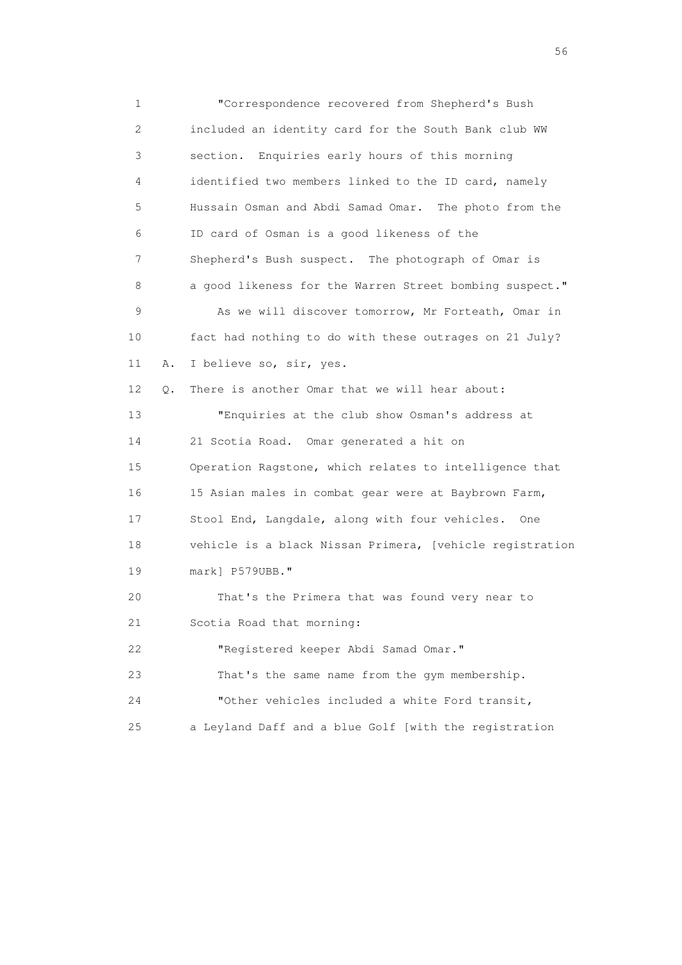1 "Correspondence recovered from Shepherd's Bush 2 included an identity card for the South Bank club WW 3 section. Enquiries early hours of this morning 4 identified two members linked to the ID card, namely 5 Hussain Osman and Abdi Samad Omar. The photo from the 6 ID card of Osman is a good likeness of the 7 Shepherd's Bush suspect. The photograph of Omar is 8 a good likeness for the Warren Street bombing suspect." 9 As we will discover tomorrow, Mr Forteath, Omar in 10 fact had nothing to do with these outrages on 21 July? 11 A. I believe so, sir, yes. 12 Q. There is another Omar that we will hear about: 13 "Enquiries at the club show Osman's address at 14 21 Scotia Road. Omar generated a hit on 15 Operation Ragstone, which relates to intelligence that 16 15 Asian males in combat gear were at Baybrown Farm, 17 Stool End, Langdale, along with four vehicles. One 18 vehicle is a black Nissan Primera, [vehicle registration 19 mark] P579UBB." 20 That's the Primera that was found very near to 21 Scotia Road that morning: 22 "Registered keeper Abdi Samad Omar." 23 That's the same name from the gym membership. 24 "Other vehicles included a white Ford transit, 25 a Leyland Daff and a blue Golf [with the registration

 $56<sup>o</sup>$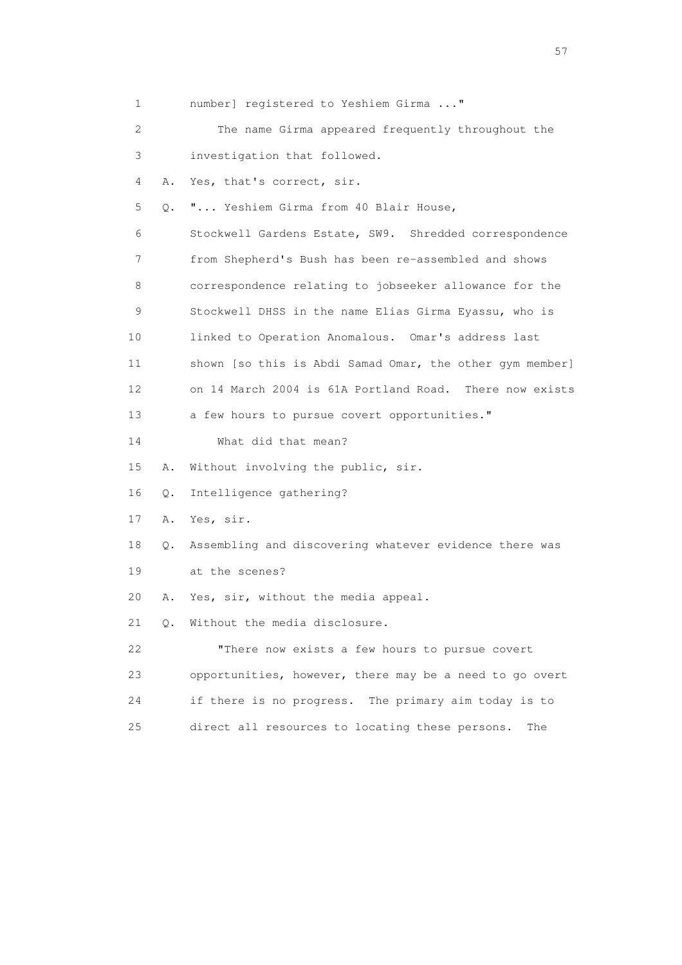| 1                         |    | number] registered to Yeshiem Girma "                    |
|---------------------------|----|----------------------------------------------------------|
| $\mathbf{2}^{\mathsf{I}}$ |    | The name Girma appeared frequently throughout the        |
| 3                         |    | investigation that followed.                             |
| 4                         | Α. | Yes, that's correct, sir.                                |
| 5                         | О. | " Yeshiem Girma from 40 Blair House,                     |
| 6                         |    | Stockwell Gardens Estate, SW9. Shredded correspondence   |
| 7                         |    | from Shepherd's Bush has been re-assembled and shows     |
| 8                         |    | correspondence relating to jobseeker allowance for the   |
| 9                         |    | Stockwell DHSS in the name Elias Girma Eyassu, who is    |
| 10                        |    | linked to Operation Anomalous. Omar's address last       |
| 11                        |    | shown [so this is Abdi Samad Omar, the other gym member] |
| 12                        |    | on 14 March 2004 is 61A Portland Road. There now exists  |
| 13                        |    | a few hours to pursue covert opportunities."             |
| 14                        |    | What did that mean?                                      |
| 15                        | Α. | Without involving the public, sir.                       |
| 16                        | Q. | Intelligence gathering?                                  |
| 17                        | Α. | Yes, sir.                                                |
| 18                        | Q. | Assembling and discovering whatever evidence there was   |
| 19                        |    | at the scenes?                                           |
| 20                        | Α. | Yes, sir, without the media appeal.                      |
| 21                        | 0. | Without the media disclosure.                            |
| 22                        |    | "There now exists a few hours to pursue covert           |
| 23                        |    | opportunities, however, there may be a need to go overt  |
| 24                        |    | if there is no progress. The primary aim today is to     |
| 25                        |    | direct all resources to locating these persons.<br>The   |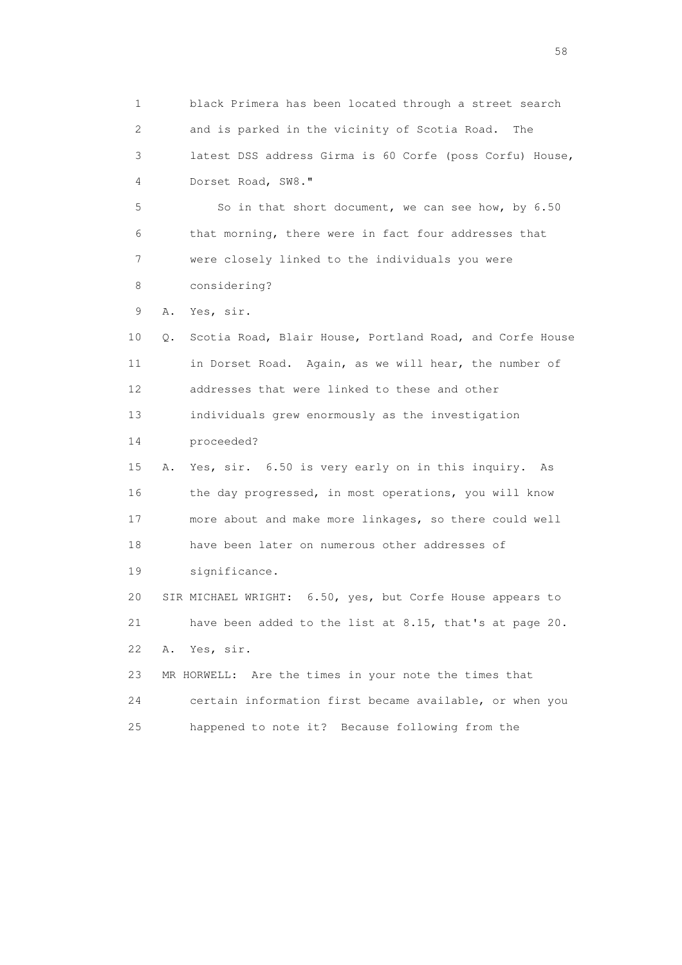1 black Primera has been located through a street search 2 and is parked in the vicinity of Scotia Road. The 3 latest DSS address Girma is 60 Corfe (poss Corfu) House, 4 Dorset Road, SW8." 5 So in that short document, we can see how, by 6.50 6 that morning, there were in fact four addresses that 7 were closely linked to the individuals you were 8 considering? 9 A. Yes, sir. 10 Q. Scotia Road, Blair House, Portland Road, and Corfe House 11 in Dorset Road. Again, as we will hear, the number of 12 addresses that were linked to these and other 13 individuals grew enormously as the investigation 14 proceeded? 15 A. Yes, sir. 6.50 is very early on in this inquiry. As 16 the day progressed, in most operations, you will know 17 more about and make more linkages, so there could well 18 have been later on numerous other addresses of 19 significance. 20 SIR MICHAEL WRIGHT: 6.50, yes, but Corfe House appears to 21 have been added to the list at 8.15, that's at page 20. 22 A. Yes, sir. 23 MR HORWELL: Are the times in your note the times that 24 certain information first became available, or when you 25 happened to note it? Because following from the

the state of the state of the state of the state of the state of the state of the state of the state of the state of the state of the state of the state of the state of the state of the state of the state of the state of t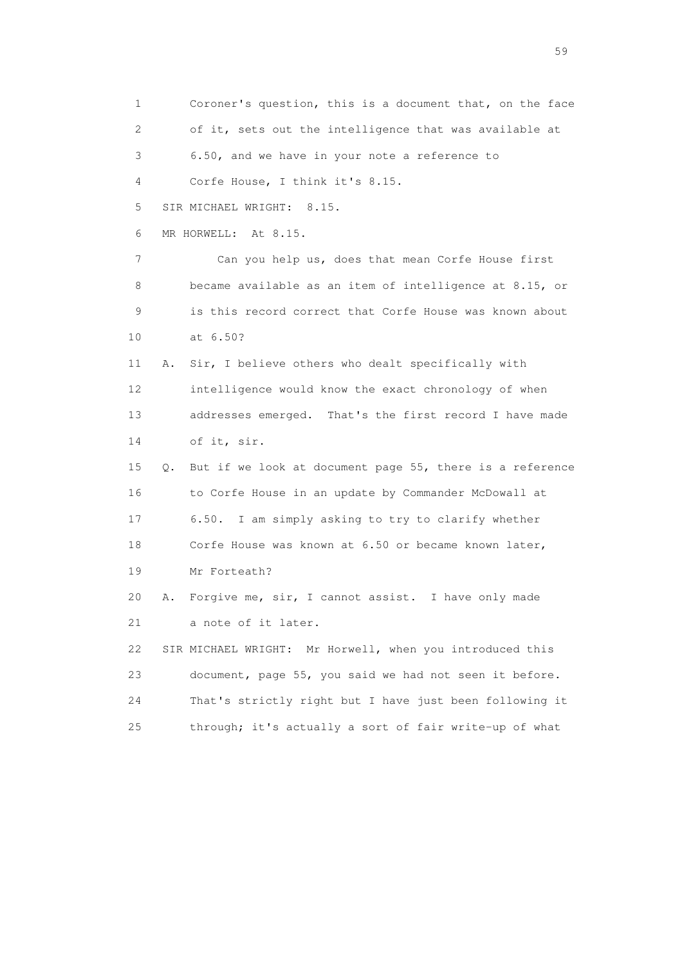1 Coroner's question, this is a document that, on the face 2 of it, sets out the intelligence that was available at 3 6.50, and we have in your note a reference to 4 Corfe House, I think it's 8.15. 5 SIR MICHAEL WRIGHT: 8.15. 6 MR HORWELL: At 8.15. 7 Can you help us, does that mean Corfe House first 8 became available as an item of intelligence at 8.15, or 9 is this record correct that Corfe House was known about 10 at 6.50? 11 A. Sir, I believe others who dealt specifically with 12 intelligence would know the exact chronology of when 13 addresses emerged. That's the first record I have made 14 of it, sir. 15 Q. But if we look at document page 55, there is a reference 16 to Corfe House in an update by Commander McDowall at 17 6.50. I am simply asking to try to clarify whether 18 Corfe House was known at 6.50 or became known later, 19 Mr Forteath? 20 A. Forgive me, sir, I cannot assist. I have only made 21 a note of it later. 22 SIR MICHAEL WRIGHT: Mr Horwell, when you introduced this 23 document, page 55, you said we had not seen it before. 24 That's strictly right but I have just been following it 25 through; it's actually a sort of fair write-up of what

 $59<sub>2</sub>$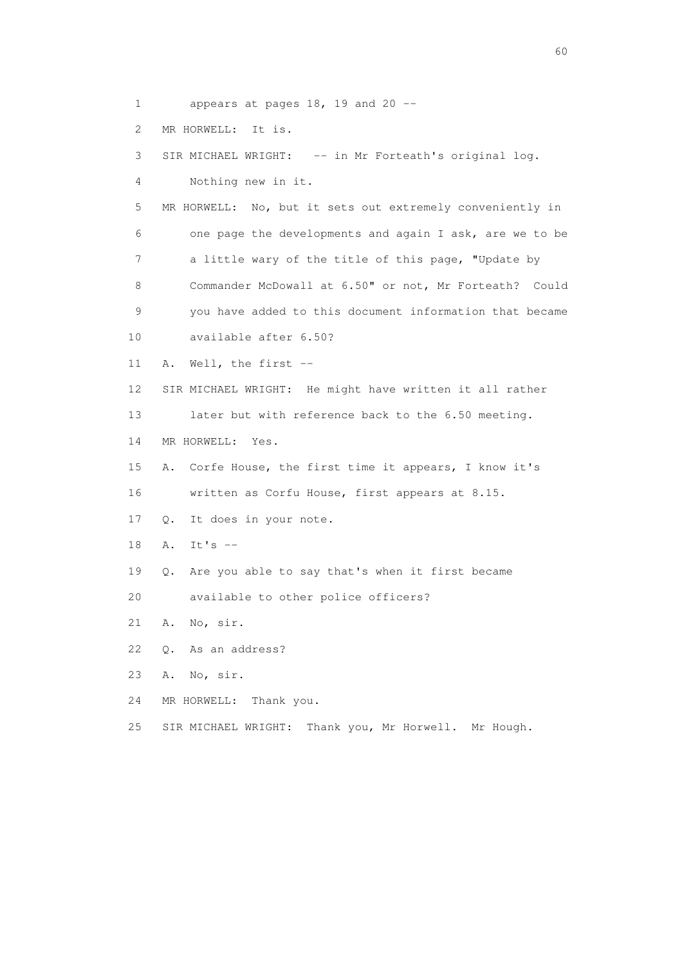1 appears at pages 18, 19 and 20 --

2 MR HORWELL: It is.

3 SIR MICHAEL WRIGHT: -- in Mr Forteath's original log.

4 Nothing new in it.

 5 MR HORWELL: No, but it sets out extremely conveniently in 6 one page the developments and again I ask, are we to be 7 a little wary of the title of this page, "Update by 8 Commander McDowall at 6.50" or not, Mr Forteath? Could 9 you have added to this document information that became

10 available after 6.50?

11 A. Well, the first --

12 SIR MICHAEL WRIGHT: He might have written it all rather

13 later but with reference back to the 6.50 meeting.

14 MR HORWELL: Yes.

 15 A. Corfe House, the first time it appears, I know it's 16 written as Corfu House, first appears at 8.15.

17 Q. It does in your note.

18 A. It's --

19 Q. Are you able to say that's when it first became

20 available to other police officers?

21 A. No, sir.

22 Q. As an address?

23 A. No, sir.

24 MR HORWELL: Thank you.

25 SIR MICHAEL WRIGHT: Thank you, Mr Horwell. Mr Hough.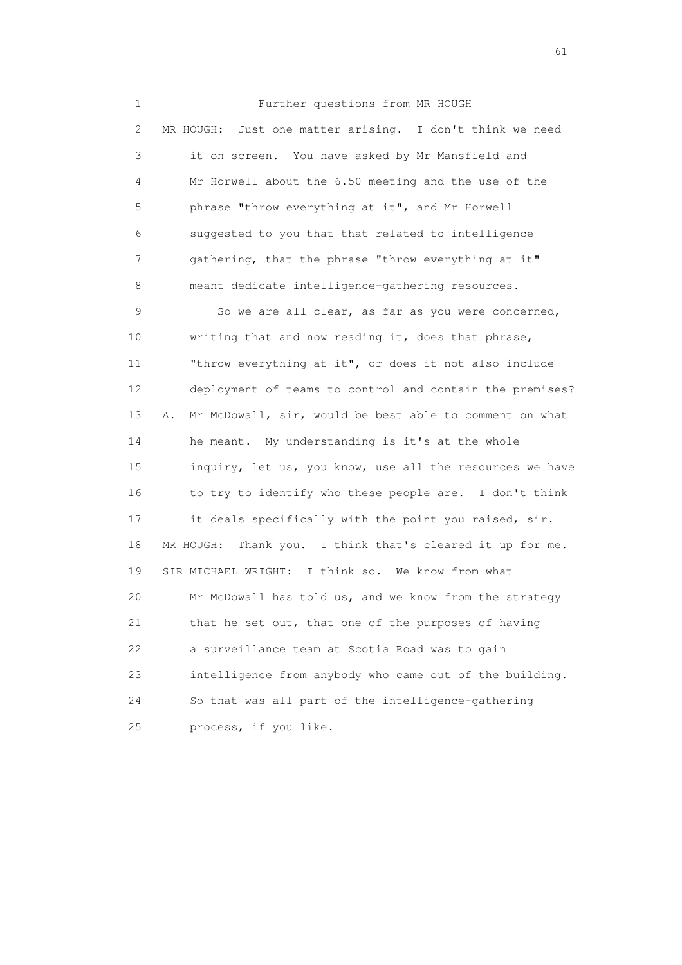1 Further questions from MR HOUGH 2 MR HOUGH: Just one matter arising. I don't think we need 3 it on screen. You have asked by Mr Mansfield and 4 Mr Horwell about the 6.50 meeting and the use of the 5 phrase "throw everything at it", and Mr Horwell 6 suggested to you that that related to intelligence 7 gathering, that the phrase "throw everything at it" 8 meant dedicate intelligence-gathering resources. 9 So we are all clear, as far as you were concerned, 10 writing that and now reading it, does that phrase, 11 "throw everything at it", or does it not also include 12 deployment of teams to control and contain the premises? 13 A. Mr McDowall, sir, would be best able to comment on what 14 he meant. My understanding is it's at the whole 15 inquiry, let us, you know, use all the resources we have 16 to try to identify who these people are. I don't think 17 it deals specifically with the point you raised, sir. 18 MR HOUGH: Thank you. I think that's cleared it up for me. 19 SIR MICHAEL WRIGHT: I think so. We know from what 20 Mr McDowall has told us, and we know from the strategy 21 that he set out, that one of the purposes of having 22 a surveillance team at Scotia Road was to gain 23 intelligence from anybody who came out of the building. 24 So that was all part of the intelligence-gathering 25 process, if you like.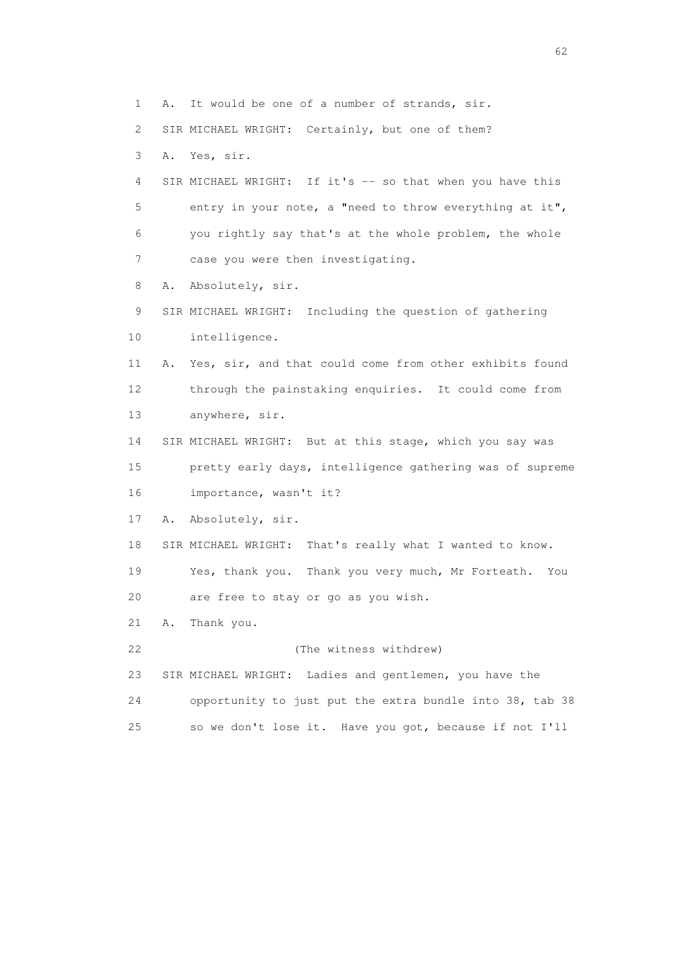1 A. It would be one of a number of strands, sir.

2 SIR MICHAEL WRIGHT: Certainly, but one of them?

3 A. Yes, sir.

4 SIR MICHAEL WRIGHT: If it's -- so that when you have this 5 entry in your note, a "need to throw everything at it", 6 you rightly say that's at the whole problem, the whole 7 case you were then investigating.

8 A. Absolutely, sir.

 9 SIR MICHAEL WRIGHT: Including the question of gathering 10 intelligence.

 11 A. Yes, sir, and that could come from other exhibits found 12 through the painstaking enquiries. It could come from 13 anywhere, sir.

 14 SIR MICHAEL WRIGHT: But at this stage, which you say was 15 pretty early days, intelligence gathering was of supreme 16 importance, wasn't it?

17 A. Absolutely, sir.

18 SIR MICHAEL WRIGHT: That's really what I wanted to know.

 19 Yes, thank you. Thank you very much, Mr Forteath. You 20 are free to stay or go as you wish.

21 A. Thank you.

22 (The witness withdrew)

 23 SIR MICHAEL WRIGHT: Ladies and gentlemen, you have the 24 opportunity to just put the extra bundle into 38, tab 38

25 so we don't lose it. Have you got, because if not I'll

 $\sim$  62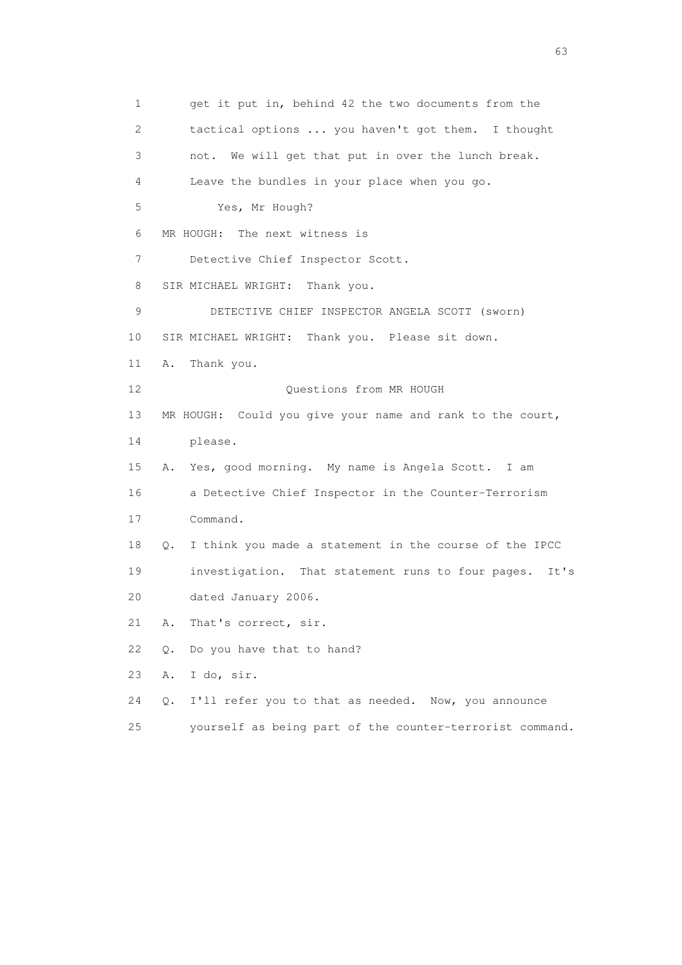1 get it put in, behind 42 the two documents from the 2 tactical options ... you haven't got them. I thought 3 not. We will get that put in over the lunch break. 4 Leave the bundles in your place when you go. 5 Yes, Mr Hough? 6 MR HOUGH: The next witness is 7 Detective Chief Inspector Scott. 8 SIR MICHAEL WRIGHT: Thank you. 9 DETECTIVE CHIEF INSPECTOR ANGELA SCOTT (sworn) 10 SIR MICHAEL WRIGHT: Thank you. Please sit down. 11 A. Thank you. 12 Ouestions from MR HOUGH 13 MR HOUGH: Could you give your name and rank to the court, 14 please. 15 A. Yes, good morning. My name is Angela Scott. I am 16 a Detective Chief Inspector in the Counter-Terrorism 17 Command. 18 Q. I think you made a statement in the course of the IPCC 19 investigation. That statement runs to four pages. It's 20 dated January 2006. 21 A. That's correct, sir. 22 Q. Do you have that to hand? 23 A. I do, sir. 24 Q. I'll refer you to that as needed. Now, you announce 25 yourself as being part of the counter-terrorist command.

experience of the contract of the contract of the contract of the contract of the contract of the contract of the contract of the contract of the contract of the contract of the contract of the contract of the contract of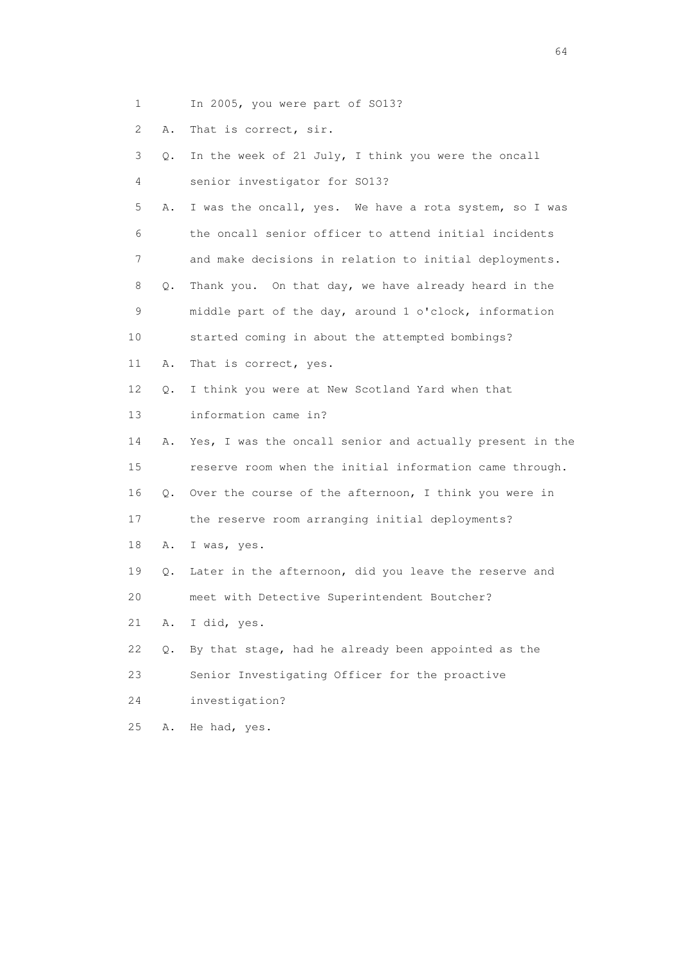- 1 In 2005, you were part of SO13?
- 2 A. That is correct, sir.

|  |  |  |  |                               |  |  | 3 Q. In the week of 21 July, I think you were the oncall |  |
|--|--|--|--|-------------------------------|--|--|----------------------------------------------------------|--|
|  |  |  |  | senior investigator for S013? |  |  |                                                          |  |

 5 A. I was the oncall, yes. We have a rota system, so I was 6 the oncall senior officer to attend initial incidents

7 and make decisions in relation to initial deployments.

 8 Q. Thank you. On that day, we have already heard in the 9 middle part of the day, around 1 o'clock, information 10 started coming in about the attempted bombings?

11 A. That is correct, yes.

12 Q. I think you were at New Scotland Yard when that

13 information came in?

 14 A. Yes, I was the oncall senior and actually present in the 15 reserve room when the initial information came through. 16 Q. Over the course of the afternoon, I think you were in

17 the reserve room arranging initial deployments?

18 A. I was, yes.

 19 Q. Later in the afternoon, did you leave the reserve and 20 meet with Detective Superintendent Boutcher?

21 A. I did, yes.

22 Q. By that stage, had he already been appointed as the

23 Senior Investigating Officer for the proactive

- 24 investigation?
- 25 A. He had, yes.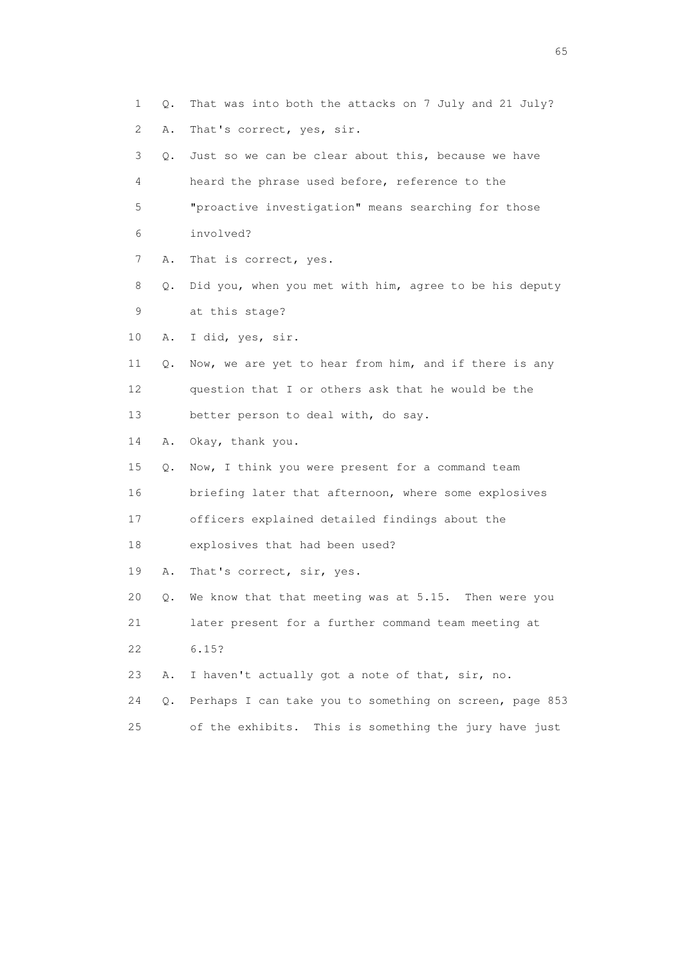1 Q. That was into both the attacks on 7 July and 21 July? 2 A. That's correct, yes, sir. 3 Q. Just so we can be clear about this, because we have 4 heard the phrase used before, reference to the 5 "proactive investigation" means searching for those 6 involved? 7 A. That is correct, yes. 8 Q. Did you, when you met with him, agree to be his deputy 9 at this stage? 10 A. I did, yes, sir. 11 Q. Now, we are yet to hear from him, and if there is any 12 question that I or others ask that he would be the 13 better person to deal with, do say. 14 A. Okay, thank you. 15 Q. Now, I think you were present for a command team 16 briefing later that afternoon, where some explosives 17 officers explained detailed findings about the 18 explosives that had been used? 19 A. That's correct, sir, yes. 20 Q. We know that that meeting was at 5.15. Then were you 21 later present for a further command team meeting at 22 6.15? 23 A. I haven't actually got a note of that, sir, no. 24 Q. Perhaps I can take you to something on screen, page 853 25 of the exhibits. This is something the jury have just

 $\sim$  65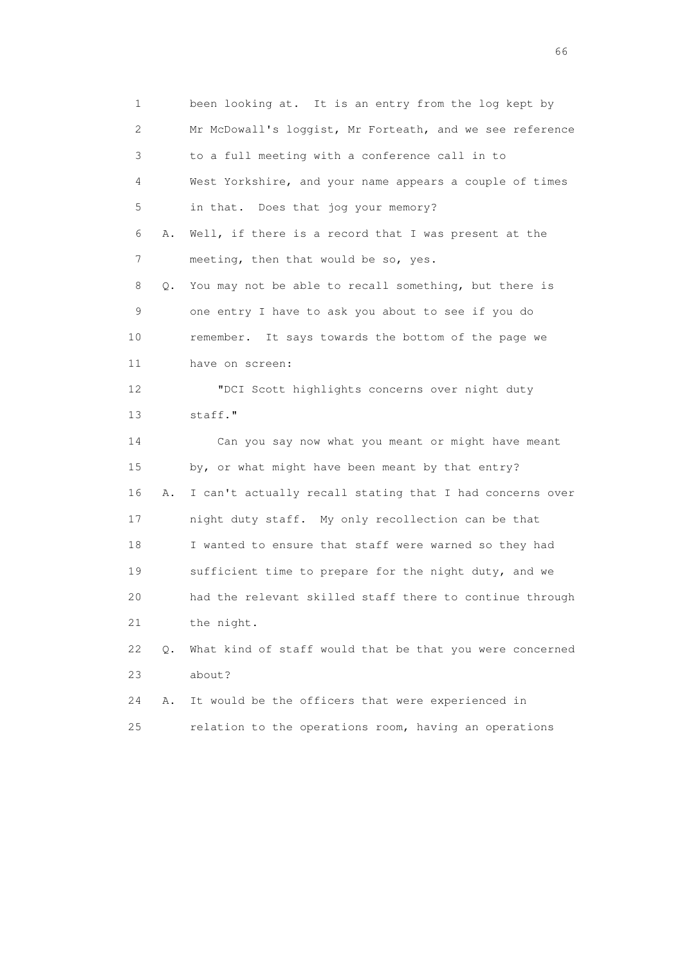1 been looking at. It is an entry from the log kept by 2 Mr McDowall's loggist, Mr Forteath, and we see reference 3 to a full meeting with a conference call in to 4 West Yorkshire, and your name appears a couple of times 5 in that. Does that jog your memory? 6 A. Well, if there is a record that I was present at the 7 meeting, then that would be so, yes. 8 Q. You may not be able to recall something, but there is 9 one entry I have to ask you about to see if you do 10 remember. It says towards the bottom of the page we 11 have on screen: 12 "DCI Scott highlights concerns over night duty 13 staff." 14 Can you say now what you meant or might have meant 15 by, or what might have been meant by that entry? 16 A. I can't actually recall stating that I had concerns over 17 night duty staff. My only recollection can be that 18 I wanted to ensure that staff were warned so they had 19 sufficient time to prepare for the night duty, and we 20 had the relevant skilled staff there to continue through 21 the night. 22 Q. What kind of staff would that be that you were concerned 23 about? 24 A. It would be the officers that were experienced in 25 relation to the operations room, having an operations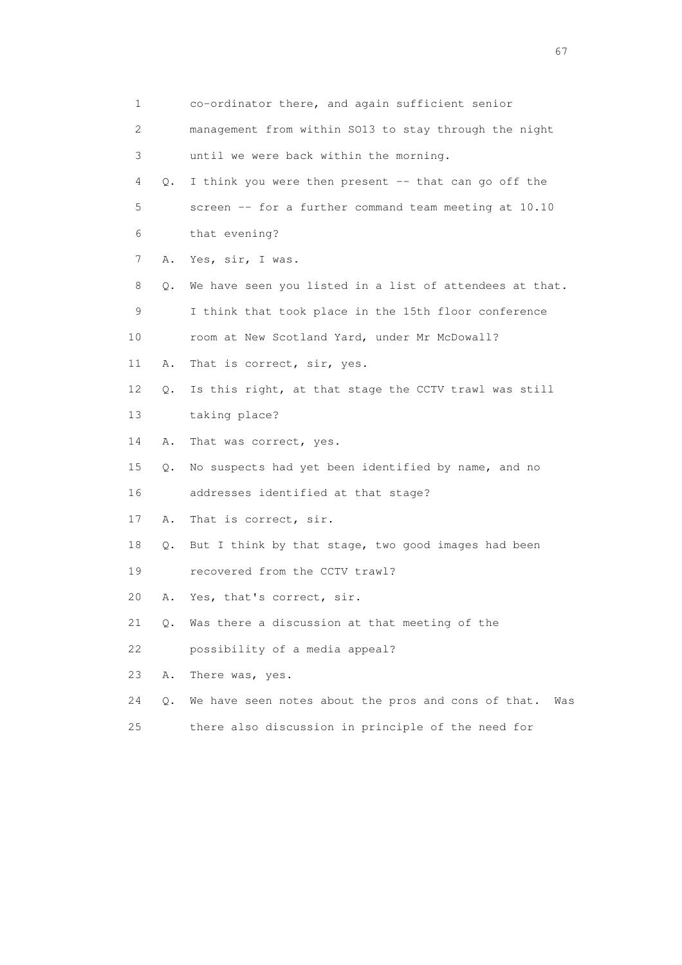| $\mathbf 1$               |       | co-ordinator there, and again sufficient senior            |
|---------------------------|-------|------------------------------------------------------------|
| $\mathbf{2}^{\mathsf{I}}$ |       | management from within SO13 to stay through the night      |
| 3                         |       | until we were back within the morning.                     |
| 4                         | Q.    | I think you were then present -- that can go off the       |
| 5                         |       | screen -- for a further command team meeting at 10.10      |
| 6                         |       | that evening?                                              |
| 7                         | Α.    | Yes, sir, I was.                                           |
| 8                         | Q.    | We have seen you listed in a list of attendees at that.    |
| 9                         |       | I think that took place in the 15th floor conference       |
| 10                        |       | room at New Scotland Yard, under Mr McDowall?              |
| 11                        | Α.    | That is correct, sir, yes.                                 |
| 12                        | Q.    | Is this right, at that stage the CCTV trawl was still      |
| 13                        |       | taking place?                                              |
| 14                        | Α.    | That was correct, yes.                                     |
| 15                        | Q.    | No suspects had yet been identified by name, and no        |
| 16                        |       | addresses identified at that stage?                        |
| 17                        | Α.    | That is correct, sir.                                      |
| 18                        |       | Q. But I think by that stage, two good images had been     |
| 19                        |       | recovered from the CCTV trawl?                             |
| 20                        | Α.    | Yes, that's correct, sir.                                  |
| 21                        | Q.    | Was there a discussion at that meeting of the              |
| 22                        |       | possibility of a media appeal?                             |
| 23                        | Α.    | There was, yes.                                            |
| 24                        | $Q$ . | We have seen notes about the pros and cons of that.<br>Was |
| 25                        |       | there also discussion in principle of the need for         |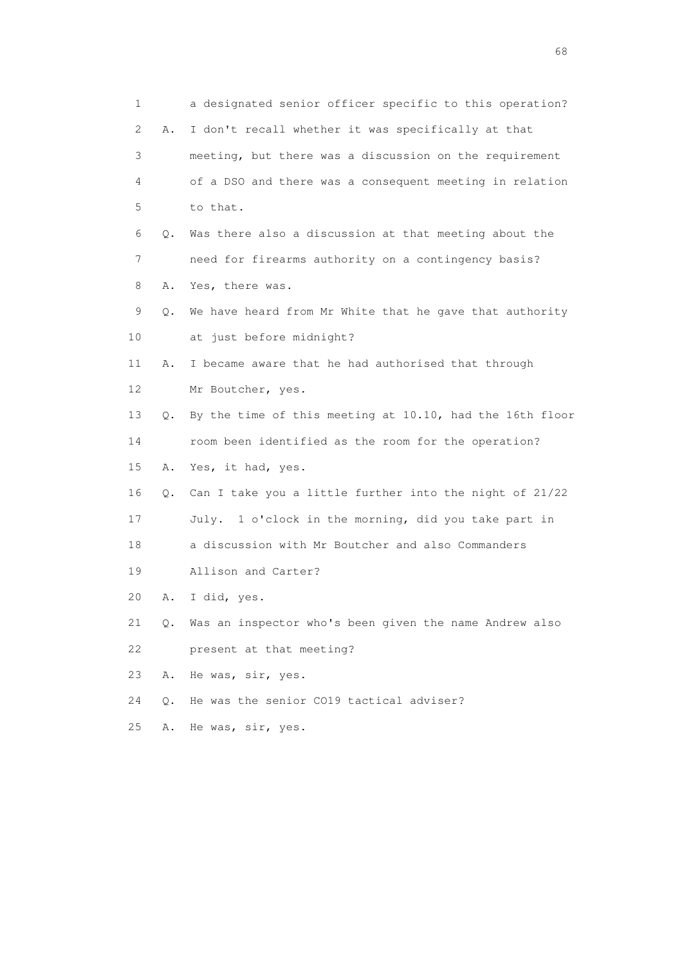1 a designated senior officer specific to this operation? 2 A. I don't recall whether it was specifically at that 3 meeting, but there was a discussion on the requirement 4 of a DSO and there was a consequent meeting in relation 5 to that. 6 Q. Was there also a discussion at that meeting about the 7 need for firearms authority on a contingency basis? 8 A. Yes, there was. 9 Q. We have heard from Mr White that he gave that authority 10 at just before midnight? 11 A. I became aware that he had authorised that through 12 Mr Boutcher, yes. 13 Q. By the time of this meeting at 10.10, had the 16th floor 14 room been identified as the room for the operation? 15 A. Yes, it had, yes. 16 Q. Can I take you a little further into the night of 21/22 17 July. 1 o'clock in the morning, did you take part in 18 a discussion with Mr Boutcher and also Commanders 19 Allison and Carter? 20 A. I did, yes. 21 Q. Was an inspector who's been given the name Andrew also 22 present at that meeting? 23 A. He was, sir, yes. 24 Q. He was the senior CO19 tactical adviser? 25 A. He was, sir, yes.

entration of the contract of the contract of the contract of the contract of the contract of the contract of the contract of the contract of the contract of the contract of the contract of the contract of the contract of t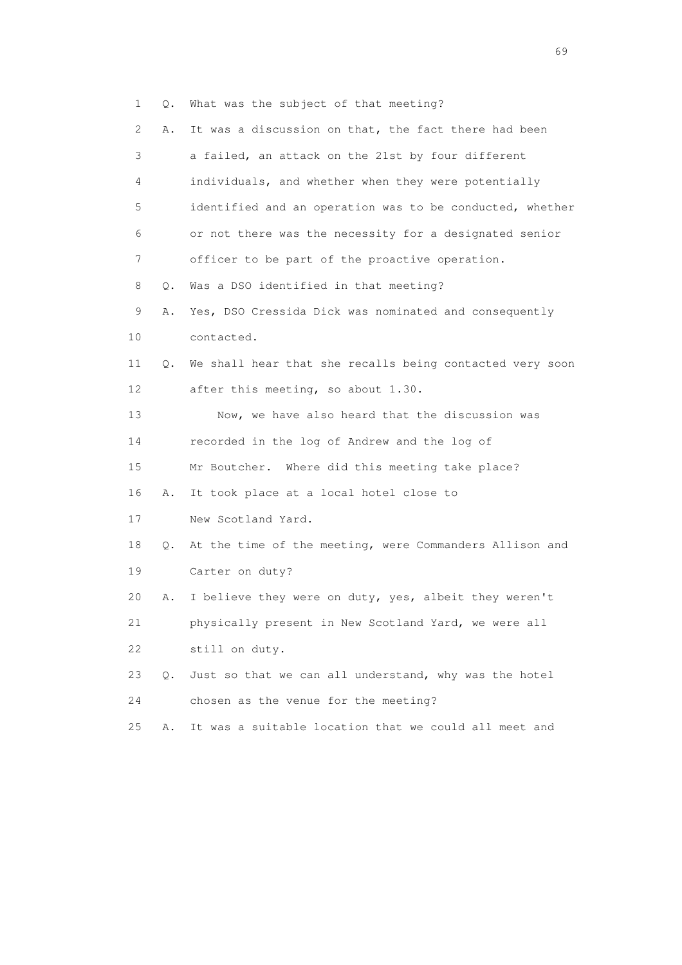1 Q. What was the subject of that meeting?

| $\mathbf{2}^{\mathsf{I}}$ | Α.    | It was a discussion on that, the fact there had been     |
|---------------------------|-------|----------------------------------------------------------|
| 3                         |       | a failed, an attack on the 21st by four different        |
| 4                         |       | individuals, and whether when they were potentially      |
| 5                         |       | identified and an operation was to be conducted, whether |
| 6                         |       | or not there was the necessity for a designated senior   |
| 7                         |       | officer to be part of the proactive operation.           |
| 8                         | Q.    | Was a DSO identified in that meeting?                    |
| 9                         | Α.    | Yes, DSO Cressida Dick was nominated and consequently    |
| 10                        |       | contacted.                                               |
| 11                        | Q.    | We shall hear that she recalls being contacted very soon |
| 12                        |       | after this meeting, so about 1.30.                       |
| 13                        |       | Now, we have also heard that the discussion was          |
| 14                        |       | recorded in the log of Andrew and the log of             |
| 15                        |       | Mr Boutcher. Where did this meeting take place?          |
| 16                        | Α.    | It took place at a local hotel close to                  |
| 17                        |       | New Scotland Yard.                                       |
| 18                        | Q.    | At the time of the meeting, were Commanders Allison and  |
| 19                        |       | Carter on duty?                                          |
| 20                        | Α.    | I believe they were on duty, yes, albeit they weren't    |
| 21                        |       | physically present in New Scotland Yard, we were all     |
| 22                        |       | still on duty.                                           |
| 23                        | $Q$ . | Just so that we can all understand, why was the hotel    |
| 24                        |       | chosen as the venue for the meeting?                     |
| 25                        | Α.    | It was a suitable location that we could all meet and    |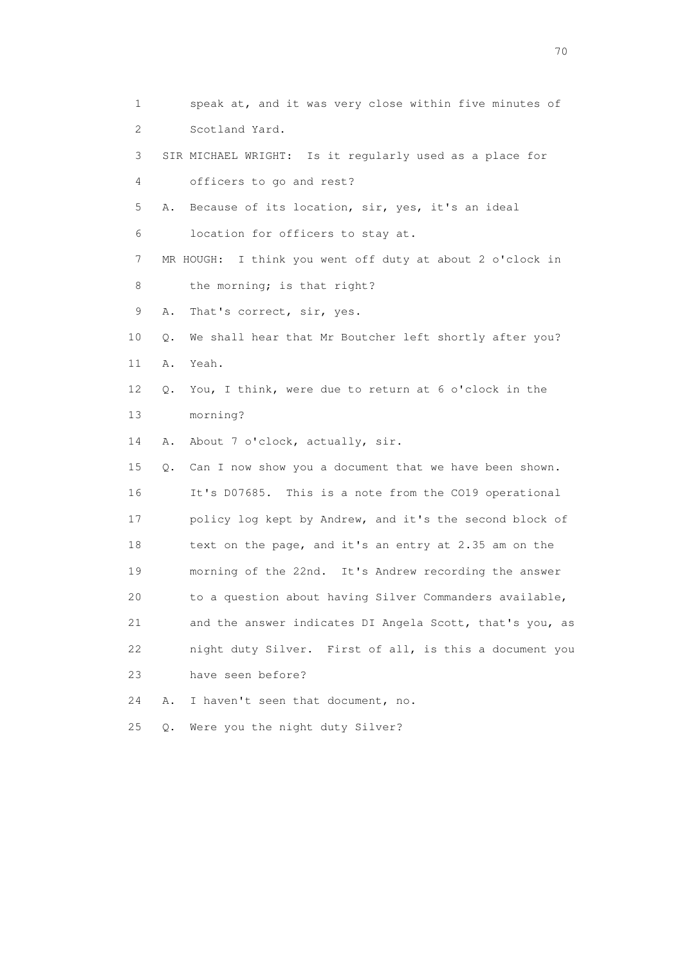1 speak at, and it was very close within five minutes of 2 Scotland Yard. 3 SIR MICHAEL WRIGHT: Is it regularly used as a place for 4 officers to go and rest? 5 A. Because of its location, sir, yes, it's an ideal 6 location for officers to stay at. 7 MR HOUGH: I think you went off duty at about 2 o'clock in 8 the morning; is that right? 9 A. That's correct, sir, yes. 10 Q. We shall hear that Mr Boutcher left shortly after you? 11 A. Yeah. 12 Q. You, I think, were due to return at 6 o'clock in the 13 morning? 14 A. About 7 o'clock, actually, sir. 15 Q. Can I now show you a document that we have been shown. 16 It's D07685. This is a note from the CO19 operational 17 policy log kept by Andrew, and it's the second block of 18 text on the page, and it's an entry at 2.35 am on the 19 morning of the 22nd. It's Andrew recording the answer 20 to a question about having Silver Commanders available, 21 and the answer indicates DI Angela Scott, that's you, as 22 night duty Silver. First of all, is this a document you 23 have seen before? 24 A. I haven't seen that document, no. 25 Q. Were you the night duty Silver?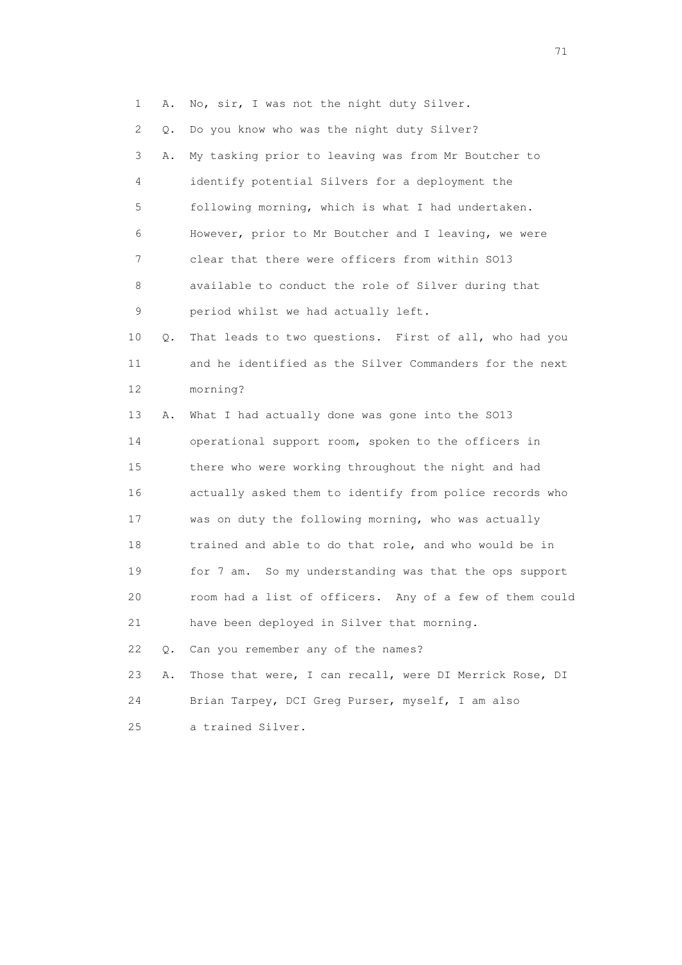1 A. No, sir, I was not the night duty Silver.

2 Q. Do you know who was the night duty Silver?

 3 A. My tasking prior to leaving was from Mr Boutcher to 4 identify potential Silvers for a deployment the 5 following morning, which is what I had undertaken. 6 However, prior to Mr Boutcher and I leaving, we were 7 clear that there were officers from within SO13 8 available to conduct the role of Silver during that 9 period whilst we had actually left.

 10 Q. That leads to two questions. First of all, who had you 11 and he identified as the Silver Commanders for the next 12 morning?

 13 A. What I had actually done was gone into the SO13 14 operational support room, spoken to the officers in 15 there who were working throughout the night and had 16 actually asked them to identify from police records who 17 was on duty the following morning, who was actually 18 trained and able to do that role, and who would be in 19 for 7 am. So my understanding was that the ops support 20 room had a list of officers. Any of a few of them could 21 have been deployed in Silver that morning. 22 Q. Can you remember any of the names?

 23 A. Those that were, I can recall, were DI Merrick Rose, DI 24 Brian Tarpey, DCI Greg Purser, myself, I am also

25 a trained Silver.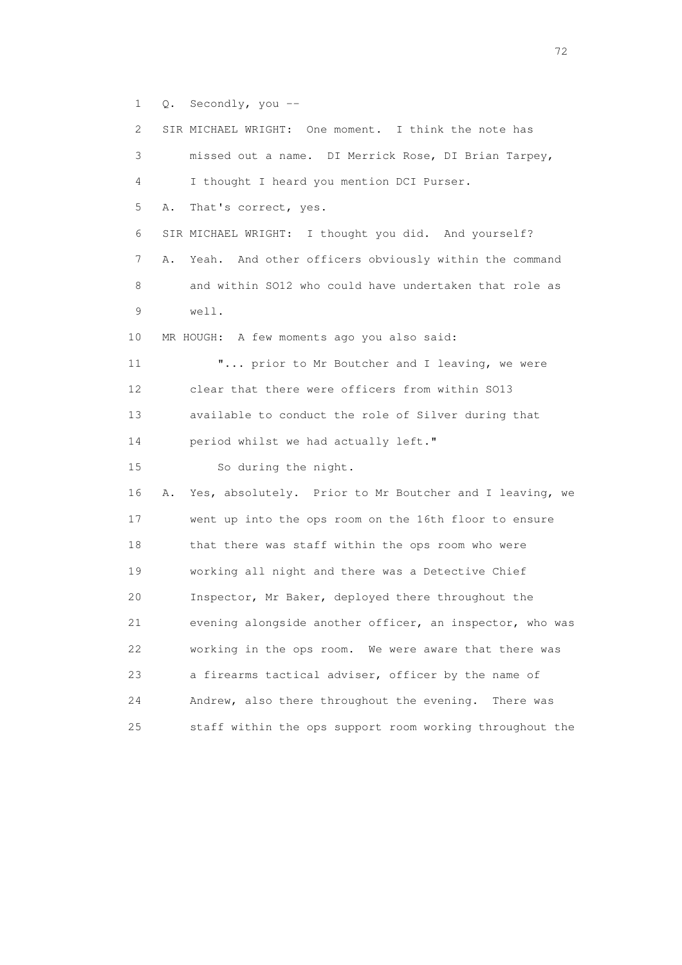1 Q. Secondly, you --

| $\mathbf{2}^{\mathsf{I}}$ | SIR MICHAEL WRIGHT: One moment. I think the note has     |
|---------------------------|----------------------------------------------------------|
| 3                         | missed out a name. DI Merrick Rose, DI Brian Tarpey,     |
| 4                         | I thought I heard you mention DCI Purser.                |
| 5<br>Α.                   | That's correct, yes.                                     |
| 6                         | SIR MICHAEL WRIGHT: I thought you did. And yourself?     |
| 7<br>Α.                   | Yeah. And other officers obviously within the command    |
| 8                         | and within SO12 who could have undertaken that role as   |
| 9                         | well.                                                    |
| 10                        | MR HOUGH: A few moments ago you also said:               |
| 11                        | " prior to Mr Boutcher and I leaving, we were            |
| 12                        | clear that there were officers from within SO13          |
| 13                        | available to conduct the role of Silver during that      |
| 14                        | period whilst we had actually left."                     |
| 15                        | So during the night.                                     |
| 16<br>Α.                  | Yes, absolutely. Prior to Mr Boutcher and I leaving, we  |
| 17                        | went up into the ops room on the 16th floor to ensure    |
| 18                        | that there was staff within the ops room who were        |
| 19                        | working all night and there was a Detective Chief        |
| 20                        | Inspector, Mr Baker, deployed there throughout the       |
| 21                        | evening alongside another officer, an inspector, who was |
| 22                        | working in the ops room. We were aware that there was    |
| 23                        | a firearms tactical adviser, officer by the name of      |
| 24                        | Andrew, also there throughout the evening.<br>There was  |
| 25                        | staff within the ops support room working throughout the |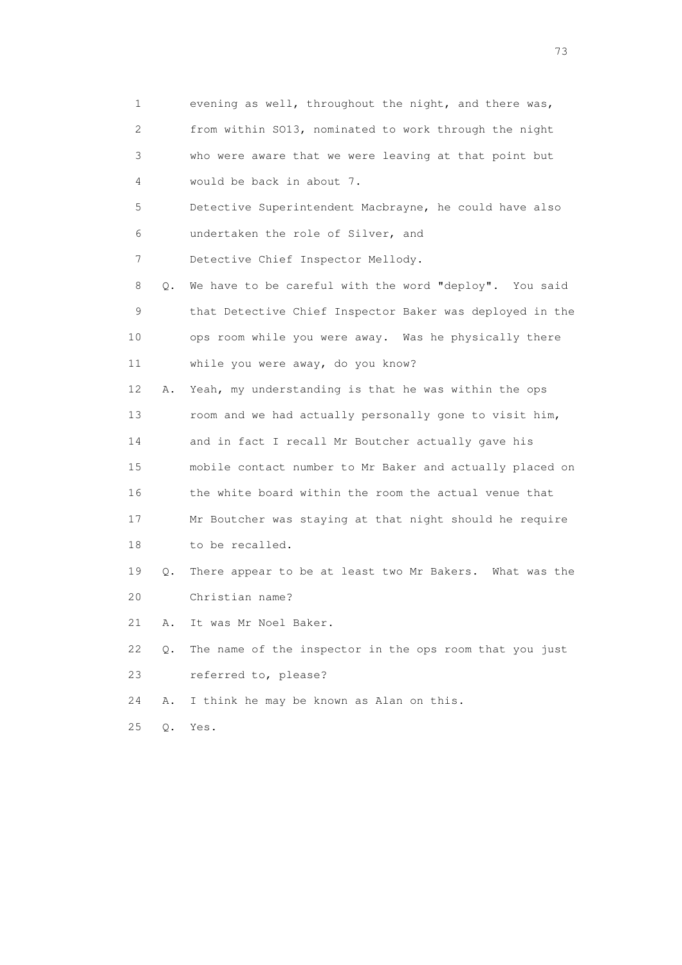| 1                         |    | evening as well, throughout the night, and there was,    |
|---------------------------|----|----------------------------------------------------------|
| $\mathbf{2}^{\mathsf{I}}$ |    | from within S013, nominated to work through the night    |
| 3                         |    | who were aware that we were leaving at that point but    |
| 4                         |    | would be back in about 7.                                |
| 5                         |    | Detective Superintendent Macbrayne, he could have also   |
| 6                         |    | undertaken the role of Silver, and                       |
| 7                         |    | Detective Chief Inspector Mellody.                       |
| 8                         | Q. | We have to be careful with the word "deploy". You said   |
| 9                         |    | that Detective Chief Inspector Baker was deployed in the |
| 10                        |    | ops room while you were away. Was he physically there    |
| 11                        |    | while you were away, do you know?                        |
| 12                        | Α. | Yeah, my understanding is that he was within the ops     |
| 13                        |    | room and we had actually personally gone to visit him,   |
| 14                        |    | and in fact I recall Mr Boutcher actually gave his       |
| 15                        |    | mobile contact number to Mr Baker and actually placed on |
| 16                        |    | the white board within the room the actual venue that    |
| 17                        |    | Mr Boutcher was staying at that night should he require  |
| 18                        |    | to be recalled.                                          |
| 19                        | Q. | There appear to be at least two Mr Bakers. What was the  |
| 20                        |    | Christian name?                                          |
| 21                        | Α. | It was Mr Noel Baker.                                    |
| 22                        | Q. | The name of the inspector in the ops room that you just  |
| 23                        |    | referred to, please?                                     |
| 24                        | Α. | I think he may be known as Alan on this.                 |
| 25                        | Q. | Yes.                                                     |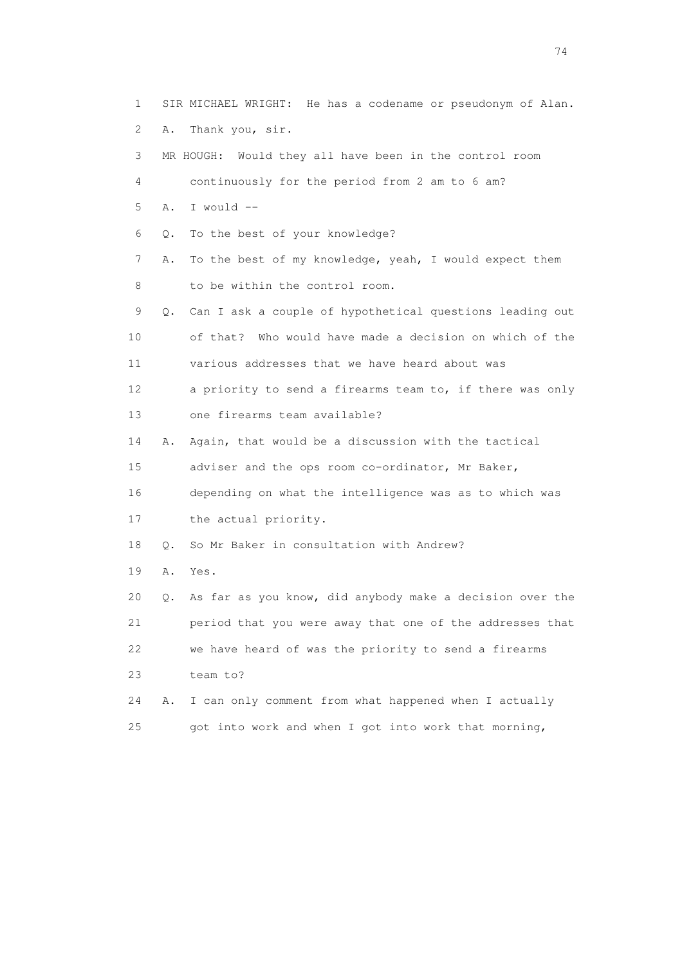1 SIR MICHAEL WRIGHT: He has a codename or pseudonym of Alan. 2 A. Thank you, sir. 3 MR HOUGH: Would they all have been in the control room 4 continuously for the period from 2 am to 6 am? 5 A. I would -- 6 Q. To the best of your knowledge? 7 A. To the best of my knowledge, yeah, I would expect them 8 to be within the control room. 9 Q. Can I ask a couple of hypothetical questions leading out 10 of that? Who would have made a decision on which of the 11 various addresses that we have heard about was 12 a priority to send a firearms team to, if there was only 13 one firearms team available? 14 A. Again, that would be a discussion with the tactical 15 adviser and the ops room co-ordinator, Mr Baker, 16 depending on what the intelligence was as to which was 17 the actual priority. 18 0. So Mr Baker in consultation with Andrew? 19 A. Yes. 20 Q. As far as you know, did anybody make a decision over the 21 period that you were away that one of the addresses that 22 we have heard of was the priority to send a firearms 23 team to? 24 A. I can only comment from what happened when I actually 25 got into work and when I got into work that morning,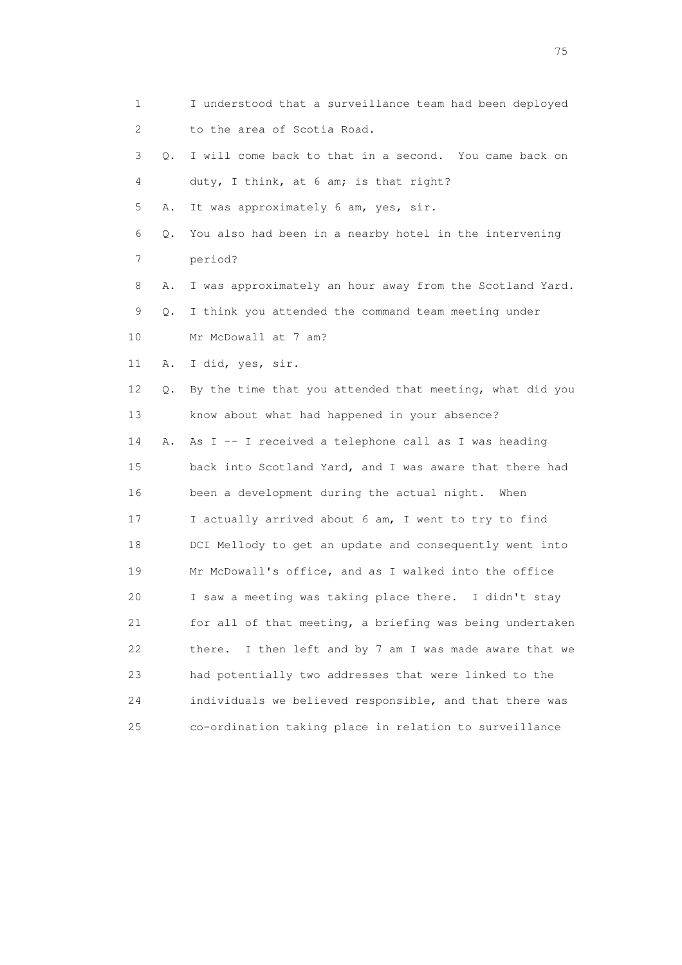| 1  |    | I understood that a surveillance team had been deployed    |
|----|----|------------------------------------------------------------|
| 2  |    | to the area of Scotia Road.                                |
| 3  | Q. | I will come back to that in a second. You came back on     |
| 4  |    | duty, I think, at 6 am; is that right?                     |
| 5  | Α. | It was approximately 6 am, yes, sir.                       |
| 6  | Q. | You also had been in a nearby hotel in the intervening     |
| 7  |    | period?                                                    |
| 8  | Α. | I was approximately an hour away from the Scotland Yard.   |
| 9  | Q. | I think you attended the command team meeting under        |
| 10 |    | Mr McDowall at 7 am?                                       |
| 11 | Α. | I did, yes, sir.                                           |
| 12 | Q. | By the time that you attended that meeting, what did you   |
| 13 |    | know about what had happened in your absence?              |
| 14 | Α. | As I -- I received a telephone call as I was heading       |
| 15 |    | back into Scotland Yard, and I was aware that there had    |
| 16 |    | been a development during the actual night. When           |
| 17 |    | I actually arrived about 6 am, I went to try to find       |
| 18 |    | DCI Mellody to get an update and consequently went into    |
| 19 |    | Mr McDowall's office, and as I walked into the office      |
| 20 |    | I saw a meeting was taking place there. I didn't stay      |
| 21 |    | for all of that meeting, a briefing was being undertaken   |
| 22 |    | I then left and by 7 am I was made aware that we<br>there. |
| 23 |    | had potentially two addresses that were linked to the      |
| 24 |    | individuals we believed responsible, and that there was    |
| 25 |    | co-ordination taking place in relation to surveillance     |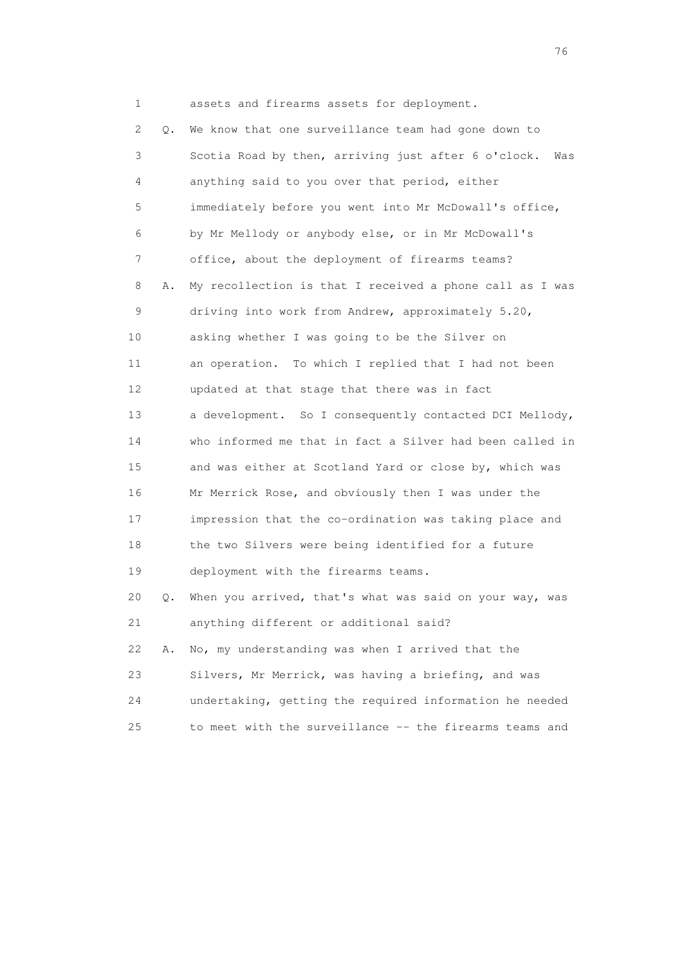1 assets and firearms assets for deployment.

 2 Q. We know that one surveillance team had gone down to 3 Scotia Road by then, arriving just after 6 o'clock. Was 4 anything said to you over that period, either 5 immediately before you went into Mr McDowall's office, 6 by Mr Mellody or anybody else, or in Mr McDowall's 7 office, about the deployment of firearms teams? 8 A. My recollection is that I received a phone call as I was 9 driving into work from Andrew, approximately 5.20, 10 asking whether I was going to be the Silver on 11 an operation. To which I replied that I had not been 12 updated at that stage that there was in fact 13 a development. So I consequently contacted DCI Mellody, 14 who informed me that in fact a Silver had been called in 15 and was either at Scotland Yard or close by, which was 16 Mr Merrick Rose, and obviously then I was under the 17 impression that the co-ordination was taking place and 18 the two Silvers were being identified for a future 19 deployment with the firearms teams. 20 Q. When you arrived, that's what was said on your way, was 21 anything different or additional said? 22 A. No, my understanding was when I arrived that the 23 Silvers, Mr Merrick, was having a briefing, and was 24 undertaking, getting the required information he needed 25 to meet with the surveillance -- the firearms teams and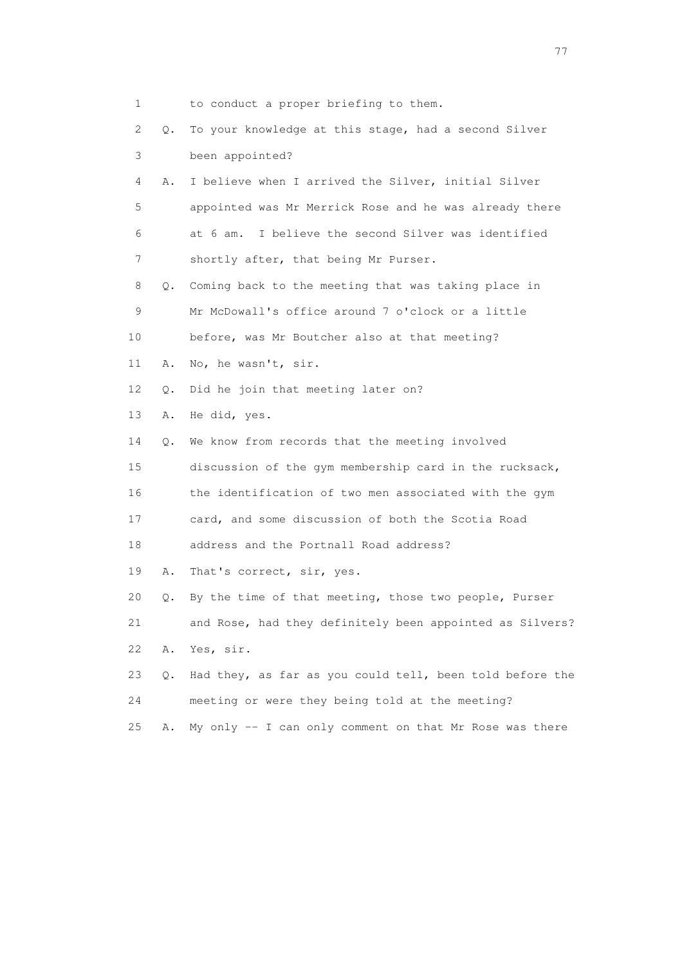| 1  |    | to conduct a proper briefing to them.                    |
|----|----|----------------------------------------------------------|
| 2  | Q. | To your knowledge at this stage, had a second Silver     |
| 3  |    | been appointed?                                          |
| 4  | Α. | I believe when I arrived the Silver, initial Silver      |
| 5  |    | appointed was Mr Merrick Rose and he was already there   |
| 6  |    | I believe the second Silver was identified<br>at 6 am.   |
| 7  |    | shortly after, that being Mr Purser.                     |
| 8  | Q. | Coming back to the meeting that was taking place in      |
| 9  |    | Mr McDowall's office around 7 o'clock or a little        |
| 10 |    | before, was Mr Boutcher also at that meeting?            |
| 11 | Α. | No, he wasn't, sir.                                      |
| 12 | Q. | Did he join that meeting later on?                       |
| 13 | Α. | He did, yes.                                             |
| 14 | Q. | We know from records that the meeting involved           |
| 15 |    | discussion of the gym membership card in the rucksack,   |
| 16 |    | the identification of two men associated with the gym    |
| 17 |    | card, and some discussion of both the Scotia Road        |
| 18 |    | address and the Portnall Road address?                   |
| 19 | Α. | That's correct, sir, yes.                                |
| 20 | Q. | By the time of that meeting, those two people, Purser    |
| 21 |    | and Rose, had they definitely been appointed as Silvers? |
| 22 | Α. | Yes, sir.                                                |
| 23 | Q. | Had they, as far as you could tell, been told before the |
| 24 |    | meeting or were they being told at the meeting?          |
| 25 | Α. | My only -- I can only comment on that Mr Rose was there  |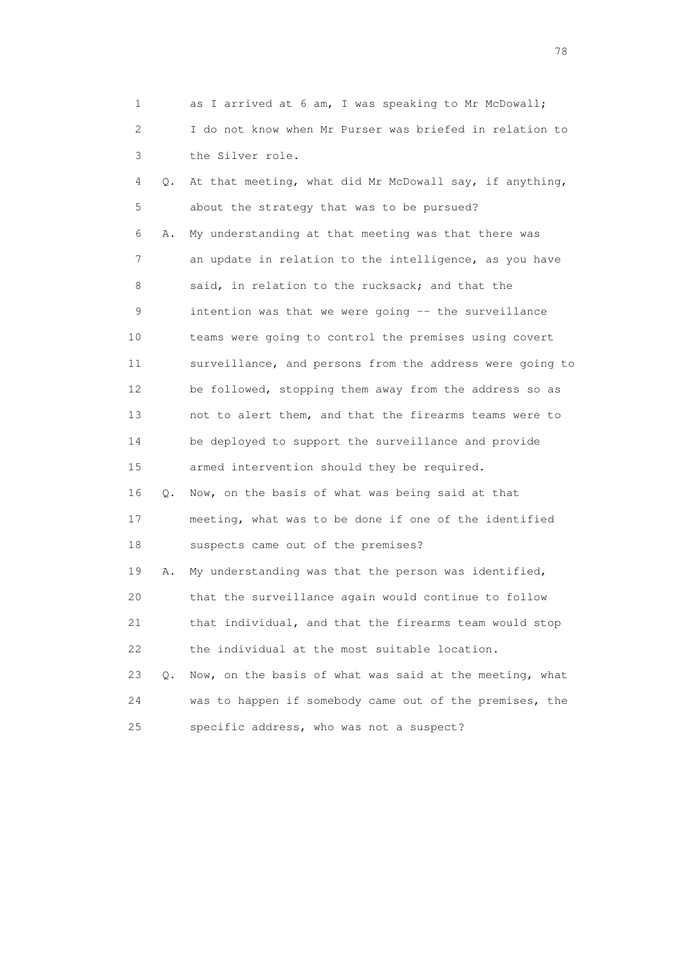| 1  |    | as I arrived at 6 am, I was speaking to Mr McDowall;     |
|----|----|----------------------------------------------------------|
| 2  |    | I do not know when Mr Purser was briefed in relation to  |
| 3  |    | the Silver role.                                         |
| 4  | Q. | At that meeting, what did Mr McDowall say, if anything,  |
| 5  |    | about the strategy that was to be pursued?               |
| 6  | Α. | My understanding at that meeting was that there was      |
| 7  |    | an update in relation to the intelligence, as you have   |
| 8  |    | said, in relation to the rucksack; and that the          |
| 9  |    | intention was that we were going -- the surveillance     |
| 10 |    | teams were going to control the premises using covert    |
| 11 |    | surveillance, and persons from the address were going to |
| 12 |    | be followed, stopping them away from the address so as   |
| 13 |    | not to alert them, and that the firearms teams were to   |
| 14 |    | be deployed to support the surveillance and provide      |
| 15 |    | armed intervention should they be required.              |
| 16 | Q. | Now, on the basis of what was being said at that         |
| 17 |    | meeting, what was to be done if one of the identified    |
| 18 |    | suspects came out of the premises?                       |
| 19 | Α. | My understanding was that the person was identified,     |
| 20 |    | that the surveillance again would continue to follow     |
| 21 |    | that individual, and that the firearms team would stop   |
| 22 |    | the individual at the most suitable location.            |
| 23 | О. | Now, on the basis of what was said at the meeting, what  |
| 24 |    | was to happen if somebody came out of the premises, the  |
| 25 |    | specific address, who was not a suspect?                 |

na na matsayang mga kasang mga kalendaryon ng mga kasang mga kasang mga kasang mga kasang mga kasang mga kasan<br>Mga kasang mga kasang mga kasang mga kasang mga kasang mga kasang mga kasang mga kasang mga kasang mga kasang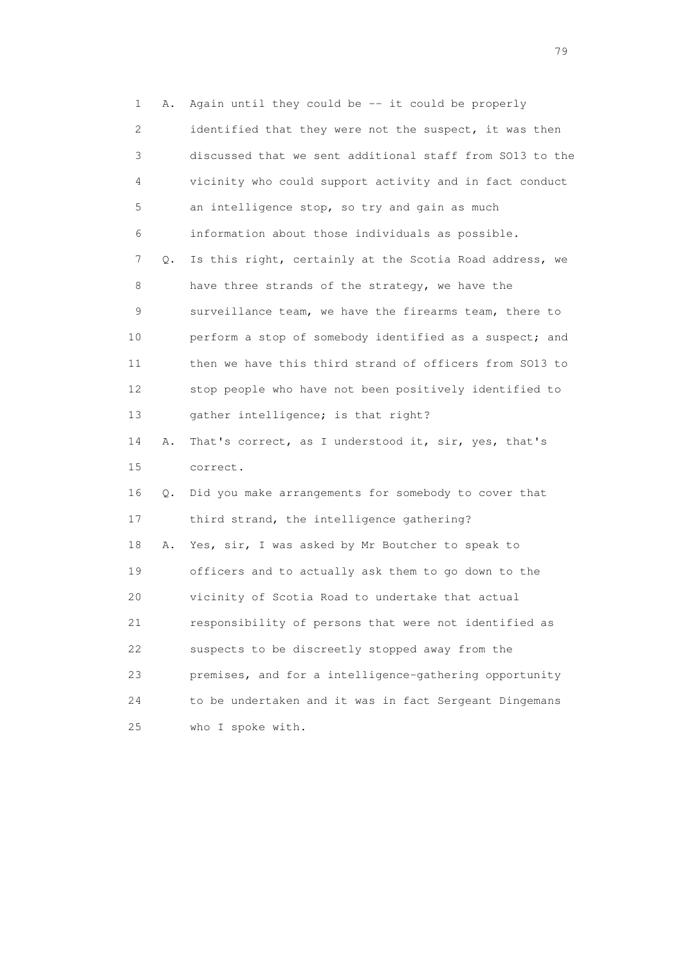1 A. Again until they could be -- it could be properly 2 identified that they were not the suspect, it was then 3 discussed that we sent additional staff from SO13 to the 4 vicinity who could support activity and in fact conduct 5 an intelligence stop, so try and gain as much 6 information about those individuals as possible. 7 Q. Is this right, certainly at the Scotia Road address, we 8 have three strands of the strategy, we have the 9 surveillance team, we have the firearms team, there to 10 perform a stop of somebody identified as a suspect; and 11 then we have this third strand of officers from SO13 to 12 stop people who have not been positively identified to 13 gather intelligence; is that right? 14 A. That's correct, as I understood it, sir, yes, that's 15 correct. 16 Q. Did you make arrangements for somebody to cover that 17 third strand, the intelligence gathering? 18 A. Yes, sir, I was asked by Mr Boutcher to speak to 19 officers and to actually ask them to go down to the 20 vicinity of Scotia Road to undertake that actual 21 responsibility of persons that were not identified as 22 suspects to be discreetly stopped away from the 23 premises, and for a intelligence-gathering opportunity 24 to be undertaken and it was in fact Sergeant Dingemans 25 who I spoke with.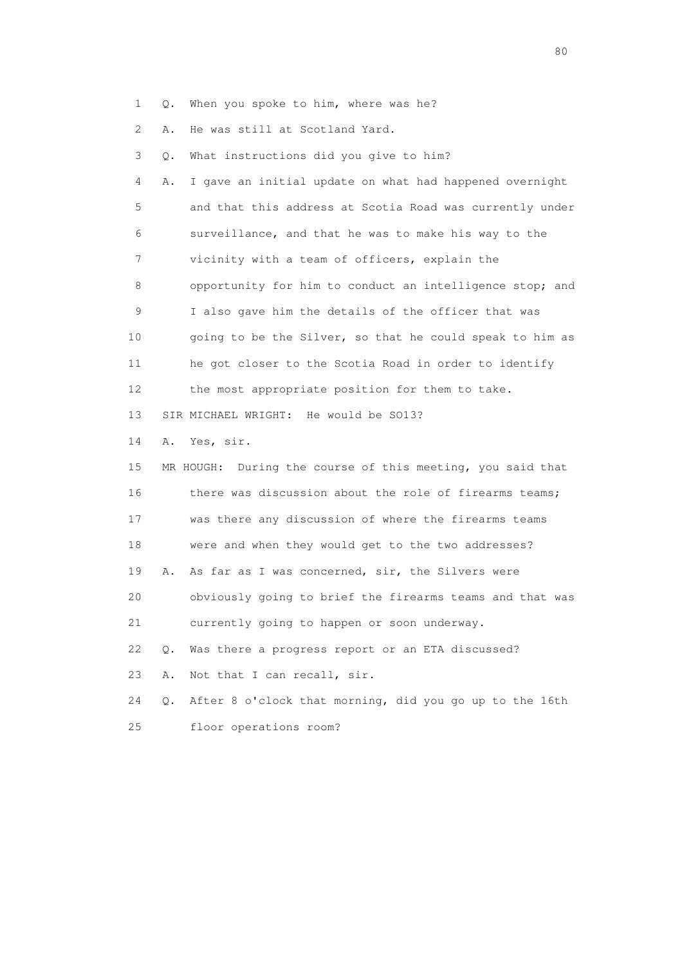1 Q. When you spoke to him, where was he?

2 A. He was still at Scotland Yard.

| 3  | Q. | What instructions did you give to him?                        |
|----|----|---------------------------------------------------------------|
| 4  | Α. | I gave an initial update on what had happened overnight       |
| 5  |    | and that this address at Scotia Road was currently under      |
| 6  |    | surveillance, and that he was to make his way to the          |
| 7  |    | vicinity with a team of officers, explain the                 |
| 8  |    | opportunity for him to conduct an intelligence stop; and      |
| 9  |    | I also gave him the details of the officer that was           |
| 10 |    | going to be the Silver, so that he could speak to him as      |
| 11 |    | he got closer to the Scotia Road in order to identify         |
| 12 |    | the most appropriate position for them to take.               |
| 13 |    | SIR MICHAEL WRIGHT: He would be SO13?                         |
| 14 | Α. | Yes, sir.                                                     |
| 15 |    | During the course of this meeting, you said that<br>MR HOUGH: |
| 16 |    | there was discussion about the role of firearms teams;        |
| 17 |    | was there any discussion of where the firearms teams          |
| 18 |    | were and when they would get to the two addresses?            |
| 19 | Α. | As far as I was concerned, sir, the Silvers were              |
| 20 |    | obviously going to brief the firearms teams and that was      |
| 21 |    | currently going to happen or soon underway.                   |
| 22 | Q. | Was there a progress report or an ETA discussed?              |
| 23 | Α. | Not that I can recall, sir.                                   |
| 24 | О. | After 8 o'clock that morning, did you go up to the 16th       |
| 25 |    | floor operations room?                                        |

entration of the state of the state of the state of the state of the state of the state of the state of the state of the state of the state of the state of the state of the state of the state of the state of the state of t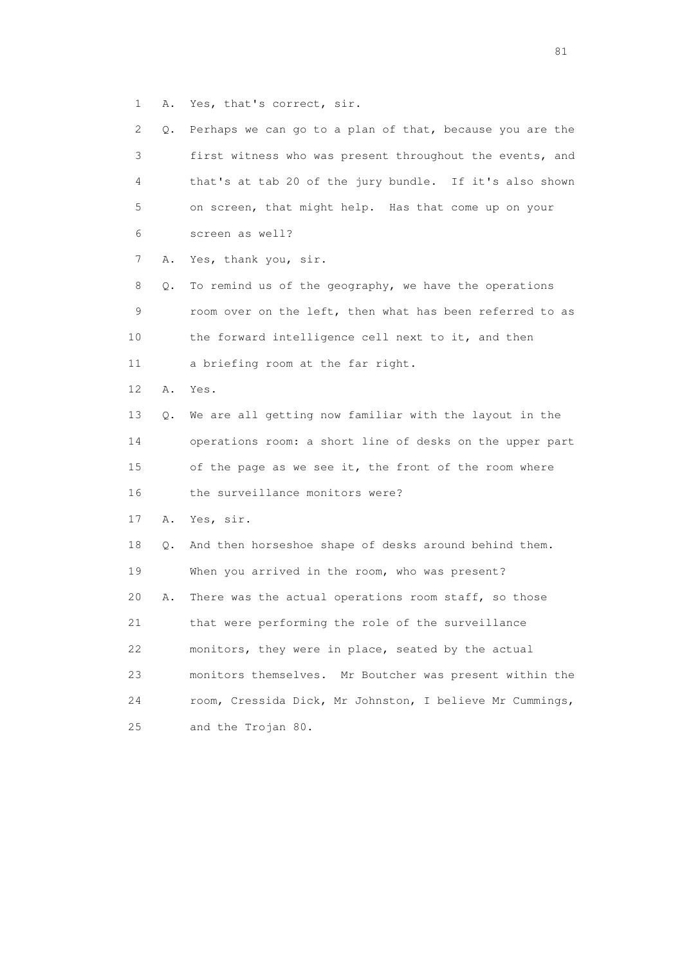1 A. Yes, that's correct, sir.

| 2.              | Q. | Perhaps we can go to a plan of that, because you are the   |
|-----------------|----|------------------------------------------------------------|
| 3               |    | first witness who was present throughout the events, and   |
| 4               |    | that's at tab 20 of the jury bundle. If it's also shown    |
| 5               |    | on screen, that might help. Has that come up on your       |
| 6               |    | screen as well?                                            |
| 7               | Α. | Yes, thank you, sir.                                       |
| 8               | Q. | To remind us of the geography, we have the operations      |
| 9               |    | room over on the left, then what has been referred to as   |
| 10              |    | the forward intelligence cell next to it, and then         |
| 11              |    | a briefing room at the far right.                          |
| 12 <sup>°</sup> | Α. | Yes.                                                       |
| 13              | Q. | We are all getting now familiar with the layout in the     |
| 14              |    | operations room: a short line of desks on the upper part   |
| 15              |    | of the page as we see it, the front of the room where      |
| 16              |    | the surveillance monitors were?                            |
| 17              | Α. | Yes, sir.                                                  |
| 18              | Q. | And then horseshoe shape of desks around behind them.      |
| 19              |    | When you arrived in the room, who was present?             |
| 20              | Α. | There was the actual operations room staff, so those       |
| 21              |    | that were performing the role of the surveillance          |
| 22              |    | monitors, they were in place, seated by the actual         |
| 23              |    | monitors themselves.<br>Mr Boutcher was present within the |
| 24              |    | room, Cressida Dick, Mr Johnston, I believe Mr Cummings,   |
| 25              |    | and the Trojan 80.                                         |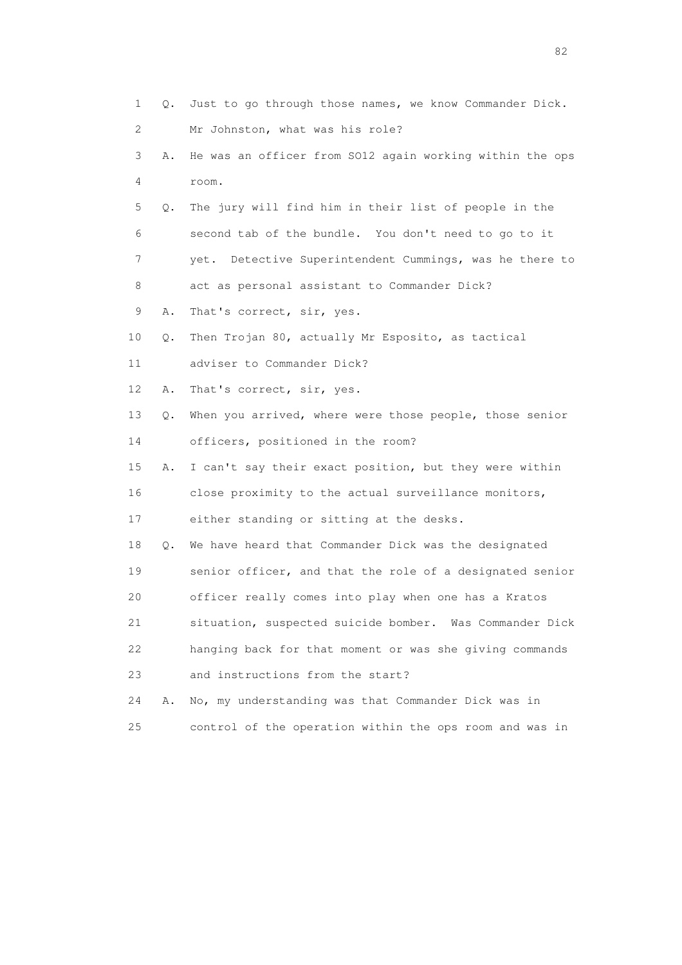| 1  | Q. | Just to go through those names, we know Commander Dick.  |
|----|----|----------------------------------------------------------|
| 2  |    | Mr Johnston, what was his role?                          |
| 3  | Α. | He was an officer from SO12 again working within the ops |
| 4  |    | room.                                                    |
| 5  | Q. | The jury will find him in their list of people in the    |
| 6  |    | second tab of the bundle. You don't need to go to it     |
| 7  |    | yet. Detective Superintendent Cummings, was he there to  |
| 8  |    | act as personal assistant to Commander Dick?             |
| 9  | Α. | That's correct, sir, yes.                                |
| 10 | Q. | Then Trojan 80, actually Mr Esposito, as tactical        |
| 11 |    | adviser to Commander Dick?                               |
| 12 | Α. | That's correct, sir, yes.                                |
| 13 | Q. | When you arrived, where were those people, those senior  |
| 14 |    | officers, positioned in the room?                        |
| 15 | Α. | I can't say their exact position, but they were within   |
| 16 |    | close proximity to the actual surveillance monitors,     |
| 17 |    | either standing or sitting at the desks.                 |
| 18 | Q. | We have heard that Commander Dick was the designated     |
| 19 |    | senior officer, and that the role of a designated senior |
| 20 |    | officer really comes into play when one has a Kratos     |
| 21 |    | situation, suspected suicide bomber. Was Commander Dick  |
| 22 |    | hanging back for that moment or was she giving commands  |
| 23 |    | and instructions from the start?                         |
| 24 | Α. | No, my understanding was that Commander Dick was in      |
| 25 |    | control of the operation within the ops room and was in  |

experience of the state of the state of the state of the state of the state of the state of the state of the s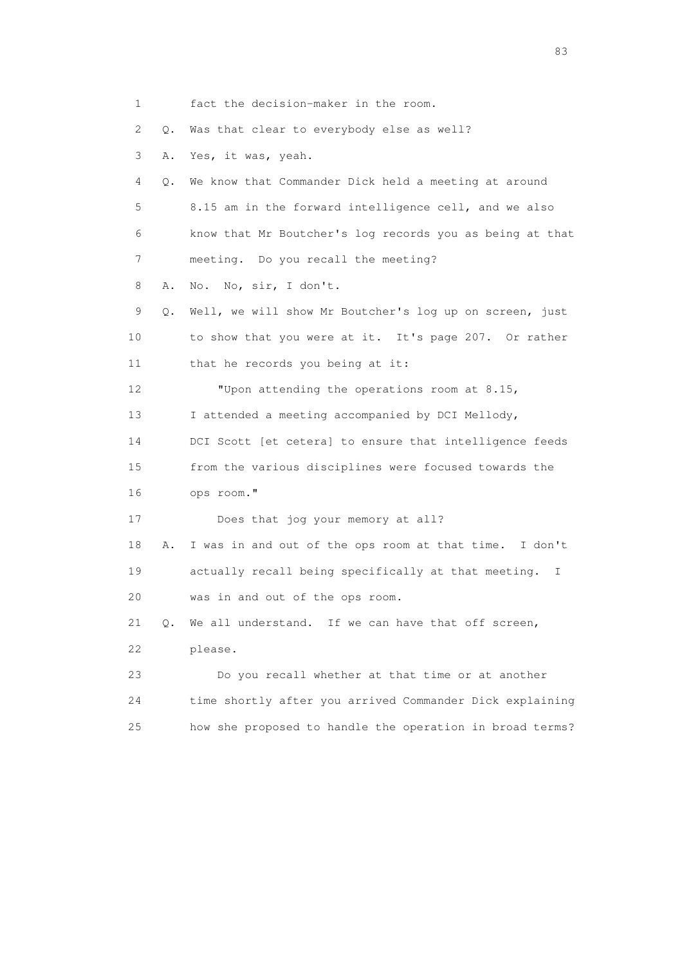1 fact the decision-maker in the room. 2 Q. Was that clear to everybody else as well? 3 A. Yes, it was, yeah. 4 Q. We know that Commander Dick held a meeting at around 5 8.15 am in the forward intelligence cell, and we also 6 know that Mr Boutcher's log records you as being at that 7 meeting. Do you recall the meeting? 8 A. No. No, sir, I don't. 9 Q. Well, we will show Mr Boutcher's log up on screen, just 10 to show that you were at it. It's page 207. Or rather 11 that he records you being at it: 12 "Upon attending the operations room at 8.15, 13 I attended a meeting accompanied by DCI Mellody, 14 DCI Scott [et cetera] to ensure that intelligence feeds 15 from the various disciplines were focused towards the 16 ops room." 17 Does that jog your memory at all? 18 A. I was in and out of the ops room at that time. I don't 19 actually recall being specifically at that meeting. I 20 was in and out of the ops room. 21 Q. We all understand. If we can have that off screen, 22 please. 23 Do you recall whether at that time or at another 24 time shortly after you arrived Commander Dick explaining 25 how she proposed to handle the operation in broad terms?

experience of the contract of the contract of the contract of the contract of the contract of the contract of the contract of the contract of the contract of the contract of the contract of the contract of the contract of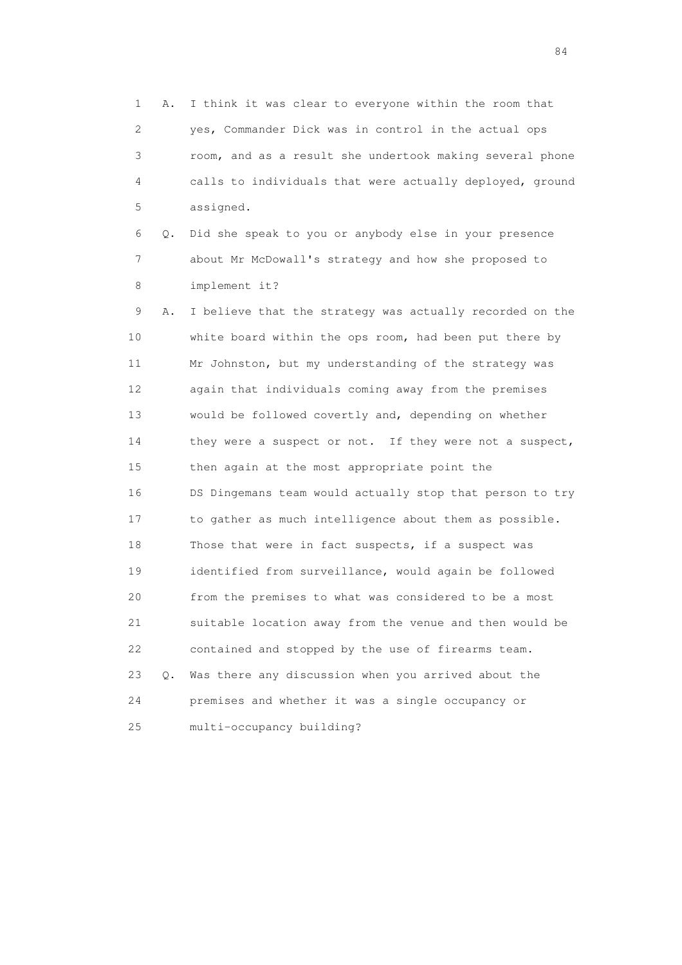1 A. I think it was clear to everyone within the room that 2 yes, Commander Dick was in control in the actual ops 3 room, and as a result she undertook making several phone 4 calls to individuals that were actually deployed, ground 5 assigned.

 6 Q. Did she speak to you or anybody else in your presence 7 about Mr McDowall's strategy and how she proposed to 8 implement it?

 9 A. I believe that the strategy was actually recorded on the 10 white board within the ops room, had been put there by 11 Mr Johnston, but my understanding of the strategy was 12 again that individuals coming away from the premises 13 would be followed covertly and, depending on whether 14 they were a suspect or not. If they were not a suspect, 15 then again at the most appropriate point the 16 DS Dingemans team would actually stop that person to try 17 to gather as much intelligence about them as possible. 18 Those that were in fact suspects, if a suspect was 19 identified from surveillance, would again be followed 20 from the premises to what was considered to be a most 21 suitable location away from the venue and then would be 22 contained and stopped by the use of firearms team. 23 Q. Was there any discussion when you arrived about the 24 premises and whether it was a single occupancy or 25 multi-occupancy building?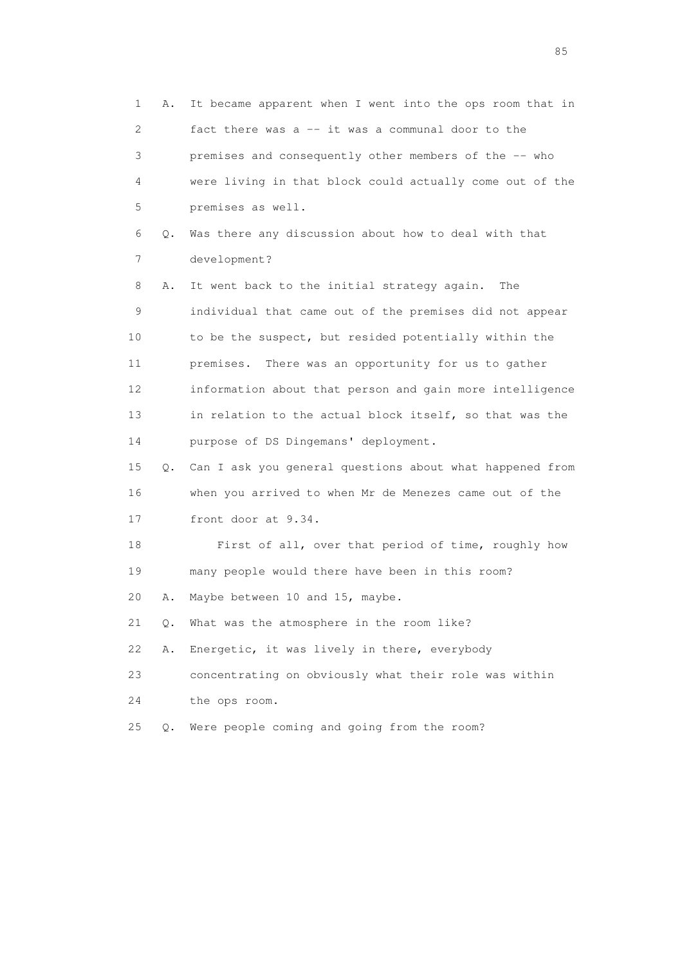1 A. It became apparent when I went into the ops room that in 2 fact there was a -- it was a communal door to the 3 premises and consequently other members of the -- who 4 were living in that block could actually come out of the 5 premises as well. 6 Q. Was there any discussion about how to deal with that 7 development? 8 A. It went back to the initial strategy again. The 9 individual that came out of the premises did not appear 10 to be the suspect, but resided potentially within the 11 premises. There was an opportunity for us to gather 12 information about that person and gain more intelligence 13 in relation to the actual block itself, so that was the 14 purpose of DS Dingemans' deployment. 15 Q. Can I ask you general questions about what happened from 16 when you arrived to when Mr de Menezes came out of the 17 front door at 9.34. 18 First of all, over that period of time, roughly how 19 many people would there have been in this room? 20 A. Maybe between 10 and 15, maybe. 21 Q. What was the atmosphere in the room like? 22 A. Energetic, it was lively in there, everybody 23 concentrating on obviously what their role was within 24 the ops room. 25 Q. Were people coming and going from the room?

experience of the contract of the contract of the contract of the contract of the contract of the contract of the contract of the contract of the contract of the contract of the contract of the contract of the contract of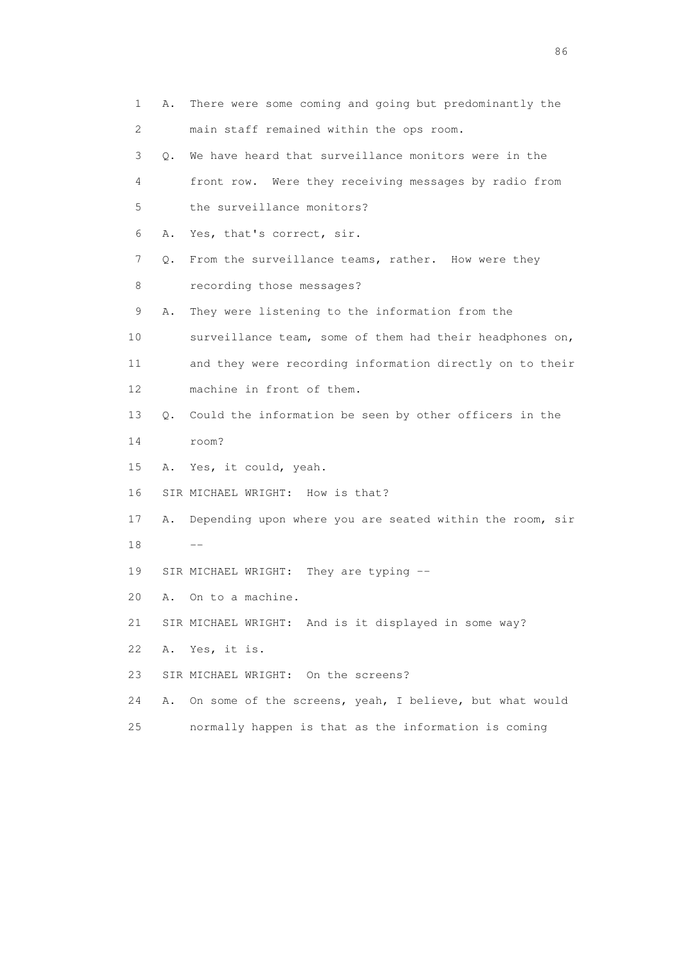| 1  | Α. | There were some coming and going but predominantly the   |
|----|----|----------------------------------------------------------|
| 2  |    | main staff remained within the ops room.                 |
| 3  | 0. | We have heard that surveillance monitors were in the     |
| 4  |    | front row. Were they receiving messages by radio from    |
| 5  |    | the surveillance monitors?                               |
| 6  | Α. | Yes, that's correct, sir.                                |
| 7  | Q. | From the surveillance teams, rather. How were they       |
| 8  |    | recording those messages?                                |
| 9  | Α. | They were listening to the information from the          |
| 10 |    | surveillance team, some of them had their headphones on, |
| 11 |    | and they were recording information directly on to their |
| 12 |    | machine in front of them.                                |
| 13 | Q. | Could the information be seen by other officers in the   |
| 14 |    | room?                                                    |
| 15 | Α. | Yes, it could, yeah.                                     |
| 16 |    | SIR MICHAEL WRIGHT: How is that?                         |
| 17 | Α. | Depending upon where you are seated within the room, sir |
| 18 |    |                                                          |
| 19 |    | SIR MICHAEL WRIGHT: They are typing --                   |
| 20 | Α. | On to a machine.                                         |
| 21 |    | SIR MICHAEL WRIGHT: And is it displayed in some way?     |
| 22 | Α. | Yes, it is.                                              |
| 23 |    | SIR MICHAEL WRIGHT: On the screens?                      |
| 24 | Α. | On some of the screens, yeah, I believe, but what would  |
| 25 |    | normally happen is that as the information is coming     |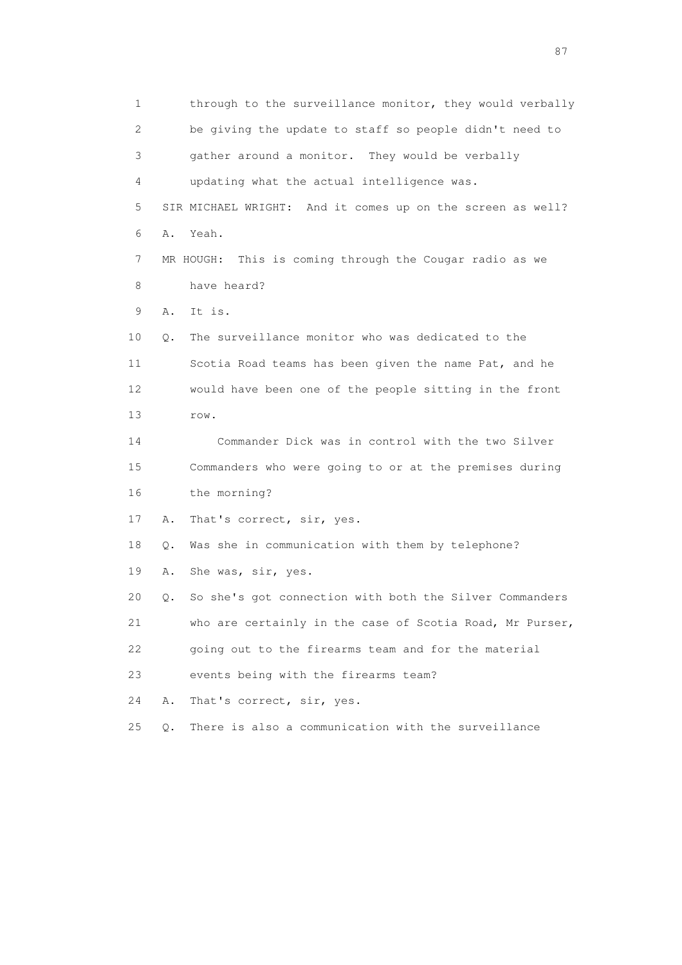1 through to the surveillance monitor, they would verbally 2 be giving the update to staff so people didn't need to 3 gather around a monitor. They would be verbally 4 updating what the actual intelligence was. 5 SIR MICHAEL WRIGHT: And it comes up on the screen as well? 6 A. Yeah. 7 MR HOUGH: This is coming through the Cougar radio as we 8 have heard? 9 A. It is. 10 Q. The surveillance monitor who was dedicated to the 11 Scotia Road teams has been given the name Pat, and he 12 would have been one of the people sitting in the front 13 row. 14 Commander Dick was in control with the two Silver 15 Commanders who were going to or at the premises during 16 the morning? 17 A. That's correct, sir, yes. 18 Q. Was she in communication with them by telephone? 19 A. She was, sir, yes. 20 Q. So she's got connection with both the Silver Commanders 21 who are certainly in the case of Scotia Road, Mr Purser, 22 going out to the firearms team and for the material 23 events being with the firearms team? 24 A. That's correct, sir, yes. 25 Q. There is also a communication with the surveillance

experience of the state of the state of the state of the state of the state of the state of the state of the s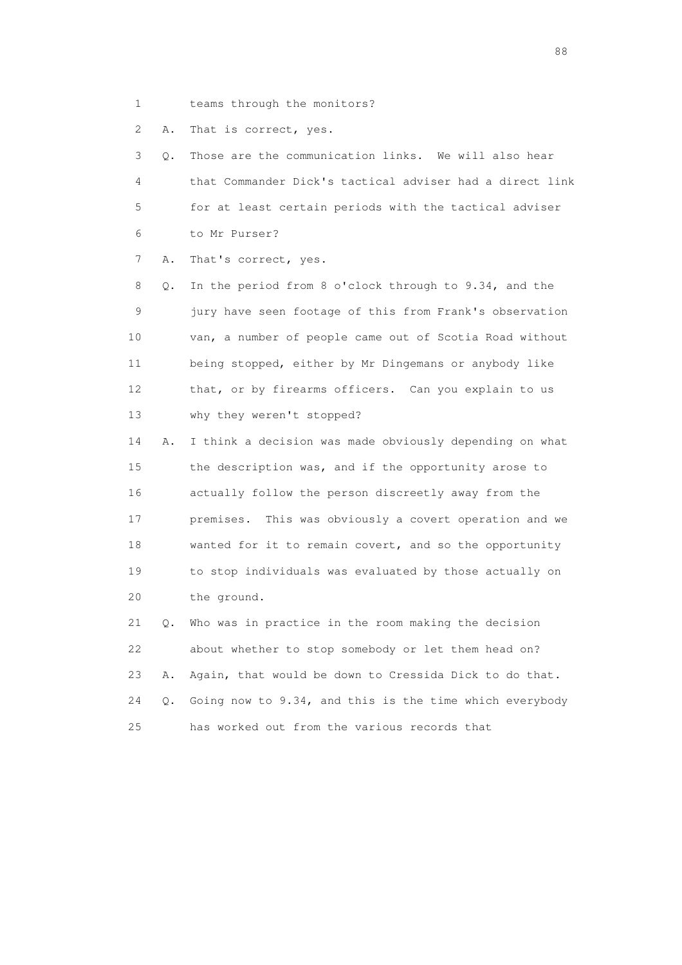1 teams through the monitors?

2 A. That is correct, yes.

 3 Q. Those are the communication links. We will also hear 4 that Commander Dick's tactical adviser had a direct link 5 for at least certain periods with the tactical adviser 6 to Mr Purser?

7 A. That's correct, yes.

 8 Q. In the period from 8 o'clock through to 9.34, and the 9 jury have seen footage of this from Frank's observation 10 van, a number of people came out of Scotia Road without 11 being stopped, either by Mr Dingemans or anybody like 12 that, or by firearms officers. Can you explain to us 13 why they weren't stopped?

 14 A. I think a decision was made obviously depending on what 15 the description was, and if the opportunity arose to 16 actually follow the person discreetly away from the 17 premises. This was obviously a covert operation and we 18 wanted for it to remain covert, and so the opportunity 19 to stop individuals was evaluated by those actually on 20 the ground.

 21 Q. Who was in practice in the room making the decision 22 about whether to stop somebody or let them head on? 23 A. Again, that would be down to Cressida Dick to do that. 24 Q. Going now to 9.34, and this is the time which everybody 25 has worked out from the various records that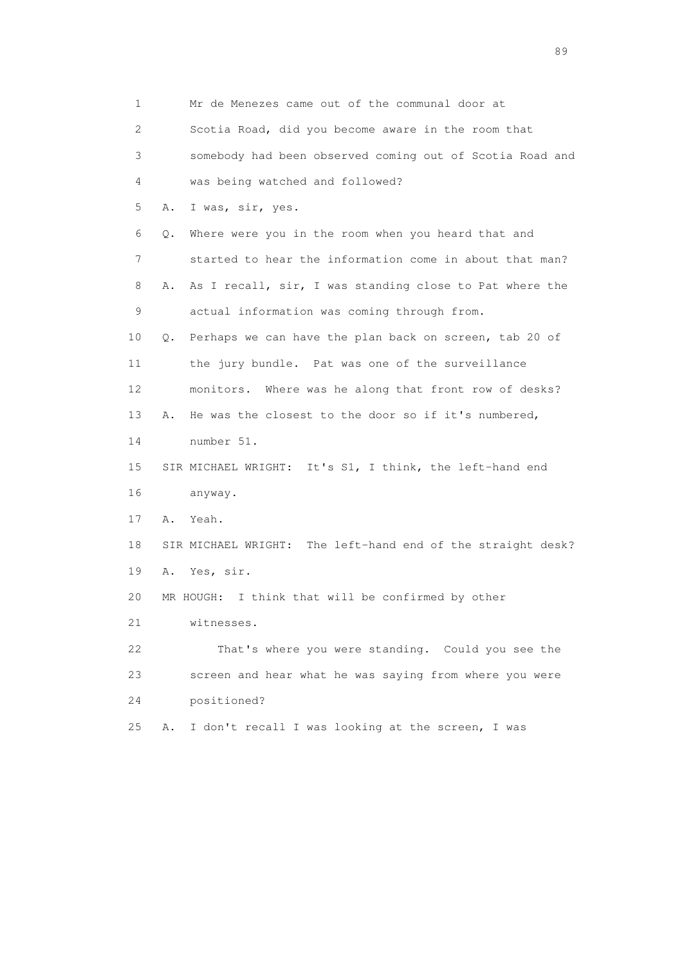| 1  | Mr de Menezes came out of the communal door at                |
|----|---------------------------------------------------------------|
| 2  | Scotia Road, did you become aware in the room that            |
| 3  | somebody had been observed coming out of Scotia Road and      |
| 4  | was being watched and followed?                               |
| 5  | I was, sir, yes.<br>Α.                                        |
| 6  | Where were you in the room when you heard that and<br>Q.      |
| 7  | started to hear the information come in about that man?       |
| 8  | As I recall, sir, I was standing close to Pat where the<br>Α. |
| 9  | actual information was coming through from.                   |
| 10 | Perhaps we can have the plan back on screen, tab 20 of<br>Q.  |
| 11 | the jury bundle. Pat was one of the surveillance              |
| 12 | monitors. Where was he along that front row of desks?         |
| 13 | He was the closest to the door so if it's numbered,<br>Α.     |
| 14 | number 51.                                                    |
| 15 | SIR MICHAEL WRIGHT: It's S1, I think, the left-hand end       |
| 16 | anyway.                                                       |
| 17 | Α.<br>Yeah.                                                   |
| 18 | SIR MICHAEL WRIGHT: The left-hand end of the straight desk?   |
| 19 | Yes, sir.<br>Α.                                               |
| 20 | I think that will be confirmed by other<br>MR HOUGH:          |
| 21 | witnesses.                                                    |
| 22 | That's where you were standing. Could you see the             |
| 23 | screen and hear what he was saying from where you were        |
| 24 | positioned?                                                   |
| 25 | I don't recall I was looking at the screen, I was<br>Α.       |

en andere de la provincia de la provincia de la provincia de la provincia de la provincia de la provincia de l<br>En 1910, en la provincia de la provincia de la provincia de la provincia de la provincia de la provincia de la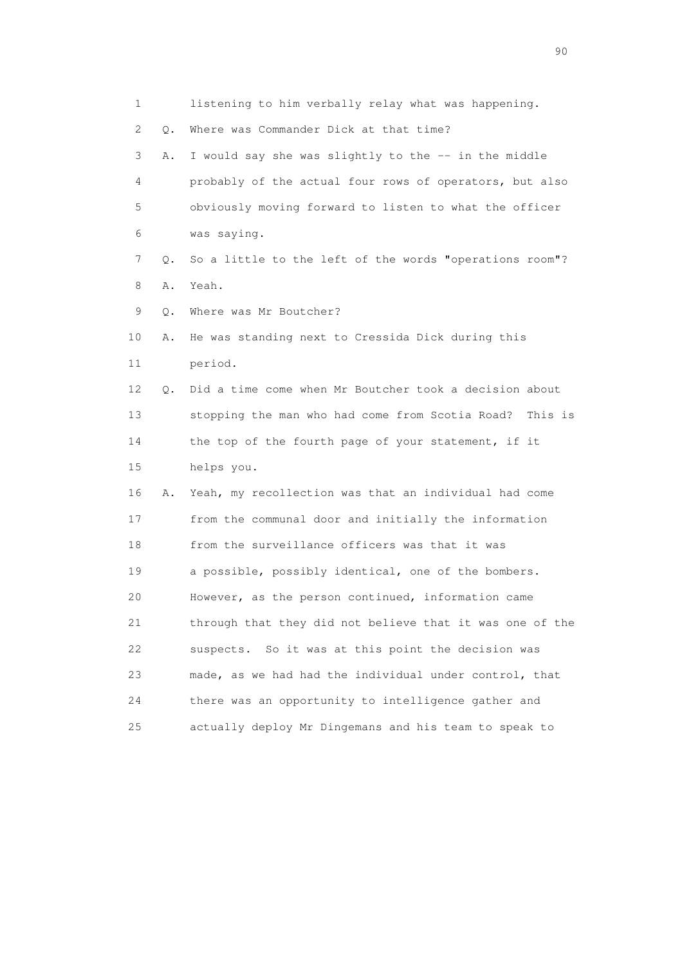1 listening to him verbally relay what was happening. 2 Q. Where was Commander Dick at that time? 3 A. I would say she was slightly to the -- in the middle 4 probably of the actual four rows of operators, but also 5 obviously moving forward to listen to what the officer 6 was saying. 7 Q. So a little to the left of the words "operations room"? 8 A. Yeah. 9 Q. Where was Mr Boutcher? 10 A. He was standing next to Cressida Dick during this 11 period. 12 Q. Did a time come when Mr Boutcher took a decision about 13 stopping the man who had come from Scotia Road? This is 14 the top of the fourth page of your statement, if it 15 helps you. 16 A. Yeah, my recollection was that an individual had come 17 from the communal door and initially the information 18 from the surveillance officers was that it was 19 a possible, possibly identical, one of the bombers. 20 However, as the person continued, information came 21 through that they did not believe that it was one of the 22 suspects. So it was at this point the decision was 23 made, as we had had the individual under control, that 24 there was an opportunity to intelligence gather and 25 actually deploy Mr Dingemans and his team to speak to

entral de la construction de la construction de la construction de la construction de la construction de la co<br>1900 : le construction de la construction de la construction de la construction de la construction de la const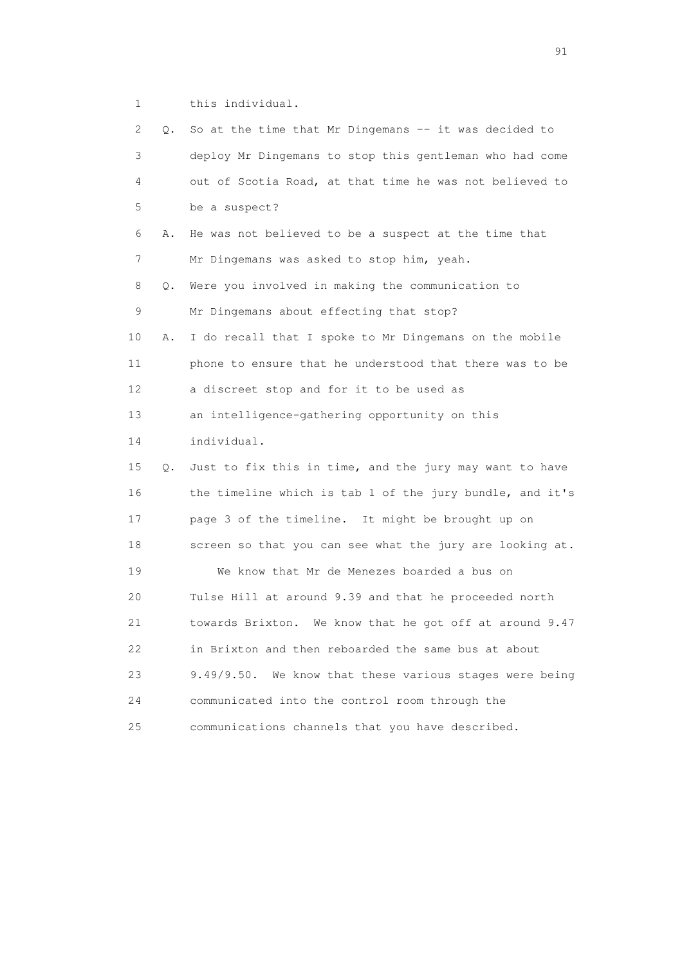1 this individual.

| 2  | Q. | So at the time that Mr Dingemans -- it was decided to    |
|----|----|----------------------------------------------------------|
| 3  |    | deploy Mr Dingemans to stop this gentleman who had come  |
| 4  |    | out of Scotia Road, at that time he was not believed to  |
| 5  |    | be a suspect?                                            |
| 6  | Α. | He was not believed to be a suspect at the time that     |
| 7  |    | Mr Dingemans was asked to stop him, yeah.                |
| 8  | Q. | Were you involved in making the communication to         |
| 9  |    | Mr Dingemans about effecting that stop?                  |
| 10 | Α. | I do recall that I spoke to Mr Dingemans on the mobile   |
| 11 |    | phone to ensure that he understood that there was to be  |
| 12 |    | a discreet stop and for it to be used as                 |
| 13 |    | an intelligence-gathering opportunity on this            |
| 14 |    | individual.                                              |
| 15 | Q. | Just to fix this in time, and the jury may want to have  |
| 16 |    | the timeline which is tab 1 of the jury bundle, and it's |
| 17 |    | page 3 of the timeline. It might be brought up on        |
| 18 |    | screen so that you can see what the jury are looking at. |
| 19 |    | We know that Mr de Menezes boarded a bus on              |
| 20 |    | Tulse Hill at around 9.39 and that he proceeded north    |
| 21 |    | towards Brixton. We know that he got off at around 9.47  |
| 22 |    | in Brixton and then reboarded the same bus at about      |
| 23 |    | 9.49/9.50. We know that these various stages were being  |
| 24 |    | communicated into the control room through the           |
| 25 |    | communications channels that you have described.         |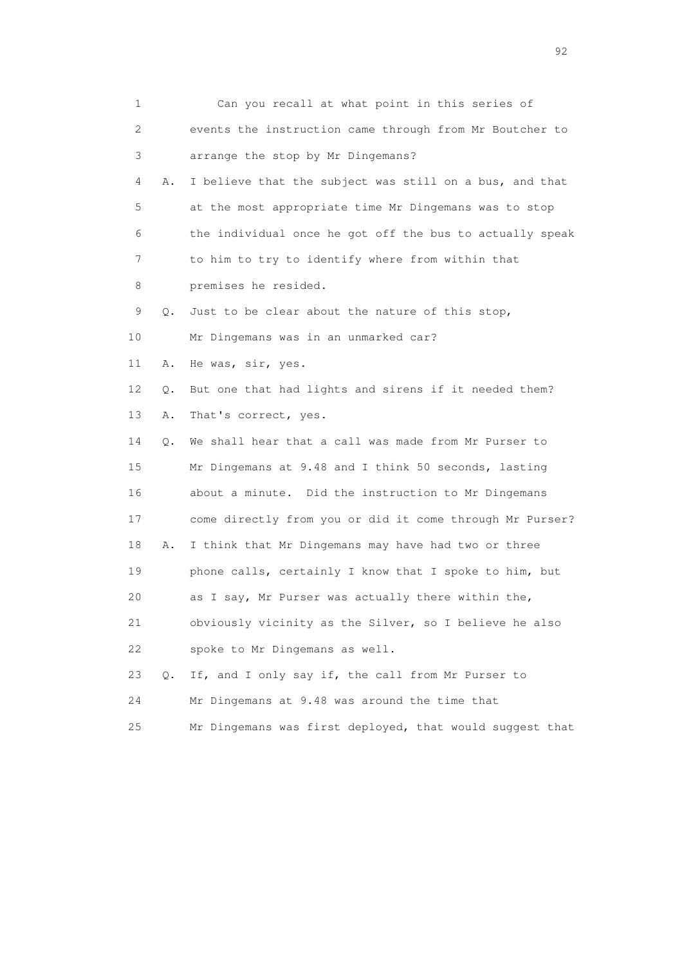| 1                         | Can you recall at what point in this series of           |
|---------------------------|----------------------------------------------------------|
| $\mathbf{2}^{\mathsf{I}}$ | events the instruction came through from Mr Boutcher to  |
| 3                         | arrange the stop by Mr Dingemans?                        |
| 4<br>Α.                   | I believe that the subject was still on a bus, and that  |
| 5                         | at the most appropriate time Mr Dingemans was to stop    |
| 6                         | the individual once he got off the bus to actually speak |
| 7                         | to him to try to identify where from within that         |
| 8                         | premises he resided.                                     |
| 9<br>Q.                   | Just to be clear about the nature of this stop,          |
| 10                        | Mr Dingemans was in an unmarked car?                     |
| 11<br>Α.                  | He was, sir, yes.                                        |
| 12<br>Q.                  | But one that had lights and sirens if it needed them?    |
| 13<br>Α.                  | That's correct, yes.                                     |
| 14<br>Q.                  | We shall hear that a call was made from Mr Purser to     |
| 15                        | Mr Dingemans at 9.48 and I think 50 seconds, lasting     |
| 16                        | about a minute. Did the instruction to Mr Dingemans      |
| 17                        | come directly from you or did it come through Mr Purser? |
| 18<br>Α.                  | I think that Mr Dingemans may have had two or three      |
| 19                        | phone calls, certainly I know that I spoke to him, but   |
| 20                        | as I say, Mr Purser was actually there within the,       |
| 21                        | obviously vicinity as the Silver, so I believe he also   |
| 22                        | spoke to Mr Dingemans as well.                           |
| 23<br>Q.                  | If, and I only say if, the call from Mr Purser to        |
| 24                        | Mr Dingemans at 9.48 was around the time that            |
| 25                        | Mr Dingemans was first deployed, that would suggest that |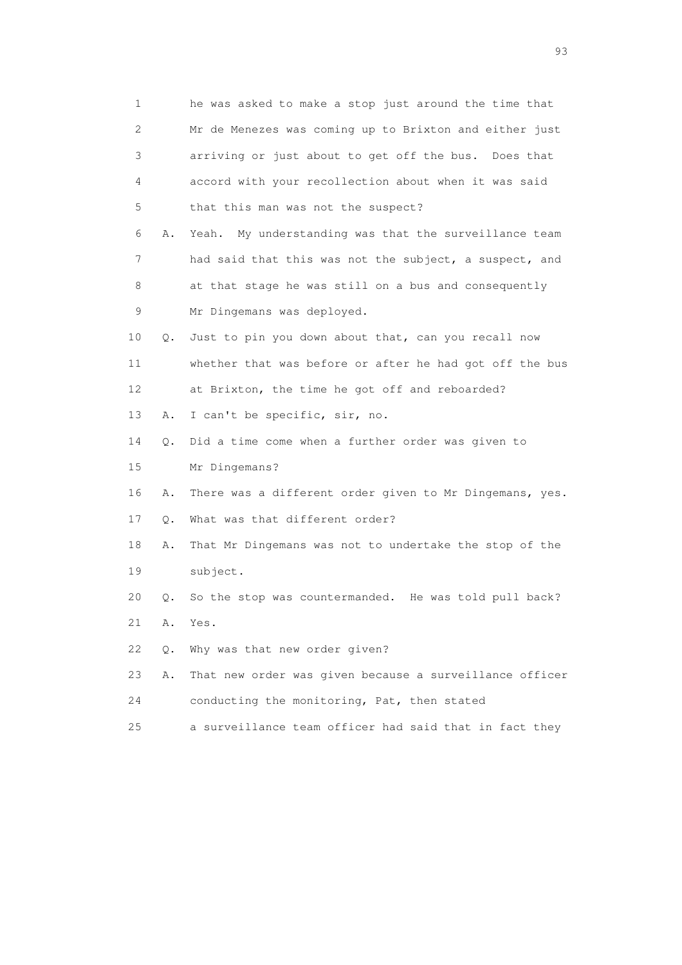| $\mathbf{1}$ |    | he was asked to make a stop just around the time that   |
|--------------|----|---------------------------------------------------------|
| 2            |    | Mr de Menezes was coming up to Brixton and either just  |
| 3            |    | arriving or just about to get off the bus. Does that    |
| 4            |    | accord with your recollection about when it was said    |
| 5            |    | that this man was not the suspect?                      |
| 6            | Α. | Yeah. My understanding was that the surveillance team   |
| 7            |    | had said that this was not the subject, a suspect, and  |
| 8            |    | at that stage he was still on a bus and consequently    |
| 9            |    | Mr Dingemans was deployed.                              |
| 10           | Q. | Just to pin you down about that, can you recall now     |
| 11           |    | whether that was before or after he had got off the bus |
| 12           |    | at Brixton, the time he got off and reboarded?          |
| 13           | Α. | I can't be specific, sir, no.                           |
| 14           | Q. | Did a time come when a further order was given to       |
| 15           |    | Mr Dingemans?                                           |
| 16           | Α. | There was a different order given to Mr Dingemans, yes. |
| 17           | Q. | What was that different order?                          |
| 18           | Α. | That Mr Dingemans was not to undertake the stop of the  |
| 19           |    | subject.                                                |
| 20           | Q. | So the stop was countermanded. He was told pull back?   |
| 21           | Α. | Yes.                                                    |
| 22           | Q. | Why was that new order given?                           |
| 23           | Α. | That new order was given because a surveillance officer |
| 24           |    | conducting the monitoring, Pat, then stated             |
|              |    |                                                         |

25 a surveillance team officer had said that in fact they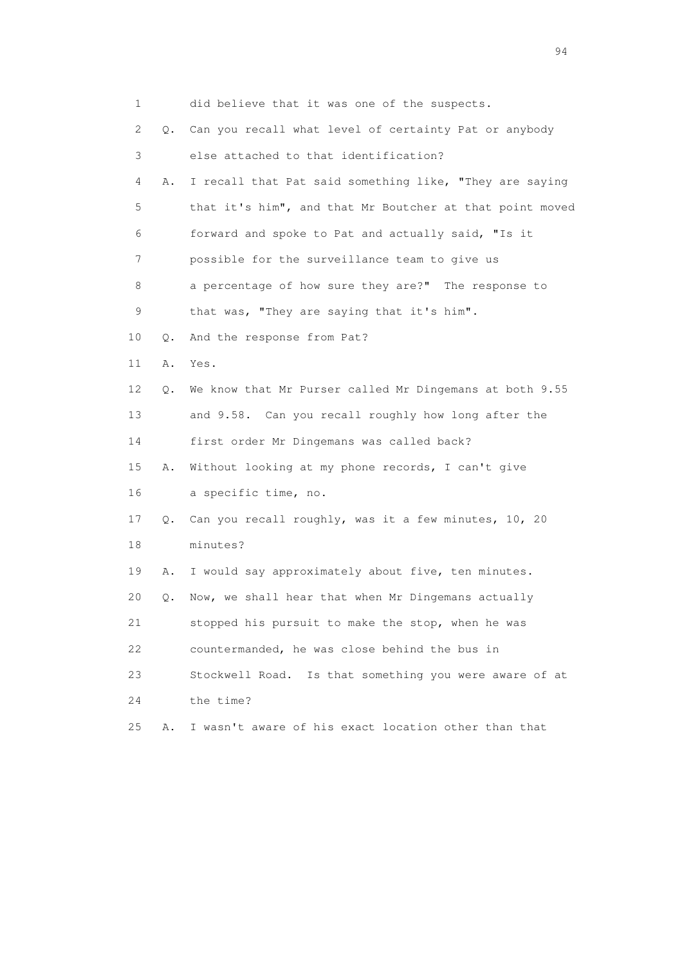| 1  |    | did believe that it was one of the suspects.              |
|----|----|-----------------------------------------------------------|
| 2  | 0. | Can you recall what level of certainty Pat or anybody     |
| 3  |    | else attached to that identification?                     |
| 4  | Α. | I recall that Pat said something like, "They are saying   |
| 5  |    | that it's him", and that Mr Boutcher at that point moved  |
| 6  |    | forward and spoke to Pat and actually said, "Is it        |
| 7  |    | possible for the surveillance team to give us             |
| 8  |    | a percentage of how sure they are?" The response to       |
| 9  |    | that was, "They are saying that it's him".                |
| 10 | Q. | And the response from Pat?                                |
| 11 | Α. | Yes.                                                      |
| 12 | Q. | We know that Mr Purser called Mr Dingemans at both 9.55   |
| 13 |    | and 9.58. Can you recall roughly how long after the       |
| 14 |    | first order Mr Dingemans was called back?                 |
| 15 | Α. | Without looking at my phone records, I can't give         |
| 16 |    | a specific time, no.                                      |
| 17 |    | Q. Can you recall roughly, was it a few minutes, 10, 20   |
| 18 |    | minutes?                                                  |
| 19 | Α. | I would say approximately about five, ten minutes.        |
| 20 | Q. | Now, we shall hear that when Mr Dingemans actually        |
| 21 |    | stopped his pursuit to make the stop, when he was         |
| 22 |    | countermanded, he was close behind the bus in             |
| 23 |    | Stockwell Road.<br>Is that something you were aware of at |
| 24 |    | the time?                                                 |
| 25 | Α. | I wasn't aware of his exact location other than that      |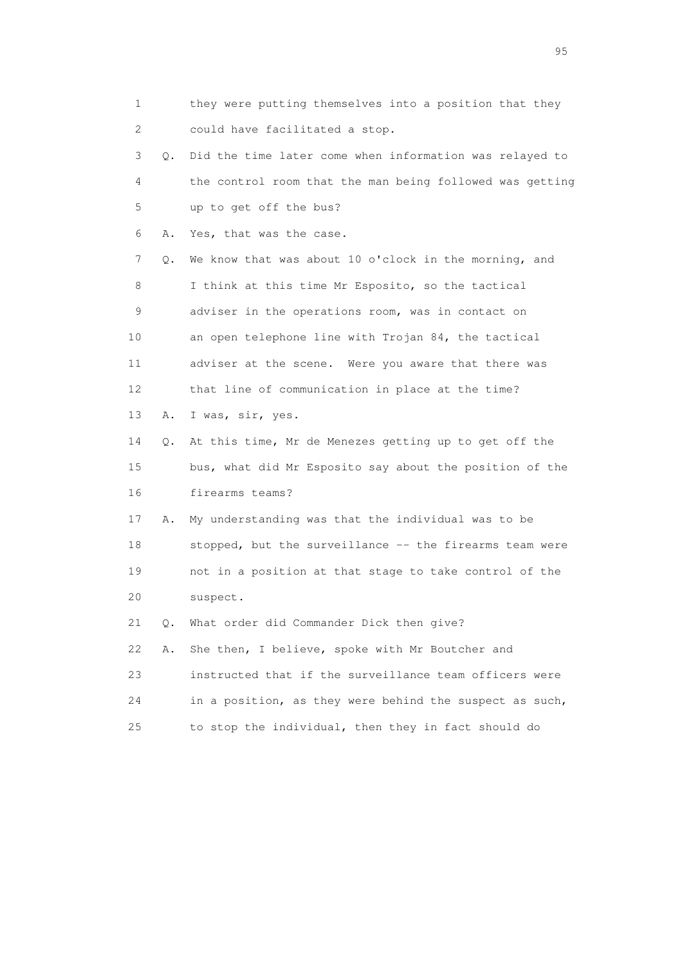1 they were putting themselves into a position that they 2 could have facilitated a stop. 3 Q. Did the time later come when information was relayed to 4 the control room that the man being followed was getting 5 up to get off the bus? 6 A. Yes, that was the case. 7 Q. We know that was about 10 o'clock in the morning, and 8 I think at this time Mr Esposito, so the tactical 9 adviser in the operations room, was in contact on 10 an open telephone line with Trojan 84, the tactical 11 adviser at the scene. Were you aware that there was 12 that line of communication in place at the time? 13 A. I was, sir, yes. 14 Q. At this time, Mr de Menezes getting up to get off the 15 bus, what did Mr Esposito say about the position of the 16 firearms teams? 17 A. My understanding was that the individual was to be 18 stopped, but the surveillance -- the firearms team were 19 not in a position at that stage to take control of the 20 suspect. 21 Q. What order did Commander Dick then give? 22 A. She then, I believe, spoke with Mr Boutcher and 23 instructed that if the surveillance team officers were 24 in a position, as they were behind the suspect as such, 25 to stop the individual, then they in fact should do

experience of the contract of the contract of the contract of the contract of the contract of the contract of the contract of the contract of the contract of the contract of the contract of the contract of the contract of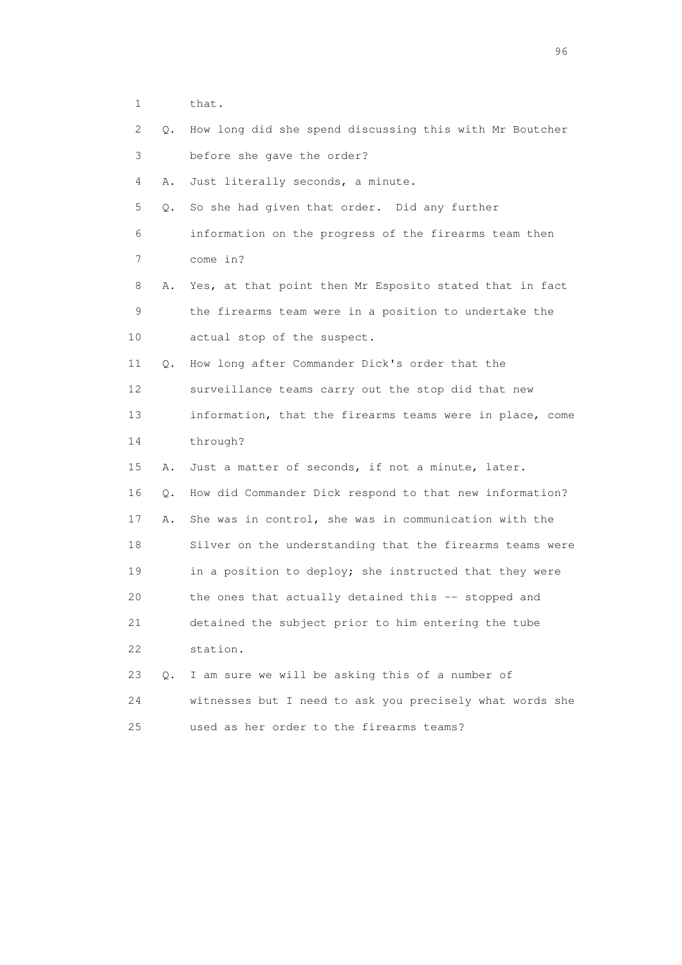1 that.

| 2  | Q.        | How long did she spend discussing this with Mr Boutcher  |
|----|-----------|----------------------------------------------------------|
| 3  |           | before she gave the order?                               |
| 4  | Α.        | Just literally seconds, a minute.                        |
| 5  | Q.        | So she had given that order. Did any further             |
| 6  |           | information on the progress of the firearms team then    |
| 7  |           | come in?                                                 |
| 8  | Α.        | Yes, at that point then Mr Esposito stated that in fact  |
| 9  |           | the firearms team were in a position to undertake the    |
| 10 |           | actual stop of the suspect.                              |
| 11 | Q.        | How long after Commander Dick's order that the           |
| 12 |           | surveillance teams carry out the stop did that new       |
| 13 |           | information, that the firearms teams were in place, come |
| 14 |           | through?                                                 |
| 15 | Α.        | Just a matter of seconds, if not a minute, later.        |
| 16 | Q.        | How did Commander Dick respond to that new information?  |
| 17 | Α.        | She was in control, she was in communication with the    |
| 18 |           | Silver on the understanding that the firearms teams were |
| 19 |           | in a position to deploy; she instructed that they were   |
| 20 |           | the ones that actually detained this -- stopped and      |
| 21 |           | detained the subject prior to him entering the tube      |
| 22 |           | station.                                                 |
| 23 | $\circ$ . | I am sure we will be asking this of a number of          |
| 24 |           | witnesses but I need to ask you precisely what words she |
| 25 |           | used as her order to the firearms teams?                 |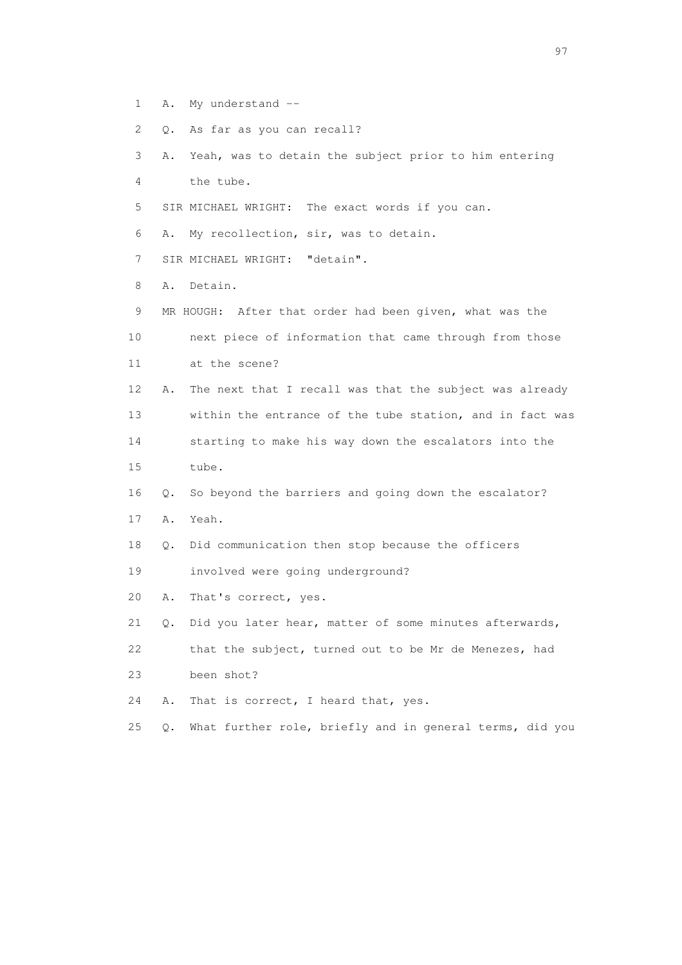- 1 A. My understand --
- 2 Q. As far as you can recall?
- 3 A. Yeah, was to detain the subject prior to him entering 4 the tube.
- 5 SIR MICHAEL WRIGHT: The exact words if you can.
- 6 A. My recollection, sir, was to detain.
- 7 SIR MICHAEL WRIGHT: "detain".
- 8 A. Detain.
- 9 MR HOUGH: After that order had been given, what was the 10 next piece of information that came through from those 11 at the scene? 12 A. The next that I recall was that the subject was already 13 within the entrance of the tube station, and in fact was 14 starting to make his way down the escalators into the
- 15 tube.
- 16 Q. So beyond the barriers and going down the escalator?
- 17 A. Yeah.
- 18 Q. Did communication then stop because the officers
- 19 involved were going underground?
- 20 A. That's correct, yes.
- 21 Q. Did you later hear, matter of some minutes afterwards,
- 22 that the subject, turned out to be Mr de Menezes, had
- 23 been shot?
- 24 A. That is correct, I heard that, yes.
- 25 Q. What further role, briefly and in general terms, did you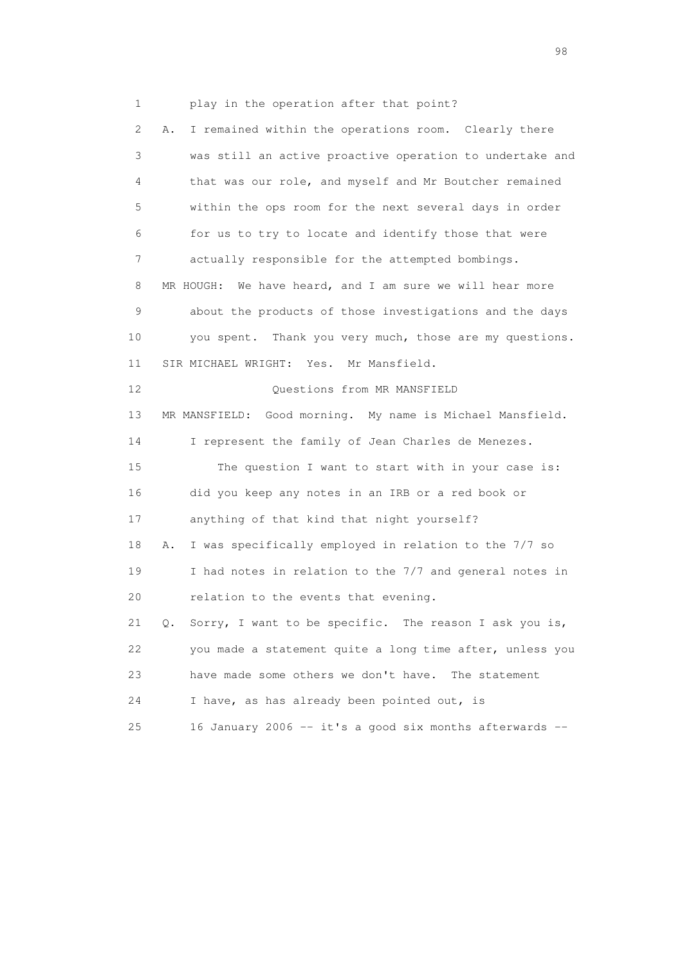1 play in the operation after that point? 2 A. I remained within the operations room. Clearly there 3 was still an active proactive operation to undertake and 4 that was our role, and myself and Mr Boutcher remained 5 within the ops room for the next several days in order 6 for us to try to locate and identify those that were 7 actually responsible for the attempted bombings. 8 MR HOUGH: We have heard, and I am sure we will hear more 9 about the products of those investigations and the days 10 you spent. Thank you very much, those are my questions. 11 SIR MICHAEL WRIGHT: Yes. Mr Mansfield. 12 Ouestions from MR MANSFIELD 13 MR MANSFIELD: Good morning. My name is Michael Mansfield. 14 I represent the family of Jean Charles de Menezes. 15 The question I want to start with in your case is: 16 did you keep any notes in an IRB or a red book or 17 anything of that kind that night yourself? 18 A. I was specifically employed in relation to the 7/7 so 19 I had notes in relation to the 7/7 and general notes in 20 relation to the events that evening. 21 Q. Sorry, I want to be specific. The reason I ask you is, 22 you made a statement quite a long time after, unless you 23 have made some others we don't have. The statement 24 I have, as has already been pointed out, is 25 16 January 2006 -- it's a good six months afterwards --

en 1988 en 1989 en 1989 en 1989 en 1989 en 1989 en 1989 en 1989 en 1989 en 1989 en 1989 en 1989 en 1989 en 19<br>De grote en 1989 en 1989 en 1989 en 1989 en 1989 en 1989 en 1989 en 1989 en 1989 en 1989 en 1989 en 1989 en 19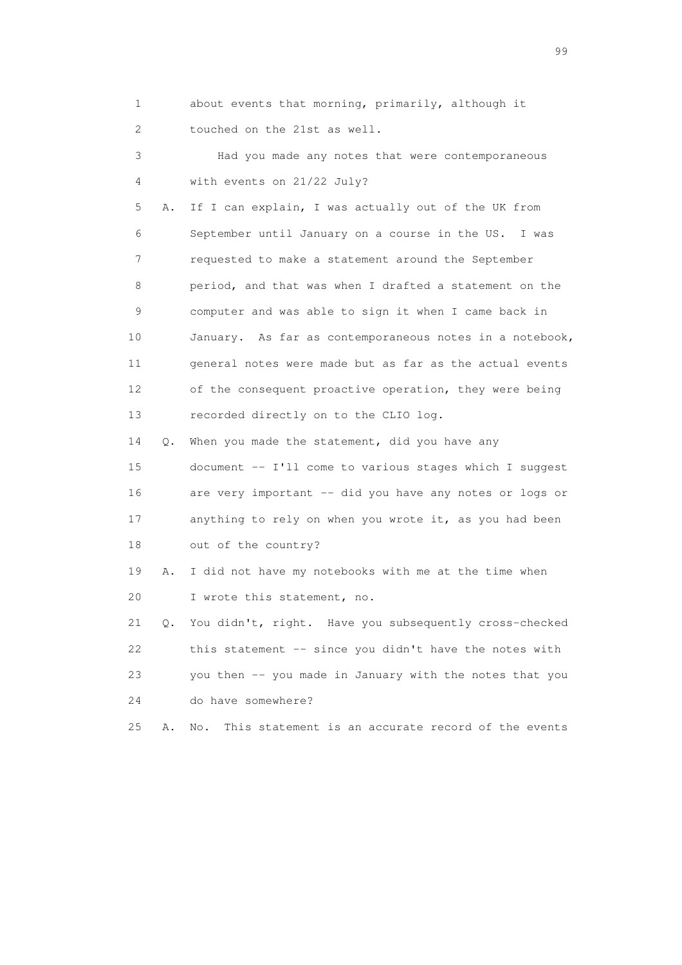1 about events that morning, primarily, although it 2 touched on the 21st as well.

 3 Had you made any notes that were contemporaneous 4 with events on 21/22 July?

 5 A. If I can explain, I was actually out of the UK from 6 September until January on a course in the US. I was 7 requested to make a statement around the September 8 period, and that was when I drafted a statement on the 9 computer and was able to sign it when I came back in 10 January. As far as contemporaneous notes in a notebook, 11 general notes were made but as far as the actual events 12 of the consequent proactive operation, they were being 13 recorded directly on to the CLIO log.

 14 Q. When you made the statement, did you have any 15 document -- I'll come to various stages which I suggest 16 are very important -- did you have any notes or logs or 17 anything to rely on when you wrote it, as you had been 18 out of the country?

 19 A. I did not have my notebooks with me at the time when 20 I wrote this statement, no.

 21 Q. You didn't, right. Have you subsequently cross-checked 22 this statement -- since you didn't have the notes with 23 you then -- you made in January with the notes that you 24 do have somewhere?

25 A. No. This statement is an accurate record of the events

en de la construction de la construction de la construction de la construction de la construction de la constr<br>1990 : la construction de la construction de la construction de la construction de la construction de la const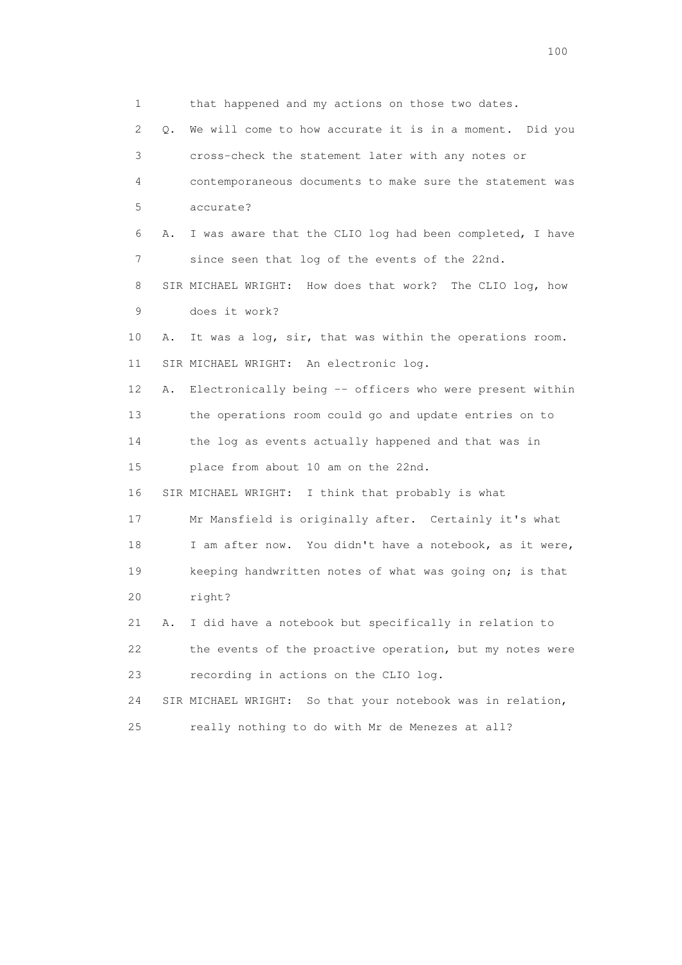1 that happened and my actions on those two dates. 2 Q. We will come to how accurate it is in a moment. Did you 3 cross-check the statement later with any notes or 4 contemporaneous documents to make sure the statement was 5 accurate? 6 A. I was aware that the CLIO log had been completed, I have 7 since seen that log of the events of the 22nd. 8 SIR MICHAEL WRIGHT: How does that work? The CLIO log, how 9 does it work? 10 A. It was a log, sir, that was within the operations room. 11 SIR MICHAEL WRIGHT: An electronic log. 12 A. Electronically being -- officers who were present within 13 the operations room could go and update entries on to 14 the log as events actually happened and that was in 15 place from about 10 am on the 22nd. 16 SIR MICHAEL WRIGHT: I think that probably is what 17 Mr Mansfield is originally after. Certainly it's what 18 I am after now. You didn't have a notebook, as it were, 19 keeping handwritten notes of what was going on; is that 20 right? 21 A. I did have a notebook but specifically in relation to 22 the events of the proactive operation, but my notes were 23 recording in actions on the CLIO log. 24 SIR MICHAEL WRIGHT: So that your notebook was in relation, 25 really nothing to do with Mr de Menezes at all?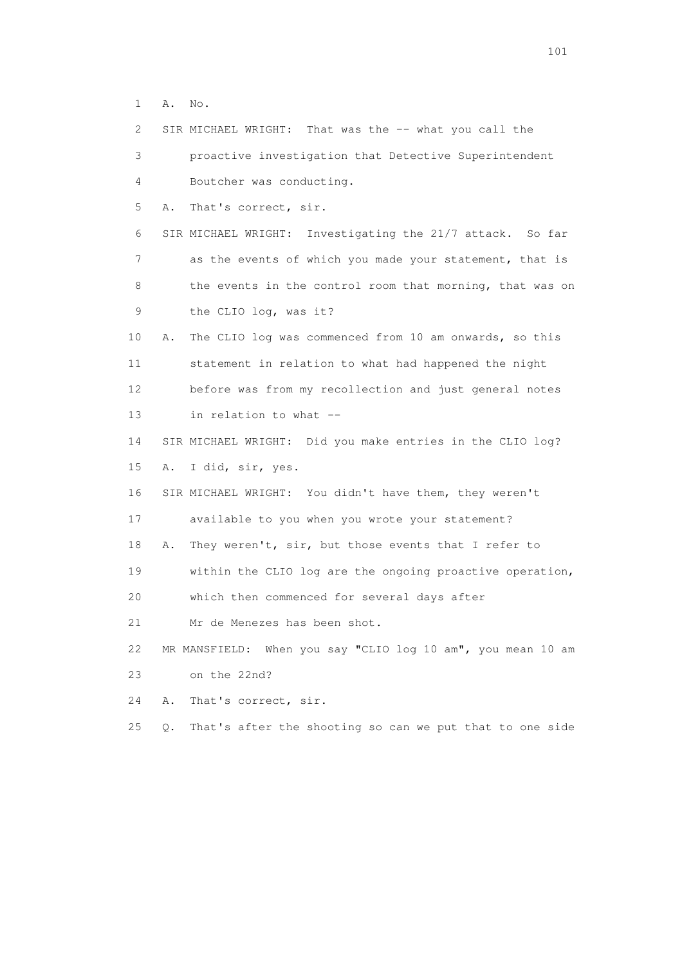1 A. No.

 2 SIR MICHAEL WRIGHT: That was the -- what you call the 3 proactive investigation that Detective Superintendent 4 Boutcher was conducting. 5 A. That's correct, sir. 6 SIR MICHAEL WRIGHT: Investigating the 21/7 attack. So far 7 as the events of which you made your statement, that is 8 the events in the control room that morning, that was on 9 the CLIO log, was it? 10 A. The CLIO log was commenced from 10 am onwards, so this 11 statement in relation to what had happened the night 12 before was from my recollection and just general notes 13 in relation to what -- 14 SIR MICHAEL WRIGHT: Did you make entries in the CLIO log? 15 A. I did, sir, yes. 16 SIR MICHAEL WRIGHT: You didn't have them, they weren't 17 available to you when you wrote your statement? 18 A. They weren't, sir, but those events that I refer to 19 within the CLIO log are the ongoing proactive operation, 20 which then commenced for several days after 21 Mr de Menezes has been shot. 22 MR MANSFIELD: When you say "CLIO log 10 am", you mean 10 am 23 on the 22nd? 24 A. That's correct, sir. 25 Q. That's after the shooting so can we put that to one side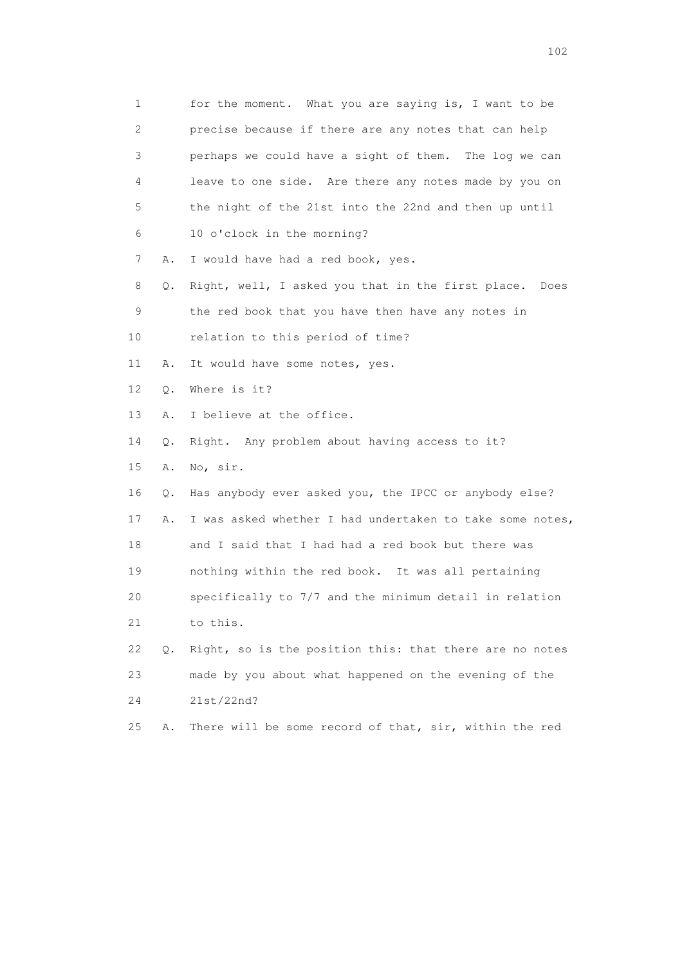| 1  |           | for the moment. What you are saying is, I want to be     |
|----|-----------|----------------------------------------------------------|
| 2  |           | precise because if there are any notes that can help     |
| 3  |           | perhaps we could have a sight of them. The log we can    |
| 4  |           | leave to one side. Are there any notes made by you on    |
| 5  |           | the night of the 21st into the 22nd and then up until    |
| 6  |           | 10 o'clock in the morning?                               |
| 7  | Α.        | I would have had a red book, yes.                        |
| 8  | Q.        | Right, well, I asked you that in the first place. Does   |
| 9  |           | the red book that you have then have any notes in        |
| 10 |           | relation to this period of time?                         |
| 11 | Α.        | It would have some notes, yes.                           |
| 12 | Q.        | Where is it?                                             |
| 13 | Α.        | I believe at the office.                                 |
| 14 | Q.        | Right. Any problem about having access to it?            |
| 15 | Α.        | No, sir.                                                 |
| 16 | Q.        | Has anybody ever asked you, the IPCC or anybody else?    |
| 17 | Α.        | I was asked whether I had undertaken to take some notes, |
| 18 |           | and I said that I had had a red book but there was       |
| 19 |           | nothing within the red book. It was all pertaining       |
| 20 |           | specifically to 7/7 and the minimum detail in relation   |
| 21 |           | to this.                                                 |
| 22 | $\circ$ . | Right, so is the position this: that there are no notes  |
| 23 |           | made by you about what happened on the evening of the    |
| 24 |           | 21st/22nd?                                               |
| 25 | Α.        | There will be some record of that, sir, within the red   |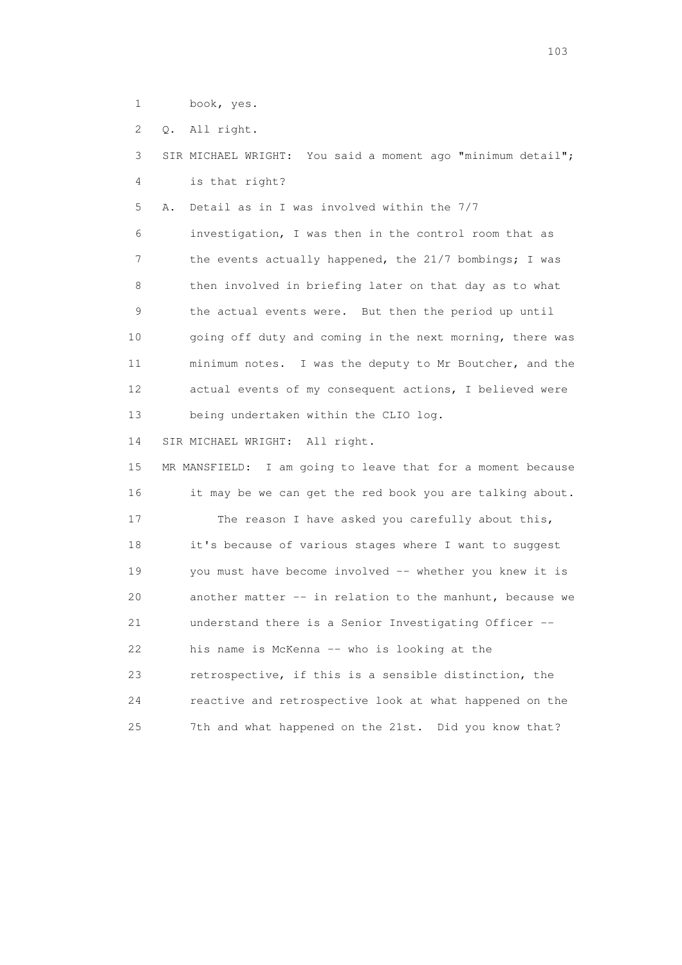1 book, yes.

2 Q. All right.

 3 SIR MICHAEL WRIGHT: You said a moment ago "minimum detail"; 4 is that right?

5 A. Detail as in I was involved within the 7/7

 6 investigation, I was then in the control room that as 7 the events actually happened, the 21/7 bombings; I was 8 then involved in briefing later on that day as to what 9 the actual events were. But then the period up until 10 going off duty and coming in the next morning, there was 11 minimum notes. I was the deputy to Mr Boutcher, and the 12 actual events of my consequent actions, I believed were 13 being undertaken within the CLIO log.

14 SIR MICHAEL WRIGHT: All right.

 15 MR MANSFIELD: I am going to leave that for a moment because 16 it may be we can get the red book you are talking about. 17 The reason I have asked you carefully about this, 18 it's because of various stages where I want to suggest 19 you must have become involved -- whether you knew it is 20 another matter -- in relation to the manhunt, because we 21 understand there is a Senior Investigating Officer -- 22 his name is McKenna -- who is looking at the 23 retrospective, if this is a sensible distinction, the 24 reactive and retrospective look at what happened on the 25 7th and what happened on the 21st. Did you know that?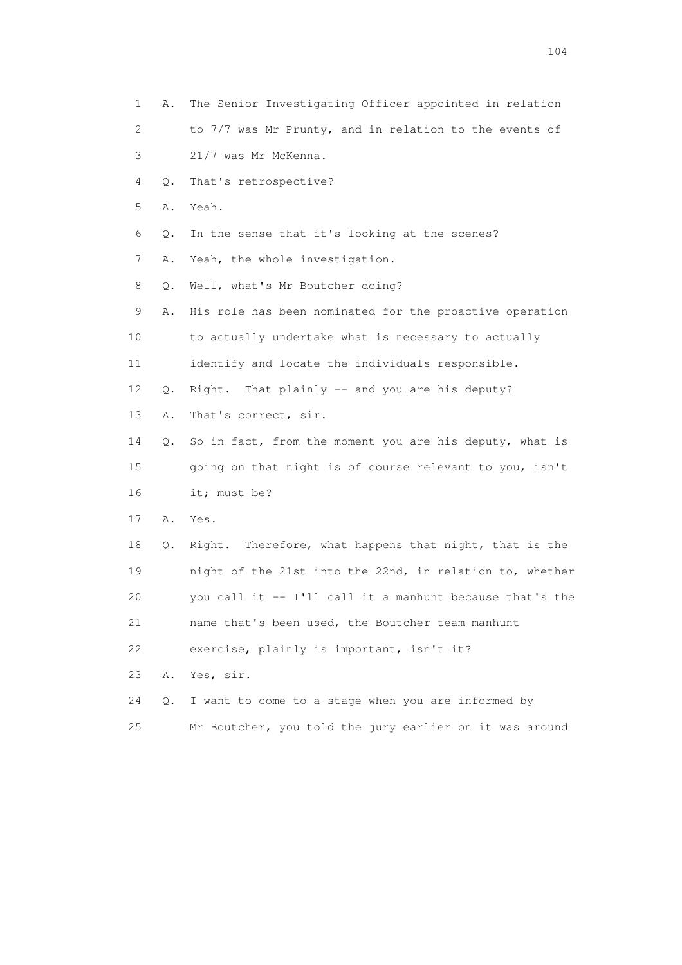1 A. The Senior Investigating Officer appointed in relation 2 to 7/7 was Mr Prunty, and in relation to the events of 3 21/7 was Mr McKenna. 4 Q. That's retrospective? 5 A. Yeah. 6 Q. In the sense that it's looking at the scenes? 7 A. Yeah, the whole investigation. 8 Q. Well, what's Mr Boutcher doing? 9 A. His role has been nominated for the proactive operation 10 to actually undertake what is necessary to actually 11 identify and locate the individuals responsible. 12 Q. Right. That plainly -- and you are his deputy? 13 A. That's correct, sir. 14 Q. So in fact, from the moment you are his deputy, what is 15 going on that night is of course relevant to you, isn't 16 it; must be? 17 A. Yes. 18 Q. Right. Therefore, what happens that night, that is the 19 night of the 21st into the 22nd, in relation to, whether 20 you call it -- I'll call it a manhunt because that's the 21 name that's been used, the Boutcher team manhunt 22 exercise, plainly is important, isn't it? 23 A. Yes, sir. 24 Q. I want to come to a stage when you are informed by 25 Mr Boutcher, you told the jury earlier on it was around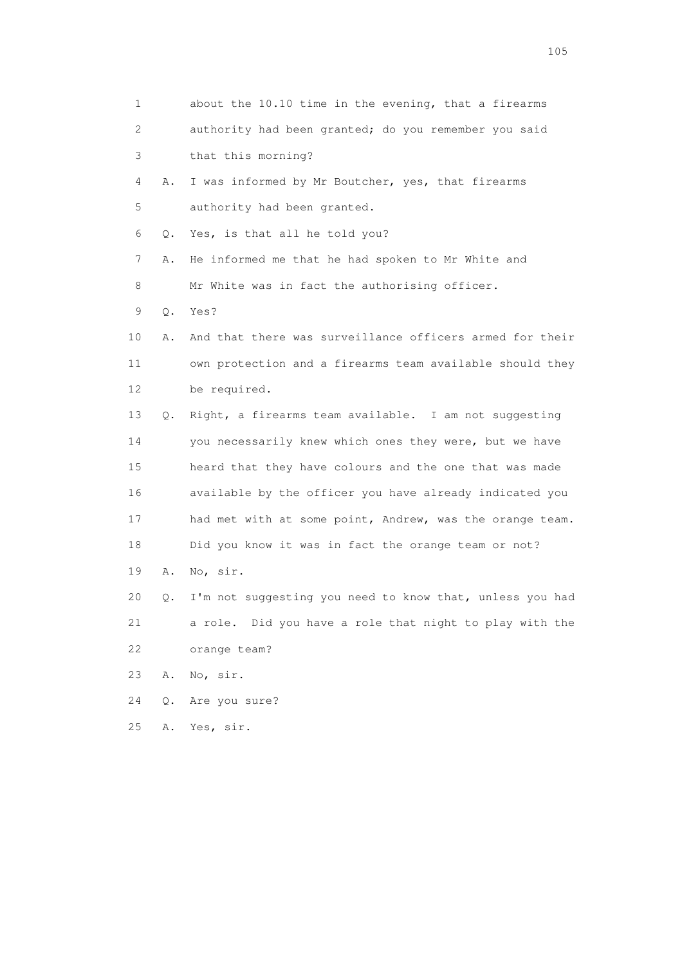| 1  |    | about the 10.10 time in the evening, that a firearms     |
|----|----|----------------------------------------------------------|
| 2  |    | authority had been granted; do you remember you said     |
| 3  |    | that this morning?                                       |
| 4  | Α. | I was informed by Mr Boutcher, yes, that firearms        |
| 5  |    | authority had been granted.                              |
| 6  | Q. | Yes, is that all he told you?                            |
| 7  | Α. | He informed me that he had spoken to Mr White and        |
| 8  |    | Mr White was in fact the authorising officer.            |
| 9  | Q. | Yes?                                                     |
| 10 | Α. | And that there was surveillance officers armed for their |
| 11 |    | own protection and a firearms team available should they |
| 12 |    | be required.                                             |
| 13 | Q. | Right, a firearms team available. I am not suggesting    |
| 14 |    | you necessarily knew which ones they were, but we have   |
| 15 |    | heard that they have colours and the one that was made   |
| 16 |    | available by the officer you have already indicated you  |
| 17 |    | had met with at some point, Andrew, was the orange team. |
| 18 |    | Did you know it was in fact the orange team or not?      |
| 19 | Α. | No, sir.                                                 |
| 20 | О. | I'm not suggesting you need to know that, unless you had |
| 21 |    | a role. Did you have a role that night to play with the  |
| 22 |    | orange team?                                             |
| 23 | Α. | No, sir.                                                 |
| 24 | Q. | Are you sure?                                            |
| 25 | Α. | Yes, sir.                                                |
|    |    |                                                          |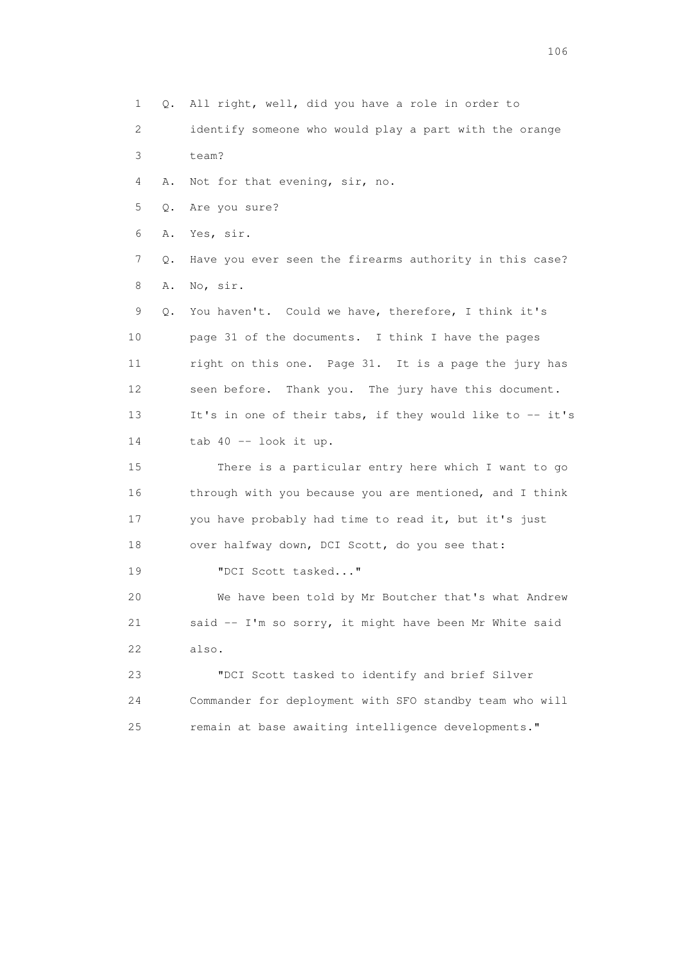1 Q. All right, well, did you have a role in order to

 2 identify someone who would play a part with the orange 3 team?

4 A. Not for that evening, sir, no.

5 Q. Are you sure?

6 A. Yes, sir.

 7 Q. Have you ever seen the firearms authority in this case? 8 A. No, sir.

 9 Q. You haven't. Could we have, therefore, I think it's 10 page 31 of the documents. I think I have the pages 11 right on this one. Page 31. It is a page the jury has 12 seen before. Thank you. The jury have this document. 13 It's in one of their tabs, if they would like to -- it's 14 tab 40 -- look it up.

 15 There is a particular entry here which I want to go 16 through with you because you are mentioned, and I think 17 you have probably had time to read it, but it's just 18 over halfway down, DCI Scott, do you see that:

19 "DCI Scott tasked..."

 20 We have been told by Mr Boutcher that's what Andrew 21 said -- I'm so sorry, it might have been Mr White said 22 also.

 23 "DCI Scott tasked to identify and brief Silver 24 Commander for deployment with SFO standby team who will 25 remain at base awaiting intelligence developments."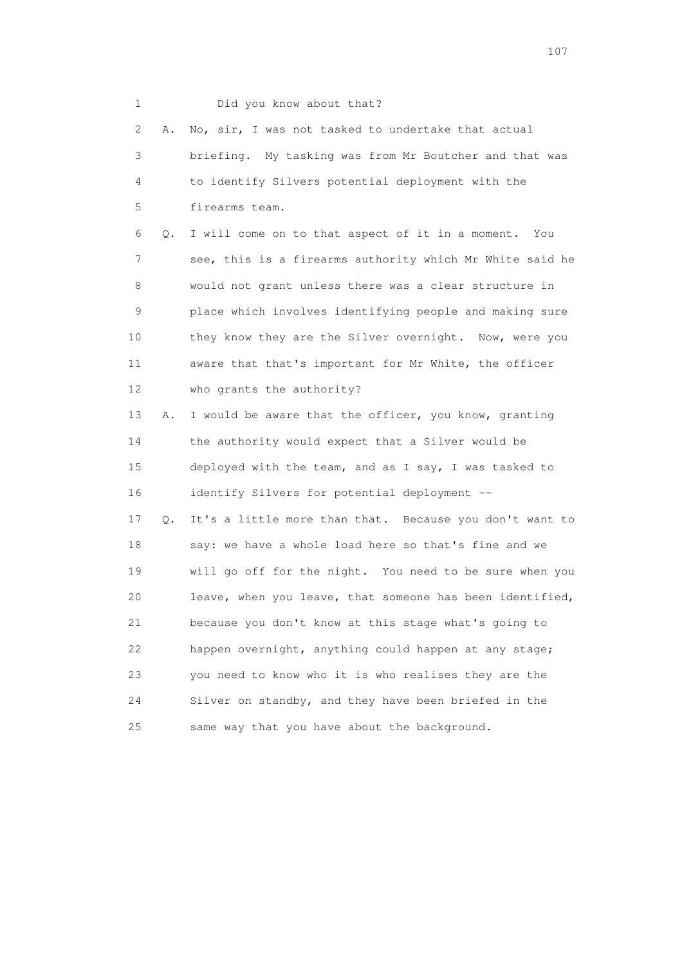| 1  |    | Did you know about that?                                 |
|----|----|----------------------------------------------------------|
| 2  | Α. | No, sir, I was not tasked to undertake that actual       |
| 3  |    | briefing. My tasking was from Mr Boutcher and that was   |
| 4  |    | to identify Silvers potential deployment with the        |
| 5  |    | firearms team.                                           |
| 6  | Q. | I will come on to that aspect of it in a moment. You     |
| 7  |    | see, this is a firearms authority which Mr White said he |
| 8  |    | would not grant unless there was a clear structure in    |
| 9  |    | place which involves identifying people and making sure  |
| 10 |    | they know they are the Silver overnight. Now, were you   |
| 11 |    | aware that that's important for Mr White, the officer    |
| 12 |    | who grants the authority?                                |
| 13 | Α. | I would be aware that the officer, you know, granting    |
| 14 |    | the authority would expect that a Silver would be        |
| 15 |    | deployed with the team, and as I say, I was tasked to    |
| 16 |    | identify Silvers for potential deployment --             |
| 17 | Q. | It's a little more than that. Because you don't want to  |
| 18 |    | say: we have a whole load here so that's fine and we     |
| 19 |    | will go off for the night. You need to be sure when you  |
| 20 |    | leave, when you leave, that someone has been identified, |
| 21 |    | because you don't know at this stage what's going to     |
| 22 |    | happen overnight, anything could happen at any stage;    |
| 23 |    | you need to know who it is who realises they are the     |
| 24 |    | Silver on standby, and they have been briefed in the     |
| 25 |    | same way that you have about the background.             |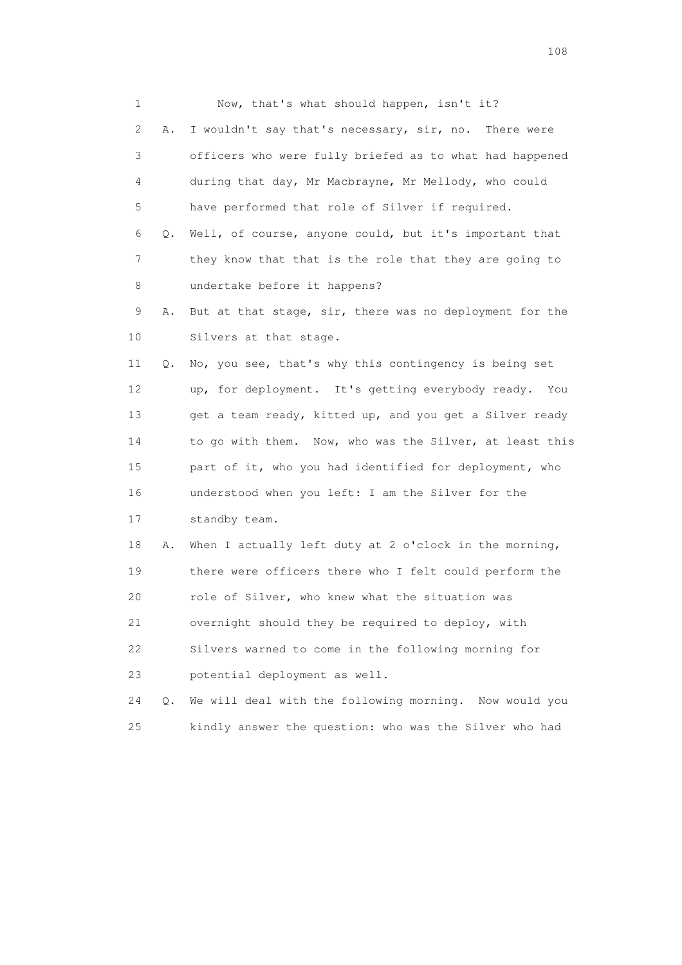1 Now, that's what should happen, isn't it? 2 A. I wouldn't say that's necessary, sir, no. There were 3 officers who were fully briefed as to what had happened 4 during that day, Mr Macbrayne, Mr Mellody, who could 5 have performed that role of Silver if required. 6 Q. Well, of course, anyone could, but it's important that 7 they know that that is the role that they are going to 8 undertake before it happens? 9 A. But at that stage, sir, there was no deployment for the 10 Silvers at that stage. 11 Q. No, you see, that's why this contingency is being set 12 up, for deployment. It's getting everybody ready. You 13 get a team ready, kitted up, and you get a Silver ready 14 to go with them. Now, who was the Silver, at least this 15 part of it, who you had identified for deployment, who 16 understood when you left: I am the Silver for the 17 standby team. 18 A. When I actually left duty at 2 o'clock in the morning, 19 there were officers there who I felt could perform the 20 role of Silver, who knew what the situation was 21 overnight should they be required to deploy, with 22 Silvers warned to come in the following morning for 23 potential deployment as well. 24 Q. We will deal with the following morning. Now would you 25 kindly answer the question: who was the Silver who had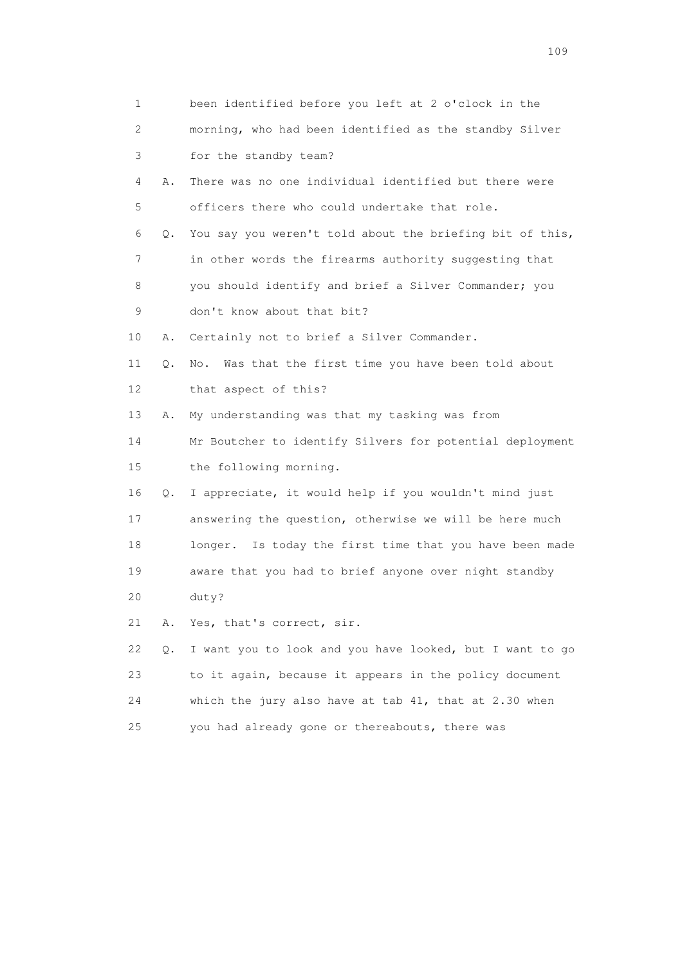| 1                         |    | been identified before you left at 2 o'clock in the      |
|---------------------------|----|----------------------------------------------------------|
| $\mathbf{2}^{\mathsf{I}}$ |    | morning, who had been identified as the standby Silver   |
| 3                         |    | for the standby team?                                    |
| 4                         | Α. | There was no one individual identified but there were    |
| 5                         |    | officers there who could undertake that role.            |
| 6                         | Q. | You say you weren't told about the briefing bit of this, |
| 7                         |    | in other words the firearms authority suggesting that    |
| 8                         |    | you should identify and brief a Silver Commander; you    |
| 9                         |    | don't know about that bit?                               |
| 10                        | Α. | Certainly not to brief a Silver Commander.               |
| 11                        | Q. | Was that the first time you have been told about<br>No.  |
| 12                        |    | that aspect of this?                                     |
| 13                        | Α. | My understanding was that my tasking was from            |
| 14                        |    | Mr Boutcher to identify Silvers for potential deployment |
| 15                        |    | the following morning.                                   |
| 16                        | Q. | I appreciate, it would help if you wouldn't mind just    |
| 17                        |    | answering the question, otherwise we will be here much   |
| 18                        |    | longer. Is today the first time that you have been made  |
| 19                        |    | aware that you had to brief anyone over night standby    |
| 20                        |    | duty?                                                    |
| 21                        | Α. | Yes, that's correct, sir.                                |
| 22                        | Q. | I want you to look and you have looked, but I want to go |
| 23                        |    | to it again, because it appears in the policy document   |
| 24                        |    | which the jury also have at tab 41, that at 2.30 when    |
| 25                        |    | you had already gone or thereabouts, there was           |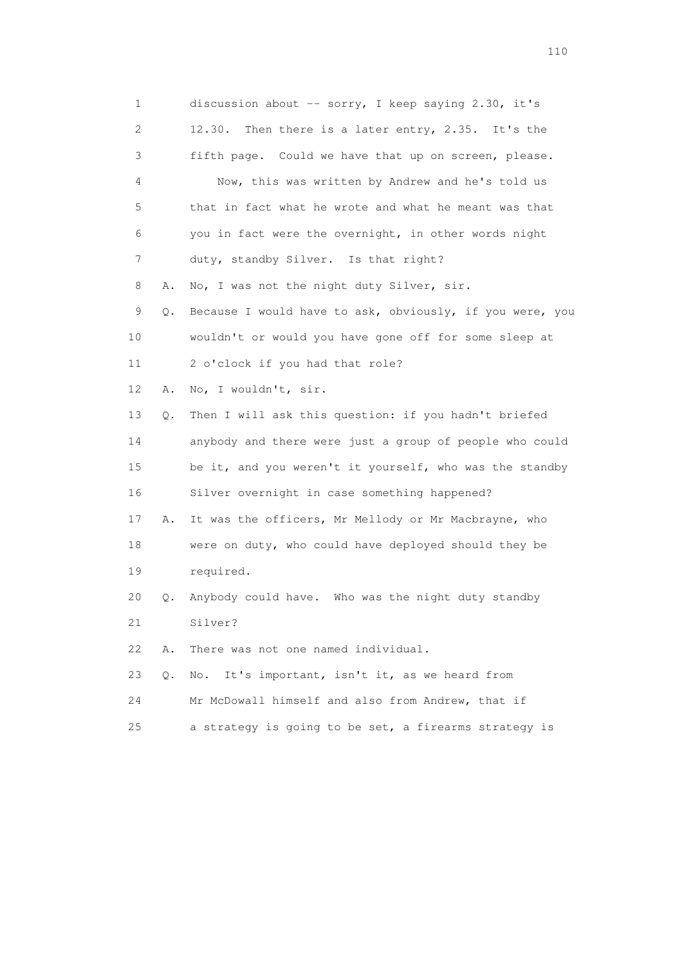| 1  |       | discussion about -- sorry, I keep saying 2.30, it's      |
|----|-------|----------------------------------------------------------|
| 2  |       | Then there is a later entry, 2.35. It's the<br>12.30.    |
| 3  |       | fifth page. Could we have that up on screen, please.     |
| 4  |       | Now, this was written by Andrew and he's told us         |
| 5  |       | that in fact what he wrote and what he meant was that    |
| 6  |       | you in fact were the overnight, in other words night     |
| 7  |       | duty, standby Silver. Is that right?                     |
| 8  | Α.    | No, I was not the night duty Silver, sir.                |
| 9  | Q.    | Because I would have to ask, obviously, if you were, you |
| 10 |       | wouldn't or would you have gone off for some sleep at    |
| 11 |       | 2 o'clock if you had that role?                          |
| 12 | Α.    | No, I wouldn't, sir.                                     |
| 13 | Q.    | Then I will ask this question: if you hadn't briefed     |
| 14 |       | anybody and there were just a group of people who could  |
| 15 |       | be it, and you weren't it yourself, who was the standby  |
| 16 |       | Silver overnight in case something happened?             |
| 17 | Α.    | It was the officers, Mr Mellody or Mr Macbrayne, who     |
| 18 |       | were on duty, who could have deployed should they be     |
| 19 |       | required.                                                |
| 20 | Q.    | Anybody could have. Who was the night duty standby       |
| 21 |       | Silver?                                                  |
| 22 | Α.    | There was not one named individual.                      |
| 23 | $Q$ . | It's important, isn't it, as we heard from<br>No.        |
| 24 |       | Mr McDowall himself and also from Andrew, that if        |
| 25 |       | a strategy is going to be set, a firearms strategy is    |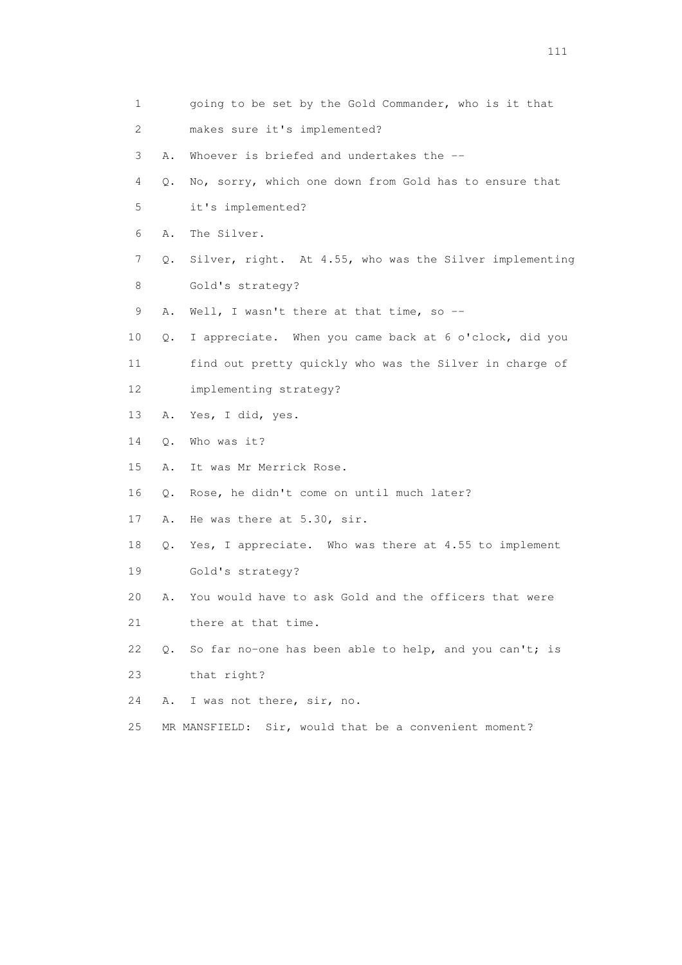1 going to be set by the Gold Commander, who is it that 2 makes sure it's implemented? 3 A. Whoever is briefed and undertakes the -- 4 Q. No, sorry, which one down from Gold has to ensure that 5 it's implemented? 6 A. The Silver. 7 Q. Silver, right. At 4.55, who was the Silver implementing 8 Gold's strategy? 9 A. Well, I wasn't there at that time, so -- 10 Q. I appreciate. When you came back at 6 o'clock, did you 11 find out pretty quickly who was the Silver in charge of 12 implementing strategy? 13 A. Yes, I did, yes. 14 Q. Who was it? 15 A. It was Mr Merrick Rose. 16 Q. Rose, he didn't come on until much later? 17 A. He was there at 5.30, sir. 18 Q. Yes, I appreciate. Who was there at 4.55 to implement 19 Gold's strategy? 20 A. You would have to ask Gold and the officers that were 21 there at that time. 22 Q. So far no-one has been able to help, and you can't; is 23 that right? 24 A. I was not there, sir, no. 25 MR MANSFIELD: Sir, would that be a convenient moment?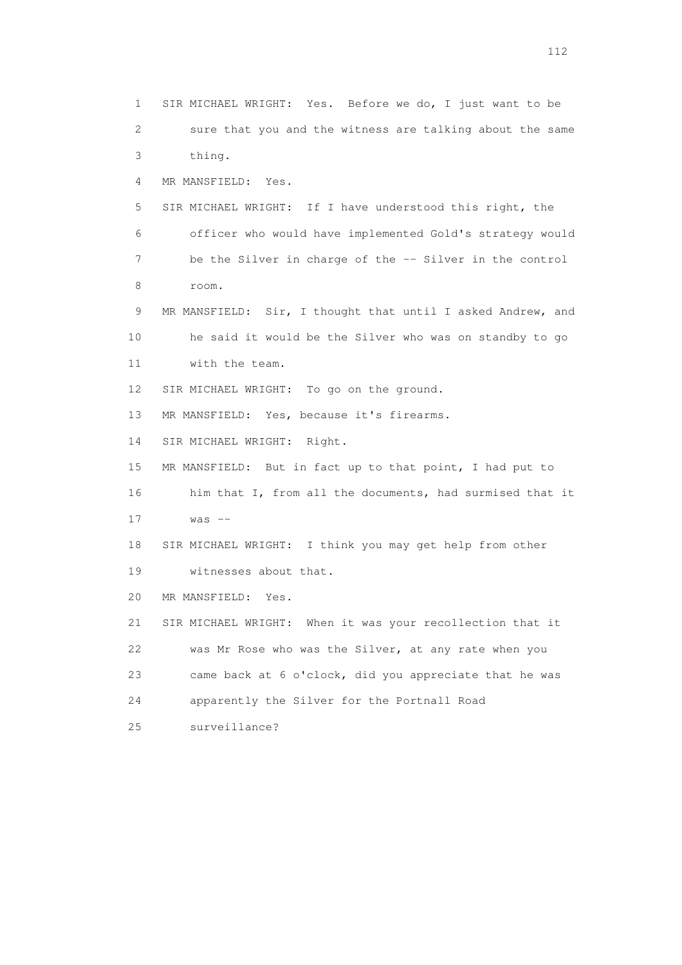1 SIR MICHAEL WRIGHT: Yes. Before we do, I just want to be 2 sure that you and the witness are talking about the same 3 thing. 4 MR MANSFIELD: Yes. 5 SIR MICHAEL WRIGHT: If I have understood this right, the 6 officer who would have implemented Gold's strategy would 7 be the Silver in charge of the -- Silver in the control 8 room. 9 MR MANSFIELD: Sir, I thought that until I asked Andrew, and 10 he said it would be the Silver who was on standby to go 11 with the team. 12 SIR MICHAEL WRIGHT: To go on the ground. 13 MR MANSFIELD: Yes, because it's firearms. 14 SIR MICHAEL WRIGHT: Right. 15 MR MANSFIELD: But in fact up to that point, I had put to 16 him that I, from all the documents, had surmised that it  $17$  was  $-$  18 SIR MICHAEL WRIGHT: I think you may get help from other 19 witnesses about that. 20 MR MANSFIELD: Yes. 21 SIR MICHAEL WRIGHT: When it was your recollection that it 22 was Mr Rose who was the Silver, at any rate when you 23 came back at 6 o'clock, did you appreciate that he was 24 apparently the Silver for the Portnall Road 25 surveillance?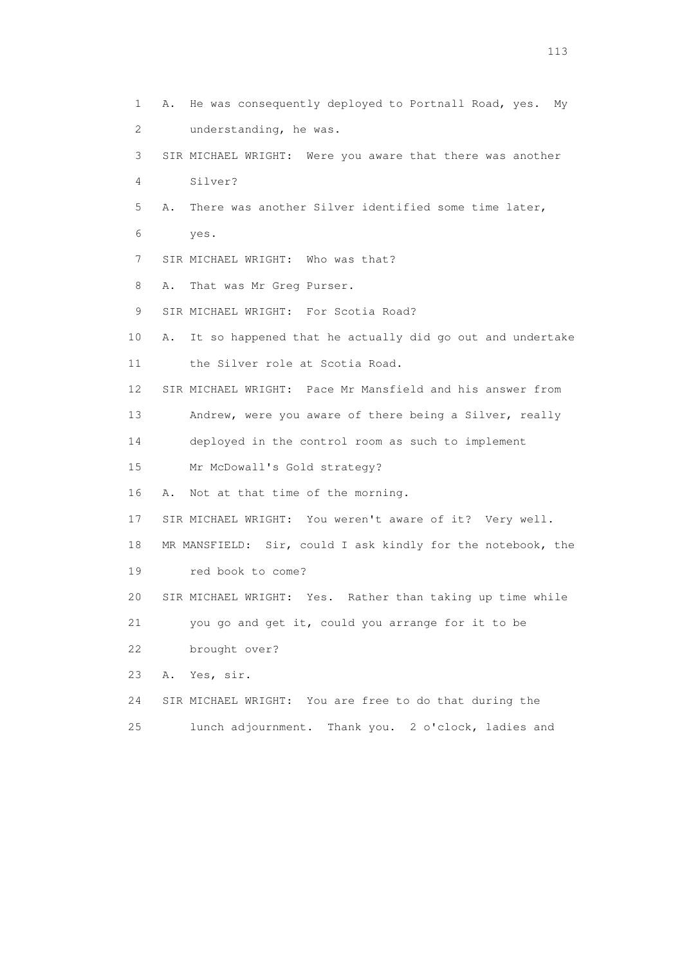1 A. He was consequently deployed to Portnall Road, yes. My 2 understanding, he was. 3 SIR MICHAEL WRIGHT: Were you aware that there was another 4 Silver? 5 A. There was another Silver identified some time later, 6 yes. 7 SIR MICHAEL WRIGHT: Who was that? 8 A. That was Mr Greg Purser. 9 SIR MICHAEL WRIGHT: For Scotia Road? 10 A. It so happened that he actually did go out and undertake 11 the Silver role at Scotia Road. 12 SIR MICHAEL WRIGHT: Pace Mr Mansfield and his answer from 13 Andrew, were you aware of there being a Silver, really 14 deployed in the control room as such to implement 15 Mr McDowall's Gold strategy? 16 A. Not at that time of the morning. 17 SIR MICHAEL WRIGHT: You weren't aware of it? Very well. 18 MR MANSFIELD: Sir, could I ask kindly for the notebook, the 19 red book to come? 20 SIR MICHAEL WRIGHT: Yes. Rather than taking up time while 21 you go and get it, could you arrange for it to be 22 brought over? 23 A. Yes, sir. 24 SIR MICHAEL WRIGHT: You are free to do that during the 25 lunch adjournment. Thank you. 2 o'clock, ladies and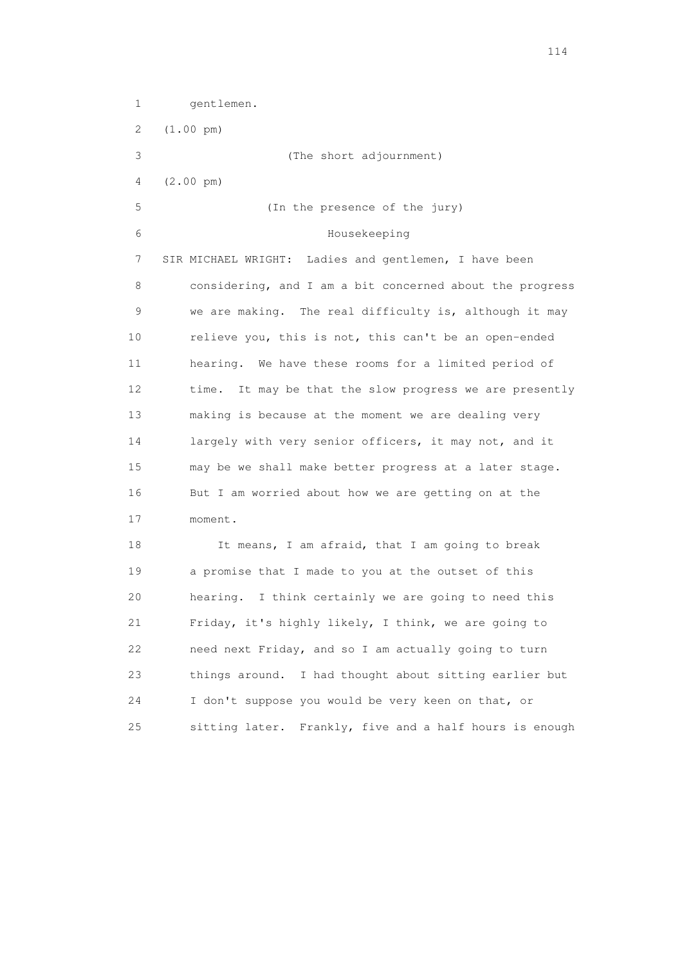1 gentlemen. 2 (1.00 pm) 3 (The short adjournment) 4 (2.00 pm) 5 (In the presence of the jury) 6 Housekeeping 7 SIR MICHAEL WRIGHT: Ladies and gentlemen, I have been 8 considering, and I am a bit concerned about the progress 9 we are making. The real difficulty is, although it may 10 relieve you, this is not, this can't be an open-ended 11 hearing. We have these rooms for a limited period of 12 time. It may be that the slow progress we are presently 13 making is because at the moment we are dealing very 14 largely with very senior officers, it may not, and it 15 may be we shall make better progress at a later stage. 16 But I am worried about how we are getting on at the 17 moment. 18 It means, I am afraid, that I am going to break 19 a promise that I made to you at the outset of this 20 hearing. I think certainly we are going to need this 21 Friday, it's highly likely, I think, we are going to 22 need next Friday, and so I am actually going to turn 23 things around. I had thought about sitting earlier but 24 I don't suppose you would be very keen on that, or

25 sitting later. Frankly, five and a half hours is enough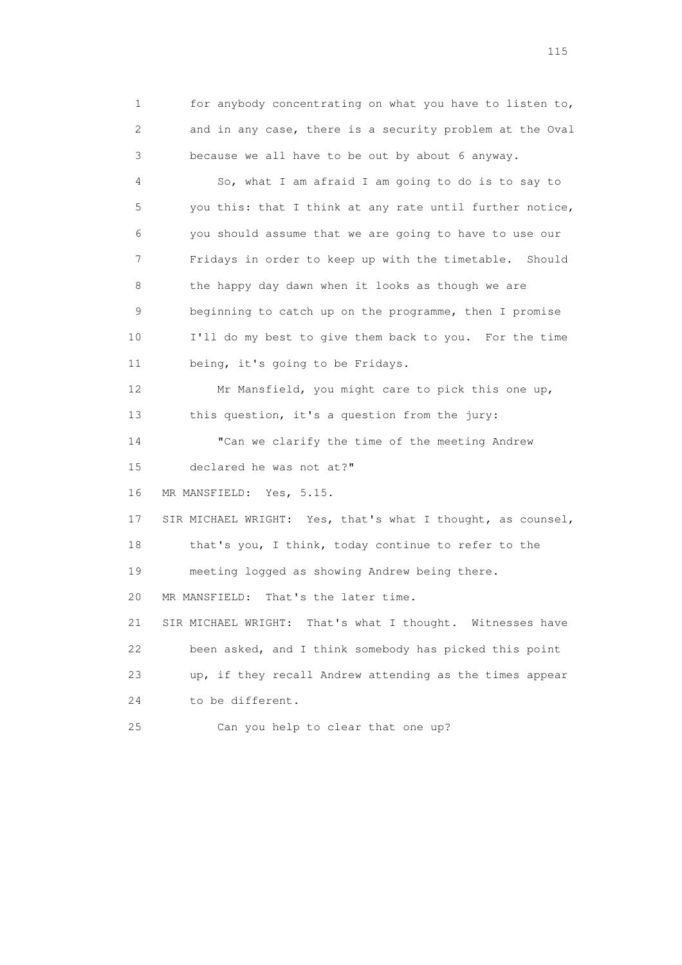1 for anybody concentrating on what you have to listen to, 2 and in any case, there is a security problem at the Oval 3 because we all have to be out by about 6 anyway.

 4 So, what I am afraid I am going to do is to say to 5 you this: that I think at any rate until further notice, 6 you should assume that we are going to have to use our 7 Fridays in order to keep up with the timetable. Should 8 the happy day dawn when it looks as though we are 9 beginning to catch up on the programme, then I promise 10 I'll do my best to give them back to you. For the time 11 being, it's going to be Fridays.

 12 Mr Mansfield, you might care to pick this one up, 13 this question, it's a question from the jury:

 14 "Can we clarify the time of the meeting Andrew 15 declared he was not at?"

16 MR MANSFIELD: Yes, 5.15.

 17 SIR MICHAEL WRIGHT: Yes, that's what I thought, as counsel, 18 that's you, I think, today continue to refer to the

19 meeting logged as showing Andrew being there.

20 MR MANSFIELD: That's the later time.

 21 SIR MICHAEL WRIGHT: That's what I thought. Witnesses have 22 been asked, and I think somebody has picked this point 23 up, if they recall Andrew attending as the times appear 24 to be different.

25 Can you help to clear that one up?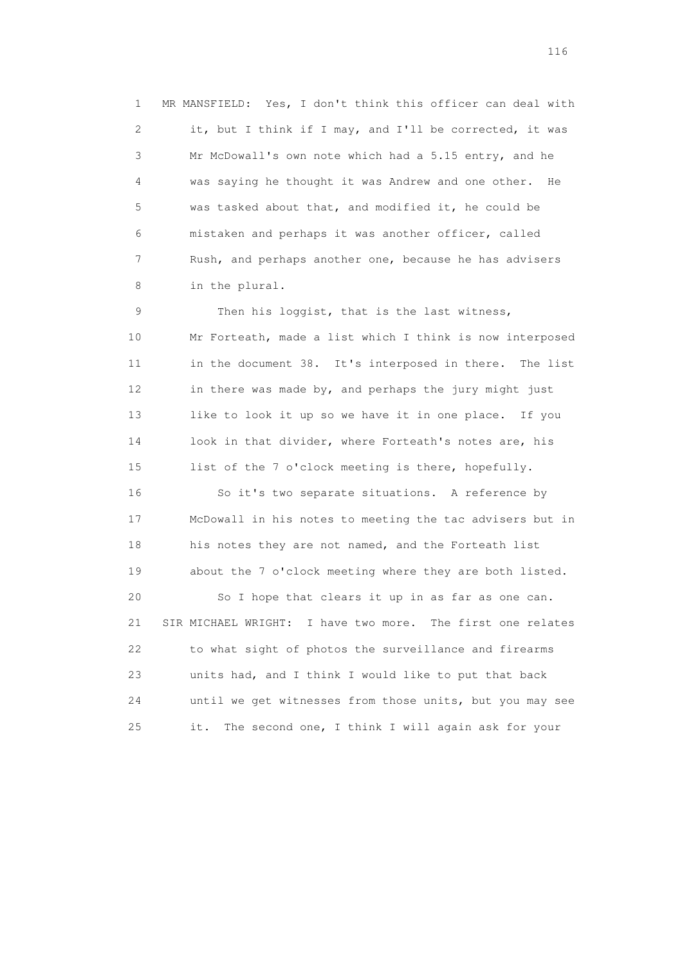1 MR MANSFIELD: Yes, I don't think this officer can deal with 2 it, but I think if I may, and I'll be corrected, it was 3 Mr McDowall's own note which had a 5.15 entry, and he 4 was saying he thought it was Andrew and one other. He 5 was tasked about that, and modified it, he could be 6 mistaken and perhaps it was another officer, called 7 Rush, and perhaps another one, because he has advisers 8 in the plural.

9 Then his loggist, that is the last witness, 10 Mr Forteath, made a list which I think is now interposed 11 in the document 38. It's interposed in there. The list 12 in there was made by, and perhaps the jury might just 13 like to look it up so we have it in one place. If you 14 look in that divider, where Forteath's notes are, his 15 list of the 7 o'clock meeting is there, hopefully. 16 So it's two separate situations. A reference by 17 McDowall in his notes to meeting the tac advisers but in 18 his notes they are not named, and the Forteath list 19 about the 7 o'clock meeting where they are both listed.

 20 So I hope that clears it up in as far as one can. 21 SIR MICHAEL WRIGHT: I have two more. The first one relates 22 to what sight of photos the surveillance and firearms 23 units had, and I think I would like to put that back 24 until we get witnesses from those units, but you may see 25 it. The second one, I think I will again ask for your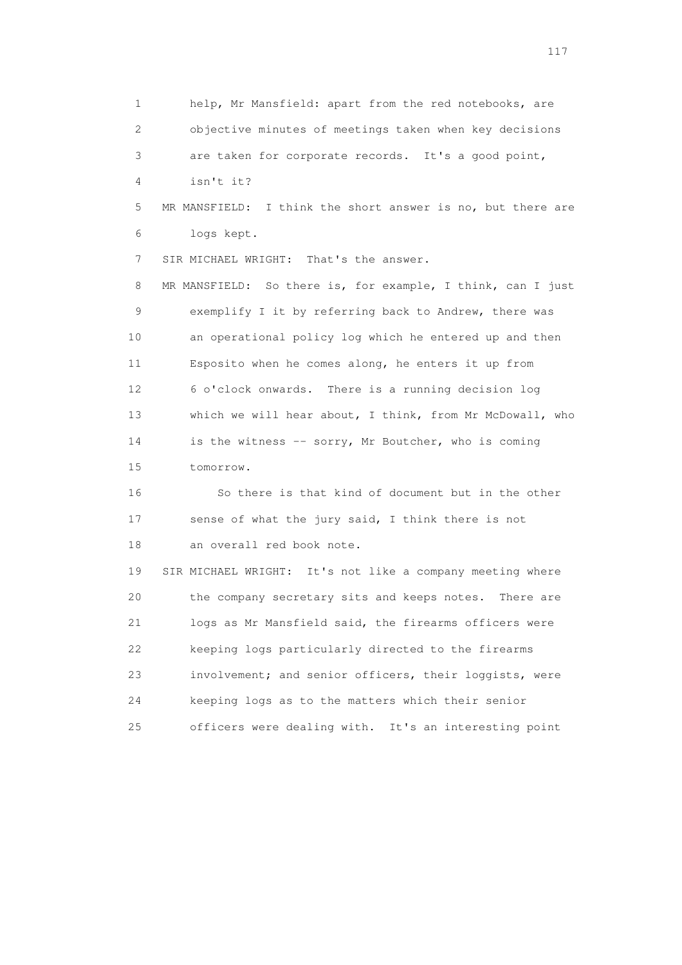1 help, Mr Mansfield: apart from the red notebooks, are 2 objective minutes of meetings taken when key decisions 3 are taken for corporate records. It's a good point, 4 isn't it? 5 MR MANSFIELD: I think the short answer is no, but there are 6 logs kept. 7 SIR MICHAEL WRIGHT: That's the answer. 8 MR MANSFIELD: So there is, for example, I think, can I just 9 exemplify I it by referring back to Andrew, there was 10 an operational policy log which he entered up and then 11 Esposito when he comes along, he enters it up from 12 6 o'clock onwards. There is a running decision log 13 which we will hear about, I think, from Mr McDowall, who 14 is the witness -- sorry, Mr Boutcher, who is coming 15 tomorrow. 16 So there is that kind of document but in the other 17 sense of what the jury said, I think there is not 18 an overall red book note. 19 SIR MICHAEL WRIGHT: It's not like a company meeting where 20 the company secretary sits and keeps notes. There are 21 logs as Mr Mansfield said, the firearms officers were 22 keeping logs particularly directed to the firearms 23 involvement; and senior officers, their loggists, were 24 keeping logs as to the matters which their senior

25 officers were dealing with. It's an interesting point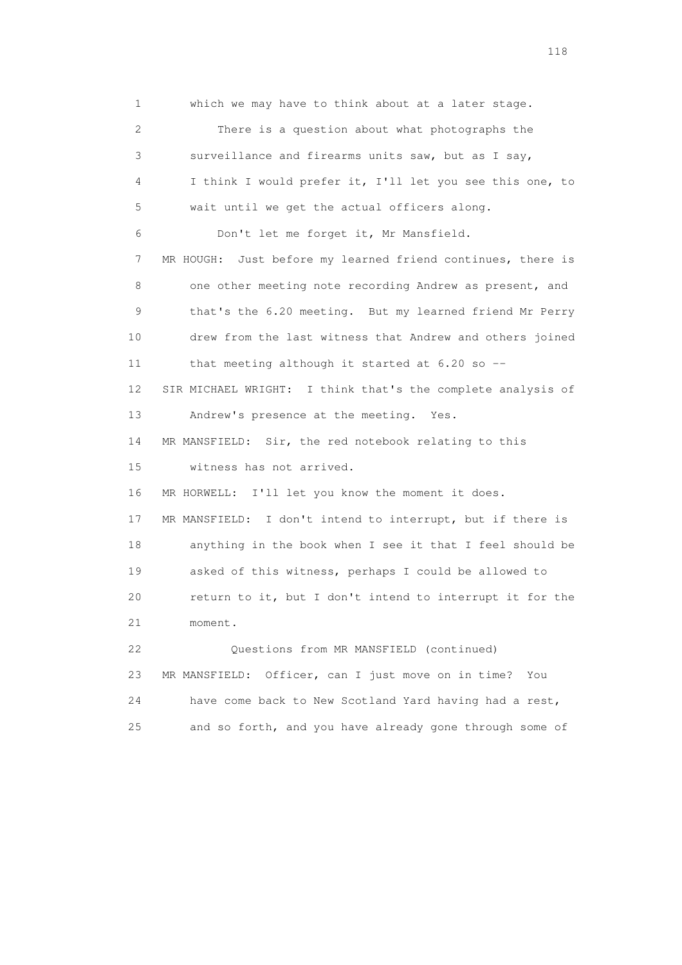1 which we may have to think about at a later stage. 2 There is a question about what photographs the 3 surveillance and firearms units saw, but as I say, 4 I think I would prefer it, I'll let you see this one, to 5 wait until we get the actual officers along. 6 Don't let me forget it, Mr Mansfield. 7 MR HOUGH: Just before my learned friend continues, there is 8 one other meeting note recording Andrew as present, and 9 that's the 6.20 meeting. But my learned friend Mr Perry 10 drew from the last witness that Andrew and others joined 11 that meeting although it started at 6.20 so -- 12 SIR MICHAEL WRIGHT: I think that's the complete analysis of 13 Andrew's presence at the meeting. Yes. 14 MR MANSFIELD: Sir, the red notebook relating to this 15 witness has not arrived. 16 MR HORWELL: I'll let you know the moment it does. 17 MR MANSFIELD: I don't intend to interrupt, but if there is 18 anything in the book when I see it that I feel should be 19 asked of this witness, perhaps I could be allowed to 20 return to it, but I don't intend to interrupt it for the 21 moment. 22 Questions from MR MANSFIELD (continued) 23 MR MANSFIELD: Officer, can I just move on in time? You 24 have come back to New Scotland Yard having had a rest, 25 and so forth, and you have already gone through some of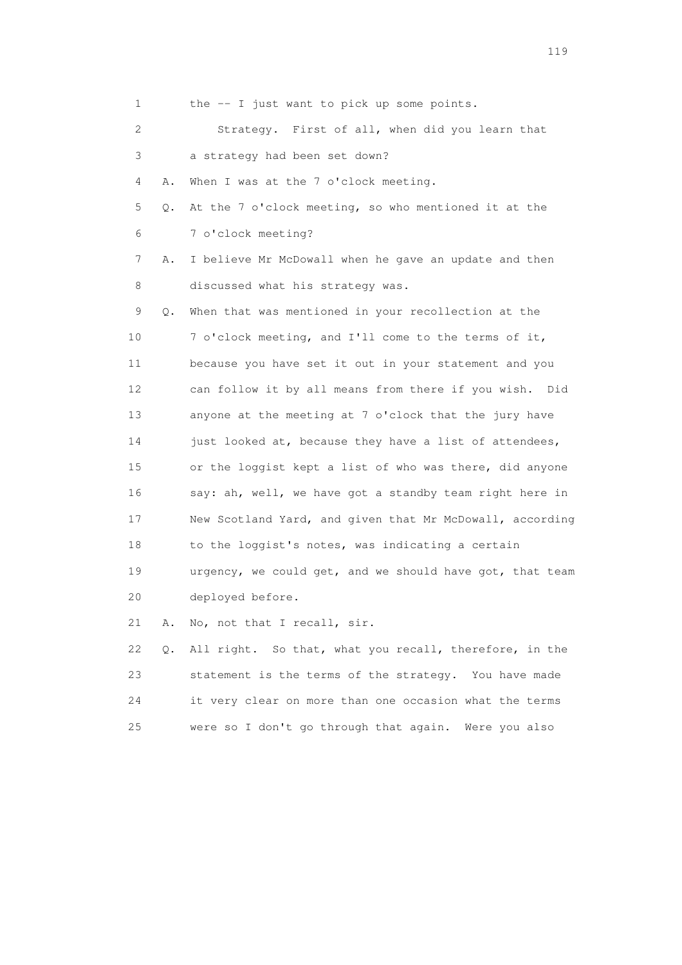| 1               |          | the -- I just want to pick up some points.                |
|-----------------|----------|-----------------------------------------------------------|
| 2               |          | Strategy. First of all, when did you learn that           |
| 3               |          | a strategy had been set down?                             |
| 4               | Α.       | When I was at the 7 o'clock meeting.                      |
| 5               | Q.       | At the 7 o'clock meeting, so who mentioned it at the      |
| 6               |          | 7 o'clock meeting?                                        |
| 7               | Α.       | I believe Mr McDowall when he gave an update and then     |
| 8               |          | discussed what his strategy was.                          |
| 9               | Q.       | When that was mentioned in your recollection at the       |
| 10              |          | 7 o'clock meeting, and I'll come to the terms of it,      |
| 11              |          | because you have set it out in your statement and you     |
| 12 <sup>°</sup> |          | can follow it by all means from there if you wish.<br>Did |
| 13              |          | anyone at the meeting at 7 o'clock that the jury have     |
| 14              |          | just looked at, because they have a list of attendees,    |
| 15              |          | or the loggist kept a list of who was there, did anyone   |
| 16              |          | say: ah, well, we have got a standby team right here in   |
| 17              |          | New Scotland Yard, and given that Mr McDowall, according  |
| 18              |          | to the loggist's notes, was indicating a certain          |
| 19              |          | urgency, we could get, and we should have got, that team  |
| 20              |          | deployed before.                                          |
| 21              | Α.       | No, not that I recall, sir.                               |
| クク              | $\cap$ . | All right. So that, what you recall, therefore, in the    |

Q. All right. So that, what you recall, therefore, in the 23 statement is the terms of the strategy. You have made 24 it very clear on more than one occasion what the terms 25 were so I don't go through that again. Were you also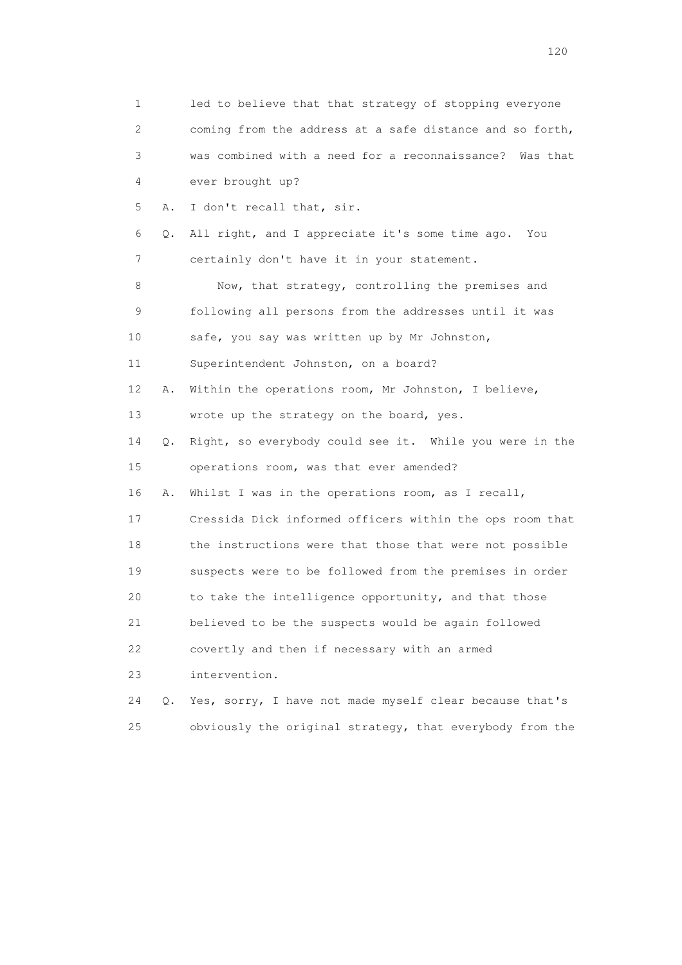| 1                         |    | led to believe that that strategy of stopping everyone   |
|---------------------------|----|----------------------------------------------------------|
| $\mathbf{2}^{\mathsf{I}}$ |    | coming from the address at a safe distance and so forth, |
| 3                         |    | was combined with a need for a reconnaissance? Was that  |
| 4                         |    | ever brought up?                                         |
| 5                         | Α. | I don't recall that, sir.                                |
| 6                         | Q. | All right, and I appreciate it's some time ago.<br>You   |
| 7                         |    | certainly don't have it in your statement.               |
| 8                         |    | Now, that strategy, controlling the premises and         |
| 9                         |    | following all persons from the addresses until it was    |
| 10                        |    | safe, you say was written up by Mr Johnston,             |
| 11                        |    | Superintendent Johnston, on a board?                     |
| 12                        | Α. | Within the operations room, Mr Johnston, I believe,      |
| 13                        |    | wrote up the strategy on the board, yes.                 |
| 14                        | Q. | Right, so everybody could see it. While you were in the  |
| 15                        |    | operations room, was that ever amended?                  |
| 16                        | Α. | Whilst I was in the operations room, as I recall,        |
| 17                        |    | Cressida Dick informed officers within the ops room that |
| 18                        |    | the instructions were that those that were not possible  |
| 19                        |    | suspects were to be followed from the premises in order  |
| 20                        |    | to take the intelligence opportunity, and that those     |
| 21                        |    | believed to be the suspects would be again followed      |
| 22                        |    | covertly and then if necessary with an armed             |
| 23                        |    | intervention.                                            |
| 24                        | Q. | Yes, sorry, I have not made myself clear because that's  |
| 25                        |    | obviously the original strategy, that everybody from the |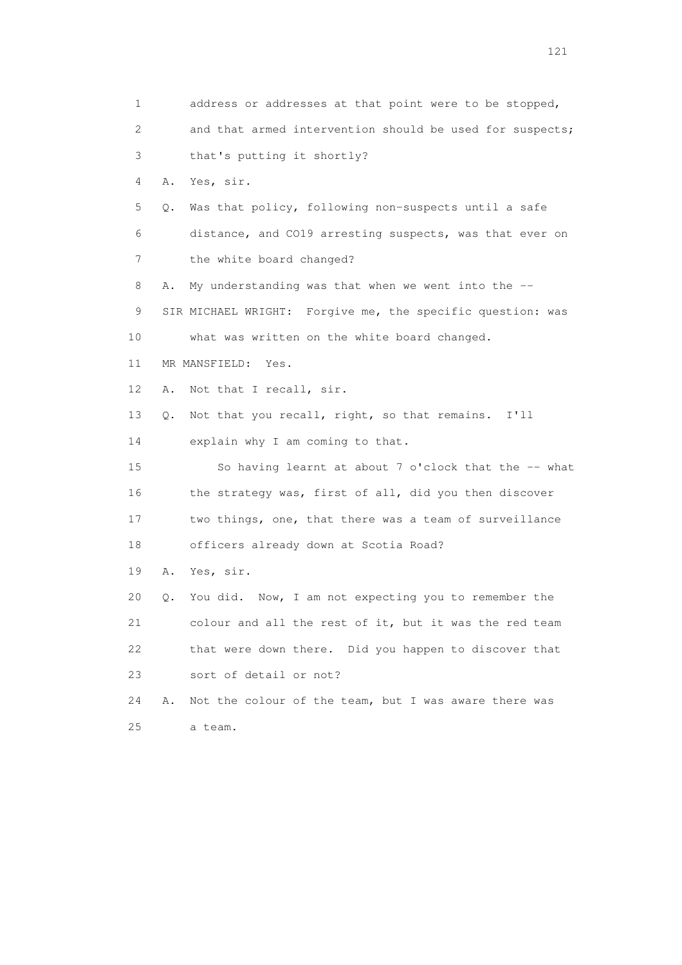1 address or addresses at that point were to be stopped, 2 and that armed intervention should be used for suspects; 3 that's putting it shortly? 4 A. Yes, sir. 5 Q. Was that policy, following non-suspects until a safe 6 distance, and CO19 arresting suspects, was that ever on 7 the white board changed? 8 A. My understanding was that when we went into the -- 9 SIR MICHAEL WRIGHT: Forgive me, the specific question: was 10 what was written on the white board changed. 11 MR MANSFIELD: Yes. 12 A. Not that I recall, sir. 13 Q. Not that you recall, right, so that remains. I'll 14 explain why I am coming to that. 15 So having learnt at about 7 o'clock that the -- what 16 the strategy was, first of all, did you then discover 17 two things, one, that there was a team of surveillance 18 officers already down at Scotia Road? 19 A. Yes, sir. 20 Q. You did. Now, I am not expecting you to remember the 21 colour and all the rest of it, but it was the red team 22 that were down there. Did you happen to discover that 23 sort of detail or not? 24 A. Not the colour of the team, but I was aware there was 25 a team.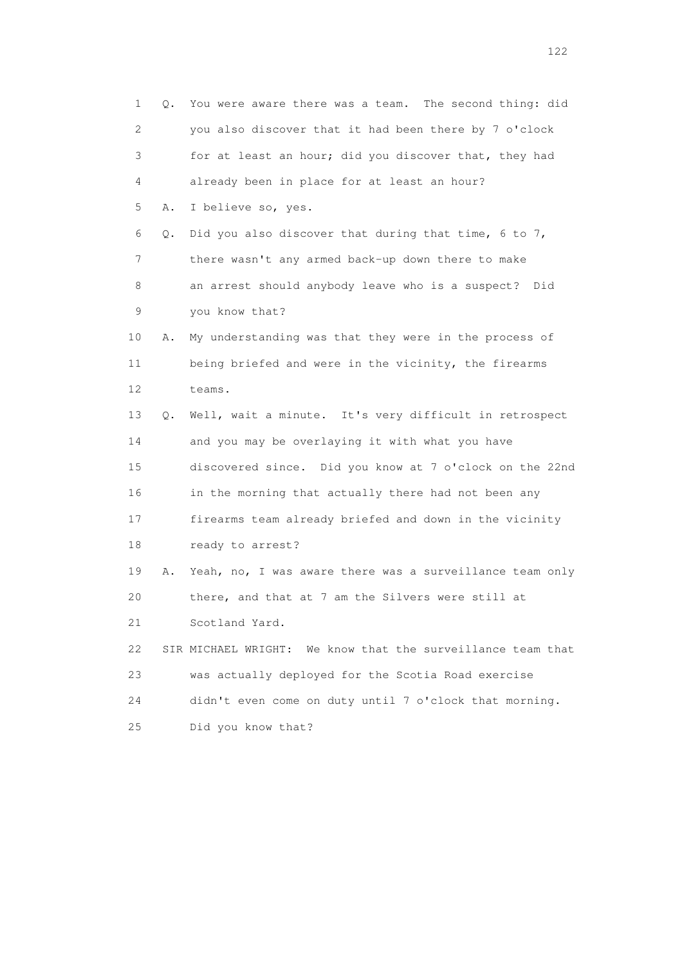1 Q. You were aware there was a team. The second thing: did 2 you also discover that it had been there by 7 o'clock 3 for at least an hour; did you discover that, they had 4 already been in place for at least an hour? 5 A. I believe so, yes. 6 Q. Did you also discover that during that time, 6 to 7, 7 there wasn't any armed back-up down there to make 8 an arrest should anybody leave who is a suspect? Did 9 you know that? 10 A. My understanding was that they were in the process of 11 being briefed and were in the vicinity, the firearms 12 teams. 13 Q. Well, wait a minute. It's very difficult in retrospect 14 and you may be overlaying it with what you have 15 discovered since. Did you know at 7 o'clock on the 22nd 16 in the morning that actually there had not been any 17 firearms team already briefed and down in the vicinity 18 ready to arrest? 19 A. Yeah, no, I was aware there was a surveillance team only 20 there, and that at 7 am the Silvers were still at 21 Scotland Yard. 22 SIR MICHAEL WRIGHT: We know that the surveillance team that 23 was actually deployed for the Scotia Road exercise 24 didn't even come on duty until 7 o'clock that morning. 25 Did you know that?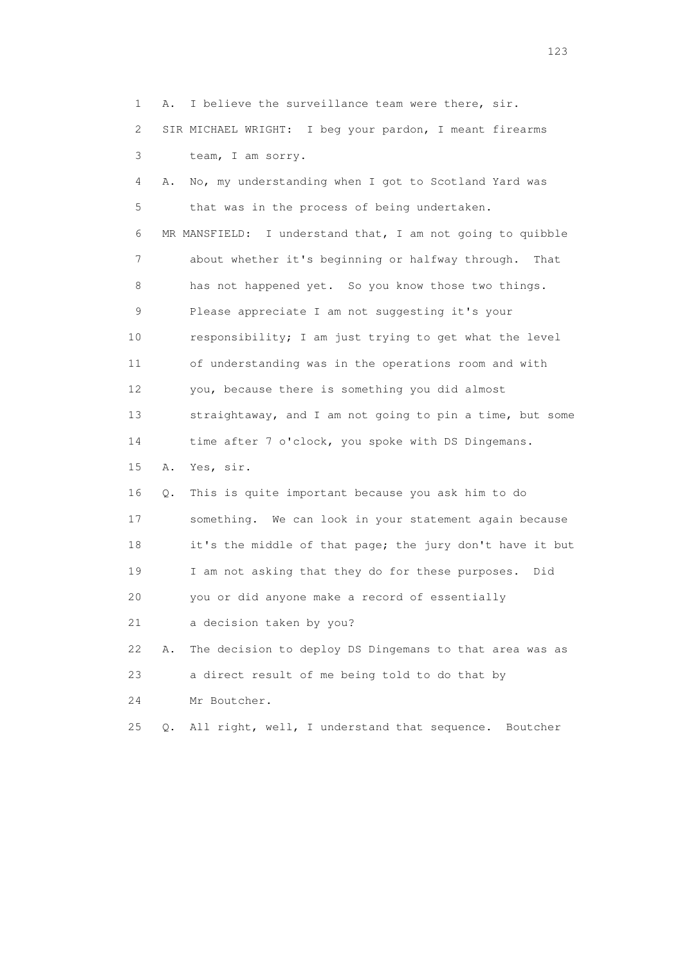1 A. I believe the surveillance team were there, sir. 2 SIR MICHAEL WRIGHT: I beg your pardon, I meant firearms 3 team, I am sorry. 4 A. No, my understanding when I got to Scotland Yard was 5 that was in the process of being undertaken. 6 MR MANSFIELD: I understand that, I am not going to quibble 7 about whether it's beginning or halfway through. That 8 has not happened yet. So you know those two things. 9 Please appreciate I am not suggesting it's your 10 responsibility; I am just trying to get what the level 11 of understanding was in the operations room and with 12 you, because there is something you did almost 13 straightaway, and I am not going to pin a time, but some 14 time after 7 o'clock, you spoke with DS Dingemans. 15 A. Yes, sir. 16 Q. This is quite important because you ask him to do 17 something. We can look in your statement again because 18 it's the middle of that page; the jury don't have it but 19 I am not asking that they do for these purposes. Did 20 you or did anyone make a record of essentially 21 a decision taken by you? 22 A. The decision to deploy DS Dingemans to that area was as 23 a direct result of me being told to do that by 24 Mr Boutcher. 25 Q. All right, well, I understand that sequence. Boutcher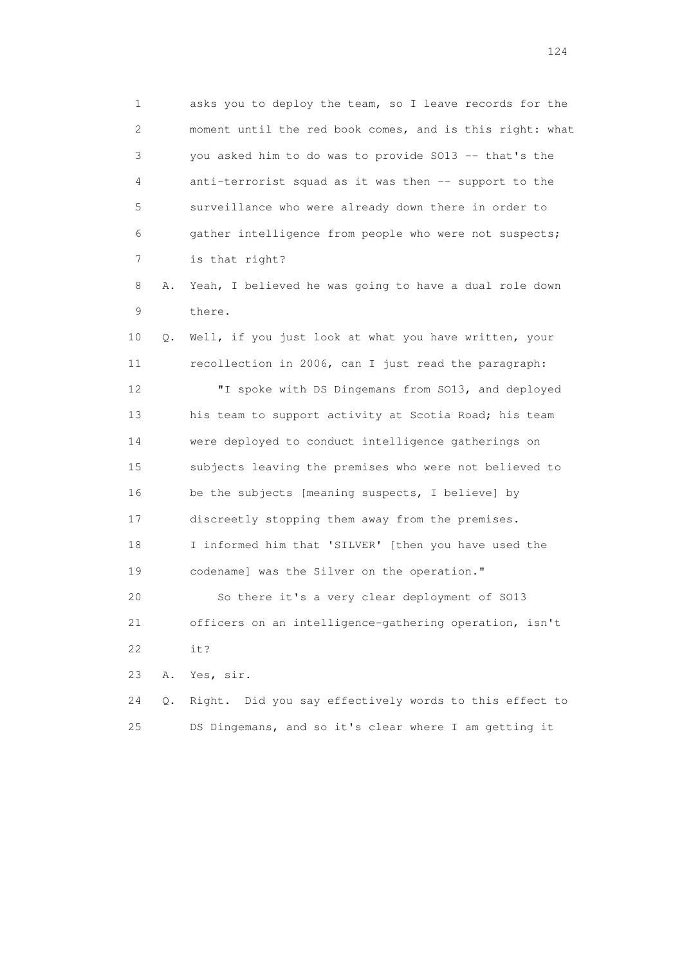1 asks you to deploy the team, so I leave records for the 2 moment until the red book comes, and is this right: what 3 you asked him to do was to provide SO13 -- that's the 4 anti-terrorist squad as it was then -- support to the 5 surveillance who were already down there in order to 6 gather intelligence from people who were not suspects; 7 is that right?

 8 A. Yeah, I believed he was going to have a dual role down 9 there.

 10 Q. Well, if you just look at what you have written, your 11 recollection in 2006, can I just read the paragraph: 12 "I spoke with DS Dingemans from SO13, and deployed 13 his team to support activity at Scotia Road; his team 14 were deployed to conduct intelligence gatherings on 15 subjects leaving the premises who were not believed to 16 be the subjects [meaning suspects, I believe] by 17 discreetly stopping them away from the premises. 18 I informed him that 'SILVER' [then you have used the 19 codename] was the Silver on the operation."

 20 So there it's a very clear deployment of SO13 21 officers on an intelligence-gathering operation, isn't 22 it?

23 A. Yes, sir.

 24 Q. Right. Did you say effectively words to this effect to 25 DS Dingemans, and so it's clear where I am getting it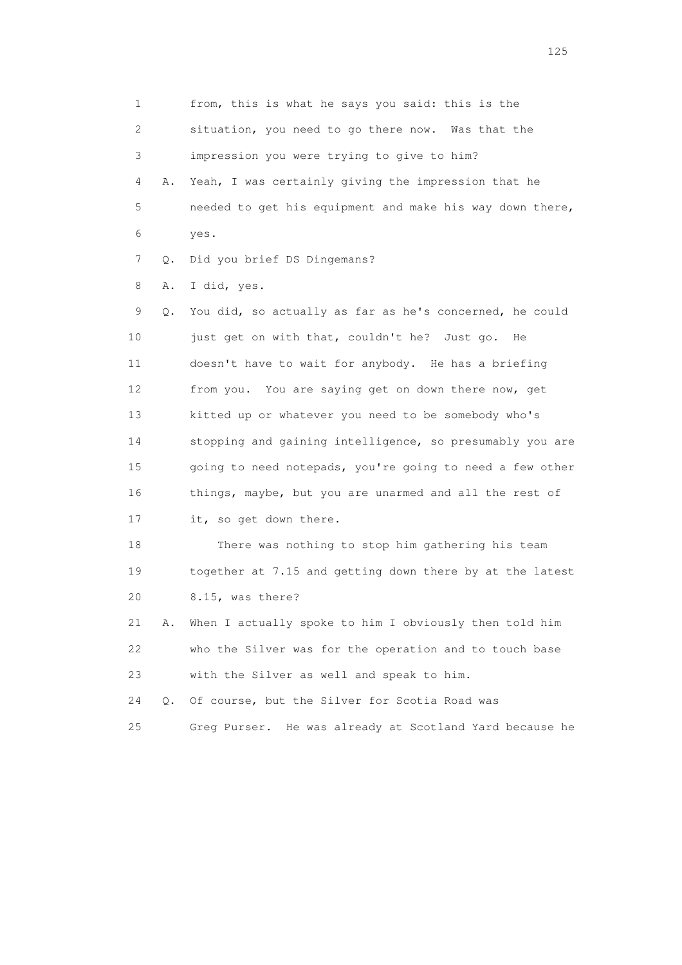1 from, this is what he says you said: this is the 2 situation, you need to go there now. Was that the 3 impression you were trying to give to him? 4 A. Yeah, I was certainly giving the impression that he 5 needed to get his equipment and make his way down there, 6 yes. 7 Q. Did you brief DS Dingemans? 8 A. I did, yes. 9 Q. You did, so actually as far as he's concerned, he could 10 just get on with that, couldn't he? Just go. He 11 doesn't have to wait for anybody. He has a briefing 12 from you. You are saying get on down there now, get 13 kitted up or whatever you need to be somebody who's 14 stopping and gaining intelligence, so presumably you are 15 going to need notepads, you're going to need a few other 16 things, maybe, but you are unarmed and all the rest of 17 it, so get down there. 18 There was nothing to stop him gathering his team 19 together at 7.15 and getting down there by at the latest 20 8.15, was there? 21 A. When I actually spoke to him I obviously then told him 22 who the Silver was for the operation and to touch base 23 with the Silver as well and speak to him.

 24 Q. Of course, but the Silver for Scotia Road was 25 Greg Purser. He was already at Scotland Yard because he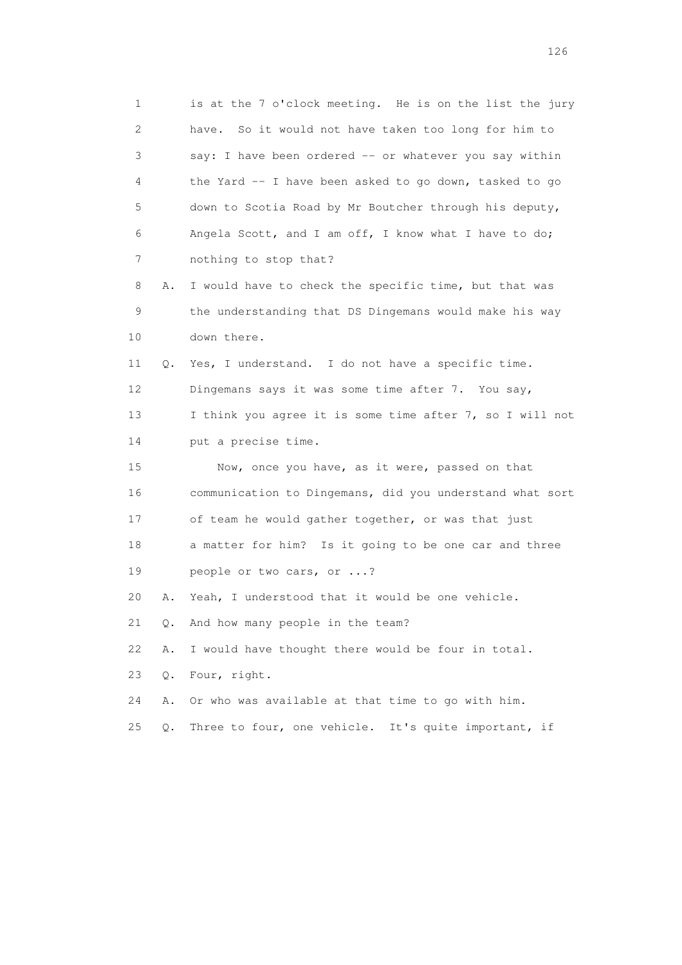| 1  |       | is at the 7 o'clock meeting. He is on the list the jury  |
|----|-------|----------------------------------------------------------|
| 2  |       | have. So it would not have taken too long for him to     |
| 3  |       | say: I have been ordered -- or whatever you say within   |
| 4  |       | the Yard -- I have been asked to go down, tasked to go   |
| 5  |       | down to Scotia Road by Mr Boutcher through his deputy,   |
| 6  |       | Angela Scott, and I am off, I know what I have to do;    |
| 7  |       | nothing to stop that?                                    |
| 8  | Α.    | I would have to check the specific time, but that was    |
| 9  |       | the understanding that DS Dingemans would make his way   |
| 10 |       | down there.                                              |
| 11 | Q.    | Yes, I understand. I do not have a specific time.        |
| 12 |       | Dingemans says it was some time after 7. You say,        |
| 13 |       | I think you agree it is some time after 7, so I will not |
| 14 |       | put a precise time.                                      |
| 15 |       | Now, once you have, as it were, passed on that           |
| 16 |       | communication to Dingemans, did you understand what sort |
| 17 |       | of team he would gather together, or was that just       |
| 18 |       | a matter for him? Is it going to be one car and three    |
| 19 |       | people or two cars, or ?                                 |
| 20 | Α.    | Yeah, I understood that it would be one vehicle.         |
| 21 | Q.    | And how many people in the team?                         |
| 22 | Α.    | I would have thought there would be four in total.       |
| 23 | Q.    | Four, right.                                             |
| 24 | Α.    | Or who was available at that time to go with him.        |
| 25 | $Q$ . | Three to four, one vehicle. It's quite important, if     |
|    |       |                                                          |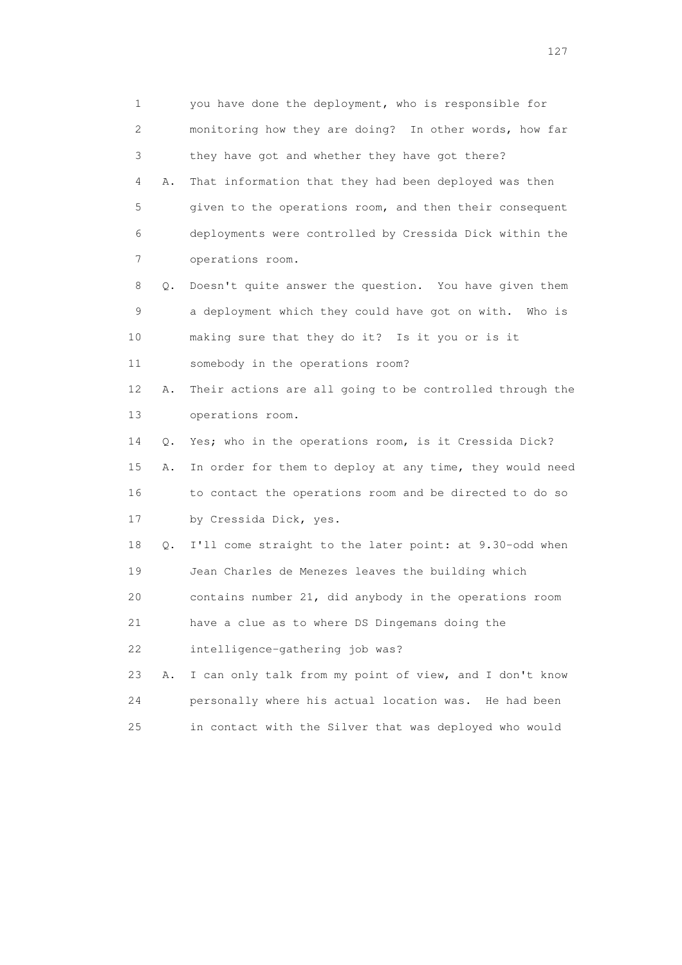1 you have done the deployment, who is responsible for 2 monitoring how they are doing? In other words, how far 3 they have got and whether they have got there? 4 A. That information that they had been deployed was then 5 given to the operations room, and then their consequent 6 deployments were controlled by Cressida Dick within the 7 operations room. 8 Q. Doesn't quite answer the question. You have given them 9 a deployment which they could have got on with. Who is 10 making sure that they do it? Is it you or is it 11 somebody in the operations room? 12 A. Their actions are all going to be controlled through the 13 operations room. 14 Q. Yes; who in the operations room, is it Cressida Dick? 15 A. In order for them to deploy at any time, they would need 16 to contact the operations room and be directed to do so 17 by Cressida Dick, yes. 18 Q. I'll come straight to the later point: at 9.30-odd when 19 Jean Charles de Menezes leaves the building which 20 contains number 21, did anybody in the operations room 21 have a clue as to where DS Dingemans doing the 22 intelligence-gathering job was? 23 A. I can only talk from my point of view, and I don't know 24 personally where his actual location was. He had been 25 in contact with the Silver that was deployed who would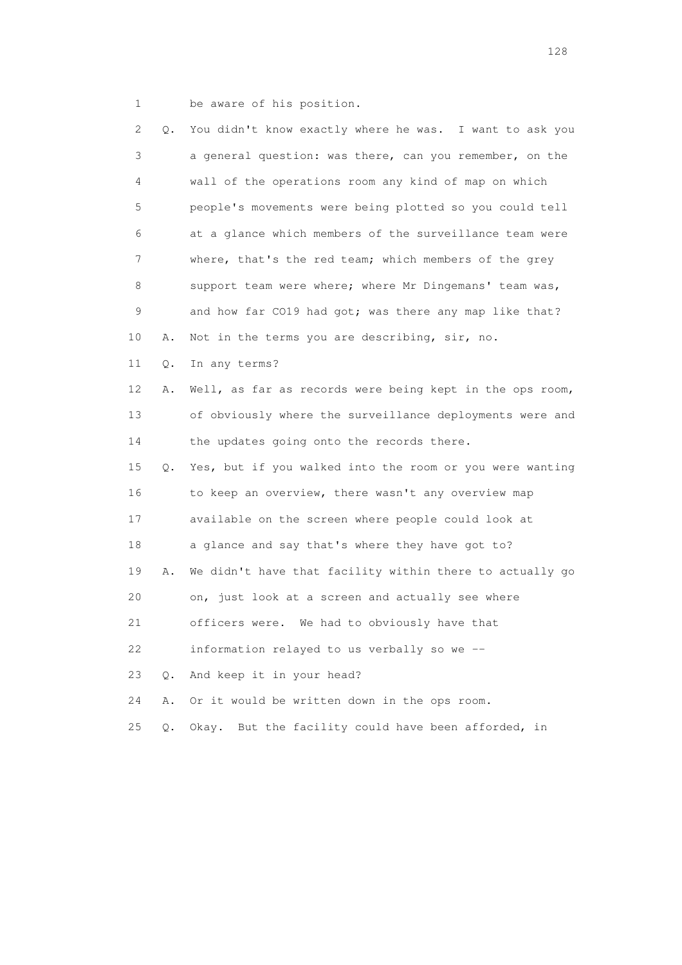1 be aware of his position.

| 2              | Q.        | You didn't know exactly where he was. I want to ask you     |
|----------------|-----------|-------------------------------------------------------------|
| 3              |           | a general question: was there, can you remember, on the     |
| 4              |           | wall of the operations room any kind of map on which        |
| 5              |           | people's movements were being plotted so you could tell     |
| 6              |           | at a glance which members of the surveillance team were     |
| $\overline{7}$ |           | where, that's the red team; which members of the grey       |
| 8              |           | support team were where; where Mr Dingemans' team was,      |
| $\mathsf 9$    |           | and how far CO19 had got; was there any map like that?      |
| 10             | Α.        | Not in the terms you are describing, sir, no.               |
| 11             | Q.        | In any terms?                                               |
| 12             | Α.        | Well, as far as records were being kept in the ops room,    |
| 13             |           | of obviously where the surveillance deployments were and    |
| 14             |           | the updates going onto the records there.                   |
| 15             |           | Q. Yes, but if you walked into the room or you were wanting |
| 16             |           | to keep an overview, there wasn't any overview map          |
| 17             |           | available on the screen where people could look at          |
| 18             |           | a glance and say that's where they have got to?             |
| 19             | Α.        | We didn't have that facility within there to actually go    |
| 20             |           | on, just look at a screen and actually see where            |
| 21             |           | officers were. We had to obviously have that                |
| 22             |           | information relayed to us verbally so we --                 |
| 23             | О.        | And keep it in your head?                                   |
| 24             | Α.        | Or it would be written down in the ops room.                |
| 25             | $\circ$ . | Okay. But the facility could have been afforded, in         |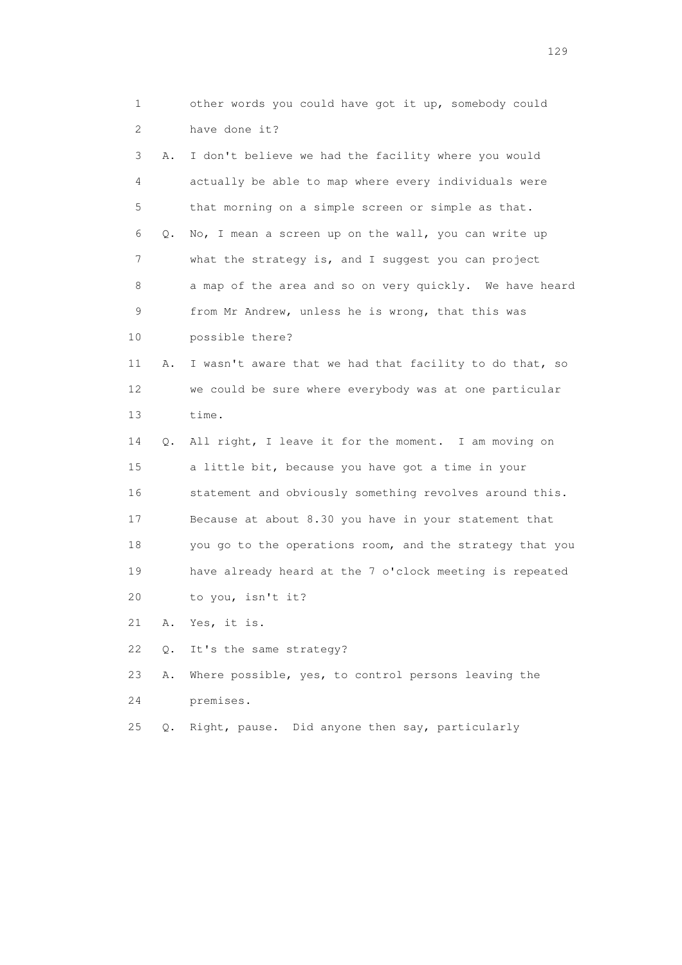1 other words you could have got it up, somebody could 2 have done it? 3 A. I don't believe we had the facility where you would 4 actually be able to map where every individuals were 5 that morning on a simple screen or simple as that. 6 Q. No, I mean a screen up on the wall, you can write up 7 what the strategy is, and I suggest you can project 8 a map of the area and so on very quickly. We have heard 9 from Mr Andrew, unless he is wrong, that this was 10 possible there? 11 A. I wasn't aware that we had that facility to do that, so 12 we could be sure where everybody was at one particular 13 time. 14 Q. All right, I leave it for the moment. I am moving on 15 a little bit, because you have got a time in your 16 statement and obviously something revolves around this. 17 Because at about 8.30 you have in your statement that 18 you go to the operations room, and the strategy that you 19 have already heard at the 7 o'clock meeting is repeated 20 to you, isn't it? 21 A. Yes, it is. 22 Q. It's the same strategy? 23 A. Where possible, yes, to control persons leaving the 24 premises.

25 Q. Right, pause. Did anyone then say, particularly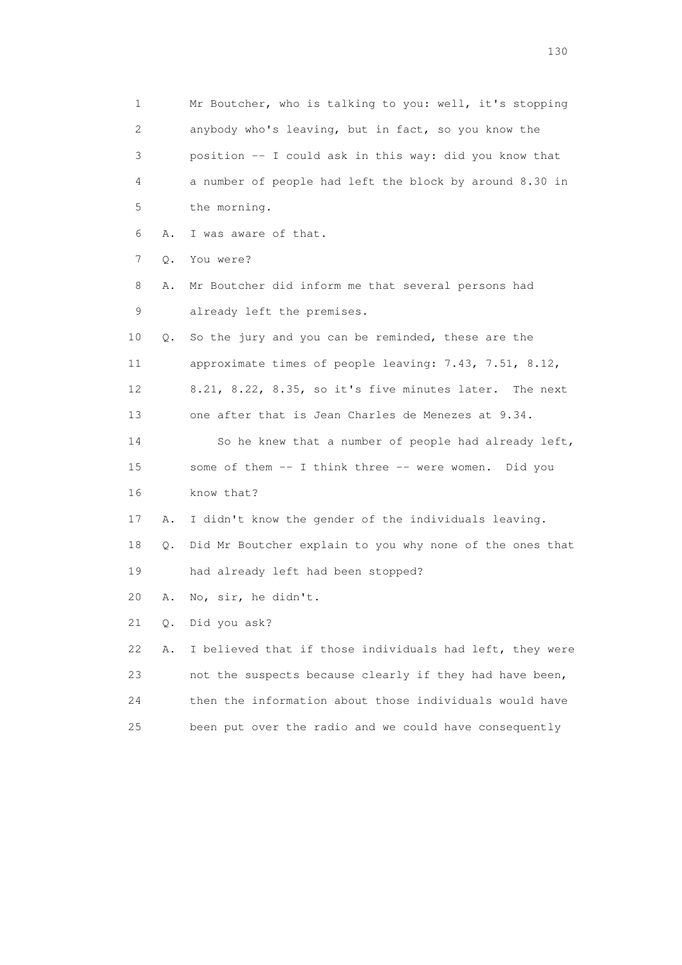1 Mr Boutcher, who is talking to you: well, it's stopping 2 anybody who's leaving, but in fact, so you know the 3 position -- I could ask in this way: did you know that 4 a number of people had left the block by around 8.30 in 5 the morning. 6 A. I was aware of that. 7 Q. You were? 8 A. Mr Boutcher did inform me that several persons had 9 already left the premises. 10 Q. So the jury and you can be reminded, these are the 11 approximate times of people leaving: 7.43, 7.51, 8.12, 12 8.21, 8.22, 8.35, so it's five minutes later. The next 13 one after that is Jean Charles de Menezes at 9.34. 14 So he knew that a number of people had already left, 15 some of them -- I think three -- were women. Did you 16 know that? 17 A. I didn't know the gender of the individuals leaving. 18 Q. Did Mr Boutcher explain to you why none of the ones that 19 had already left had been stopped? 20 A. No, sir, he didn't. 21 Q. Did you ask? 22 A. I believed that if those individuals had left, they were 23 not the suspects because clearly if they had have been, 24 then the information about those individuals would have 25 been put over the radio and we could have consequently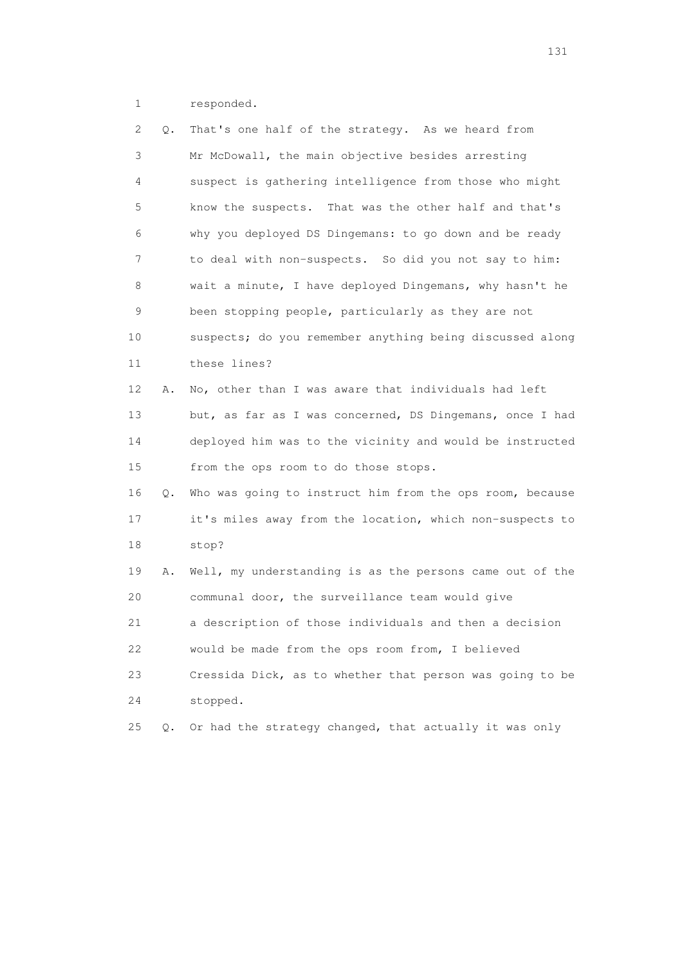1 responded.

| 2  | Q. | That's one half of the strategy. As we heard from        |
|----|----|----------------------------------------------------------|
| 3  |    | Mr McDowall, the main objective besides arresting        |
| 4  |    | suspect is gathering intelligence from those who might   |
| 5  |    | know the suspects. That was the other half and that's    |
| 6  |    | why you deployed DS Dingemans: to go down and be ready   |
| 7  |    | to deal with non-suspects. So did you not say to him:    |
| 8  |    | wait a minute, I have deployed Dingemans, why hasn't he  |
| 9  |    | been stopping people, particularly as they are not       |
| 10 |    | suspects; do you remember anything being discussed along |
| 11 |    | these lines?                                             |
| 12 | Α. | No, other than I was aware that individuals had left     |
| 13 |    | but, as far as I was concerned, DS Dingemans, once I had |
| 14 |    | deployed him was to the vicinity and would be instructed |
| 15 |    | from the ops room to do those stops.                     |
| 16 | Q. | Who was going to instruct him from the ops room, because |
| 17 |    | it's miles away from the location, which non-suspects to |
| 18 |    | stop?                                                    |
| 19 | Α. | Well, my understanding is as the persons came out of the |
| 20 |    | communal door, the surveillance team would give          |
| 21 |    | a description of those individuals and then a decision   |
| 22 |    | would be made from the ops room from, I believed         |
| 23 |    | Cressida Dick, as to whether that person was going to be |
| 24 |    | stopped.                                                 |
| 25 | Q. | Or had the strategy changed, that actually it was only   |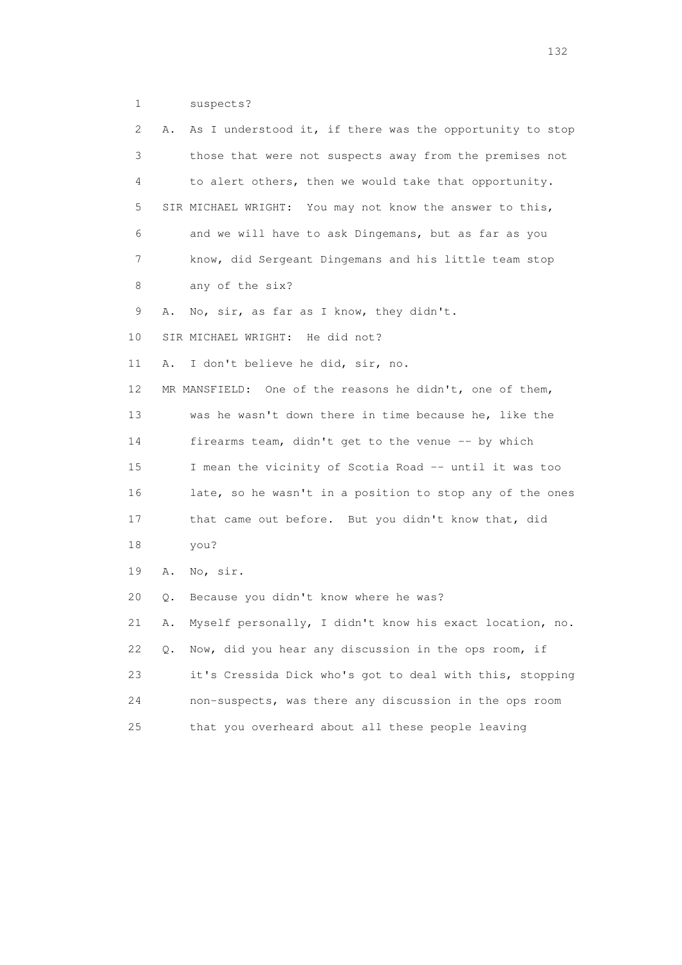1 suspects?

| 2  | Α. | As I understood it, if there was the opportunity to stop |
|----|----|----------------------------------------------------------|
| 3  |    | those that were not suspects away from the premises not  |
| 4  |    | to alert others, then we would take that opportunity.    |
| 5  |    | SIR MICHAEL WRIGHT: You may not know the answer to this, |
| 6  |    | and we will have to ask Dingemans, but as far as you     |
| 7  |    | know, did Sergeant Dingemans and his little team stop    |
| 8  |    | any of the six?                                          |
| 9  | Α. | No, sir, as far as I know, they didn't.                  |
| 10 |    | SIR MICHAEL WRIGHT: He did not?                          |
| 11 | Α. | I don't believe he did, sir, no.                         |
| 12 |    | MR MANSFIELD: One of the reasons he didn't, one of them, |
| 13 |    | was he wasn't down there in time because he, like the    |
| 14 |    | firearms team, didn't get to the venue -- by which       |
| 15 |    | I mean the vicinity of Scotia Road -- until it was too   |
| 16 |    | late, so he wasn't in a position to stop any of the ones |
| 17 |    | that came out before. But you didn't know that, did      |
| 18 |    | you?                                                     |
| 19 | Α. | No, sir.                                                 |
| 20 | Q. | Because you didn't know where he was?                    |
| 21 | Α. | Myself personally, I didn't know his exact location, no. |
| 22 | Q. | Now, did you hear any discussion in the ops room, if     |
| 23 |    | it's Cressida Dick who's got to deal with this, stopping |
| 24 |    | non-suspects, was there any discussion in the ops room   |
| 25 |    | that you overheard about all these people leaving        |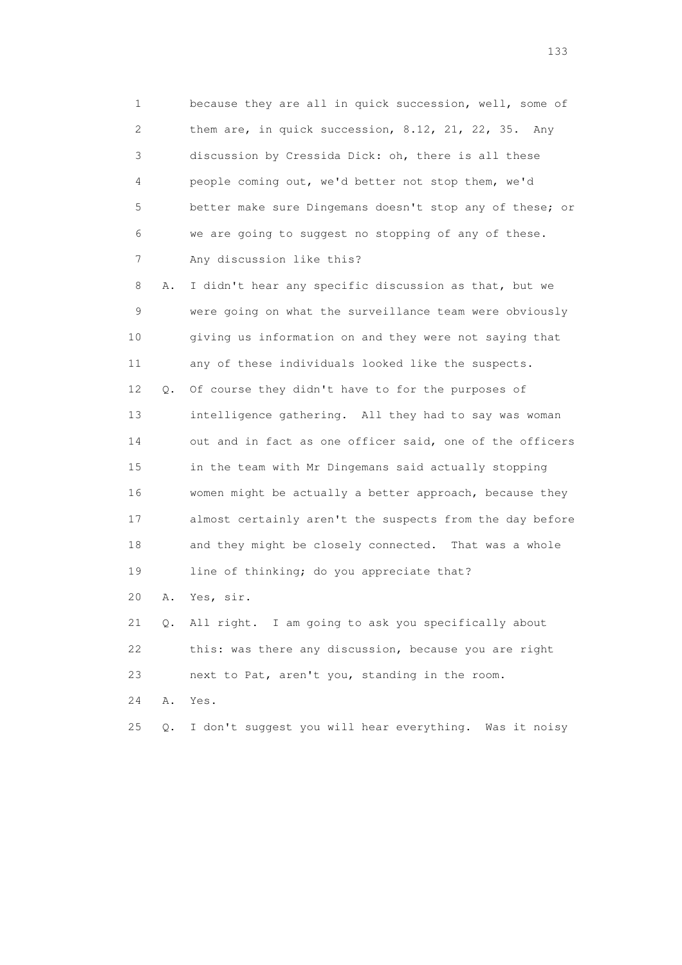1 because they are all in quick succession, well, some of 2 them are, in quick succession, 8.12, 21, 22, 35. Any 3 discussion by Cressida Dick: oh, there is all these 4 people coming out, we'd better not stop them, we'd 5 better make sure Dingemans doesn't stop any of these; or 6 we are going to suggest no stopping of any of these. 7 Any discussion like this?

 8 A. I didn't hear any specific discussion as that, but we 9 were going on what the surveillance team were obviously 10 giving us information on and they were not saying that 11 any of these individuals looked like the suspects. 12 Q. Of course they didn't have to for the purposes of 13 intelligence gathering. All they had to say was woman 14 out and in fact as one officer said, one of the officers 15 in the team with Mr Dingemans said actually stopping 16 women might be actually a better approach, because they 17 almost certainly aren't the suspects from the day before 18 and they might be closely connected. That was a whole 19 line of thinking; do you appreciate that?

20 A. Yes, sir.

 21 Q. All right. I am going to ask you specifically about 22 this: was there any discussion, because you are right 23 next to Pat, aren't you, standing in the room.

24 A. Yes.

25 Q. I don't suggest you will hear everything. Was it noisy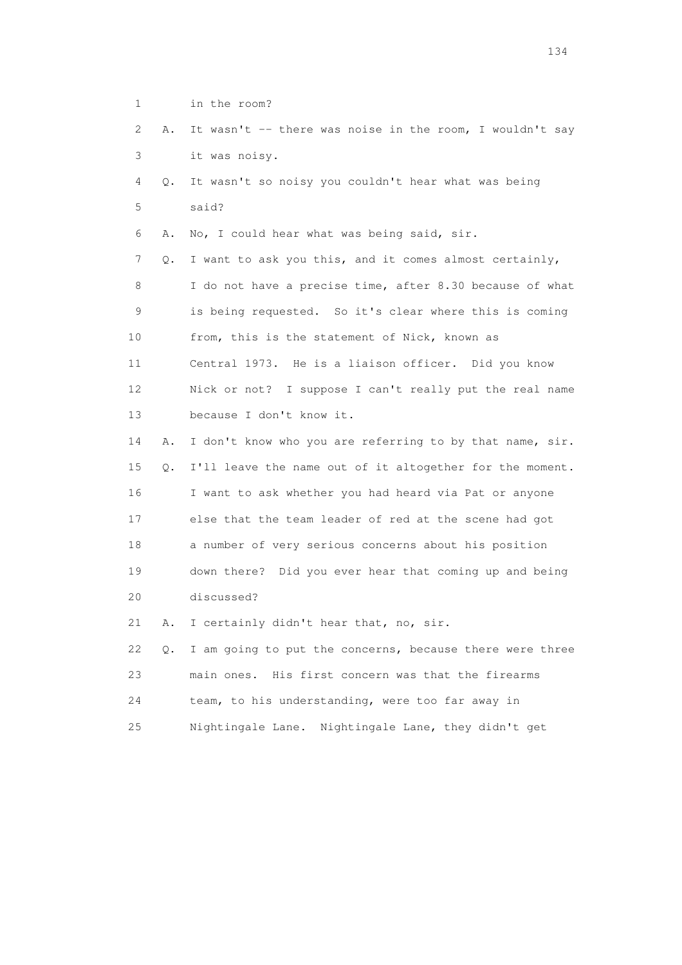1 in the room? 2 A. It wasn't -- there was noise in the room, I wouldn't say 3 it was noisy. 4 Q. It wasn't so noisy you couldn't hear what was being 5 said? 6 A. No, I could hear what was being said, sir. 7 Q. I want to ask you this, and it comes almost certainly, 8 I do not have a precise time, after 8.30 because of what 9 is being requested. So it's clear where this is coming 10 from, this is the statement of Nick, known as 11 Central 1973. He is a liaison officer. Did you know 12 Nick or not? I suppose I can't really put the real name 13 because I don't know it. 14 A. I don't know who you are referring to by that name, sir. 15 Q. I'll leave the name out of it altogether for the moment. 16 I want to ask whether you had heard via Pat or anyone 17 else that the team leader of red at the scene had got 18 a number of very serious concerns about his position 19 down there? Did you ever hear that coming up and being 20 discussed? 21 A. I certainly didn't hear that, no, sir.

 22 Q. I am going to put the concerns, because there were three 23 main ones. His first concern was that the firearms 24 team, to his understanding, were too far away in 25 Nightingale Lane. Nightingale Lane, they didn't get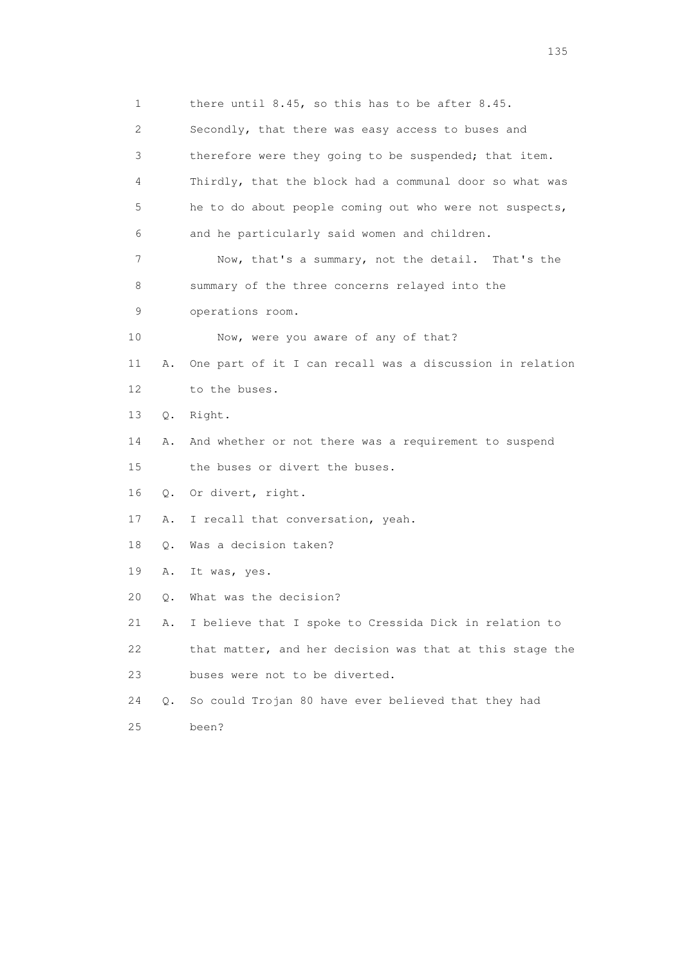1 there until 8.45, so this has to be after 8.45. 2 Secondly, that there was easy access to buses and 3 therefore were they going to be suspended; that item. 4 Thirdly, that the block had a communal door so what was 5 he to do about people coming out who were not suspects, 6 and he particularly said women and children. 7 Now, that's a summary, not the detail. That's the 8 summary of the three concerns relayed into the 9 operations room. 10 Now, were you aware of any of that? 11 A. One part of it I can recall was a discussion in relation 12 to the buses. 13 Q. Right. 14 A. And whether or not there was a requirement to suspend 15 the buses or divert the buses. 16 Q. Or divert, right. 17 A. I recall that conversation, yeah. 18 Q. Was a decision taken? 19 A. It was, yes. 20 Q. What was the decision? 21 A. I believe that I spoke to Cressida Dick in relation to 22 that matter, and her decision was that at this stage the 23 buses were not to be diverted. 24 Q. So could Trojan 80 have ever believed that they had 25 been?

n 135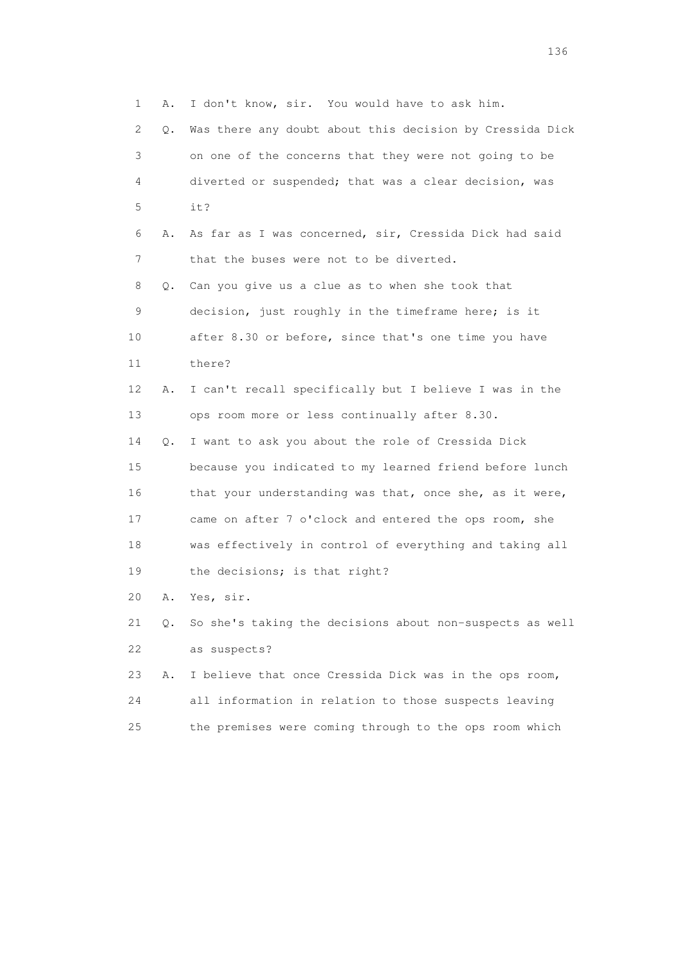1 A. I don't know, sir. You would have to ask him. 2 Q. Was there any doubt about this decision by Cressida Dick 3 on one of the concerns that they were not going to be 4 diverted or suspended; that was a clear decision, was 5 it? 6 A. As far as I was concerned, sir, Cressida Dick had said 7 that the buses were not to be diverted. 8 Q. Can you give us a clue as to when she took that 9 decision, just roughly in the timeframe here; is it 10 after 8.30 or before, since that's one time you have 11 there? 12 A. I can't recall specifically but I believe I was in the 13 ops room more or less continually after 8.30. 14 Q. I want to ask you about the role of Cressida Dick 15 because you indicated to my learned friend before lunch 16 that your understanding was that, once she, as it were, 17 came on after 7 o'clock and entered the ops room, she 18 was effectively in control of everything and taking all 19 the decisions; is that right? 20 A. Yes, sir. 21 Q. So she's taking the decisions about non-suspects as well 22 as suspects? 23 A. I believe that once Cressida Dick was in the ops room,

 24 all information in relation to those suspects leaving 25 the premises were coming through to the ops room which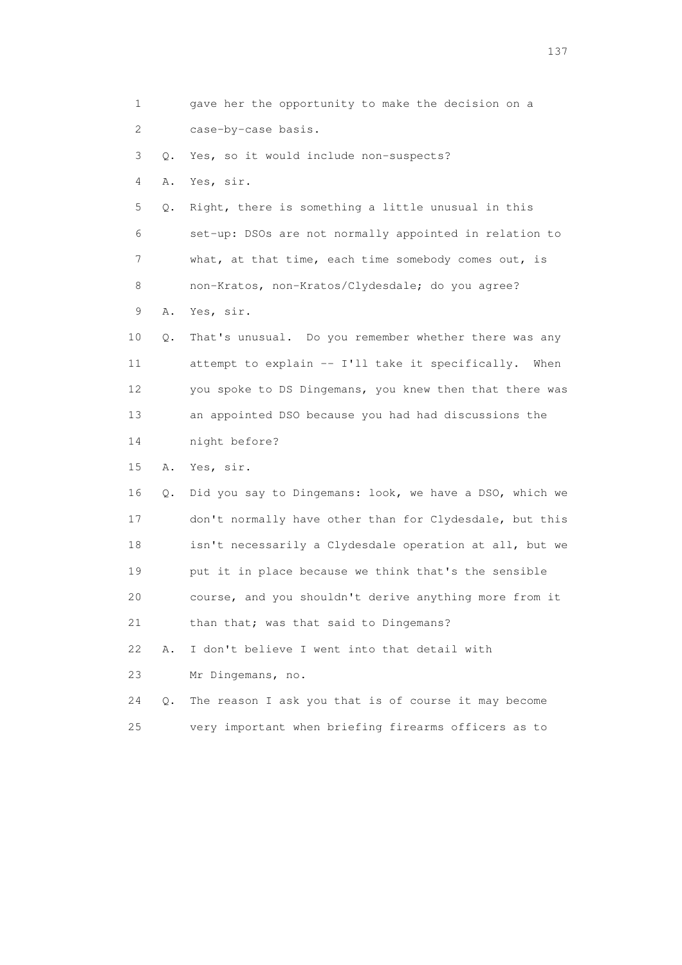1 gave her the opportunity to make the decision on a 2 case-by-case basis. 3 Q. Yes, so it would include non-suspects? 4 A. Yes, sir. 5 Q. Right, there is something a little unusual in this 6 set-up: DSOs are not normally appointed in relation to 7 what, at that time, each time somebody comes out, is 8 non-Kratos, non-Kratos/Clydesdale; do you agree? 9 A. Yes, sir. 10 Q. That's unusual. Do you remember whether there was any 11 attempt to explain -- I'll take it specifically. When 12 you spoke to DS Dingemans, you knew then that there was 13 an appointed DSO because you had had discussions the 14 night before? 15 A. Yes, sir. 16 Q. Did you say to Dingemans: look, we have a DSO, which we 17 don't normally have other than for Clydesdale, but this 18 isn't necessarily a Clydesdale operation at all, but we 19 put it in place because we think that's the sensible 20 course, and you shouldn't derive anything more from it 21 than that; was that said to Dingemans? 22 A. I don't believe I went into that detail with 23 Mr Dingemans, no. 24 Q. The reason I ask you that is of course it may become 25 very important when briefing firearms officers as to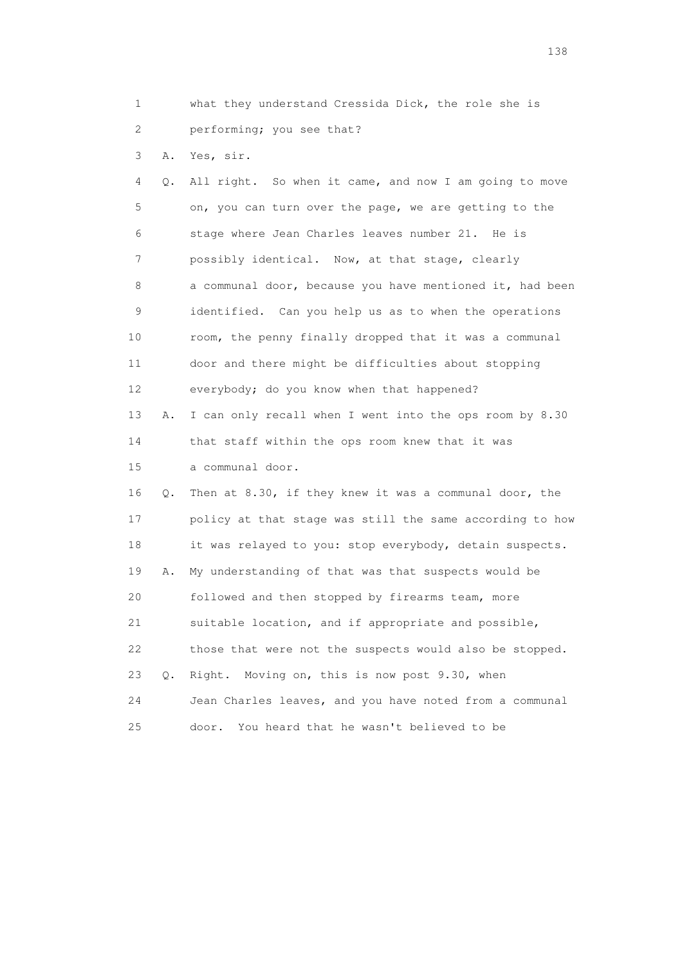1 what they understand Cressida Dick, the role she is 2 performing; you see that?

3 A. Yes, sir.

 4 Q. All right. So when it came, and now I am going to move 5 on, you can turn over the page, we are getting to the 6 stage where Jean Charles leaves number 21. He is 7 possibly identical. Now, at that stage, clearly 8 a communal door, because you have mentioned it, had been 9 identified. Can you help us as to when the operations 10 room, the penny finally dropped that it was a communal 11 door and there might be difficulties about stopping 12 everybody; do you know when that happened? 13 A. I can only recall when I went into the ops room by 8.30 14 that staff within the ops room knew that it was 15 a communal door. 16 Q. Then at 8.30, if they knew it was a communal door, the 17 policy at that stage was still the same according to how 18 it was relayed to you: stop everybody, detain suspects. 19 A. My understanding of that was that suspects would be 20 followed and then stopped by firearms team, more 21 suitable location, and if appropriate and possible, 22 those that were not the suspects would also be stopped. 23 Q. Right. Moving on, this is now post 9.30, when 24 Jean Charles leaves, and you have noted from a communal 25 door. You heard that he wasn't believed to be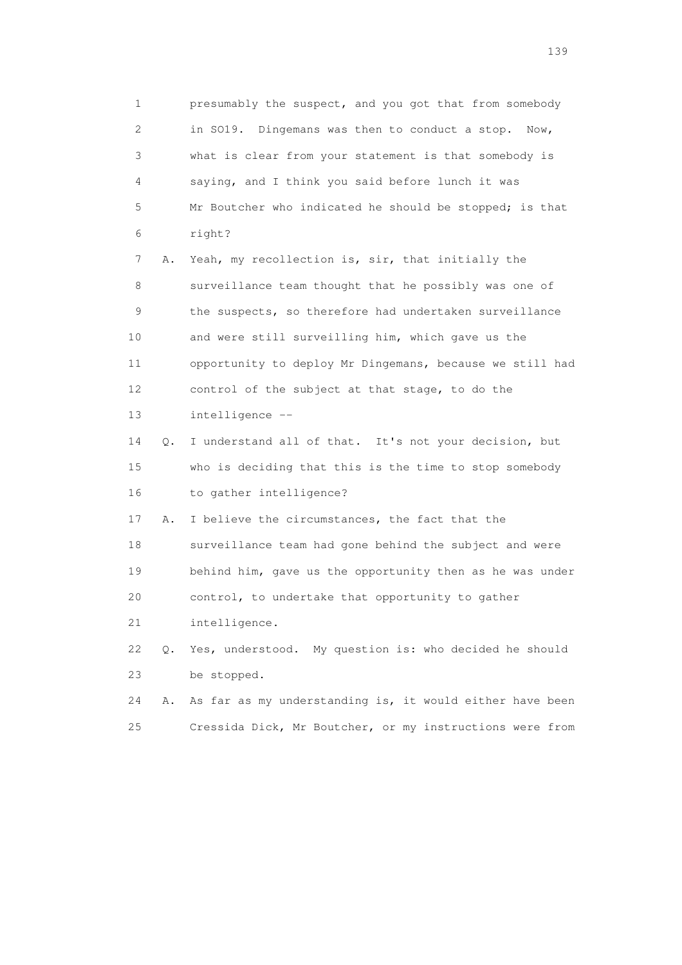1 presumably the suspect, and you got that from somebody 2 in SO19. Dingemans was then to conduct a stop. Now, 3 what is clear from your statement is that somebody is 4 saying, and I think you said before lunch it was 5 Mr Boutcher who indicated he should be stopped; is that 6 right? 7 A. Yeah, my recollection is, sir, that initially the 8 surveillance team thought that he possibly was one of 9 the suspects, so therefore had undertaken surveillance 10 and were still surveilling him, which gave us the 11 opportunity to deploy Mr Dingemans, because we still had 12 control of the subject at that stage, to do the 13 intelligence -- 14 Q. I understand all of that. It's not your decision, but

 15 who is deciding that this is the time to stop somebody 16 to gather intelligence?

 17 A. I believe the circumstances, the fact that the 18 surveillance team had gone behind the subject and were 19 behind him, gave us the opportunity then as he was under 20 control, to undertake that opportunity to gather

21 intelligence.

 22 Q. Yes, understood. My question is: who decided he should 23 be stopped.

 24 A. As far as my understanding is, it would either have been 25 Cressida Dick, Mr Boutcher, or my instructions were from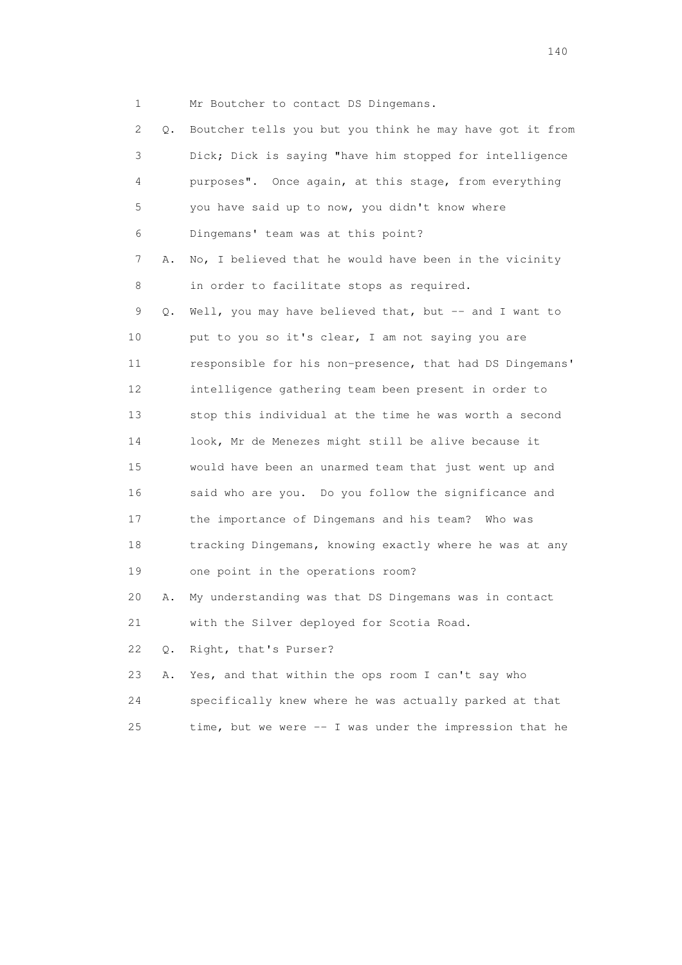1 Mr Boutcher to contact DS Dingemans.

| 2.              | Q. | Boutcher tells you but you think he may have got it from |
|-----------------|----|----------------------------------------------------------|
| 3               |    | Dick; Dick is saying "have him stopped for intelligence  |
| 4               |    | purposes". Once again, at this stage, from everything    |
| 5               |    | you have said up to now, you didn't know where           |
| 6               |    | Dingemans' team was at this point?                       |
| 7               | Α. | No, I believed that he would have been in the vicinity   |
| 8               |    | in order to facilitate stops as required.                |
| 9               | О. | Well, you may have believed that, but -- and I want to   |
| 10              |    | put to you so it's clear, I am not saying you are        |
| 11              |    | responsible for his non-presence, that had DS Dingemans' |
| 12 <sup>°</sup> |    | intelligence gathering team been present in order to     |
| 13              |    | stop this individual at the time he was worth a second   |
| 14              |    | look, Mr de Menezes might still be alive because it      |
| 15              |    | would have been an unarmed team that just went up and    |
| 16              |    | said who are you. Do you follow the significance and     |
| 17              |    | the importance of Dingemans and his team? Who was        |
| 18              |    | tracking Dingemans, knowing exactly where he was at any  |
| 19              |    | one point in the operations room?                        |
| 20              | Α. | My understanding was that DS Dingemans was in contact    |
| 21              |    | with the Silver deployed for Scotia Road.                |
| 22              | Q. | Right, that's Purser?                                    |
| 23              | Α. | Yes, and that within the ops room I can't say who        |
| 24              |    | specifically knew where he was actually parked at that   |
| 25              |    | time, but we were -- I was under the impression that he  |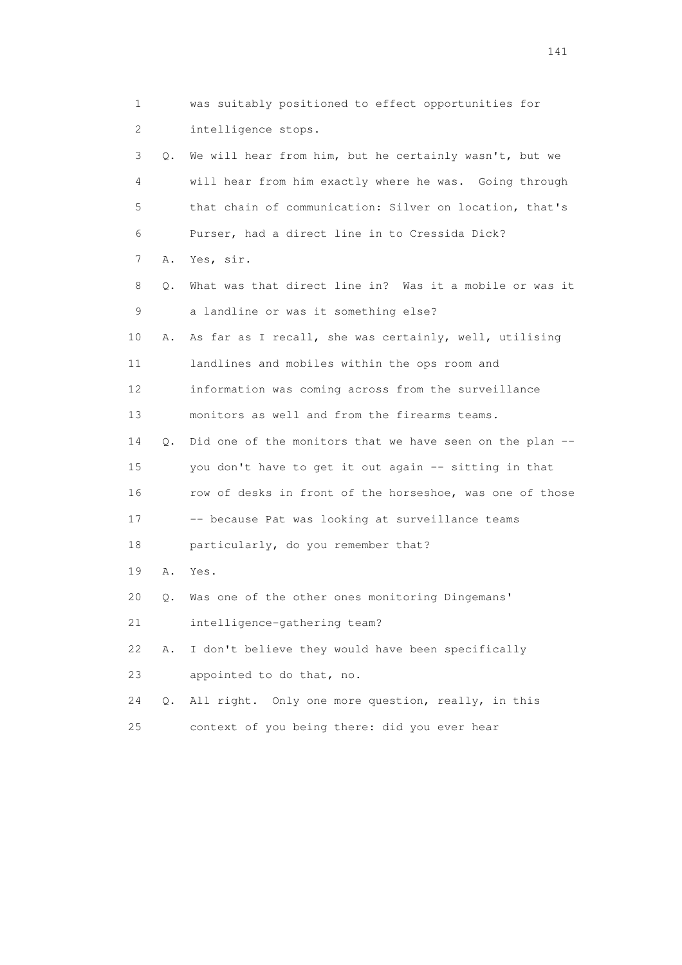1 was suitably positioned to effect opportunities for 2 intelligence stops. 3 Q. We will hear from him, but he certainly wasn't, but we 4 will hear from him exactly where he was. Going through 5 that chain of communication: Silver on location, that's 6 Purser, had a direct line in to Cressida Dick? 7 A. Yes, sir. 8 Q. What was that direct line in? Was it a mobile or was it 9 a landline or was it something else? 10 A. As far as I recall, she was certainly, well, utilising 11 landlines and mobiles within the ops room and 12 information was coming across from the surveillance 13 monitors as well and from the firearms teams. 14 Q. Did one of the monitors that we have seen on the plan -- 15 you don't have to get it out again -- sitting in that 16 row of desks in front of the horseshoe, was one of those 17 -- because Pat was looking at surveillance teams 18 particularly, do you remember that? 19 A. Yes. 20 Q. Was one of the other ones monitoring Dingemans' 21 intelligence-gathering team? 22 A. I don't believe they would have been specifically 23 appointed to do that, no. 24 Q. All right. Only one more question, really, in this 25 context of you being there: did you ever hear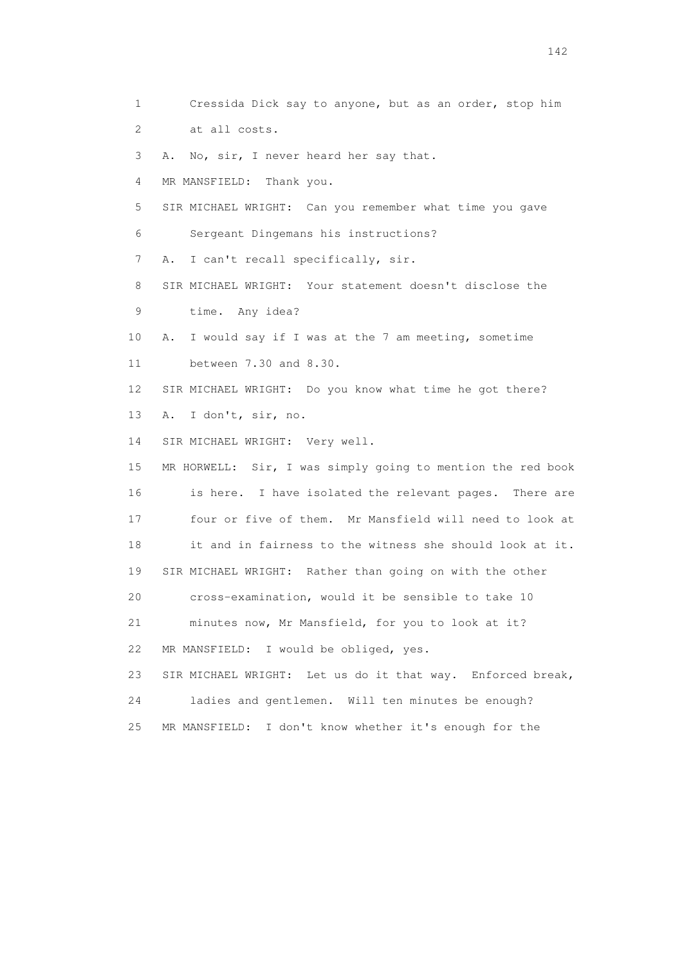1 Cressida Dick say to anyone, but as an order, stop him 2 at all costs. 3 A. No, sir, I never heard her say that. 4 MR MANSFIELD: Thank you. 5 SIR MICHAEL WRIGHT: Can you remember what time you gave 6 Sergeant Dingemans his instructions? 7 A. I can't recall specifically, sir. 8 SIR MICHAEL WRIGHT: Your statement doesn't disclose the 9 time. Any idea? 10 A. I would say if I was at the 7 am meeting, sometime 11 between 7.30 and 8.30. 12 SIR MICHAEL WRIGHT: Do you know what time he got there? 13 A. I don't, sir, no. 14 SIR MICHAEL WRIGHT: Very well. 15 MR HORWELL: Sir, I was simply going to mention the red book 16 is here. I have isolated the relevant pages. There are 17 four or five of them. Mr Mansfield will need to look at 18 it and in fairness to the witness she should look at it. 19 SIR MICHAEL WRIGHT: Rather than going on with the other 20 cross-examination, would it be sensible to take 10 21 minutes now, Mr Mansfield, for you to look at it? 22 MR MANSFIELD: I would be obliged, yes. 23 SIR MICHAEL WRIGHT: Let us do it that way. Enforced break, 24 ladies and gentlemen. Will ten minutes be enough? 25 MR MANSFIELD: I don't know whether it's enough for the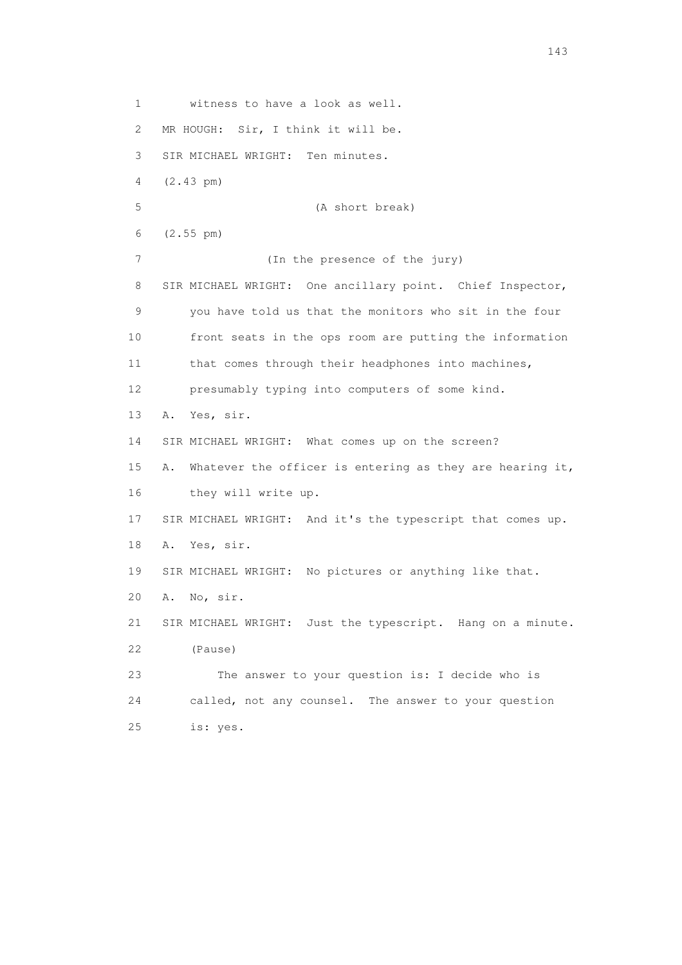1 witness to have a look as well. 2 MR HOUGH: Sir, I think it will be. 3 SIR MICHAEL WRIGHT: Ten minutes. 4 (2.43 pm) 5 (A short break) 6 (2.55 pm) 7 (In the presence of the jury) 8 SIR MICHAEL WRIGHT: One ancillary point. Chief Inspector, 9 you have told us that the monitors who sit in the four 10 front seats in the ops room are putting the information 11 that comes through their headphones into machines, 12 presumably typing into computers of some kind. 13 A. Yes, sir. 14 SIR MICHAEL WRIGHT: What comes up on the screen? 15 A. Whatever the officer is entering as they are hearing it, 16 they will write up. 17 SIR MICHAEL WRIGHT: And it's the typescript that comes up. 18 A. Yes, sir. 19 SIR MICHAEL WRIGHT: No pictures or anything like that. 20 A. No, sir. 21 SIR MICHAEL WRIGHT: Just the typescript. Hang on a minute. 22 (Pause) 23 The answer to your question is: I decide who is 24 called, not any counsel. The answer to your question 25 is: yes.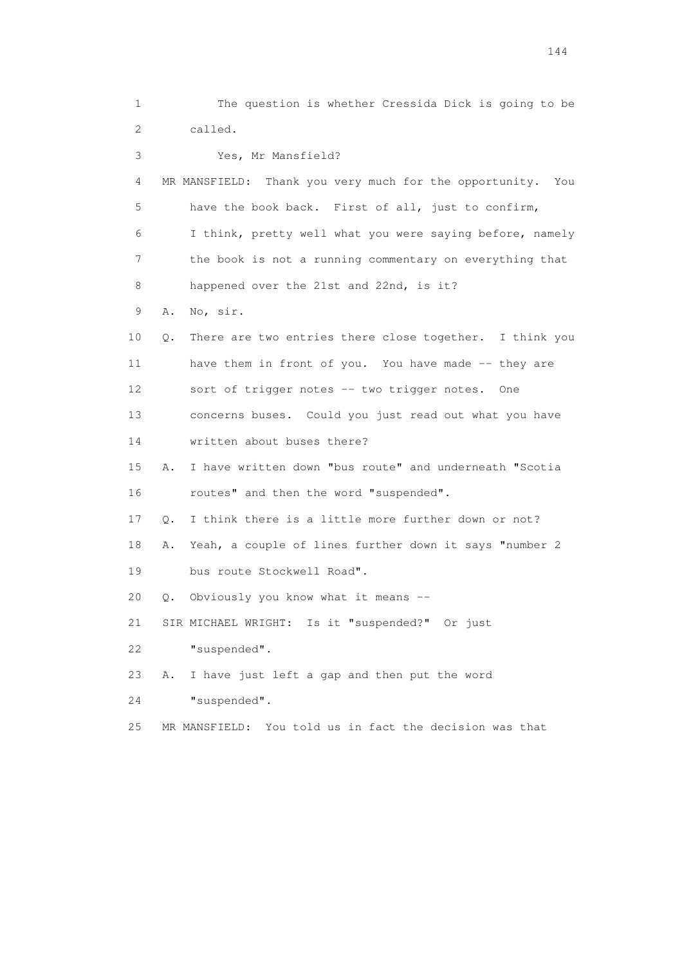1 The question is whether Cressida Dick is going to be 2 called. 3 Yes, Mr Mansfield? 4 MR MANSFIELD: Thank you very much for the opportunity. You 5 have the book back. First of all, just to confirm, 6 I think, pretty well what you were saying before, namely 7 the book is not a running commentary on everything that 8 happened over the 21st and 22nd, is it? 9 A. No, sir. 10 Q. There are two entries there close together. I think you 11 have them in front of you. You have made -- they are 12 sort of trigger notes -- two trigger notes. One 13 concerns buses. Could you just read out what you have 14 written about buses there? 15 A. I have written down "bus route" and underneath "Scotia 16 routes" and then the word "suspended". 17 Q. I think there is a little more further down or not? 18 A. Yeah, a couple of lines further down it says "number 2 19 bus route Stockwell Road". 20 Q. Obviously you know what it means -- 21 SIR MICHAEL WRIGHT: Is it "suspended?" Or just 22 "suspended". 23 A. I have just left a gap and then put the word 24 "suspended". 25 MR MANSFIELD: You told us in fact the decision was that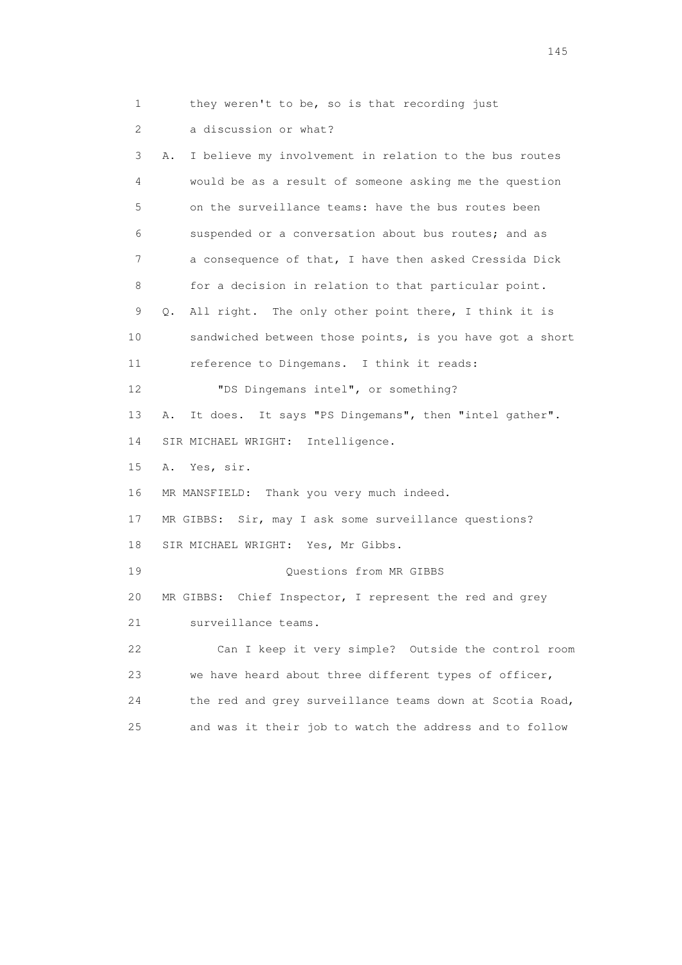1 they weren't to be, so is that recording just

2 a discussion or what?

 3 A. I believe my involvement in relation to the bus routes 4 would be as a result of someone asking me the question 5 on the surveillance teams: have the bus routes been 6 suspended or a conversation about bus routes; and as 7 a consequence of that, I have then asked Cressida Dick 8 for a decision in relation to that particular point. 9 Q. All right. The only other point there, I think it is 10 sandwiched between those points, is you have got a short 11 reference to Dingemans. I think it reads: 12 "DS Dingemans intel", or something? 13 A. It does. It says "PS Dingemans", then "intel gather". 14 SIR MICHAEL WRIGHT: Intelligence. 15 A. Yes, sir. 16 MR MANSFIELD: Thank you very much indeed. 17 MR GIBBS: Sir, may I ask some surveillance questions? 18 SIR MICHAEL WRIGHT: Yes, Mr Gibbs. 19 Questions from MR GIBBS 20 MR GIBBS: Chief Inspector, I represent the red and grey 21 surveillance teams. 22 Can I keep it very simple? Outside the control room 23 we have heard about three different types of officer, 24 the red and grey surveillance teams down at Scotia Road, 25 and was it their job to watch the address and to follow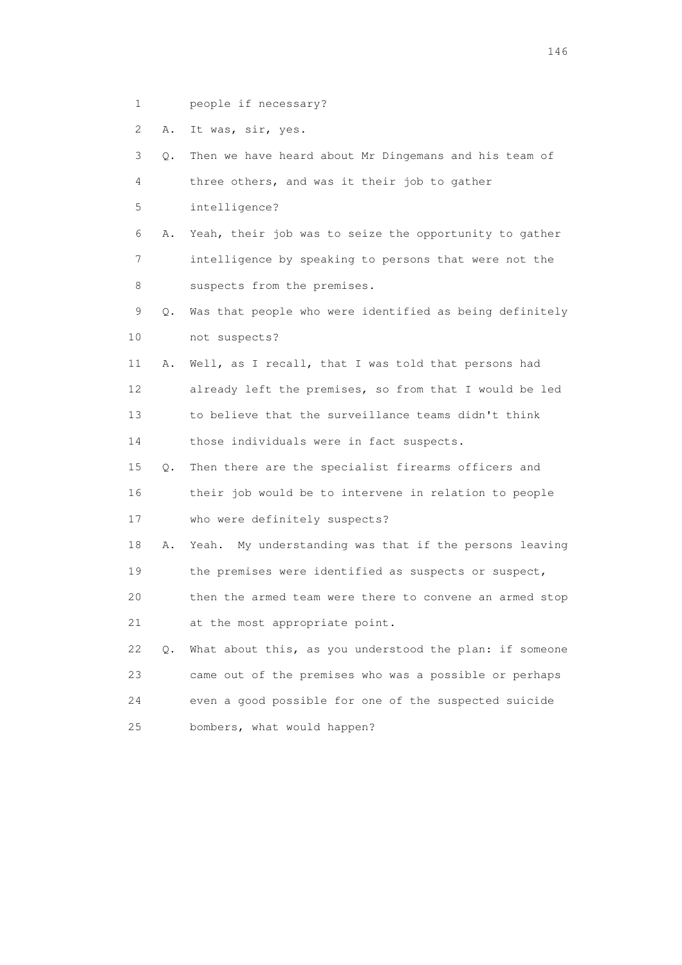1 people if necessary?

2 A. It was, sir, yes.

| 3  | Q. | Then we have heard about Mr Dingemans and his team of     |  |  |  |
|----|----|-----------------------------------------------------------|--|--|--|
| 4  |    | three others, and was it their job to gather              |  |  |  |
| 5  |    | intelligence?                                             |  |  |  |
| 6  | Α. | Yeah, their job was to seize the opportunity to gather    |  |  |  |
| 7  |    | intelligence by speaking to persons that were not the     |  |  |  |
| 8  |    | suspects from the premises.                               |  |  |  |
| 9  | О. | Was that people who were identified as being definitely   |  |  |  |
| 10 |    | not suspects?                                             |  |  |  |
| 11 | Α. | Well, as I recall, that I was told that persons had       |  |  |  |
| 12 |    | already left the premises, so from that I would be led    |  |  |  |
| 13 |    | to believe that the surveillance teams didn't think       |  |  |  |
| 14 |    | those individuals were in fact suspects.                  |  |  |  |
| 15 | Q. | Then there are the specialist firearms officers and       |  |  |  |
| 16 |    | their job would be to intervene in relation to people     |  |  |  |
| 17 |    | who were definitely suspects?                             |  |  |  |
| 18 | Α. | My understanding was that if the persons leaving<br>Yeah. |  |  |  |
| 19 |    | the premises were identified as suspects or suspect,      |  |  |  |
| 20 |    | then the armed team were there to convene an armed stop   |  |  |  |
| 21 |    | at the most appropriate point.                            |  |  |  |
| 22 | Q. | What about this, as you understood the plan: if someone   |  |  |  |
| 23 |    | came out of the premises who was a possible or perhaps    |  |  |  |
| 24 |    | even a good possible for one of the suspected suicide     |  |  |  |
| 25 |    | bombers, what would happen?                               |  |  |  |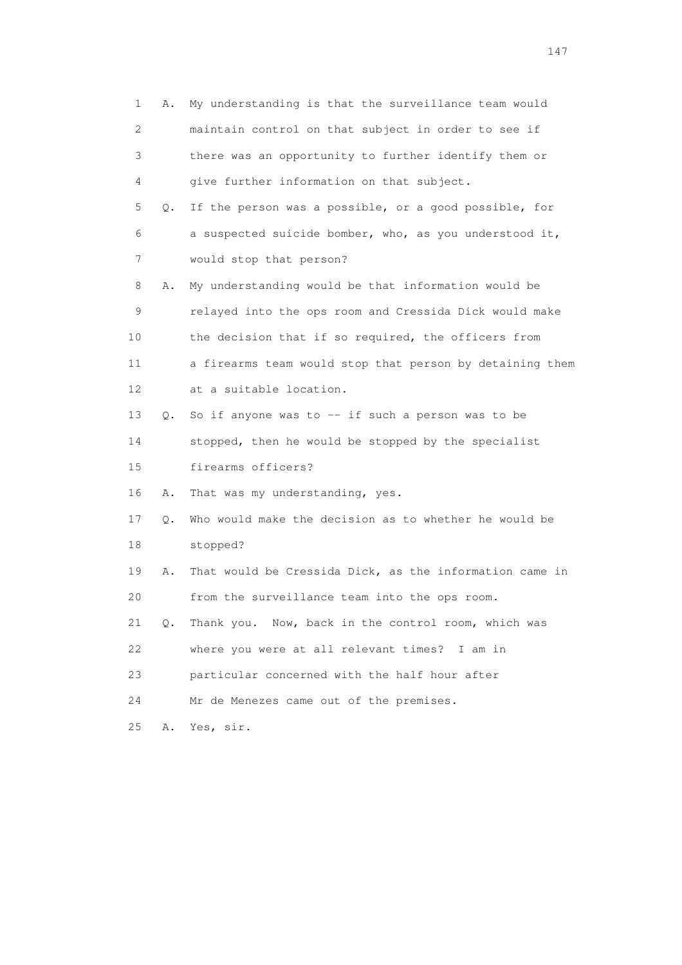| 1  | Α.        | My understanding is that the surveillance team would     |  |  |  |  |
|----|-----------|----------------------------------------------------------|--|--|--|--|
| 2  |           | maintain control on that subject in order to see if      |  |  |  |  |
| 3  |           | there was an opportunity to further identify them or     |  |  |  |  |
| 4  |           | give further information on that subject.                |  |  |  |  |
| 5  | Q.        | If the person was a possible, or a good possible, for    |  |  |  |  |
| 6  |           | a suspected suicide bomber, who, as you understood it,   |  |  |  |  |
| 7  |           | would stop that person?                                  |  |  |  |  |
| 8  | Α.        | My understanding would be that information would be      |  |  |  |  |
| 9  |           | relayed into the ops room and Cressida Dick would make   |  |  |  |  |
| 10 |           | the decision that if so required, the officers from      |  |  |  |  |
| 11 |           | a firearms team would stop that person by detaining them |  |  |  |  |
| 12 |           | at a suitable location.                                  |  |  |  |  |
| 13 | Q.        | So if anyone was to $-$ if such a person was to be       |  |  |  |  |
| 14 |           | stopped, then he would be stopped by the specialist      |  |  |  |  |
| 15 |           | firearms officers?                                       |  |  |  |  |
| 16 | Α.        | That was my understanding, yes.                          |  |  |  |  |
| 17 | $\circ$ . | Who would make the decision as to whether he would be    |  |  |  |  |
| 18 |           | stopped?                                                 |  |  |  |  |
| 19 | Α.        | That would be Cressida Dick, as the information came in  |  |  |  |  |
| 20 |           | from the surveillance team into the ops room.            |  |  |  |  |
| 21 | Q.        | Thank you. Now, back in the control room, which was      |  |  |  |  |
| 22 |           | where you were at all relevant times? I am in            |  |  |  |  |
| 23 |           | particular concerned with the half hour after            |  |  |  |  |
| 24 |           | Mr de Menezes came out of the premises.                  |  |  |  |  |
| 25 | Α.        | Yes, sir.                                                |  |  |  |  |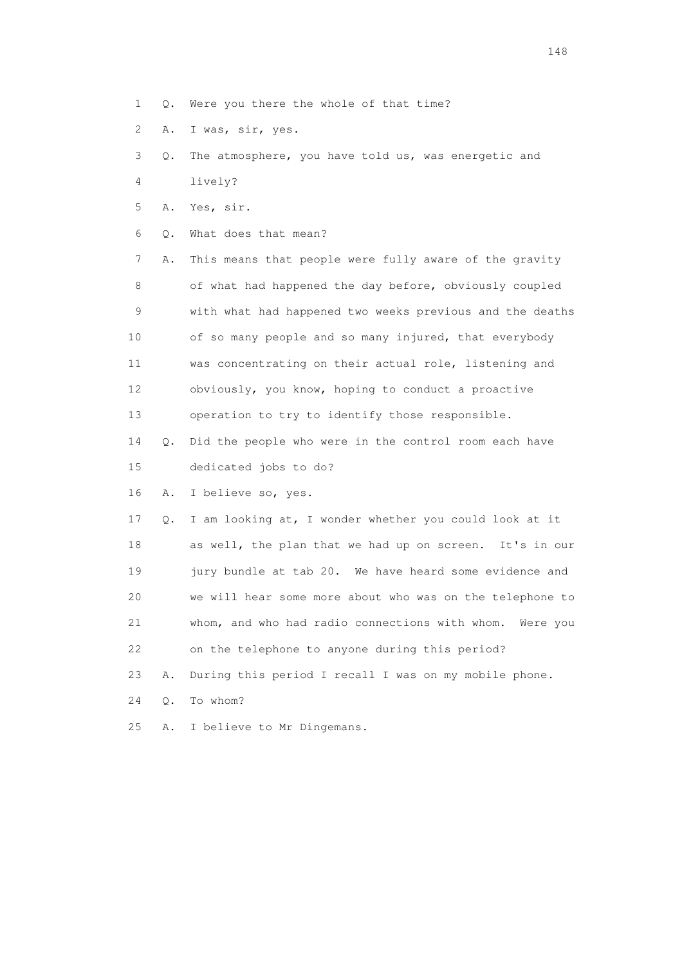- 1 Q. Were you there the whole of that time?
- 2 A. I was, sir, yes.
- 3 Q. The atmosphere, you have told us, was energetic and
- 4 lively?
- 5 A. Yes, sir.
- 6 Q. What does that mean?

 7 A. This means that people were fully aware of the gravity 8 of what had happened the day before, obviously coupled 9 with what had happened two weeks previous and the deaths 10 of so many people and so many injured, that everybody 11 was concentrating on their actual role, listening and 12 obviously, you know, hoping to conduct a proactive 13 operation to try to identify those responsible.

 14 Q. Did the people who were in the control room each have 15 dedicated jobs to do?

16 A. I believe so, yes.

 17 Q. I am looking at, I wonder whether you could look at it 18 as well, the plan that we had up on screen. It's in our 19 jury bundle at tab 20. We have heard some evidence and 20 we will hear some more about who was on the telephone to 21 whom, and who had radio connections with whom. Were you 22 on the telephone to anyone during this period? 23 A. During this period I recall I was on my mobile phone.

24 Q. To whom?

25 A. I believe to Mr Dingemans.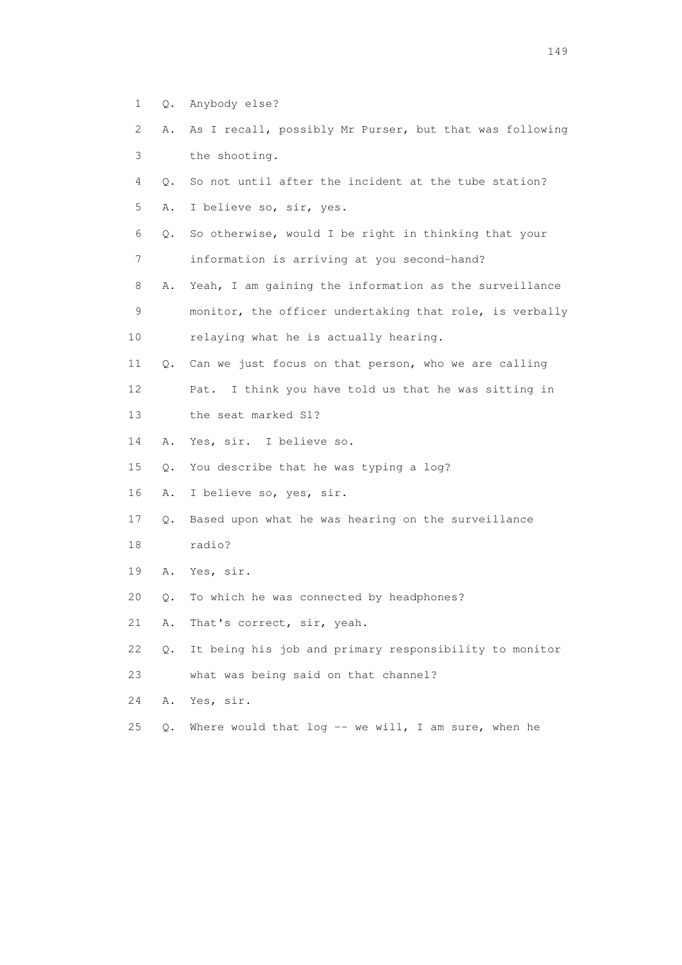- 1 Q. Anybody else?
- 2 A. As I recall, possibly Mr Purser, but that was following 3 the shooting.
- 4 Q. So not until after the incident at the tube station? 5 A. I believe so, sir, yes.
- 6 Q. So otherwise, would I be right in thinking that your 7 information is arriving at you second-hand?
- 8 A. Yeah, I am gaining the information as the surveillance 9 monitor, the officer undertaking that role, is verbally 10 relaying what he is actually hearing.
- 
- 11 Q. Can we just focus on that person, who we are calling 12 Pat. I think you have told us that he was sitting in
- 13 the seat marked S1?
- 14 A. Yes, sir. I believe so.
- 15 Q. You describe that he was typing a log?
- 16 A. I believe so, yes, sir.
- 17 Q. Based upon what he was hearing on the surveillance
- 18 radio?
- 19 A. Yes, sir.
- 20 Q. To which he was connected by headphones?
- 21 A. That's correct, sir, yeah.
- 22 Q. It being his job and primary responsibility to monitor
- 23 what was being said on that channel?
- 24 A. Yes, sir.
- 25 Q. Where would that log -- we will, I am sure, when he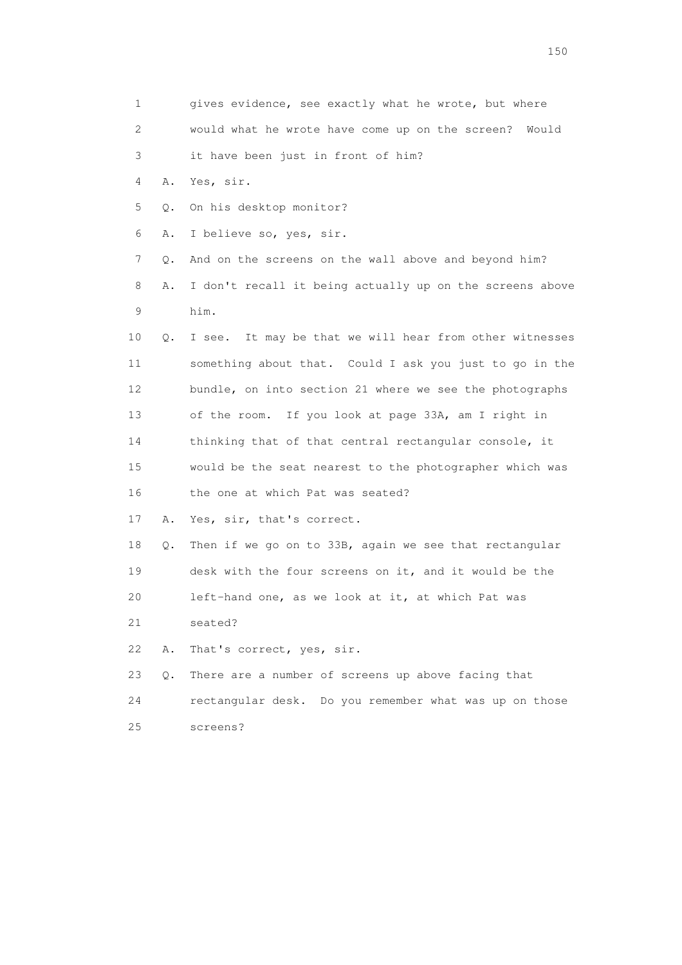1 gives evidence, see exactly what he wrote, but where 2 would what he wrote have come up on the screen? Would 3 it have been just in front of him? 4 A. Yes, sir. 5 Q. On his desktop monitor? 6 A. I believe so, yes, sir. 7 Q. And on the screens on the wall above and beyond him? 8 A. I don't recall it being actually up on the screens above 9 him. 10 Q. I see. It may be that we will hear from other witnesses 11 something about that. Could I ask you just to go in the 12 bundle, on into section 21 where we see the photographs 13 of the room. If you look at page 33A, am I right in 14 thinking that of that central rectangular console, it 15 would be the seat nearest to the photographer which was 16 the one at which Pat was seated? 17 A. Yes, sir, that's correct. 18 Q. Then if we go on to 33B, again we see that rectangular 19 desk with the four screens on it, and it would be the 20 left-hand one, as we look at it, at which Pat was 21 seated? 22 A. That's correct, yes, sir. 23 Q. There are a number of screens up above facing that 24 rectangular desk. Do you remember what was up on those 25 screens?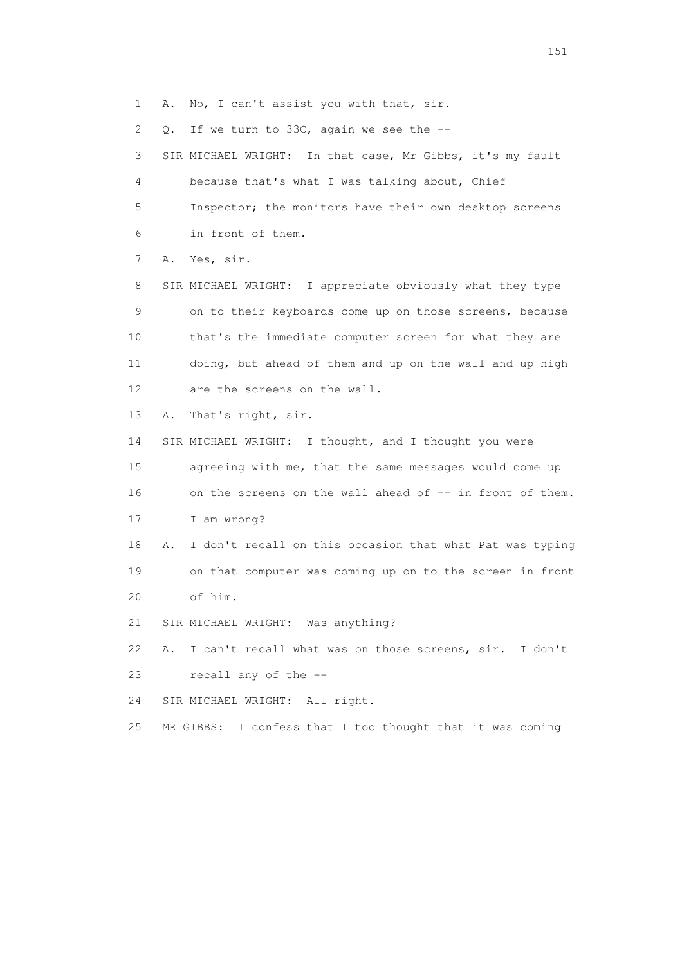1 A. No, I can't assist you with that, sir.

2 Q. If we turn to 33C, again we see the --

 3 SIR MICHAEL WRIGHT: In that case, Mr Gibbs, it's my fault 4 because that's what I was talking about, Chief 5 Inspector; the monitors have their own desktop screens 6 in front of them.

7 A. Yes, sir.

 8 SIR MICHAEL WRIGHT: I appreciate obviously what they type 9 on to their keyboards come up on those screens, because 10 that's the immediate computer screen for what they are 11 doing, but ahead of them and up on the wall and up high 12 are the screens on the wall.

13 A. That's right, sir.

 14 SIR MICHAEL WRIGHT: I thought, and I thought you were 15 agreeing with me, that the same messages would come up 16 on the screens on the wall ahead of -- in front of them.

17 I am wrong?

 18 A. I don't recall on this occasion that what Pat was typing 19 on that computer was coming up on to the screen in front 20 of him.

21 SIR MICHAEL WRIGHT: Was anything?

 22 A. I can't recall what was on those screens, sir. I don't 23 recall any of the --

24 SIR MICHAEL WRIGHT: All right.

25 MR GIBBS: I confess that I too thought that it was coming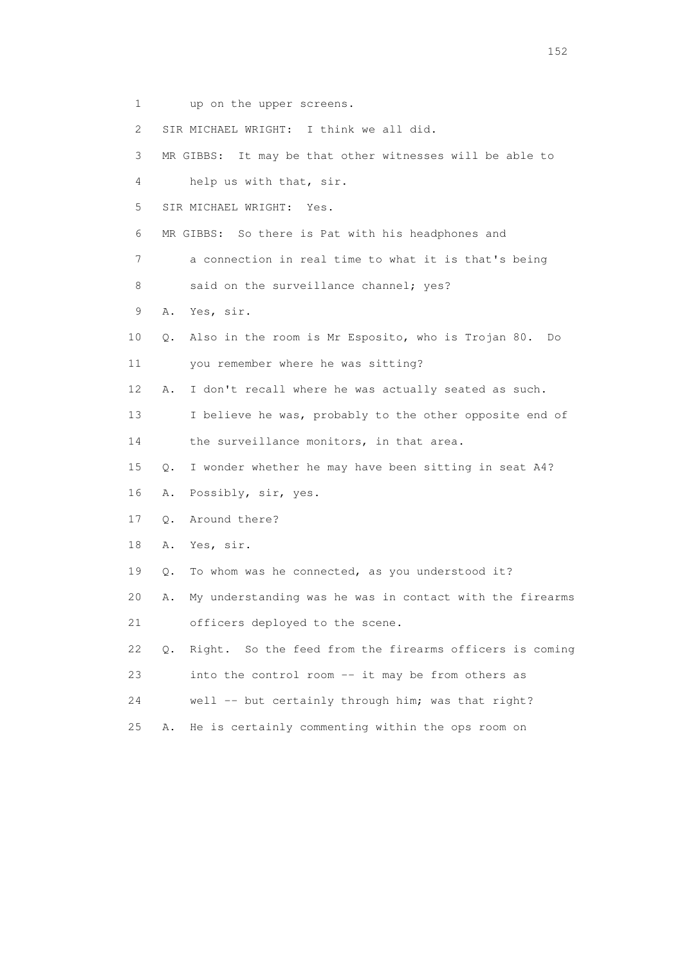- 1 up on the upper screens.
- 2 SIR MICHAEL WRIGHT: I think we all did.
- 3 MR GIBBS: It may be that other witnesses will be able to
- 4 help us with that, sir.
- 5 SIR MICHAEL WRIGHT: Yes.
- 6 MR GIBBS: So there is Pat with his headphones and
- 7 a connection in real time to what it is that's being
- 8 said on the surveillance channel; yes?
- 9 A. Yes, sir.
- 10 Q. Also in the room is Mr Esposito, who is Trojan 80. Do 11 you remember where he was sitting?
- 12 A. I don't recall where he was actually seated as such.
- 13 I believe he was, probably to the other opposite end of
- 14 the surveillance monitors, in that area.
- 15 Q. I wonder whether he may have been sitting in seat A4?
- 16 A. Possibly, sir, yes.
- 17 Q. Around there?
- 18 A. Yes, sir.
- 19 Q. To whom was he connected, as you understood it?
- 20 A. My understanding was he was in contact with the firearms 21 officers deployed to the scene.
- 22 Q. Right. So the feed from the firearms officers is coming 23 into the control room -- it may be from others as
- 24 well -- but certainly through him; was that right?
- 25 A. He is certainly commenting within the ops room on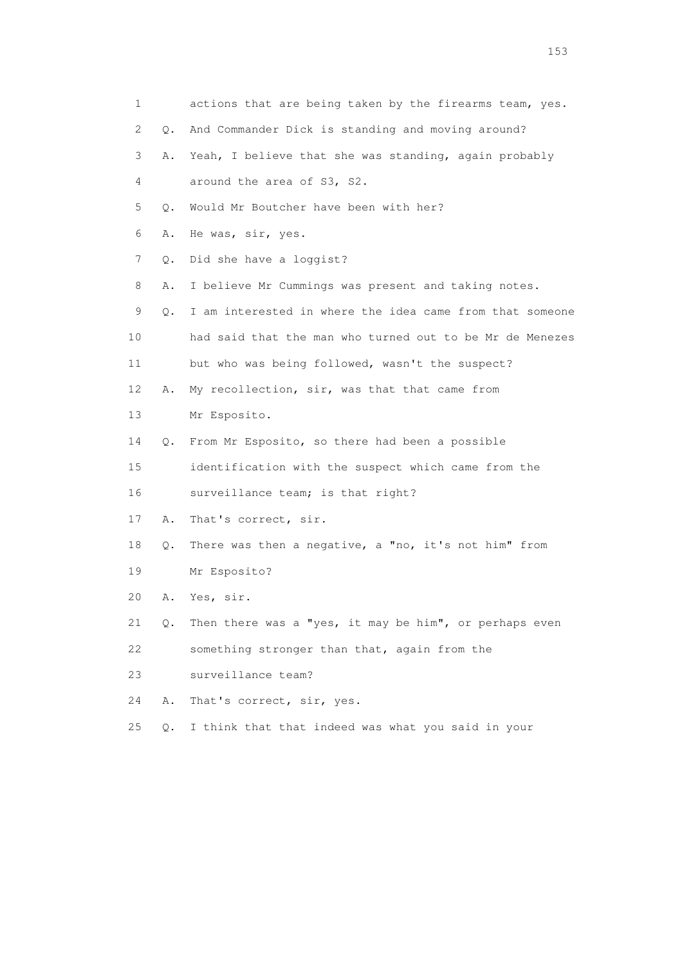| 1  |           | actions that are being taken by the firearms team, yes.  |  |  |  |
|----|-----------|----------------------------------------------------------|--|--|--|
| 2  | $\circ$ . | And Commander Dick is standing and moving around?        |  |  |  |
| 3  | Α.        | Yeah, I believe that she was standing, again probably    |  |  |  |
| 4  |           | around the area of S3, S2.                               |  |  |  |
| 5  | Q.        | Would Mr Boutcher have been with her?                    |  |  |  |
| 6  | Α.        | He was, sir, yes.                                        |  |  |  |
| 7  | Q.        | Did she have a loggist?                                  |  |  |  |
| 8  | Α.        | I believe Mr Cummings was present and taking notes.      |  |  |  |
| 9  | Q.        | I am interested in where the idea came from that someone |  |  |  |
| 10 |           | had said that the man who turned out to be Mr de Menezes |  |  |  |
| 11 |           | but who was being followed, wasn't the suspect?          |  |  |  |
| 12 | Α.        | My recollection, sir, was that that came from            |  |  |  |
| 13 |           | Mr Esposito.                                             |  |  |  |
| 14 | Q.        | From Mr Esposito, so there had been a possible           |  |  |  |
| 15 |           | identification with the suspect which came from the      |  |  |  |
| 16 |           | surveillance team; is that right?                        |  |  |  |
| 17 | Α.        | That's correct, sir.                                     |  |  |  |
| 18 | Q.        | There was then a negative, a "no, it's not him" from     |  |  |  |
| 19 |           | Mr Esposito?                                             |  |  |  |
| 20 | Α.        | Yes, sir.                                                |  |  |  |
| 21 | Q.        | Then there was a "yes, it may be him", or perhaps even   |  |  |  |
| 22 |           | something stronger than that, again from the             |  |  |  |
| 23 |           | surveillance team?                                       |  |  |  |
| 24 | Α.        | That's correct, sir, yes.                                |  |  |  |
| 25 | Q.        | I think that that indeed was what you said in your       |  |  |  |
|    |           |                                                          |  |  |  |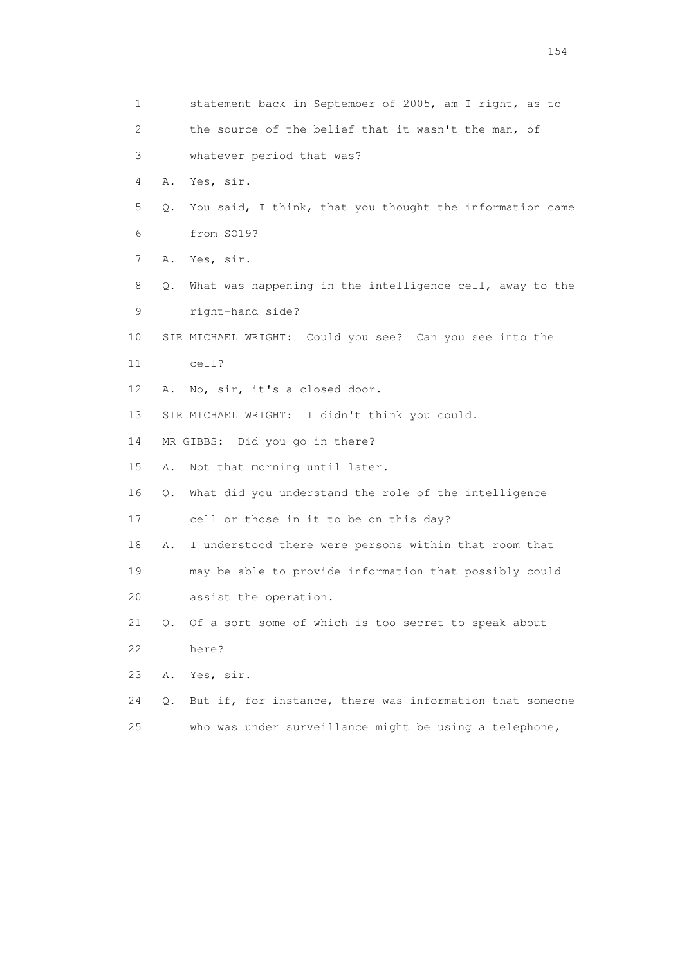| 1                         | statement back in September of 2005, am I right, as to         |  |
|---------------------------|----------------------------------------------------------------|--|
| $\mathbf{2}^{\mathsf{I}}$ | the source of the belief that it wasn't the man, of            |  |
| 3                         | whatever period that was?                                      |  |
| 4                         | Yes, sir.<br>Α.                                                |  |
| 5                         | You said, I think, that you thought the information came<br>Q. |  |
| 6                         | from SO19?                                                     |  |
| 7                         | Α.<br>Yes, sir.                                                |  |
| 8                         | What was happening in the intelligence cell, away to the<br>Q. |  |
| 9                         | right-hand side?                                               |  |
| 10                        | SIR MICHAEL WRIGHT: Could you see? Can you see into the        |  |
| 11                        | cell?                                                          |  |
| 12                        | No, sir, it's a closed door.<br>Α.                             |  |
| 13                        | SIR MICHAEL WRIGHT: I didn't think you could.                  |  |
| 14                        | MR GIBBS: Did you go in there?                                 |  |
| 15                        | Not that morning until later.<br>Α.                            |  |
| 16                        | What did you understand the role of the intelligence<br>Q.     |  |
| 17                        | cell or those in it to be on this day?                         |  |
| 18                        | I understood there were persons within that room that<br>Α.    |  |
| 19                        | may be able to provide information that possibly could         |  |
| 20                        | assist the operation.                                          |  |
| 21                        | Of a sort some of which is too secret to speak about<br>0.     |  |
| 22                        | here?                                                          |  |
| 23                        | Α.<br>Yes, sir.                                                |  |
| 24                        | But if, for instance, there was information that someone<br>Q. |  |
| 25                        | who was under surveillance might be using a telephone,         |  |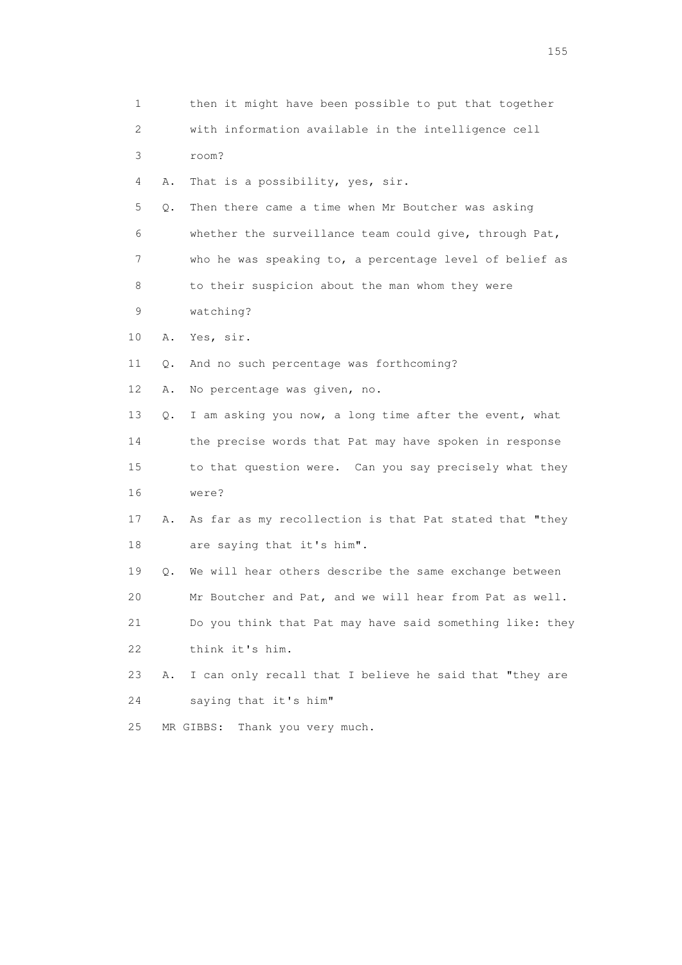| 1              |           | then it might have been possible to put that together    |
|----------------|-----------|----------------------------------------------------------|
| $\overline{2}$ |           | with information available in the intelligence cell      |
| 3              |           | room?                                                    |
| 4              | Α.        | That is a possibility, yes, sir.                         |
| 5              | Q.        | Then there came a time when Mr Boutcher was asking       |
| 6              |           | whether the surveillance team could give, through Pat,   |
| 7              |           | who he was speaking to, a percentage level of belief as  |
| 8              |           | to their suspicion about the man whom they were          |
| 9              |           | watching?                                                |
| 10             | Α.        | Yes, sir.                                                |
| 11             | Q.        | And no such percentage was forthcoming?                  |
| 12             | Α.        | No percentage was given, no.                             |
| 13             | Q.        | I am asking you now, a long time after the event, what   |
| 14             |           | the precise words that Pat may have spoken in response   |
| 15             |           | to that question were. Can you say precisely what they   |
| 16             |           | were?                                                    |
| 17             | Α.        | As far as my recollection is that Pat stated that "they  |
| 18             |           | are saying that it's him".                               |
| 19             | $\circ$ . | We will hear others describe the same exchange between   |
| 20             |           | Mr Boutcher and Pat, and we will hear from Pat as well.  |
| 21             |           | Do you think that Pat may have said something like: they |
| 22             |           | think it's him.                                          |
| 23             | Α.        | I can only recall that I believe he said that "they are  |
| 24             |           | saying that it's him"                                    |
| 25             |           | Thank you very much.<br>MR GIBBS:                        |

n 155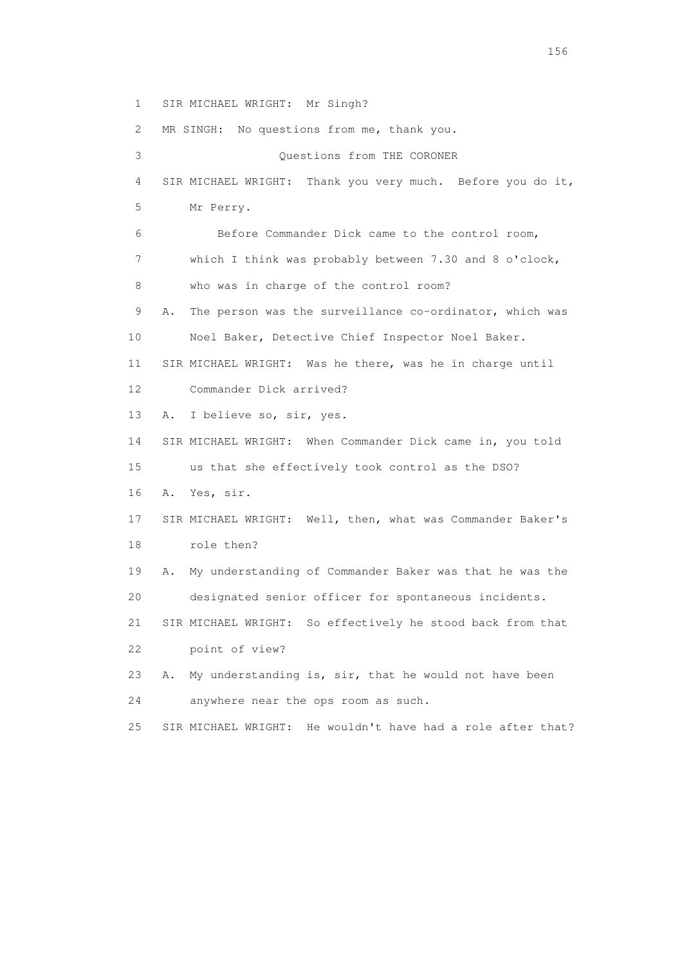1 SIR MICHAEL WRIGHT: Mr Singh?

 2 MR SINGH: No questions from me, thank you. 3 Questions from THE CORONER 4 SIR MICHAEL WRIGHT: Thank you very much. Before you do it, 5 Mr Perry. 6 Before Commander Dick came to the control room, 7 which I think was probably between 7.30 and 8 o'clock, 8 who was in charge of the control room? 9 A. The person was the surveillance co-ordinator, which was 10 Noel Baker, Detective Chief Inspector Noel Baker. 11 SIR MICHAEL WRIGHT: Was he there, was he in charge until 12 Commander Dick arrived? 13 A. I believe so, sir, yes. 14 SIR MICHAEL WRIGHT: When Commander Dick came in, you told 15 us that she effectively took control as the DSO? 16 A. Yes, sir. 17 SIR MICHAEL WRIGHT: Well, then, what was Commander Baker's 18 role then? 19 A. My understanding of Commander Baker was that he was the 20 designated senior officer for spontaneous incidents. 21 SIR MICHAEL WRIGHT: So effectively he stood back from that 22 point of view? 23 A. My understanding is, sir, that he would not have been 24 anywhere near the ops room as such.

25 SIR MICHAEL WRIGHT: He wouldn't have had a role after that?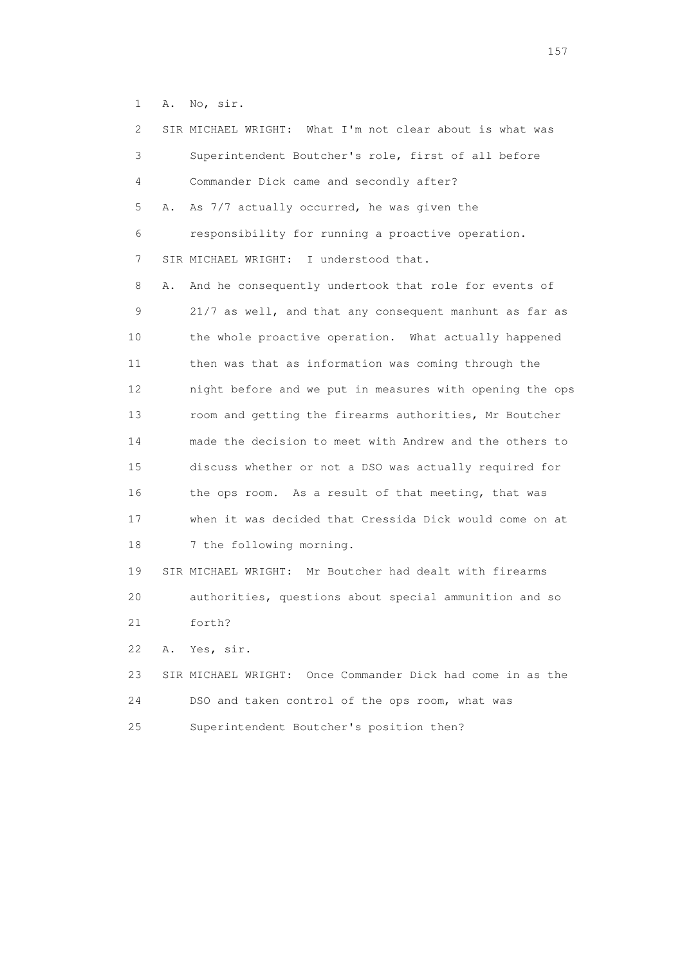1 A. No, sir.

| $\mathbf{2}^{\mathsf{I}}$ |    | SIR MICHAEL WRIGHT: What I'm not clear about is what was   |
|---------------------------|----|------------------------------------------------------------|
| 3                         |    | Superintendent Boutcher's role, first of all before        |
| 4                         |    | Commander Dick came and secondly after?                    |
| 5                         | Α. | As 7/7 actually occurred, he was given the                 |
| 6                         |    | responsibility for running a proactive operation.          |
| 7                         |    | SIR MICHAEL WRIGHT: I understood that.                     |
| 8                         | Α. | And he consequently undertook that role for events of      |
| 9                         |    | 21/7 as well, and that any consequent manhunt as far as    |
| 10                        |    | the whole proactive operation. What actually happened      |
| 11                        |    | then was that as information was coming through the        |
| 12                        |    | night before and we put in measures with opening the ops   |
| 13                        |    | room and getting the firearms authorities, Mr Boutcher     |
| 14                        |    | made the decision to meet with Andrew and the others to    |
| 15                        |    | discuss whether or not a DSO was actually required for     |
| 16                        |    | the ops room. As a result of that meeting, that was        |
| 17                        |    | when it was decided that Cressida Dick would come on at    |
| 18                        |    | 7 the following morning.                                   |
| 19                        |    | SIR MICHAEL WRIGHT: Mr Boutcher had dealt with firearms    |
| 20                        |    | authorities, questions about special ammunition and so     |
| 21                        |    | forth?                                                     |
| 22                        | Α. | Yes, sir.                                                  |
| 23                        |    | SIR MICHAEL WRIGHT: Once Commander Dick had come in as the |
| 24                        |    | DSO and taken control of the ops room, what was            |
| 25                        |    | Superintendent Boutcher's position then?                   |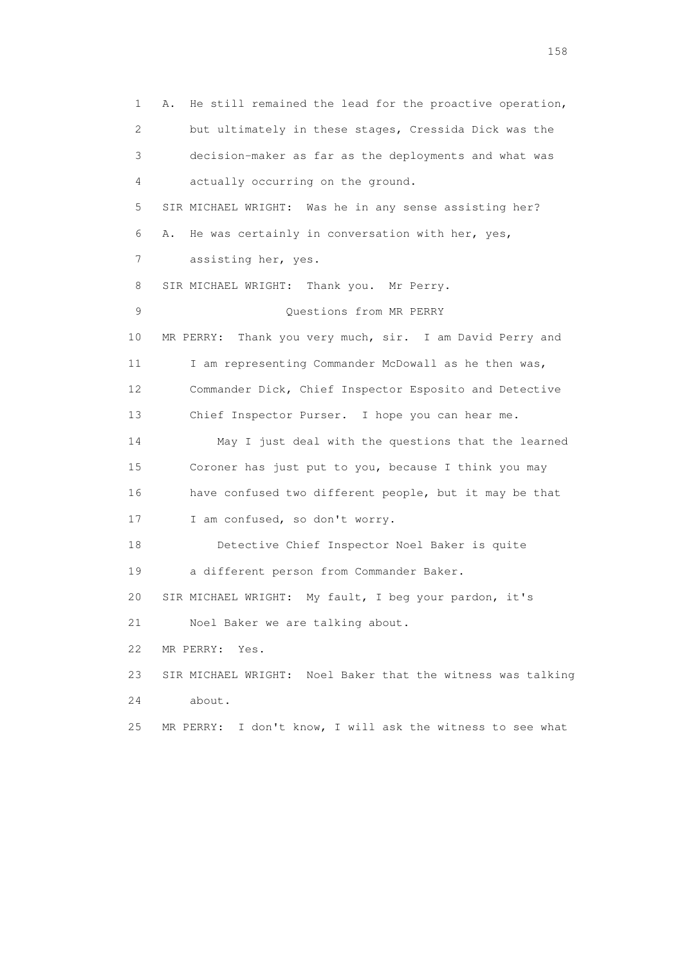1 A. He still remained the lead for the proactive operation, 2 but ultimately in these stages, Cressida Dick was the 3 decision-maker as far as the deployments and what was 4 actually occurring on the ground. 5 SIR MICHAEL WRIGHT: Was he in any sense assisting her? 6 A. He was certainly in conversation with her, yes, 7 assisting her, yes. 8 SIR MICHAEL WRIGHT: Thank you. Mr Perry. 9 Questions from MR PERRY 10 MR PERRY: Thank you very much, sir. I am David Perry and 11 I am representing Commander McDowall as he then was, 12 Commander Dick, Chief Inspector Esposito and Detective 13 Chief Inspector Purser. I hope you can hear me. 14 May I just deal with the questions that the learned 15 Coroner has just put to you, because I think you may 16 have confused two different people, but it may be that 17 I am confused, so don't worry. 18 Detective Chief Inspector Noel Baker is quite 19 a different person from Commander Baker. 20 SIR MICHAEL WRIGHT: My fault, I beg your pardon, it's 21 Noel Baker we are talking about. 22 MR PERRY: Yes. 23 SIR MICHAEL WRIGHT: Noel Baker that the witness was talking 24 about. 25 MR PERRY: I don't know, I will ask the witness to see what

158 and 158 and 158 and 158 and 158 and 158 and 158 and 158 and 158 and 158 and 158 and 158 and 158 and 158 and 158 and 158 and 158 and 158 and 158 and 158 and 159 and 159 and 159 and 159 and 159 and 159 and 159 and 159 an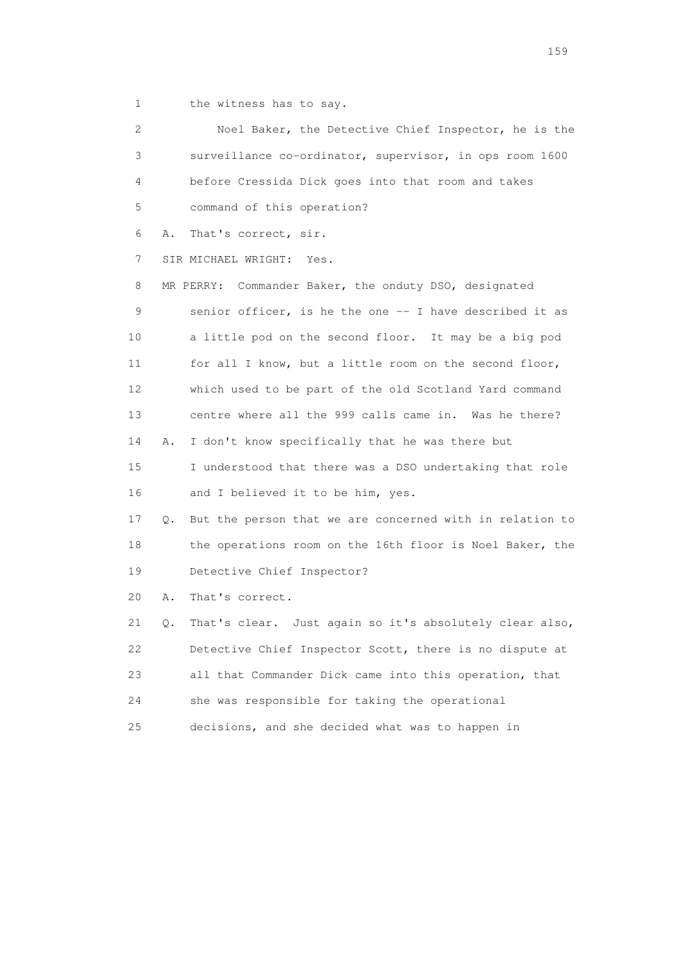1 the witness has to say.

| 2  | Noel Baker, the Detective Chief Inspector, he is the           |
|----|----------------------------------------------------------------|
| 3  | surveillance co-ordinator, supervisor, in ops room 1600        |
| 4  | before Cressida Dick goes into that room and takes             |
| 5  | command of this operation?                                     |
| 6  | That's correct, sir.<br>Α.                                     |
| 7  | SIR MICHAEL WRIGHT: Yes.                                       |
| 8  | MR PERRY: Commander Baker, the onduty DSO, designated          |
| 9  | senior officer, is he the one -- I have described it as        |
| 10 | a little pod on the second floor. It may be a big pod          |
| 11 | for all I know, but a little room on the second floor,         |
| 12 | which used to be part of the old Scotland Yard command         |
| 13 | centre where all the 999 calls came in. Was he there?          |
| 14 | I don't know specifically that he was there but<br>Α.          |
| 15 | I understood that there was a DSO undertaking that role        |
| 16 | and I believed it to be him, yes.                              |
| 17 | But the person that we are concerned with in relation to<br>Q. |
| 18 | the operations room on the 16th floor is Noel Baker, the       |
| 19 | Detective Chief Inspector?                                     |
| 20 | That's correct.<br>Α.                                          |
| 21 | That's clear. Just again so it's absolutely clear also,<br>Q.  |
| 22 | Detective Chief Inspector Scott, there is no dispute at        |
| 23 | all that Commander Dick came into this operation, that         |
| 24 | she was responsible for taking the operational                 |
| 25 | decisions, and she decided what was to happen in               |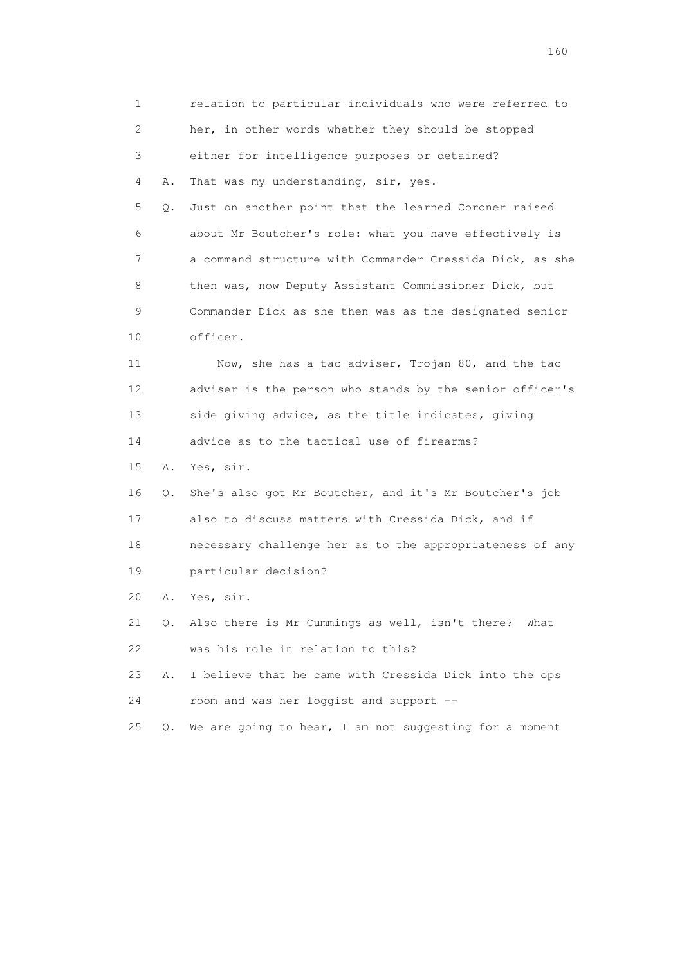1 relation to particular individuals who were referred to 2 her, in other words whether they should be stopped 3 either for intelligence purposes or detained? 4 A. That was my understanding, sir, yes. 5 Q. Just on another point that the learned Coroner raised 6 about Mr Boutcher's role: what you have effectively is 7 a command structure with Commander Cressida Dick, as she 8 then was, now Deputy Assistant Commissioner Dick, but 9 Commander Dick as she then was as the designated senior 10 officer. 11 Now, she has a tac adviser, Trojan 80, and the tac 12 adviser is the person who stands by the senior officer's 13 side giving advice, as the title indicates, giving 14 advice as to the tactical use of firearms? 15 A. Yes, sir. 16 Q. She's also got Mr Boutcher, and it's Mr Boutcher's job 17 also to discuss matters with Cressida Dick, and if 18 necessary challenge her as to the appropriateness of any 19 particular decision? 20 A. Yes, sir. 21 Q. Also there is Mr Cummings as well, isn't there? What 22 was his role in relation to this? 23 A. I believe that he came with Cressida Dick into the ops 24 room and was her loggist and support -- 25 Q. We are going to hear, I am not suggesting for a moment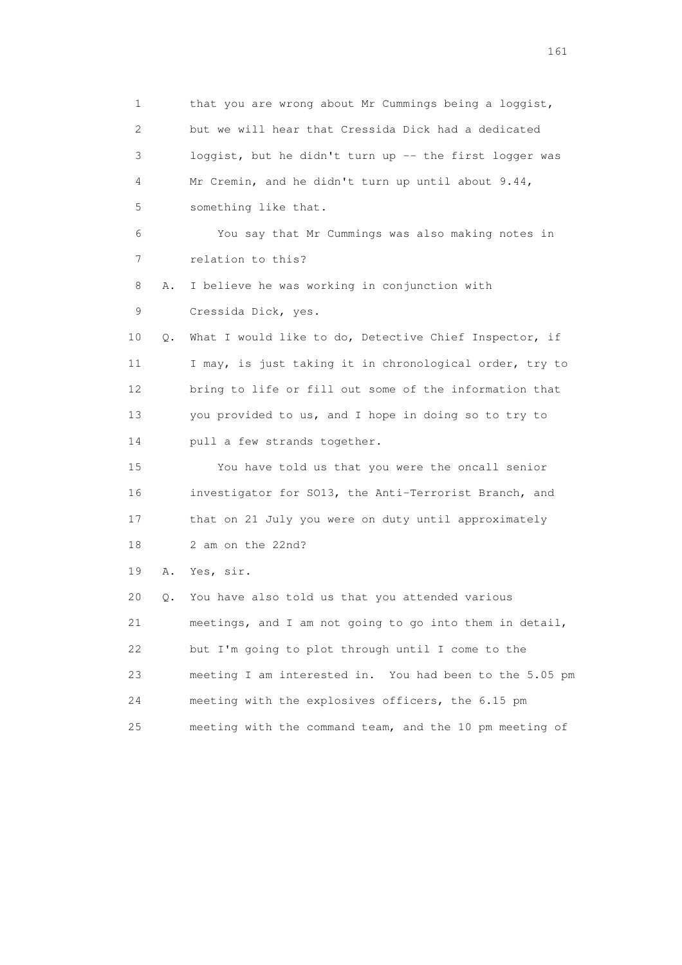1 that you are wrong about Mr Cummings being a loggist, 2 but we will hear that Cressida Dick had a dedicated 3 loggist, but he didn't turn up -- the first logger was 4 Mr Cremin, and he didn't turn up until about 9.44, 5 something like that. 6 You say that Mr Cummings was also making notes in 7 relation to this? 8 A. I believe he was working in conjunction with 9 Cressida Dick, yes. 10 Q. What I would like to do, Detective Chief Inspector, if 11 I may, is just taking it in chronological order, try to 12 bring to life or fill out some of the information that 13 you provided to us, and I hope in doing so to try to 14 pull a few strands together. 15 You have told us that you were the oncall senior 16 investigator for SO13, the Anti-Terrorist Branch, and 17 that on 21 July you were on duty until approximately 18 2 am on the 22nd? 19 A. Yes, sir. 20 Q. You have also told us that you attended various 21 meetings, and I am not going to go into them in detail, 22 but I'm going to plot through until I come to the 23 meeting I am interested in. You had been to the 5.05 pm 24 meeting with the explosives officers, the 6.15 pm 25 meeting with the command team, and the 10 pm meeting of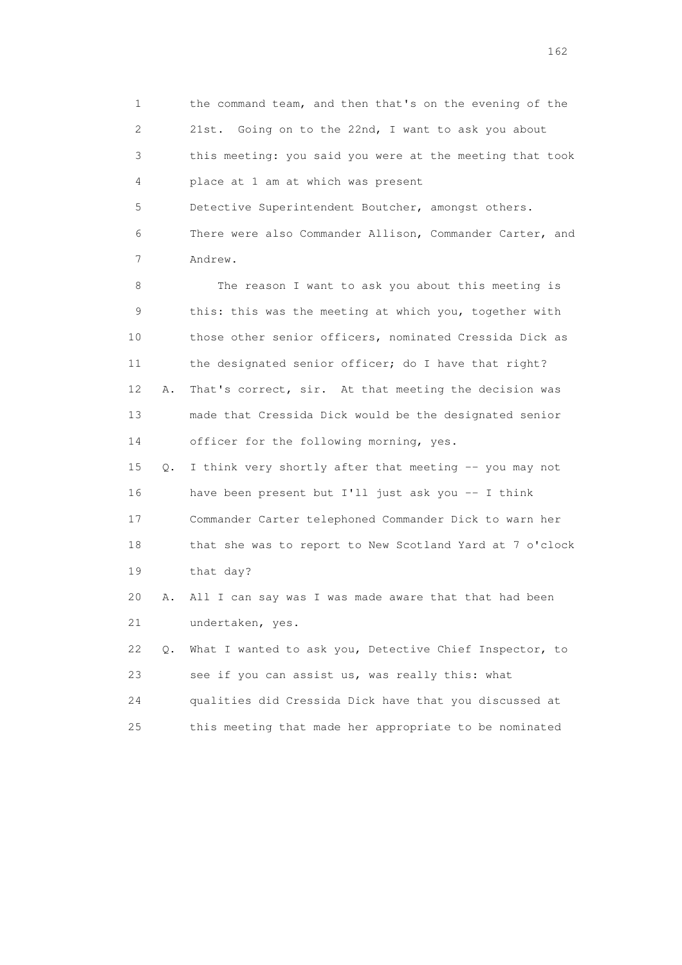1 the command team, and then that's on the evening of the 2 21st. Going on to the 22nd, I want to ask you about 3 this meeting: you said you were at the meeting that took 4 place at 1 am at which was present 5 Detective Superintendent Boutcher, amongst others. 6 There were also Commander Allison, Commander Carter, and 7 Andrew. 8 The reason I want to ask you about this meeting is 9 this: this was the meeting at which you, together with 10 those other senior officers, nominated Cressida Dick as 11 the designated senior officer; do I have that right? 12 A. That's correct, sir. At that meeting the decision was 13 made that Cressida Dick would be the designated senior 14 officer for the following morning, yes. 15 Q. I think very shortly after that meeting -- you may not 16 have been present but I'll just ask you -- I think 17 Commander Carter telephoned Commander Dick to warn her 18 that she was to report to New Scotland Yard at 7 o'clock 19 that day? 20 A. All I can say was I was made aware that that had been 21 undertaken, yes. 22 Q. What I wanted to ask you, Detective Chief Inspector, to 23 see if you can assist us, was really this: what 24 qualities did Cressida Dick have that you discussed at 25 this meeting that made her appropriate to be nominated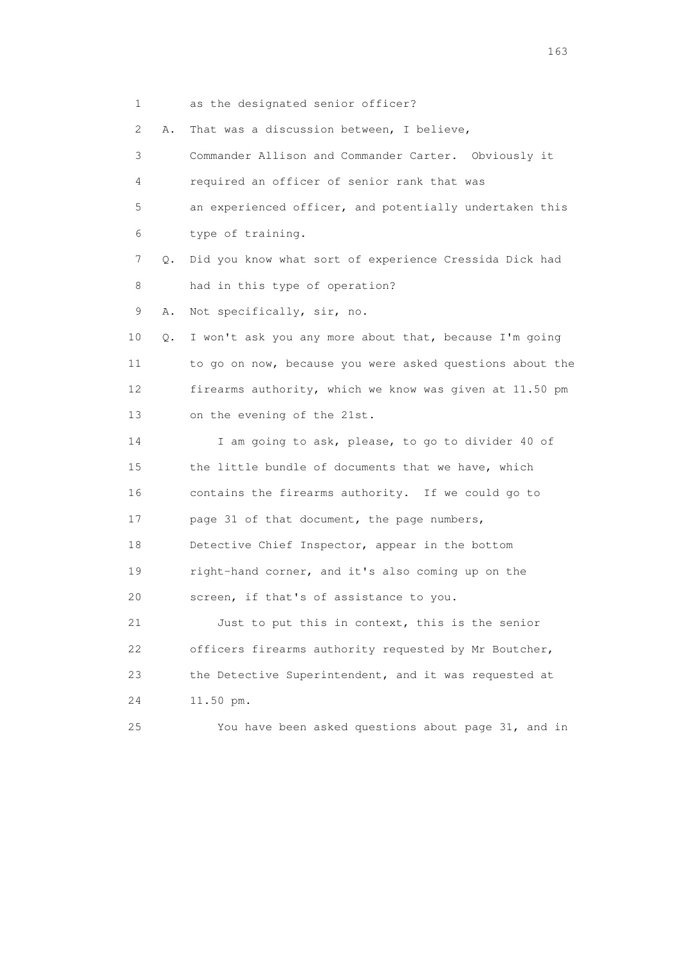1 as the designated senior officer?

2 A. That was a discussion between, I believe,

 3 Commander Allison and Commander Carter. Obviously it 4 required an officer of senior rank that was 5 an experienced officer, and potentially undertaken this 6 type of training. 7 Q. Did you know what sort of experience Cressida Dick had 8 had in this type of operation? 9 A. Not specifically, sir, no. 10 Q. I won't ask you any more about that, because I'm going 11 to go on now, because you were asked questions about the 12 firearms authority, which we know was given at 11.50 pm 13 on the evening of the 21st. 14 I am going to ask, please, to go to divider 40 of 15 the little bundle of documents that we have, which 16 contains the firearms authority. If we could go to 17 page 31 of that document, the page numbers, 18 Detective Chief Inspector, appear in the bottom 19 right-hand corner, and it's also coming up on the 20 screen, if that's of assistance to you. 21 Just to put this in context, this is the senior 22 officers firearms authority requested by Mr Boutcher, 23 the Detective Superintendent, and it was requested at 24 11.50 pm. 25 You have been asked questions about page 31, and in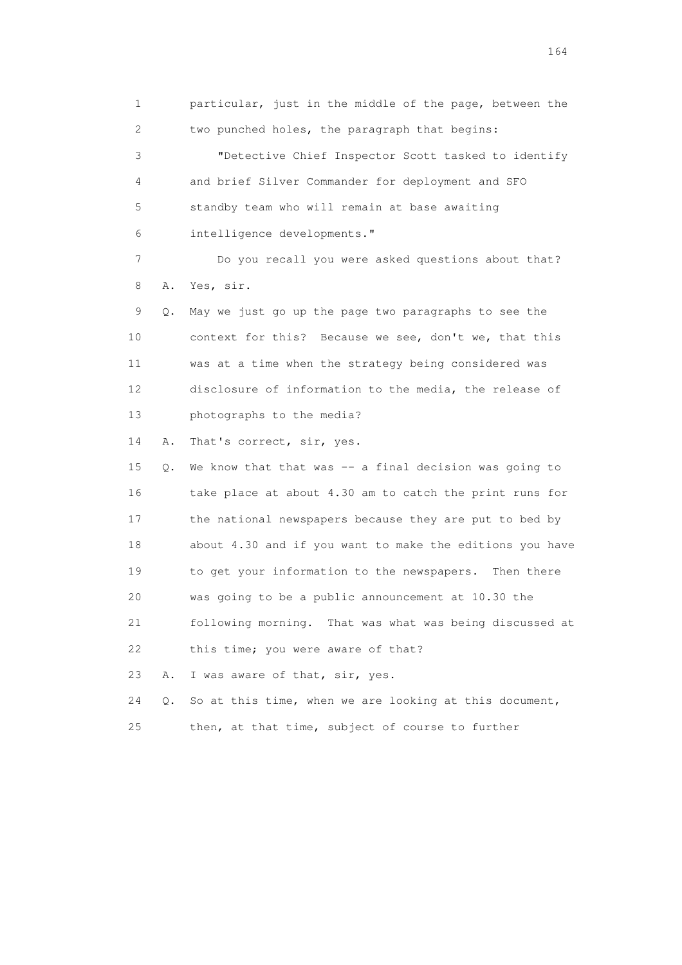1 particular, just in the middle of the page, between the 2 two punched holes, the paragraph that begins: 3 "Detective Chief Inspector Scott tasked to identify 4 and brief Silver Commander for deployment and SFO 5 standby team who will remain at base awaiting 6 intelligence developments." 7 Do you recall you were asked questions about that? 8 A. Yes, sir.

 9 Q. May we just go up the page two paragraphs to see the 10 context for this? Because we see, don't we, that this 11 was at a time when the strategy being considered was 12 disclosure of information to the media, the release of 13 photographs to the media?

14 A. That's correct, sir, yes.

 15 Q. We know that that was -- a final decision was going to 16 take place at about 4.30 am to catch the print runs for 17 the national newspapers because they are put to bed by 18 about 4.30 and if you want to make the editions you have 19 to get your information to the newspapers. Then there 20 was going to be a public announcement at 10.30 the 21 following morning. That was what was being discussed at 22 this time; you were aware of that? 23 A. I was aware of that, sir, yes.

24 Q. So at this time, when we are looking at this document,

25 then, at that time, subject of course to further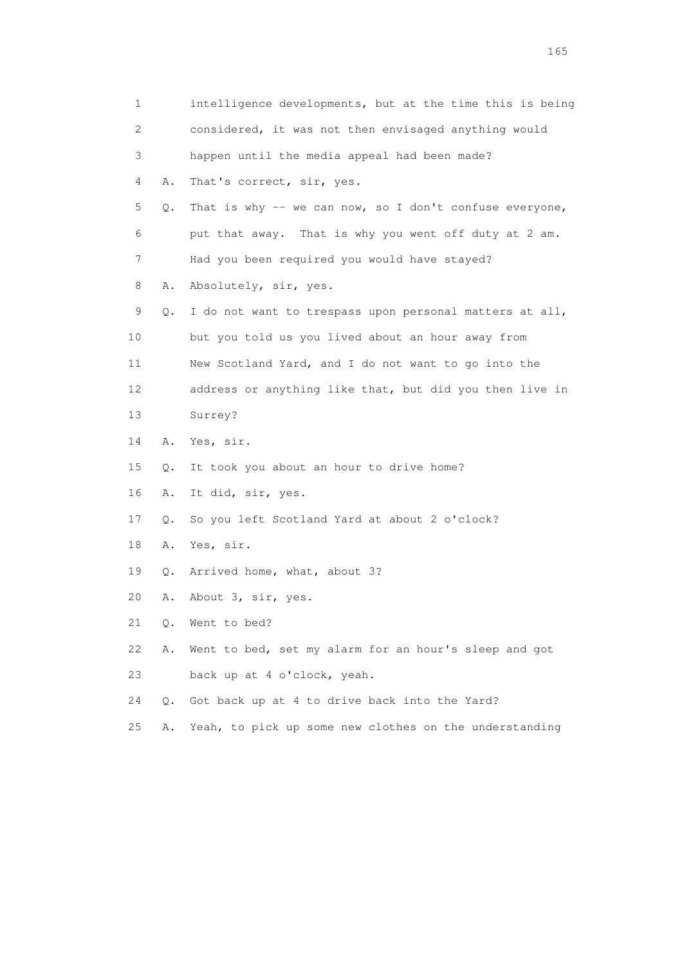| 1  |    | intelligence developments, but at the time this is being |  |
|----|----|----------------------------------------------------------|--|
| 2  |    | considered, it was not then envisaged anything would     |  |
| 3  |    | happen until the media appeal had been made?             |  |
| 4  | Α. | That's correct, sir, yes.                                |  |
| 5  | Q. | That is why -- we can now, so I don't confuse everyone,  |  |
| 6  |    | put that away. That is why you went off duty at 2 am.    |  |
| 7  |    | Had you been required you would have stayed?             |  |
| 8  | Α. | Absolutely, sir, yes.                                    |  |
| 9  | Q. | I do not want to trespass upon personal matters at all,  |  |
| 10 |    | but you told us you lived about an hour away from        |  |
| 11 |    | New Scotland Yard, and I do not want to go into the      |  |
| 12 |    | address or anything like that, but did you then live in  |  |
| 13 |    | Surrey?                                                  |  |
| 14 | Α. | Yes, sir.                                                |  |
| 15 | Q. | It took you about an hour to drive home?                 |  |
| 16 | Α. | It did, sir, yes.                                        |  |
| 17 | Q. | So you left Scotland Yard at about 2 o'clock?            |  |
| 18 | Α. | Yes, sir.                                                |  |
| 19 | Q. | Arrived home, what, about 3?                             |  |
| 20 | Α. | About 3, sir, yes.                                       |  |
| 21 | Q. | Went to bed?                                             |  |
| 22 | Α. | Went to bed, set my alarm for an hour's sleep and got    |  |
| 23 |    | back up at 4 o'clock, yeah.                              |  |
| 24 | О. | Got back up at 4 to drive back into the Yard?            |  |
| 25 | Α. | Yeah, to pick up some new clothes on the understanding   |  |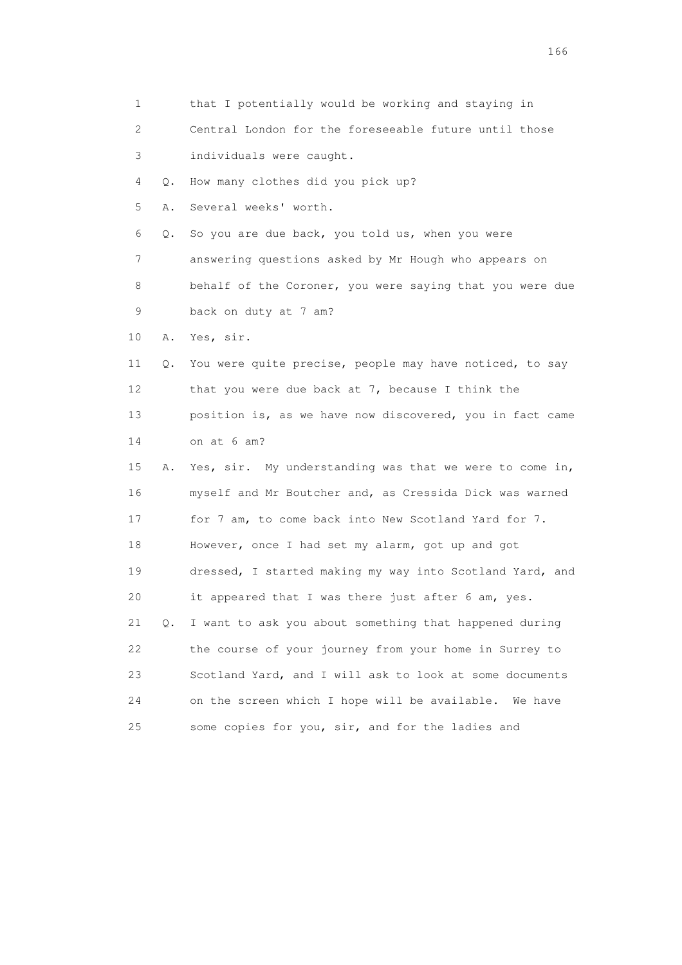1 that I potentially would be working and staying in 2 Central London for the foreseeable future until those 3 individuals were caught. 4 Q. How many clothes did you pick up? 5 A. Several weeks' worth. 6 Q. So you are due back, you told us, when you were 7 answering questions asked by Mr Hough who appears on 8 behalf of the Coroner, you were saying that you were due 9 back on duty at 7 am? 10 A. Yes, sir. 11 Q. You were quite precise, people may have noticed, to say 12 that you were due back at 7, because I think the 13 position is, as we have now discovered, you in fact came 14 on at 6 am? 15 A. Yes, sir. My understanding was that we were to come in, 16 myself and Mr Boutcher and, as Cressida Dick was warned 17 for 7 am, to come back into New Scotland Yard for 7. 18 However, once I had set my alarm, got up and got 19 dressed, I started making my way into Scotland Yard, and 20 it appeared that I was there just after 6 am, yes. 21 Q. I want to ask you about something that happened during 22 the course of your journey from your home in Surrey to 23 Scotland Yard, and I will ask to look at some documents 24 on the screen which I hope will be available. We have 25 some copies for you, sir, and for the ladies and

<u>166</u> **166**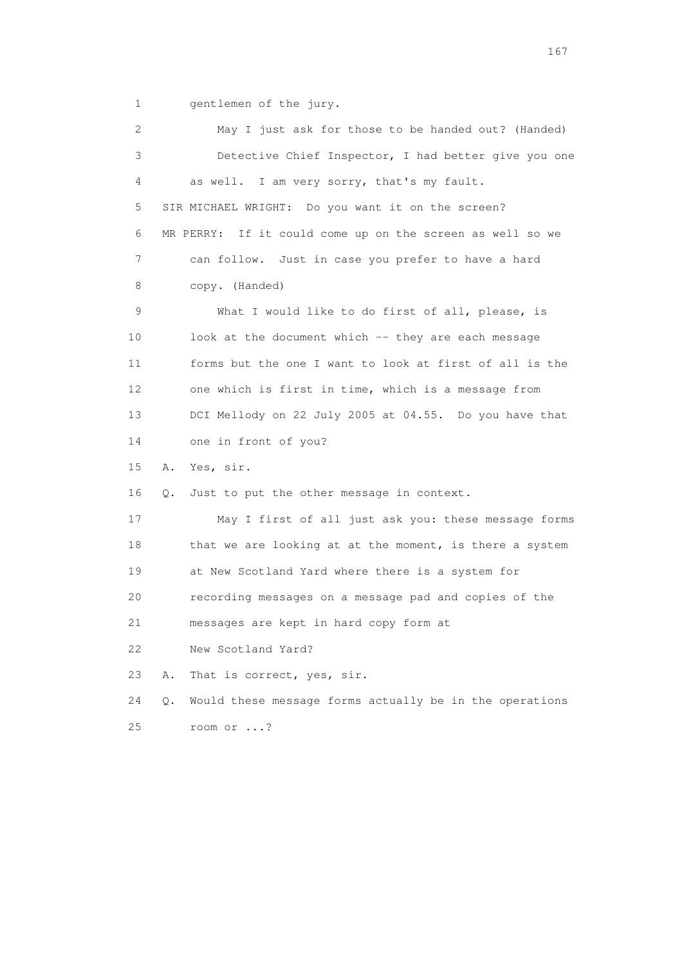1 gentlemen of the jury.

 2 May I just ask for those to be handed out? (Handed) 3 Detective Chief Inspector, I had better give you one 4 as well. I am very sorry, that's my fault. 5 SIR MICHAEL WRIGHT: Do you want it on the screen? 6 MR PERRY: If it could come up on the screen as well so we 7 can follow. Just in case you prefer to have a hard 8 copy. (Handed) 9 What I would like to do first of all, please, is 10 look at the document which -- they are each message 11 forms but the one I want to look at first of all is the 12 one which is first in time, which is a message from 13 DCI Mellody on 22 July 2005 at 04.55. Do you have that 14 one in front of you? 15 A. Yes, sir. 16 Q. Just to put the other message in context. 17 May I first of all just ask you: these message forms 18 that we are looking at at the moment, is there a system 19 at New Scotland Yard where there is a system for 20 recording messages on a message pad and copies of the 21 messages are kept in hard copy form at 22 New Scotland Yard? 23 A. That is correct, yes, sir. 24 Q. Would these message forms actually be in the operations 25 room or ...?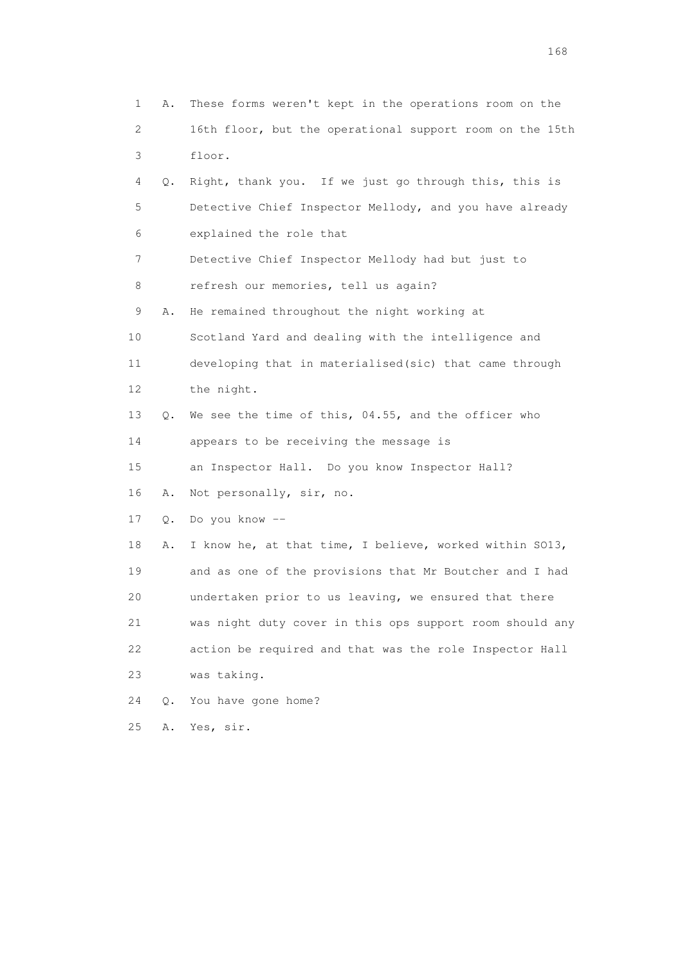1 A. These forms weren't kept in the operations room on the 2 16th floor, but the operational support room on the 15th 3 floor. 4 Q. Right, thank you. If we just go through this, this is 5 Detective Chief Inspector Mellody, and you have already 6 explained the role that 7 Detective Chief Inspector Mellody had but just to 8 refresh our memories, tell us again? 9 A. He remained throughout the night working at 10 Scotland Yard and dealing with the intelligence and 11 developing that in materialised(sic) that came through 12 the night. 13 Q. We see the time of this, 04.55, and the officer who 14 appears to be receiving the message is 15 an Inspector Hall. Do you know Inspector Hall? 16 A. Not personally, sir, no. 17 Q. Do you know -- 18 A. I know he, at that time, I believe, worked within SO13, 19 and as one of the provisions that Mr Boutcher and I had 20 undertaken prior to us leaving, we ensured that there 21 was night duty cover in this ops support room should any 22 action be required and that was the role Inspector Hall 23 was taking. 24 Q. You have gone home? 25 A. Yes, sir.

<u>168</u> **168**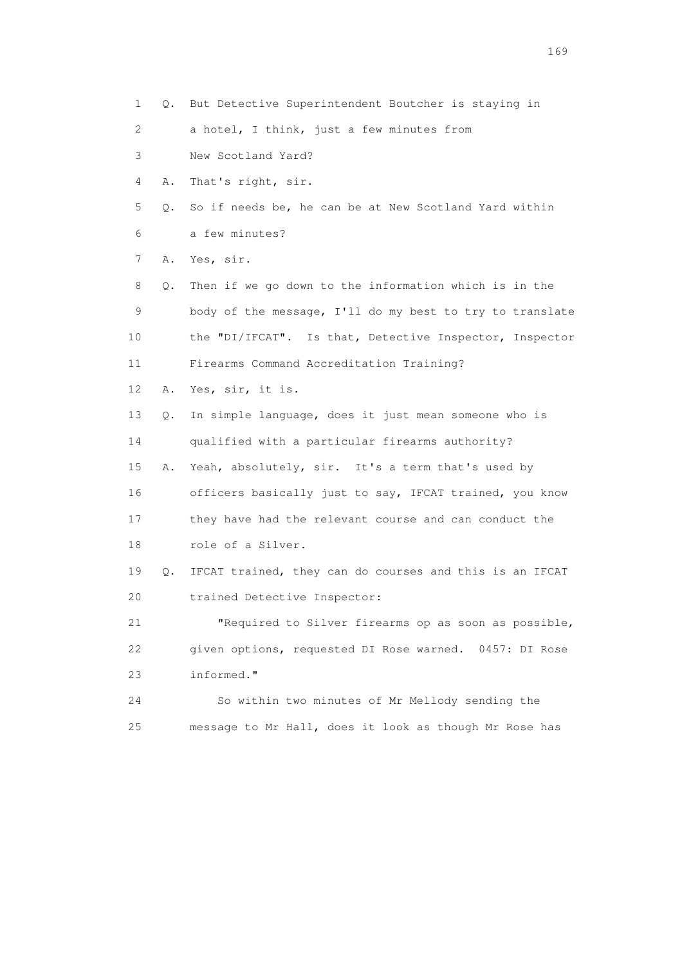1 Q. But Detective Superintendent Boutcher is staying in 2 a hotel, I think, just a few minutes from 3 New Scotland Yard? 4 A. That's right, sir. 5 Q. So if needs be, he can be at New Scotland Yard within 6 a few minutes? 7 A. Yes, sir. 8 Q. Then if we go down to the information which is in the 9 body of the message, I'll do my best to try to translate 10 the "DI/IFCAT". Is that, Detective Inspector, Inspector 11 Firearms Command Accreditation Training? 12 A. Yes, sir, it is. 13 Q. In simple language, does it just mean someone who is 14 qualified with a particular firearms authority? 15 A. Yeah, absolutely, sir. It's a term that's used by 16 officers basically just to say, IFCAT trained, you know 17 they have had the relevant course and can conduct the 18 role of a Silver. 19 Q. IFCAT trained, they can do courses and this is an IFCAT 20 trained Detective Inspector: 21 "Required to Silver firearms op as soon as possible, 22 given options, requested DI Rose warned. 0457: DI Rose 23 informed." 24 So within two minutes of Mr Mellody sending the 25 message to Mr Hall, does it look as though Mr Rose has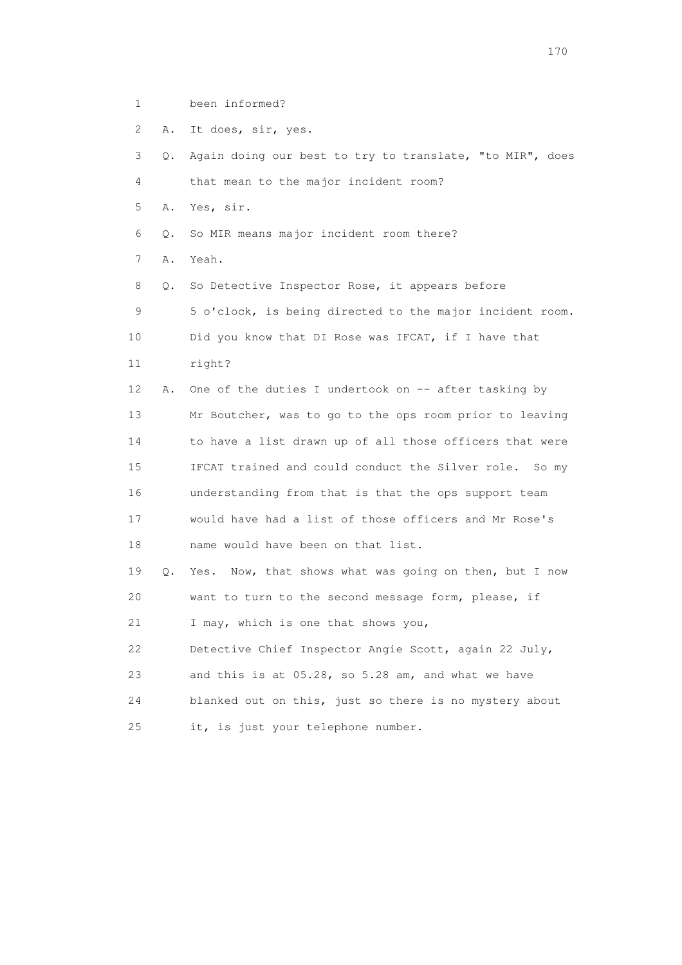- 1 been informed?
- 2 A. It does, sir, yes.

| 3  | О. | Again doing our best to try to translate, "to MIR", does |  |  |  |  |  |
|----|----|----------------------------------------------------------|--|--|--|--|--|
| 4  |    | that mean to the major incident room?                    |  |  |  |  |  |
| 5  | Α. | Yes, sir.                                                |  |  |  |  |  |
| 6  | Q. | So MIR means major incident room there?                  |  |  |  |  |  |
| 7  | Α. | Yeah.                                                    |  |  |  |  |  |
| 8  | Q. | So Detective Inspector Rose, it appears before           |  |  |  |  |  |
| 9  |    | 5 o'clock, is being directed to the major incident room. |  |  |  |  |  |
| 10 |    | Did you know that DI Rose was IFCAT, if I have that      |  |  |  |  |  |
| 11 |    | right?                                                   |  |  |  |  |  |
| 12 | Α. | One of the duties I undertook on -- after tasking by     |  |  |  |  |  |
| 13 |    | Mr Boutcher, was to go to the ops room prior to leaving  |  |  |  |  |  |
| 14 |    | to have a list drawn up of all those officers that were  |  |  |  |  |  |
| 15 |    | IFCAT trained and could conduct the Silver role. So my   |  |  |  |  |  |
| 16 |    | understanding from that is that the ops support team     |  |  |  |  |  |
| 17 |    | would have had a list of those officers and Mr Rose's    |  |  |  |  |  |
| 18 |    | name would have been on that list.                       |  |  |  |  |  |
| 19 | Q. | Yes. Now, that shows what was going on then, but I now   |  |  |  |  |  |
| 20 |    | want to turn to the second message form, please, if      |  |  |  |  |  |
| 21 |    | I may, which is one that shows you,                      |  |  |  |  |  |
| 22 |    | Detective Chief Inspector Angie Scott, again 22 July,    |  |  |  |  |  |
| 23 |    | and this is at 05.28, so 5.28 am, and what we have       |  |  |  |  |  |
| 24 |    | blanked out on this, just so there is no mystery about   |  |  |  |  |  |
| 25 |    | it, is just your telephone number.                       |  |  |  |  |  |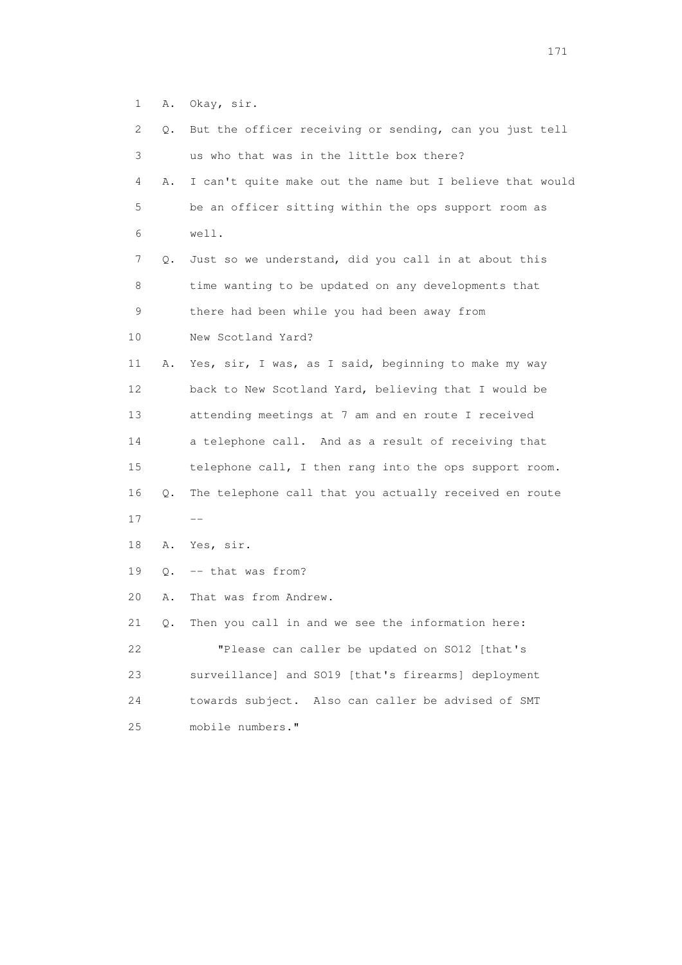1 A. Okay, sir.

| 2.          | Q.    | But the officer receiving or sending, can you just tell  |
|-------------|-------|----------------------------------------------------------|
| 3           |       | us who that was in the little box there?                 |
| 4           | Α.    | I can't quite make out the name but I believe that would |
| 5           |       | be an officer sitting within the ops support room as     |
| 6           |       | well.                                                    |
| 7           | Q.    | Just so we understand, did you call in at about this     |
| 8           |       | time wanting to be updated on any developments that      |
| $\mathsf 9$ |       | there had been while you had been away from              |
| 10          |       | New Scotland Yard?                                       |
| 11          | Α.    | Yes, sir, I was, as I said, beginning to make my way     |
| 12          |       | back to New Scotland Yard, believing that I would be     |
| 13          |       | attending meetings at 7 am and en route I received       |
| 14          |       | a telephone call. And as a result of receiving that      |
| 15          |       | telephone call, I then rang into the ops support room.   |
| 16          | Q.    | The telephone call that you actually received en route   |
| 17          |       |                                                          |
| 18          | Α.    | Yes, sir.                                                |
| 19          | $Q$ . | -- that was from?                                        |
| 20          | Α.    | That was from Andrew.                                    |
| 21          | Q.    | Then you call in and we see the information here:        |
| 22          |       | "Please can caller be updated on SO12 [that's            |
| 23          |       | surveillance] and SO19 [that's firearms] deployment      |
| 24          |       | Also can caller be advised of SMT<br>towards subject.    |
| 25          |       | mobile numbers."                                         |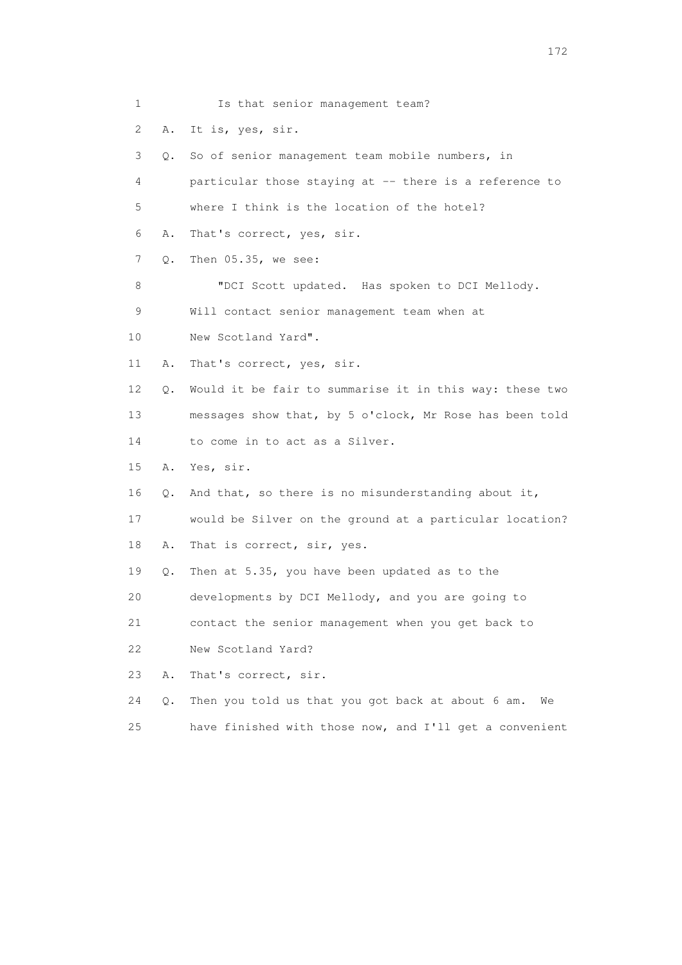1 Is that senior management team? 2 A. It is, yes, sir. 3 Q. So of senior management team mobile numbers, in 4 particular those staying at -- there is a reference to 5 where I think is the location of the hotel? 6 A. That's correct, yes, sir. 7 Q. Then 05.35, we see: 8 "DCI Scott updated. Has spoken to DCI Mellody. 9 Will contact senior management team when at 10 New Scotland Yard". 11 A. That's correct, yes, sir. 12 Q. Would it be fair to summarise it in this way: these two 13 messages show that, by 5 o'clock, Mr Rose has been told 14 to come in to act as a Silver. 15 A. Yes, sir. 16 Q. And that, so there is no misunderstanding about it, 17 would be Silver on the ground at a particular location? 18 A. That is correct, sir, yes. 19 Q. Then at 5.35, you have been updated as to the 20 developments by DCI Mellody, and you are going to 21 contact the senior management when you get back to 22 New Scotland Yard? 23 A. That's correct, sir. 24 Q. Then you told us that you got back at about 6 am. We 25 have finished with those now, and I'll get a convenient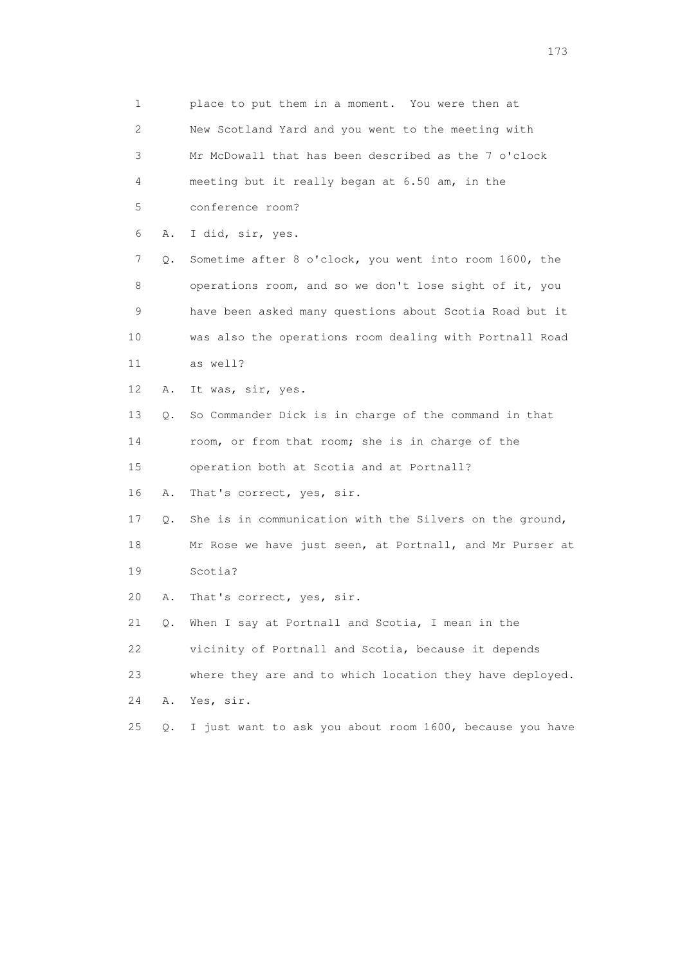1 place to put them in a moment. You were then at 2 New Scotland Yard and you went to the meeting with 3 Mr McDowall that has been described as the 7 o'clock 4 meeting but it really began at 6.50 am, in the 5 conference room? 6 A. I did, sir, yes. 7 Q. Sometime after 8 o'clock, you went into room 1600, the 8 operations room, and so we don't lose sight of it, you 9 have been asked many questions about Scotia Road but it 10 was also the operations room dealing with Portnall Road 11 as well? 12 A. It was, sir, yes. 13 Q. So Commander Dick is in charge of the command in that 14 room, or from that room; she is in charge of the 15 operation both at Scotia and at Portnall? 16 A. That's correct, yes, sir. 17 Q. She is in communication with the Silvers on the ground, 18 Mr Rose we have just seen, at Portnall, and Mr Purser at 19 Scotia? 20 A. That's correct, yes, sir. 21 Q. When I say at Portnall and Scotia, I mean in the 22 vicinity of Portnall and Scotia, because it depends 23 where they are and to which location they have deployed. 24 A. Yes, sir. 25 Q. I just want to ask you about room 1600, because you have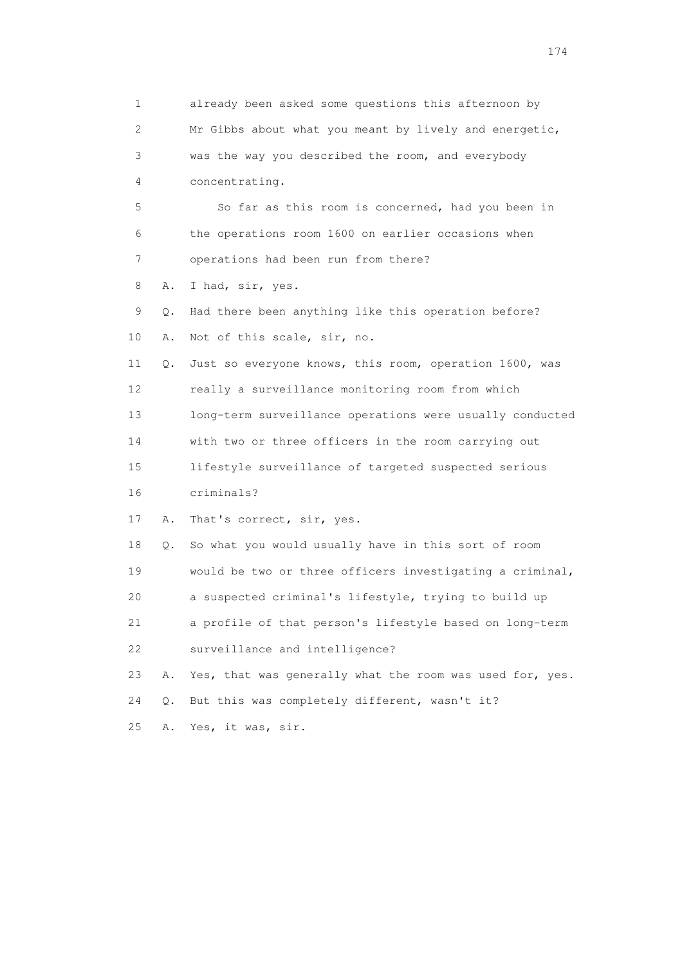1 already been asked some questions this afternoon by 2 Mr Gibbs about what you meant by lively and energetic, 3 was the way you described the room, and everybody 4 concentrating. 5 So far as this room is concerned, had you been in 6 the operations room 1600 on earlier occasions when 7 operations had been run from there? 8 A. I had, sir, yes. 9 Q. Had there been anything like this operation before? 10 A. Not of this scale, sir, no. 11 Q. Just so everyone knows, this room, operation 1600, was 12 really a surveillance monitoring room from which 13 long-term surveillance operations were usually conducted 14 with two or three officers in the room carrying out 15 lifestyle surveillance of targeted suspected serious 16 criminals? 17 A. That's correct, sir, yes. 18 Q. So what you would usually have in this sort of room 19 would be two or three officers investigating a criminal, 20 a suspected criminal's lifestyle, trying to build up 21 a profile of that person's lifestyle based on long-term 22 surveillance and intelligence? 23 A. Yes, that was generally what the room was used for, yes. 24 Q. But this was completely different, wasn't it? 25 A. Yes, it was, sir.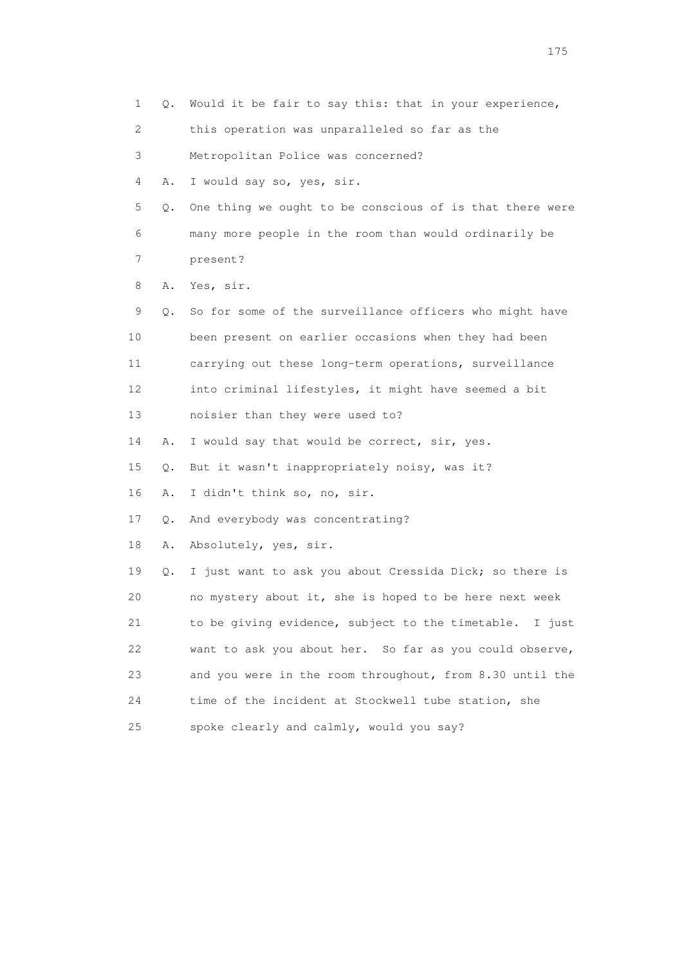1 Q. Would it be fair to say this: that in your experience, 2 this operation was unparalleled so far as the 3 Metropolitan Police was concerned? 4 A. I would say so, yes, sir. 5 Q. One thing we ought to be conscious of is that there were 6 many more people in the room than would ordinarily be 7 present? 8 A. Yes, sir. 9 Q. So for some of the surveillance officers who might have 10 been present on earlier occasions when they had been 11 carrying out these long-term operations, surveillance 12 into criminal lifestyles, it might have seemed a bit 13 noisier than they were used to? 14 A. I would say that would be correct, sir, yes. 15 Q. But it wasn't inappropriately noisy, was it? 16 A. I didn't think so, no, sir. 17 Q. And everybody was concentrating? 18 A. Absolutely, yes, sir. 19 Q. I just want to ask you about Cressida Dick; so there is 20 no mystery about it, she is hoped to be here next week 21 to be giving evidence, subject to the timetable. I just 22 want to ask you about her. So far as you could observe, 23 and you were in the room throughout, from 8.30 until the 24 time of the incident at Stockwell tube station, she 25 spoke clearly and calmly, would you say?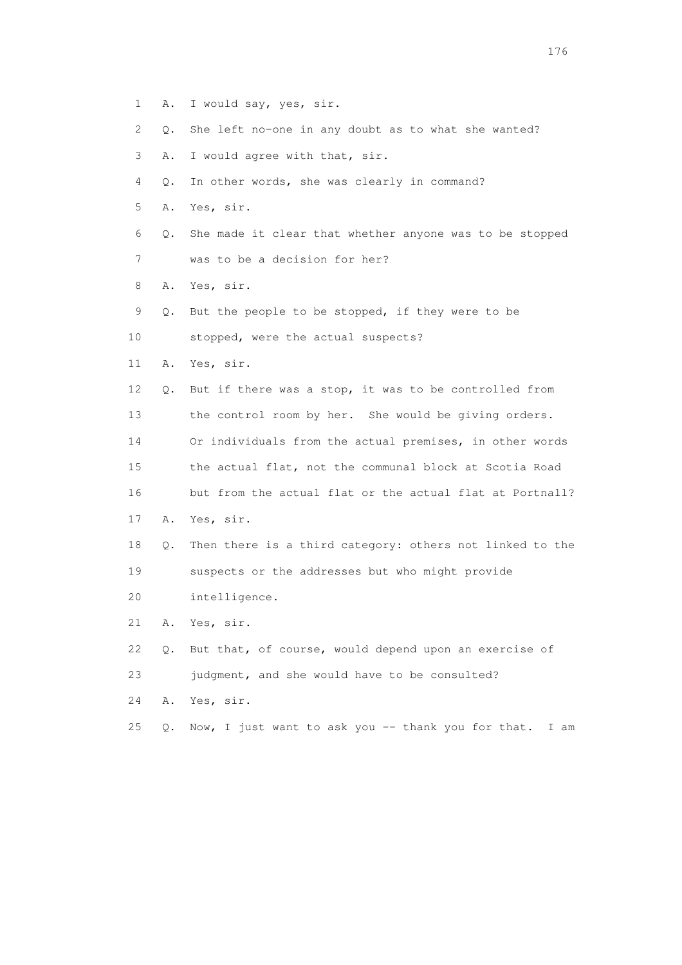- 1 A. I would say, yes, sir.
- 2 Q. She left no-one in any doubt as to what she wanted?
- 3 A. I would agree with that, sir.
- 4 Q. In other words, she was clearly in command?
- 5 A. Yes, sir.
- 6 Q. She made it clear that whether anyone was to be stopped
- 7 was to be a decision for her?
- 8 A. Yes, sir.
- 9 Q. But the people to be stopped, if they were to be
- 10 stopped, were the actual suspects?
- 11 A. Yes, sir.
- 12 Q. But if there was a stop, it was to be controlled from 13 the control room by her. She would be giving orders. 14 Or individuals from the actual premises, in other words 15 the actual flat, not the communal block at Scotia Road
- 16 but from the actual flat or the actual flat at Portnall?
- 17 A. Yes, sir.
- 18 Q. Then there is a third category: others not linked to the 19 suspects or the addresses but who might provide
- 20 intelligence.
- 21 A. Yes, sir.
- 22 Q. But that, of course, would depend upon an exercise of 23 judgment, and she would have to be consulted?
- 24 A. Yes, sir.
- 25 Q. Now, I just want to ask you -- thank you for that. I am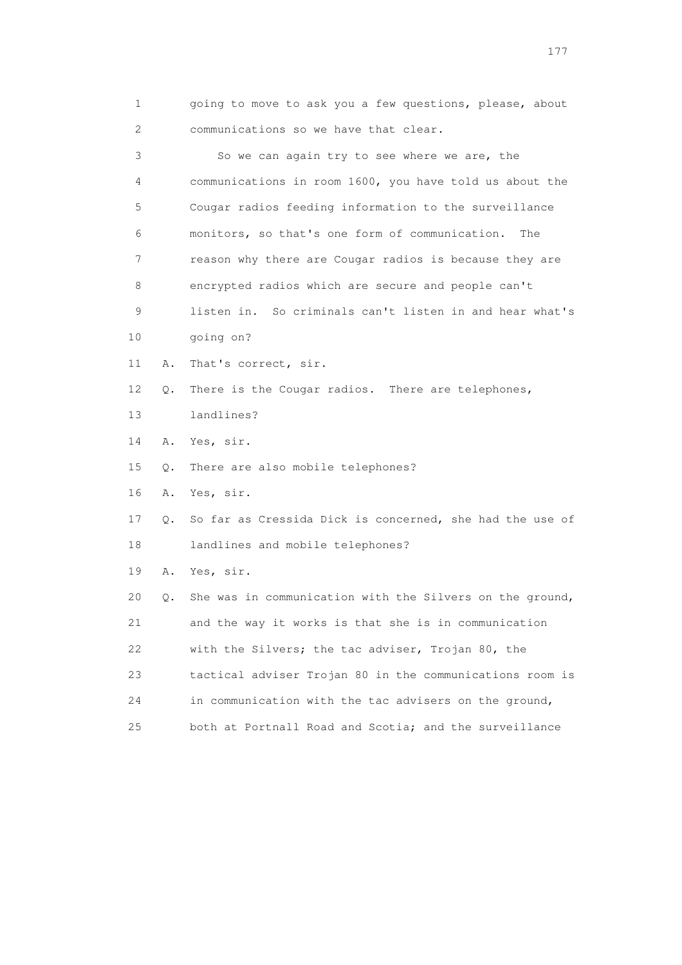| going to move to ask you a few questions, please, about |  |  |  |
|---------------------------------------------------------|--|--|--|
| communications so we have that clear.                   |  |  |  |

 3 So we can again try to see where we are, the 4 communications in room 1600, you have told us about the 5 Cougar radios feeding information to the surveillance 6 monitors, so that's one form of communication. The 7 reason why there are Cougar radios is because they are 8 encrypted radios which are secure and people can't 9 listen in. So criminals can't listen in and hear what's 10 going on? 11 A. That's correct, sir. 12 Q. There is the Cougar radios. There are telephones, 13 landlines? 14 A. Yes, sir. 15 Q. There are also mobile telephones? 16 A. Yes, sir. 17 Q. So far as Cressida Dick is concerned, she had the use of 18 landlines and mobile telephones? 19 A. Yes, sir. 20 Q. She was in communication with the Silvers on the ground, 21 and the way it works is that she is in communication 22 with the Silvers; the tac adviser, Trojan 80, the 23 tactical adviser Trojan 80 in the communications room is 24 in communication with the tac advisers on the ground,

25 both at Portnall Road and Scotia; and the surveillance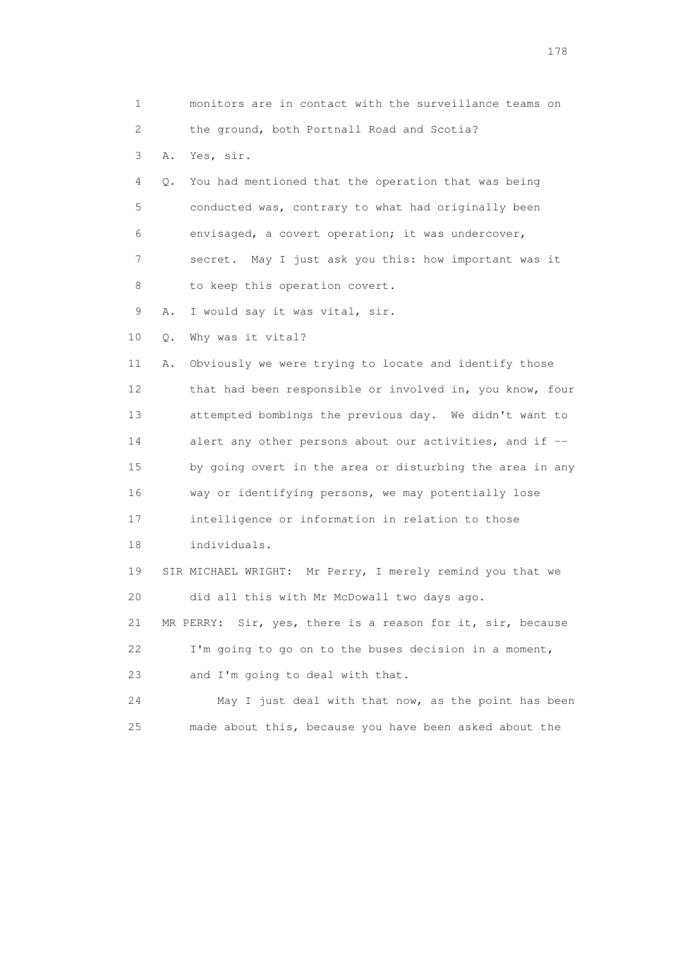1 monitors are in contact with the surveillance teams on 2 the ground, both Portnall Road and Scotia? 3 A. Yes, sir. 4 Q. You had mentioned that the operation that was being 5 conducted was, contrary to what had originally been 6 envisaged, a covert operation; it was undercover, 7 secret. May I just ask you this: how important was it 8 to keep this operation covert. 9 A. I would say it was vital, sir. 10 Q. Why was it vital? 11 A. Obviously we were trying to locate and identify those 12 that had been responsible or involved in, you know, four 13 attempted bombings the previous day. We didn't want to 14 alert any other persons about our activities, and if -- 15 by going overt in the area or disturbing the area in any 16 way or identifying persons, we may potentially lose 17 intelligence or information in relation to those 18 individuals. 19 SIR MICHAEL WRIGHT: Mr Perry, I merely remind you that we 20 did all this with Mr McDowall two days ago. 21 MR PERRY: Sir, yes, there is a reason for it, sir, because 22 I'm going to go on to the buses decision in a moment, 23 and I'm going to deal with that. 24 May I just deal with that now, as the point has been 25 made about this, because you have been asked about the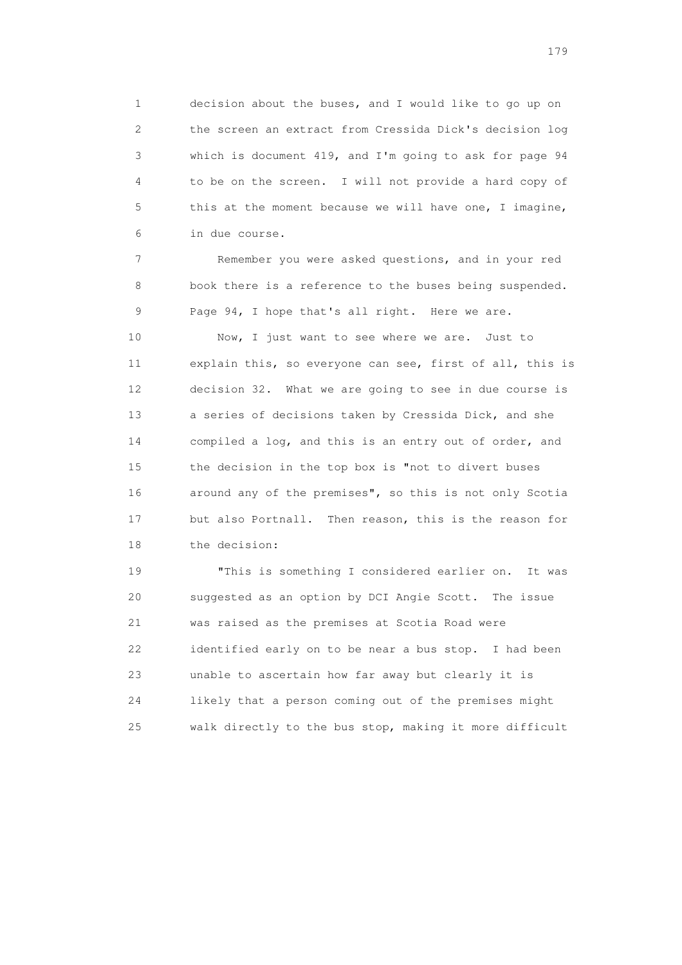1 decision about the buses, and I would like to go up on 2 the screen an extract from Cressida Dick's decision log 3 which is document 419, and I'm going to ask for page 94 4 to be on the screen. I will not provide a hard copy of 5 this at the moment because we will have one, I imagine, 6 in due course.

 7 Remember you were asked questions, and in your red 8 book there is a reference to the buses being suspended. 9 Page 94, I hope that's all right. Here we are.

 10 Now, I just want to see where we are. Just to 11 explain this, so everyone can see, first of all, this is 12 decision 32. What we are going to see in due course is 13 a series of decisions taken by Cressida Dick, and she 14 compiled a log, and this is an entry out of order, and 15 the decision in the top box is "not to divert buses 16 around any of the premises", so this is not only Scotia 17 but also Portnall. Then reason, this is the reason for 18 the decision:

 19 "This is something I considered earlier on. It was 20 suggested as an option by DCI Angie Scott. The issue 21 was raised as the premises at Scotia Road were 22 identified early on to be near a bus stop. I had been 23 unable to ascertain how far away but clearly it is 24 likely that a person coming out of the premises might 25 walk directly to the bus stop, making it more difficult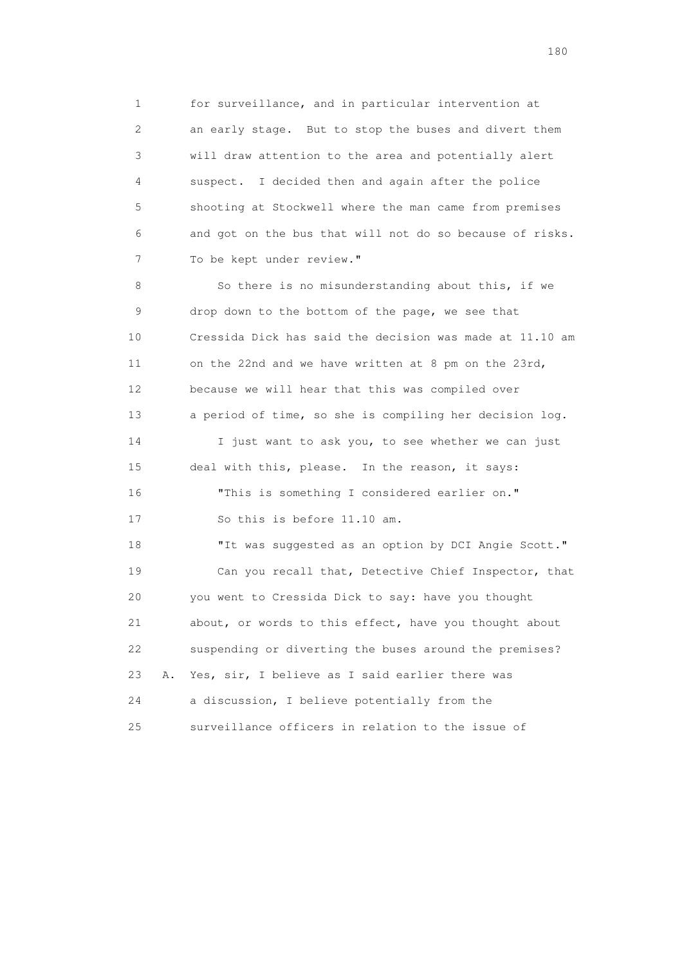1 for surveillance, and in particular intervention at 2 an early stage. But to stop the buses and divert them 3 will draw attention to the area and potentially alert 4 suspect. I decided then and again after the police 5 shooting at Stockwell where the man came from premises 6 and got on the bus that will not do so because of risks. 7 To be kept under review."

 8 So there is no misunderstanding about this, if we 9 drop down to the bottom of the page, we see that 10 Cressida Dick has said the decision was made at 11.10 am 11 on the 22nd and we have written at 8 pm on the 23rd, 12 because we will hear that this was compiled over 13 a period of time, so she is compiling her decision log. 14 I just want to ask you, to see whether we can just 15 deal with this, please. In the reason, it says: 16 "This is something I considered earlier on." 17 So this is before 11.10 am. 18 "It was suggested as an option by DCI Angie Scott." 19 Can you recall that, Detective Chief Inspector, that 20 you went to Cressida Dick to say: have you thought 21 about, or words to this effect, have you thought about 22 suspending or diverting the buses around the premises? 23 A. Yes, sir, I believe as I said earlier there was 24 a discussion, I believe potentially from the 25 surveillance officers in relation to the issue of

180 and 180 and 180 and 180 and 180 and 180 and 180 and 180 and 180 and 180 and 180 and 180 and 180 and 180 and 180 and 180 and 180 and 180 and 180 and 180 and 180 and 180 and 180 and 180 and 180 and 180 and 180 and 180 an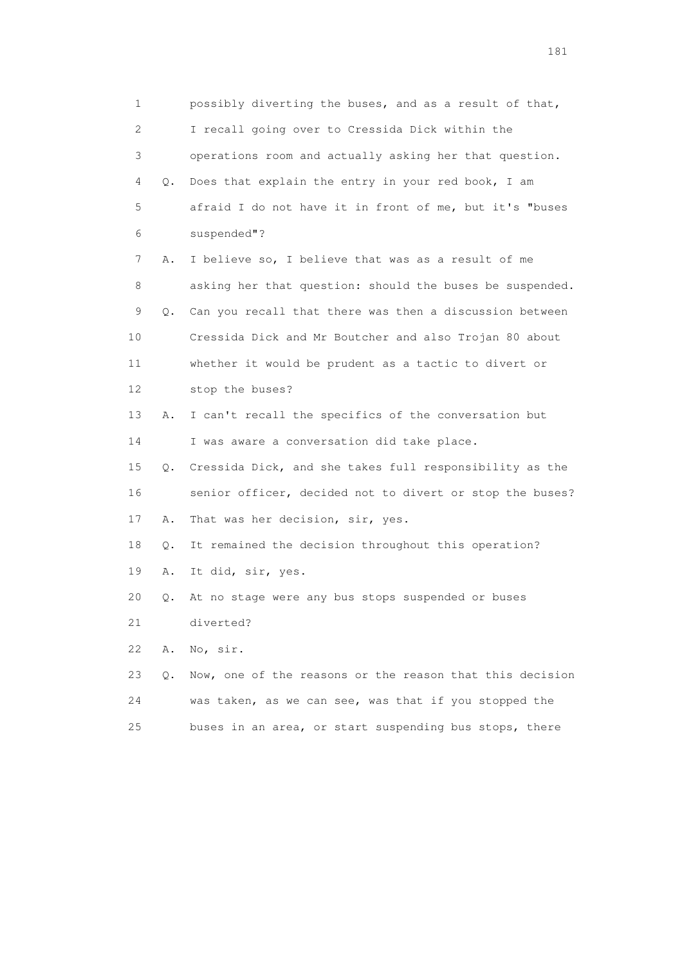1 possibly diverting the buses, and as a result of that, 2 I recall going over to Cressida Dick within the 3 operations room and actually asking her that question. 4 Q. Does that explain the entry in your red book, I am 5 afraid I do not have it in front of me, but it's "buses 6 suspended"? 7 A. I believe so, I believe that was as a result of me 8 asking her that question: should the buses be suspended. 9 Q. Can you recall that there was then a discussion between 10 Cressida Dick and Mr Boutcher and also Trojan 80 about 11 whether it would be prudent as a tactic to divert or 12 stop the buses? 13 A. I can't recall the specifics of the conversation but 14 I was aware a conversation did take place. 15 Q. Cressida Dick, and she takes full responsibility as the 16 senior officer, decided not to divert or stop the buses? 17 A. That was her decision, sir, yes. 18 Q. It remained the decision throughout this operation? 19 A. It did, sir, yes. 20 Q. At no stage were any bus stops suspended or buses 21 diverted? 22 A. No, sir. 23 Q. Now, one of the reasons or the reason that this decision 24 was taken, as we can see, was that if you stopped the 25 buses in an area, or start suspending bus stops, there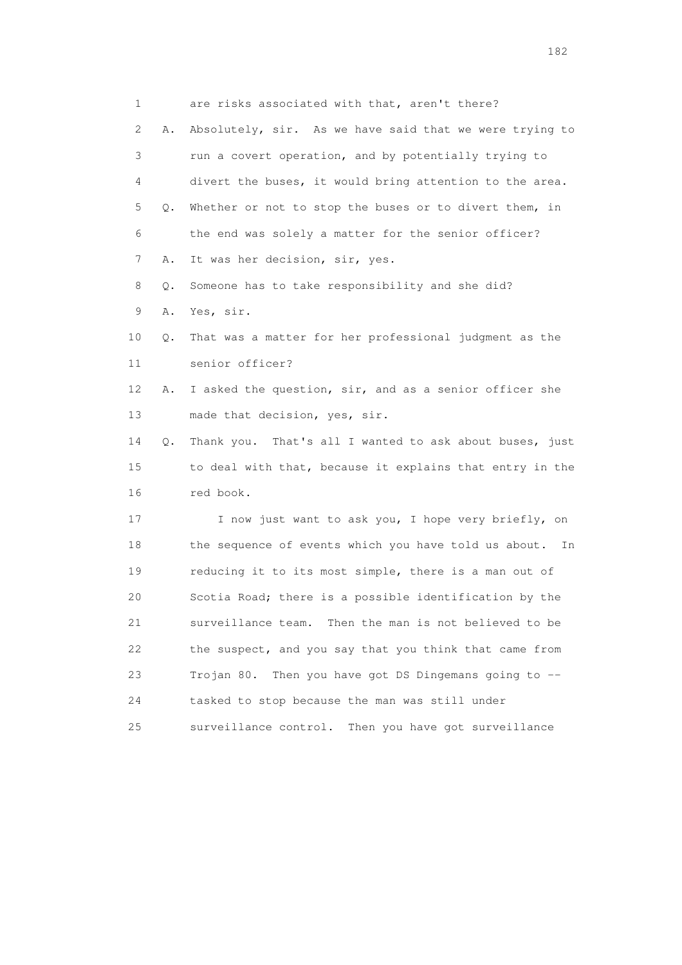1 are risks associated with that, aren't there? 2 A. Absolutely, sir. As we have said that we were trying to 3 run a covert operation, and by potentially trying to 4 divert the buses, it would bring attention to the area. 5 Q. Whether or not to stop the buses or to divert them, in 6 the end was solely a matter for the senior officer? 7 A. It was her decision, sir, yes. 8 Q. Someone has to take responsibility and she did? 9 A. Yes, sir. 10 Q. That was a matter for her professional judgment as the 11 senior officer? 12 A. I asked the question, sir, and as a senior officer she 13 made that decision, yes, sir. 14 Q. Thank you. That's all I wanted to ask about buses, just 15 to deal with that, because it explains that entry in the 16 red book. 17 I now just want to ask you, I hope very briefly, on 18 the sequence of events which you have told us about. In 19 reducing it to its most simple, there is a man out of 20 Scotia Road; there is a possible identification by the 21 surveillance team. Then the man is not believed to be 22 the suspect, and you say that you think that came from 23 Trojan 80. Then you have got DS Dingemans going to -- 24 tasked to stop because the man was still under 25 surveillance control. Then you have got surveillance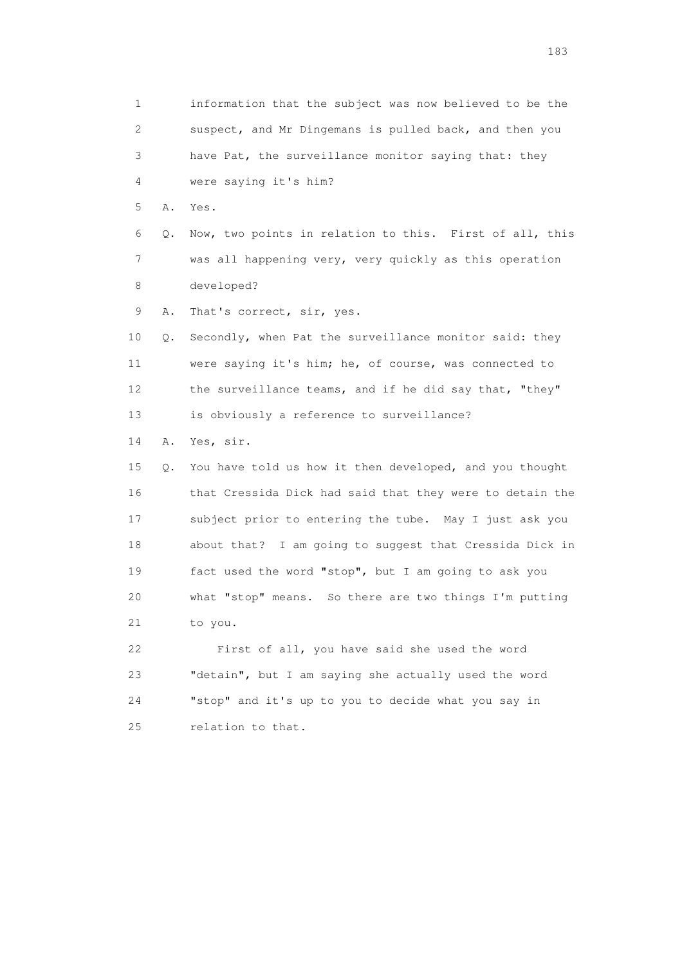1 information that the subject was now believed to be the 2 suspect, and Mr Dingemans is pulled back, and then you 3 have Pat, the surveillance monitor saying that: they 4 were saying it's him? 5 A. Yes. 6 Q. Now, two points in relation to this. First of all, this 7 was all happening very, very quickly as this operation 8 developed? 9 A. That's correct, sir, yes. 10 Q. Secondly, when Pat the surveillance monitor said: they 11 were saying it's him; he, of course, was connected to 12 the surveillance teams, and if he did say that, "they" 13 is obviously a reference to surveillance? 14 A. Yes, sir. 15 Q. You have told us how it then developed, and you thought 16 that Cressida Dick had said that they were to detain the 17 subject prior to entering the tube. May I just ask you 18 about that? I am going to suggest that Cressida Dick in 19 fact used the word "stop", but I am going to ask you 20 what "stop" means. So there are two things I'm putting 21 to you. 22 First of all, you have said she used the word 23 "detain", but I am saying she actually used the word 24 "stop" and it's up to you to decide what you say in 25 relation to that.

183 and the contract of the contract of the contract of the contract of the contract of the contract of the contract of the contract of the contract of the contract of the contract of the contract of the contract of the co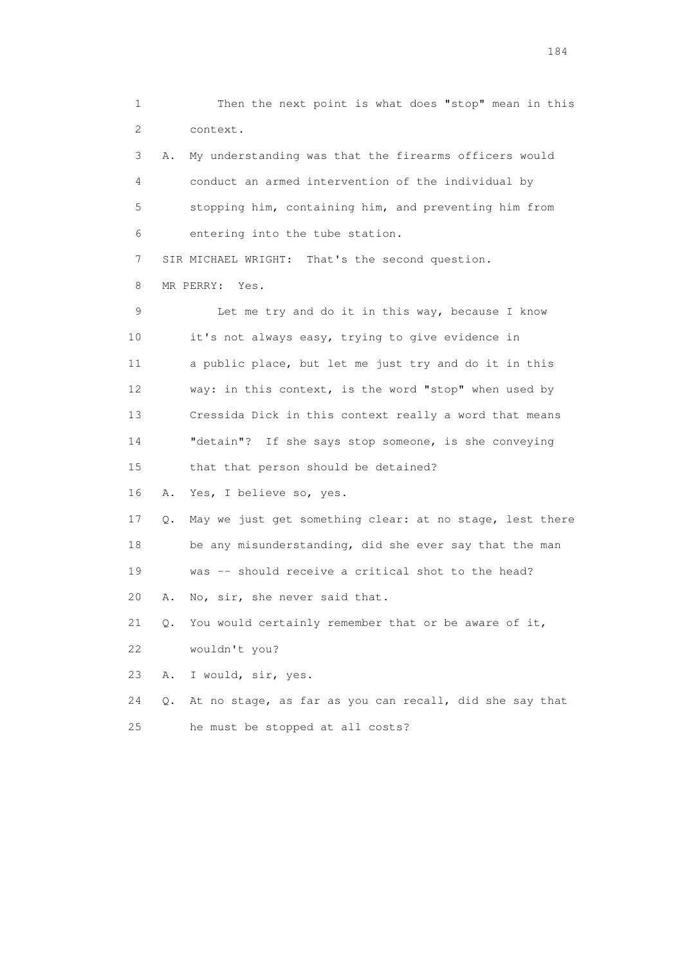1 Then the next point is what does "stop" mean in this 2 context.

 3 A. My understanding was that the firearms officers would 4 conduct an armed intervention of the individual by 5 stopping him, containing him, and preventing him from 6 entering into the tube station.

7 SIR MICHAEL WRIGHT: That's the second question.

8 MR PERRY: Yes.

 9 Let me try and do it in this way, because I know 10 it's not always easy, trying to give evidence in 11 a public place, but let me just try and do it in this 12 way: in this context, is the word "stop" when used by 13 Cressida Dick in this context really a word that means 14 "detain"? If she says stop someone, is she conveying 15 that that person should be detained?

16 A. Yes, I believe so, yes.

 17 Q. May we just get something clear: at no stage, lest there 18 be any misunderstanding, did she ever say that the man 19 was -- should receive a critical shot to the head?

20 A. No, sir, she never said that.

21 Q. You would certainly remember that or be aware of it,

22 wouldn't you?

23 A. I would, sir, yes.

 24 Q. At no stage, as far as you can recall, did she say that 25 he must be stopped at all costs?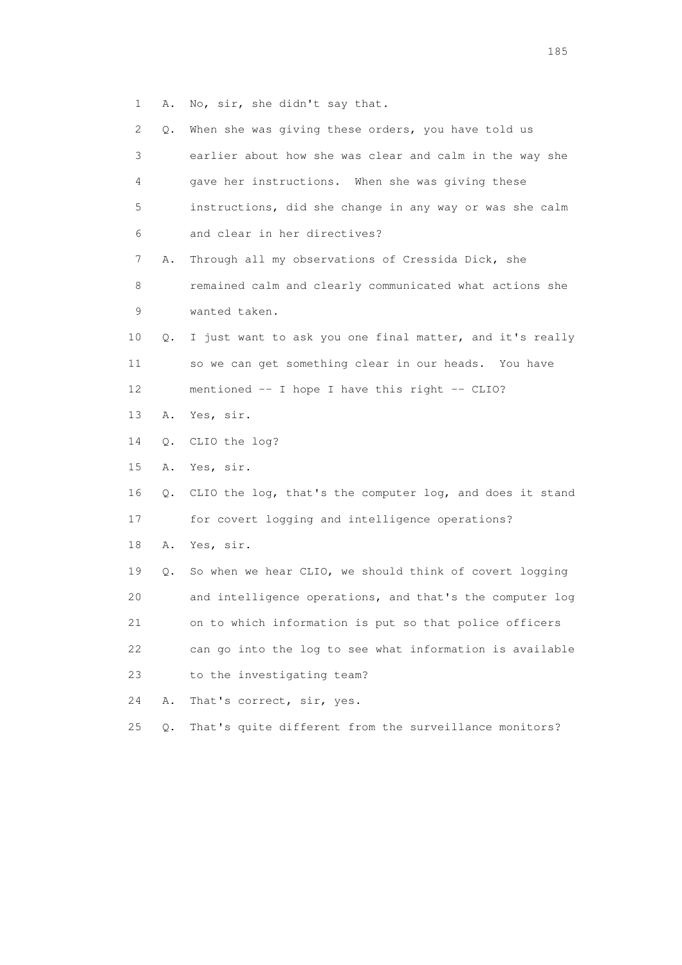1 A. No, sir, she didn't say that.

| $\mathbf{2}^{\mathsf{I}}$ | Q. | When she was giving these orders, you have told us       |
|---------------------------|----|----------------------------------------------------------|
| 3                         |    | earlier about how she was clear and calm in the way she  |
| 4                         |    | gave her instructions. When she was giving these         |
| 5                         |    | instructions, did she change in any way or was she calm  |
| 6                         |    | and clear in her directives?                             |
| 7                         | Α. | Through all my observations of Cressida Dick, she        |
| 8                         |    | remained calm and clearly communicated what actions she  |
| 9                         |    | wanted taken.                                            |
| 10                        | Q. | I just want to ask you one final matter, and it's really |
| 11                        |    | so we can get something clear in our heads. You have     |
| 12                        |    | mentioned -- I hope I have this right -- CLIO?           |
| 13                        | Α. | Yes, sir.                                                |
| 14                        | Q. | CLIO the log?                                            |
| 15                        | Α. | Yes, sir.                                                |
| 16                        | Q. | CLIO the log, that's the computer log, and does it stand |
| 17                        |    | for covert logging and intelligence operations?          |
| 18                        | Α. | Yes, sir.                                                |
| 19                        | Q. | So when we hear CLIO, we should think of covert logging  |
| 20                        |    | and intelligence operations, and that's the computer log |
| 21                        |    | on to which information is put so that police officers   |
| 22                        |    | can go into the log to see what information is available |
| 23                        |    | to the investigating team?                               |
|                           |    |                                                          |
| 24                        | Α. | That's correct, sir, yes.                                |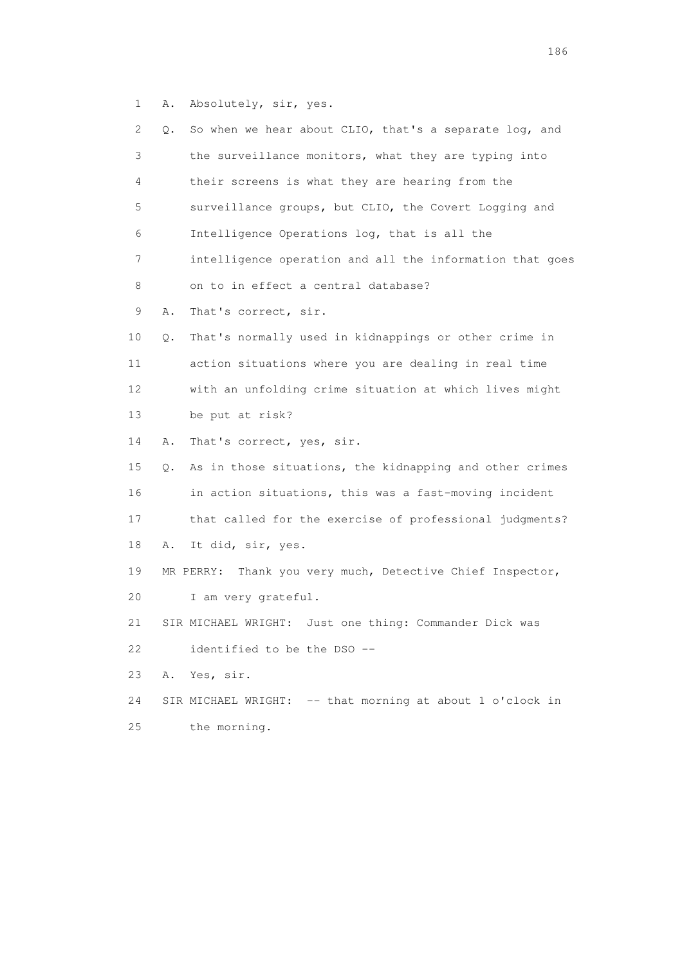1 A. Absolutely, sir, yes.

| 2. | Q. | So when we hear about CLIO, that's a separate log, and       |
|----|----|--------------------------------------------------------------|
| 3  |    | the surveillance monitors, what they are typing into         |
| 4  |    | their screens is what they are hearing from the              |
| 5  |    | surveillance groups, but CLIO, the Covert Logging and        |
| 6  |    | Intelligence Operations log, that is all the                 |
| 7  |    | intelligence operation and all the information that goes     |
| 8  |    | on to in effect a central database?                          |
| 9  | Α. | That's correct, sir.                                         |
| 10 | Q. | That's normally used in kidnappings or other crime in        |
| 11 |    | action situations where you are dealing in real time         |
| 12 |    | with an unfolding crime situation at which lives might       |
| 13 |    | be put at risk?                                              |
| 14 | Α. | That's correct, yes, sir.                                    |
| 15 | Q. | As in those situations, the kidnapping and other crimes      |
| 16 |    | in action situations, this was a fast-moving incident        |
| 17 |    | that called for the exercise of professional judgments?      |
| 18 | Α. | It did, sir, yes.                                            |
| 19 |    | Thank you very much, Detective Chief Inspector,<br>MR PERRY: |
| 20 |    | I am very grateful.                                          |
| 21 |    | SIR MICHAEL WRIGHT: Just one thing: Commander Dick was       |
| 22 |    | identified to be the DSO --                                  |
| 23 | Α. | Yes, sir.                                                    |
| 24 |    | SIR MICHAEL WRIGHT: -- that morning at about 1 o'clock in    |
| 25 |    | the morning.                                                 |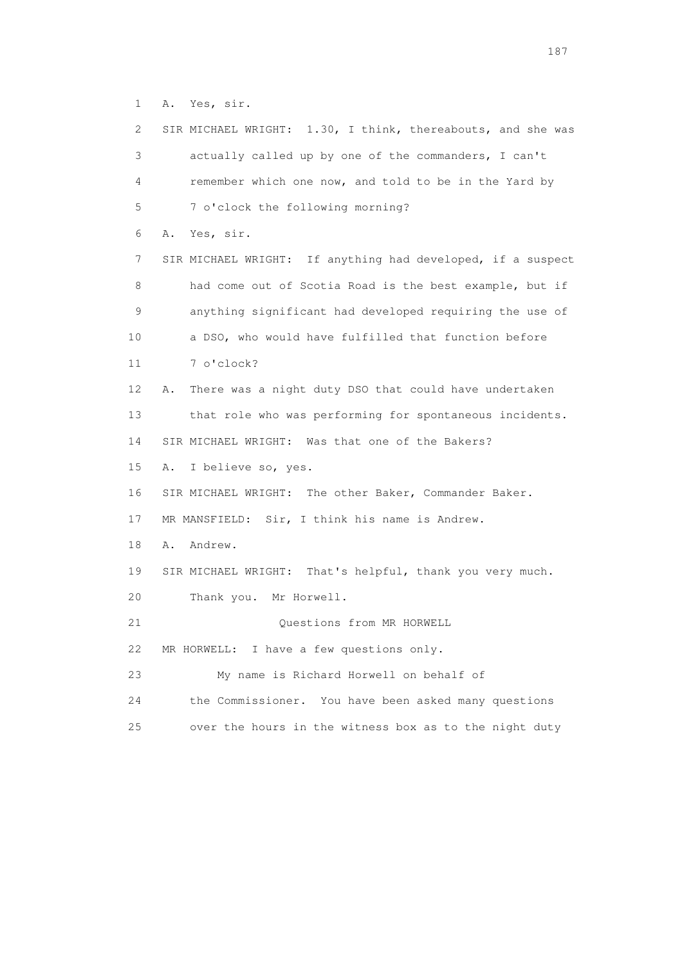1 A. Yes, sir.

| 2  | SIR MICHAEL WRIGHT: 1.30, I think, thereabouts, and she was |
|----|-------------------------------------------------------------|
| 3  | actually called up by one of the commanders, I can't        |
| 4  | remember which one now, and told to be in the Yard by       |
| 5  | 7 o'clock the following morning?                            |
| 6  | Yes, sir.<br>Α.                                             |
| 7  | SIR MICHAEL WRIGHT: If anything had developed, if a suspect |
| 8  | had come out of Scotia Road is the best example, but if     |
| 9  | anything significant had developed requiring the use of     |
| 10 | a DSO, who would have fulfilled that function before        |
| 11 | 7 o'clock?                                                  |
| 12 | There was a night duty DSO that could have undertaken<br>Α. |
| 13 | that role who was performing for spontaneous incidents.     |
| 14 | SIR MICHAEL WRIGHT: Was that one of the Bakers?             |
| 15 | I believe so, yes.<br>Α.                                    |
| 16 | SIR MICHAEL WRIGHT: The other Baker, Commander Baker.       |
| 17 | MR MANSFIELD: Sir, I think his name is Andrew.              |
| 18 | Andrew.<br>Α.                                               |
| 19 | SIR MICHAEL WRIGHT: That's helpful, thank you very much.    |
| 20 | Thank you. Mr Horwell.                                      |
| 21 | Questions from MR HORWELL                                   |
| 22 | MR HORWELL: I have a few questions only.                    |
| 23 | My name is Richard Horwell on behalf of                     |
| 24 | the Commissioner. You have been asked many questions        |
| 25 | over the hours in the witness box as to the night duty      |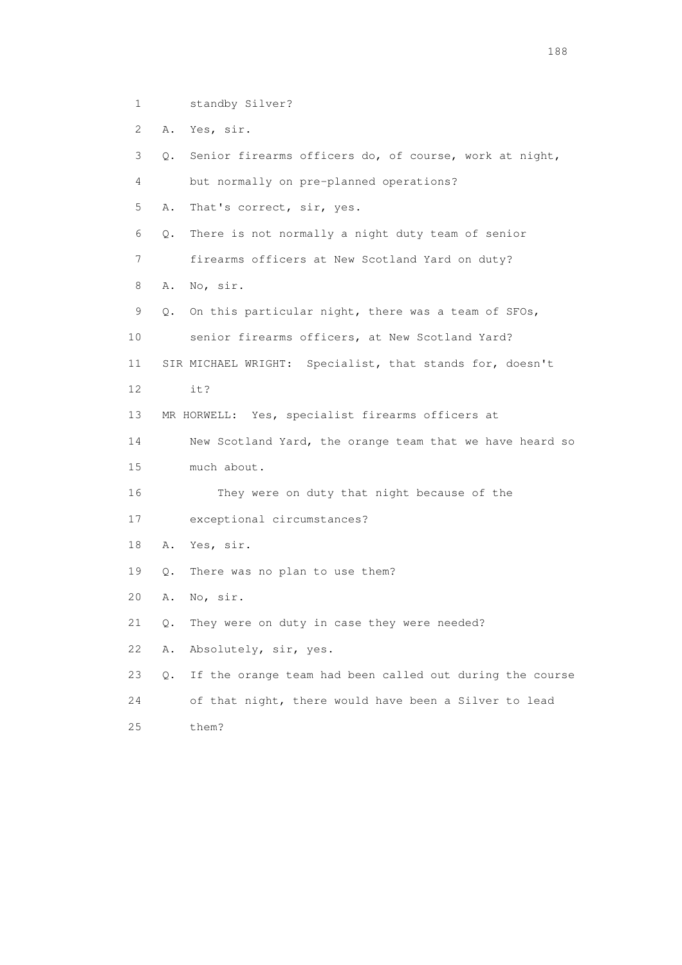- 1 standby Silver?
- 2 A. Yes, sir.

| 3  | Senior firearms officers do, of course, work at night,<br>0.   |
|----|----------------------------------------------------------------|
| 4  | but normally on pre-planned operations?                        |
| 5  | That's correct, sir, yes.<br>Α.                                |
| 6  | There is not normally a night duty team of senior<br>Q.        |
| 7  | firearms officers at New Scotland Yard on duty?                |
| 8  | No, sir.<br>Α.                                                 |
| 9  | On this particular night, there was a team of SFOs,<br>О.      |
| 10 | senior firearms officers, at New Scotland Yard?                |
| 11 | SIR MICHAEL WRIGHT: Specialist, that stands for, doesn't       |
| 12 | it?                                                            |
| 13 | MR HORWELL: Yes, specialist firearms officers at               |
| 14 | New Scotland Yard, the orange team that we have heard so       |
| 15 | much about.                                                    |
| 16 | They were on duty that night because of the                    |
| 17 | exceptional circumstances?                                     |
| 18 | Α.<br>Yes, sir.                                                |
| 19 | Q.<br>There was no plan to use them?                           |
| 20 | No, sir.<br>Α.                                                 |
| 21 | They were on duty in case they were needed?<br>Q.              |
| 22 | Absolutely, sir, yes.<br>Α.                                    |
| 23 | If the orange team had been called out during the course<br>Q. |
| 24 | of that night, there would have been a Silver to lead          |
| 25 | them?                                                          |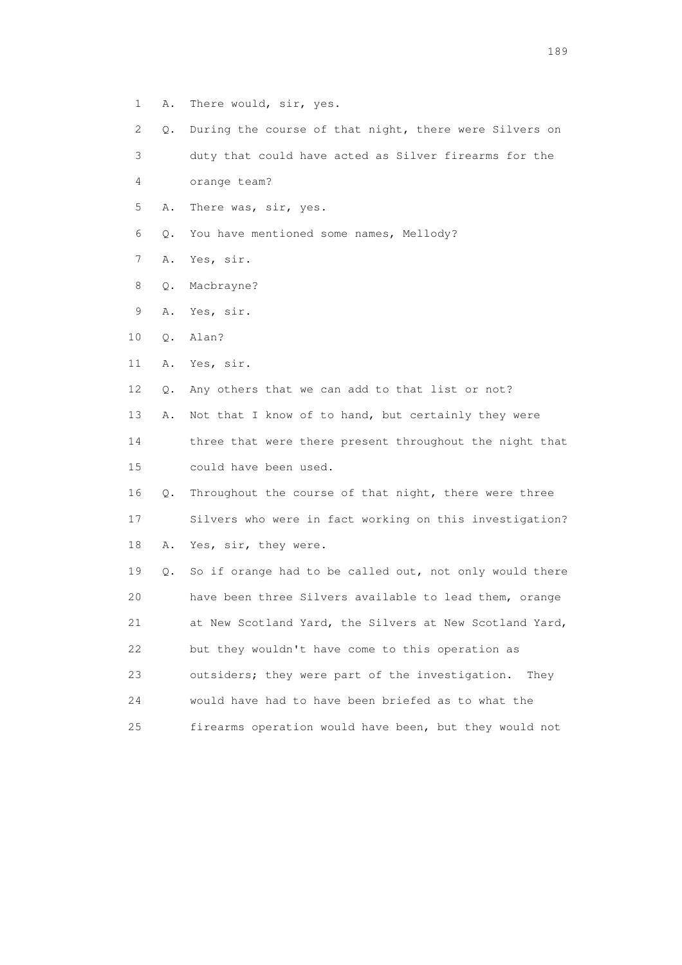- 1 A. There would, sir, yes.
- 2 Q. During the course of that night, there were Silvers on

3 duty that could have acted as Silver firearms for the

4 orange team?

5 A. There was, sir, yes.

6 Q. You have mentioned some names, Mellody?

- 7 A. Yes, sir.
- 8 Q. Macbrayne?
- 9 A. Yes, sir.
- 10 Q. Alan?

11 A. Yes, sir.

12 Q. Any others that we can add to that list or not?

13 A. Not that I know of to hand, but certainly they were

 14 three that were there present throughout the night that 15 could have been used.

 16 Q. Throughout the course of that night, there were three 17 Silvers who were in fact working on this investigation?

18 A. Yes, sir, they were.

 19 Q. So if orange had to be called out, not only would there 20 have been three Silvers available to lead them, orange 21 at New Scotland Yard, the Silvers at New Scotland Yard, 22 but they wouldn't have come to this operation as 23 outsiders; they were part of the investigation. They 24 would have had to have been briefed as to what the 25 firearms operation would have been, but they would not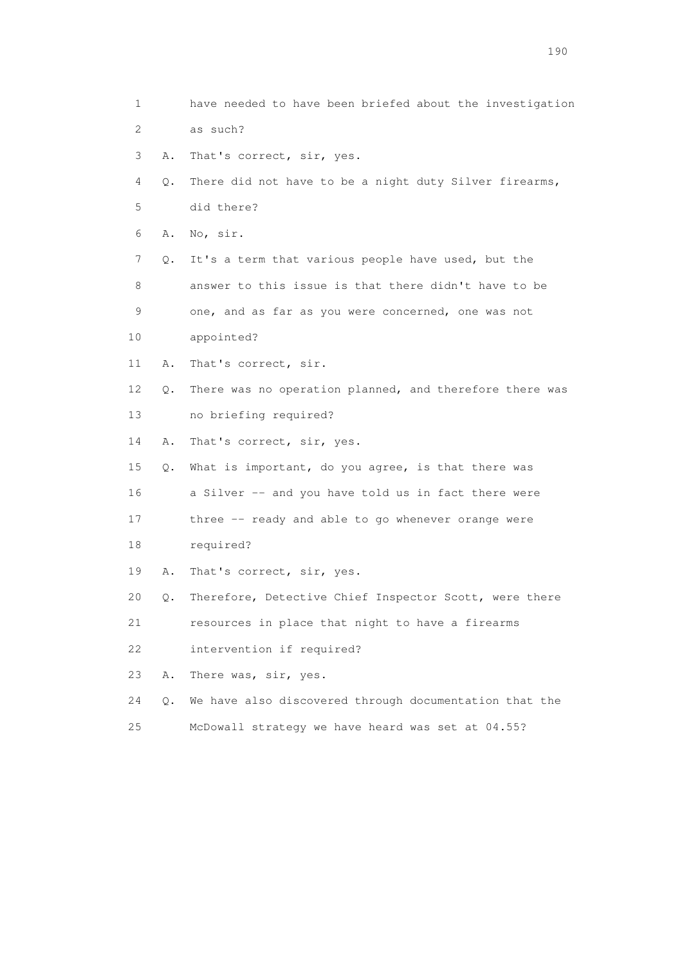1 have needed to have been briefed about the investigation 2 as such? 3 A. That's correct, sir, yes. 4 Q. There did not have to be a night duty Silver firearms, 5 did there? 6 A. No, sir. 7 Q. It's a term that various people have used, but the 8 answer to this issue is that there didn't have to be 9 one, and as far as you were concerned, one was not 10 appointed? 11 A. That's correct, sir. 12 Q. There was no operation planned, and therefore there was 13 no briefing required? 14 A. That's correct, sir, yes. 15 Q. What is important, do you agree, is that there was 16 a Silver -- and you have told us in fact there were 17 three -- ready and able to go whenever orange were 18 required? 19 A. That's correct, sir, yes. 20 Q. Therefore, Detective Chief Inspector Scott, were there 21 resources in place that night to have a firearms 22 intervention if required? 23 A. There was, sir, yes. 24 Q. We have also discovered through documentation that the 25 McDowall strategy we have heard was set at 04.55?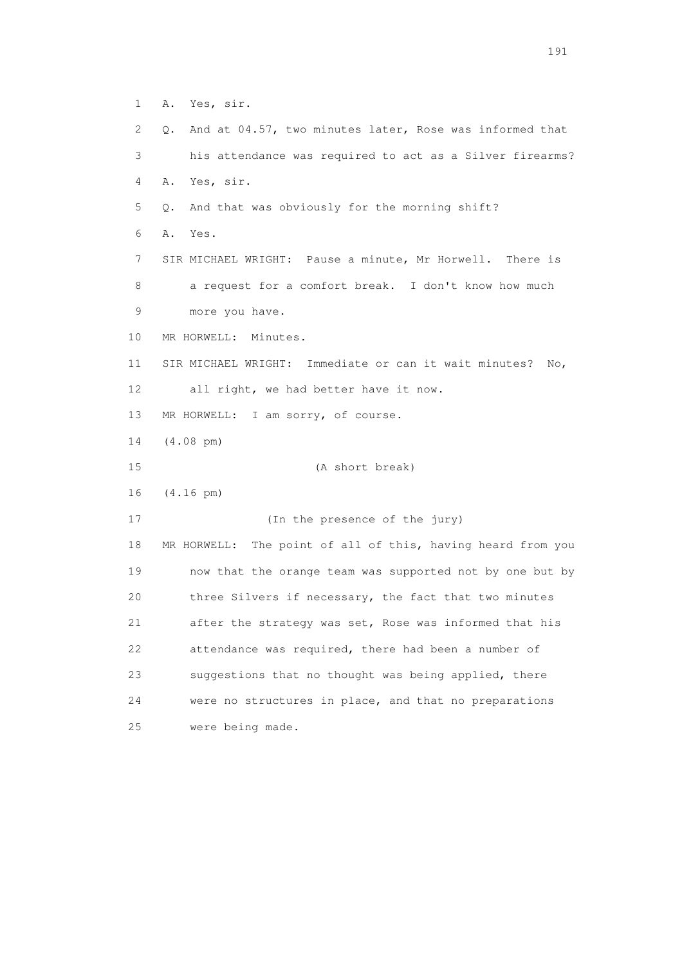1 A. Yes, sir. 2 Q. And at 04.57, two minutes later, Rose was informed that 3 his attendance was required to act as a Silver firearms? 4 A. Yes, sir. 5 Q. And that was obviously for the morning shift? 6 A. Yes. 7 SIR MICHAEL WRIGHT: Pause a minute, Mr Horwell. There is 8 a request for a comfort break. I don't know how much 9 more you have. 10 MR HORWELL: Minutes. 11 SIR MICHAEL WRIGHT: Immediate or can it wait minutes? No, 12 all right, we had better have it now. 13 MR HORWELL: I am sorry, of course. 14 (4.08 pm) 15 (A short break) 16 (4.16 pm) 17 (In the presence of the jury) 18 MR HORWELL: The point of all of this, having heard from you 19 now that the orange team was supported not by one but by 20 three Silvers if necessary, the fact that two minutes 21 after the strategy was set, Rose was informed that his 22 attendance was required, there had been a number of 23 suggestions that no thought was being applied, there 24 were no structures in place, and that no preparations 25 were being made.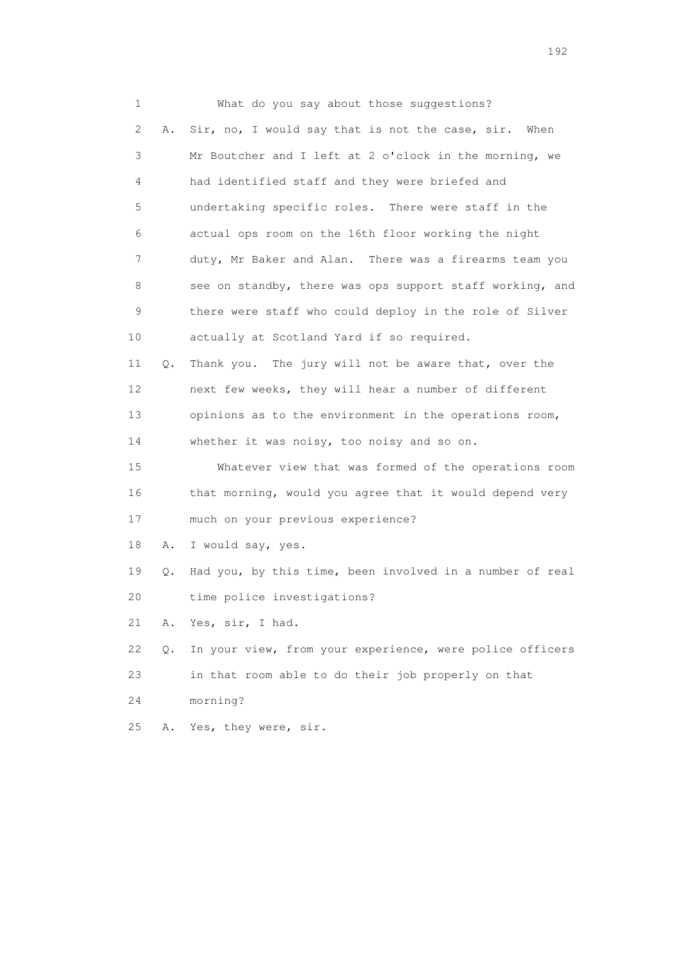1 What do you say about those suggestions? 2 A. Sir, no, I would say that is not the case, sir. When 3 Mr Boutcher and I left at 2 o'clock in the morning, we 4 had identified staff and they were briefed and 5 undertaking specific roles. There were staff in the 6 actual ops room on the 16th floor working the night 7 duty, Mr Baker and Alan. There was a firearms team you 8 see on standby, there was ops support staff working, and 9 there were staff who could deploy in the role of Silver 10 actually at Scotland Yard if so required. 11 Q. Thank you. The jury will not be aware that, over the 12 next few weeks, they will hear a number of different 13 opinions as to the environment in the operations room, 14 whether it was noisy, too noisy and so on. 15 Whatever view that was formed of the operations room 16 that morning, would you agree that it would depend very 17 much on your previous experience? 18 A. I would say, yes. 19 Q. Had you, by this time, been involved in a number of real 20 time police investigations? 21 A. Yes, sir, I had. 22 Q. In your view, from your experience, were police officers 23 in that room able to do their job properly on that 24 morning? 25 A. Yes, they were, sir.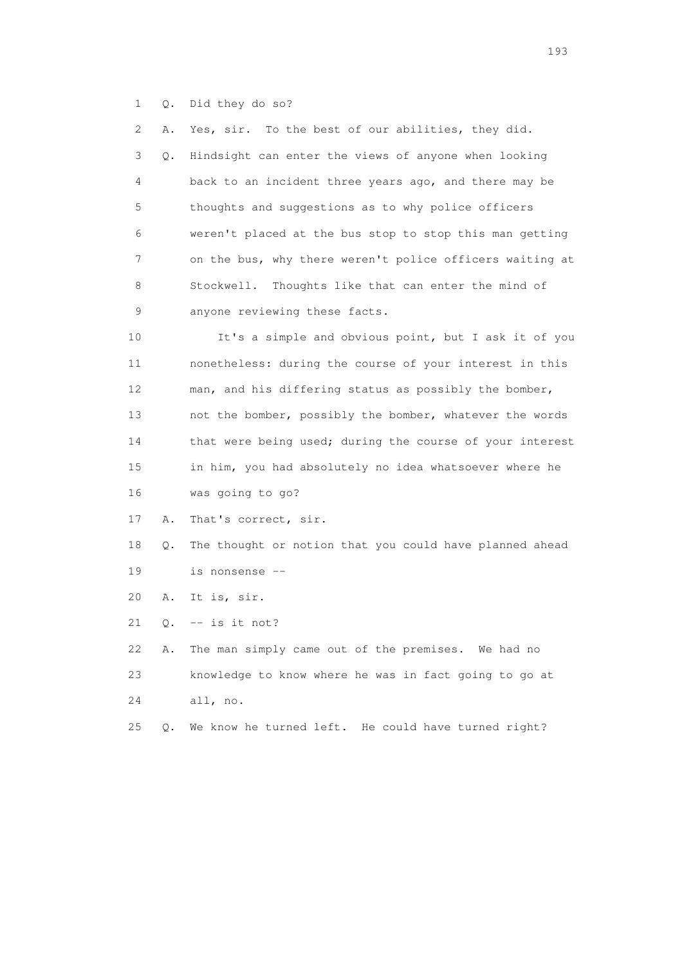1 Q. Did they do so?

| 2  | Α. | Yes, sir. To the best of our abilities, they did.        |
|----|----|----------------------------------------------------------|
| 3  | Q. | Hindsight can enter the views of anyone when looking     |
| 4  |    | back to an incident three years ago, and there may be    |
| 5  |    | thoughts and suggestions as to why police officers       |
| 6  |    | weren't placed at the bus stop to stop this man getting  |
| 7  |    | on the bus, why there weren't police officers waiting at |
| 8  |    | Thoughts like that can enter the mind of<br>Stockwell.   |
| 9  |    | anyone reviewing these facts.                            |
| 10 |    | It's a simple and obvious point, but I ask it of you     |
| 11 |    | nonetheless: during the course of your interest in this  |
| 12 |    | man, and his differing status as possibly the bomber,    |
| 13 |    | not the bomber, possibly the bomber, whatever the words  |
| 14 |    | that were being used; during the course of your interest |
| 15 |    | in him, you had absolutely no idea whatsoever where he   |
| 16 |    | was going to go?                                         |
| 17 | Α. | That's correct, sir.                                     |
| 18 | Q. | The thought or notion that you could have planned ahead  |
| 19 |    | is nonsense --                                           |
| 20 | Α. | It is, sir.                                              |
| 21 | Q. | $--$ is it not?                                          |
| 22 | Α. | The man simply came out of the premises. We had no       |
| 23 |    | knowledge to know where he was in fact going to go at    |
| 24 |    | all, no.                                                 |
| 25 | Q. | We know he turned left. He could have turned right?      |
|    |    |                                                          |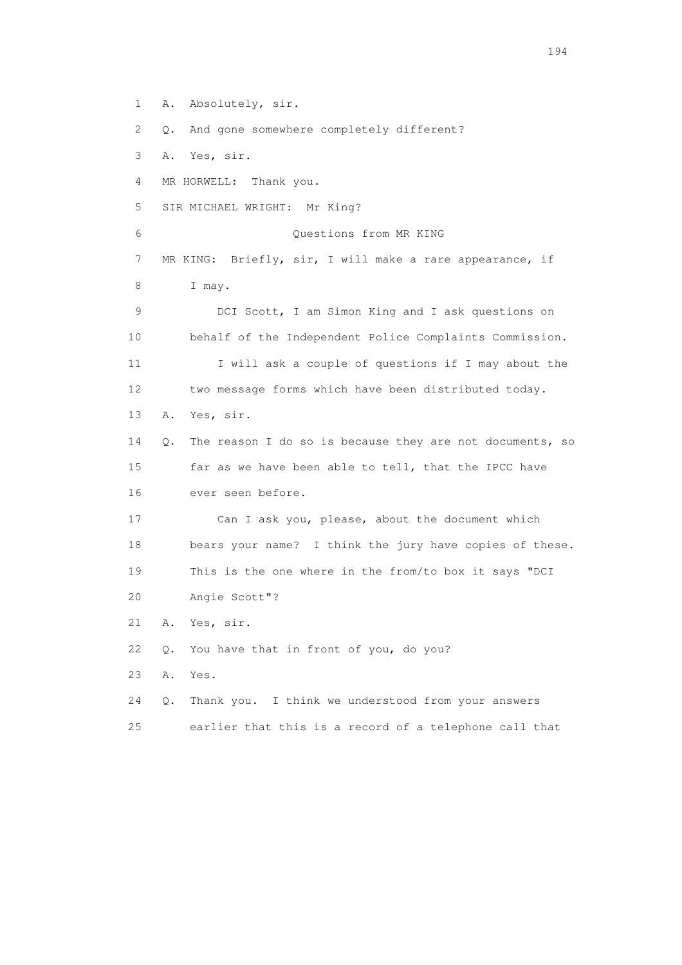1 A. Absolutely, sir. 2 Q. And gone somewhere completely different? 3 A. Yes, sir. 4 MR HORWELL: Thank you. 5 SIR MICHAEL WRIGHT: Mr King? 6 Questions from MR KING 7 MR KING: Briefly, sir, I will make a rare appearance, if 8 I may. 9 DCI Scott, I am Simon King and I ask questions on 10 behalf of the Independent Police Complaints Commission. 11 I will ask a couple of questions if I may about the 12 two message forms which have been distributed today. 13 A. Yes, sir. 14 Q. The reason I do so is because they are not documents, so 15 far as we have been able to tell, that the IPCC have 16 ever seen before. 17 Can I ask you, please, about the document which 18 bears your name? I think the jury have copies of these. 19 This is the one where in the from/to box it says "DCI 20 Angie Scott"? 21 A. Yes, sir. 22 Q. You have that in front of you, do you? 23 A. Yes. 24 Q. Thank you. I think we understood from your answers 25 earlier that this is a record of a telephone call that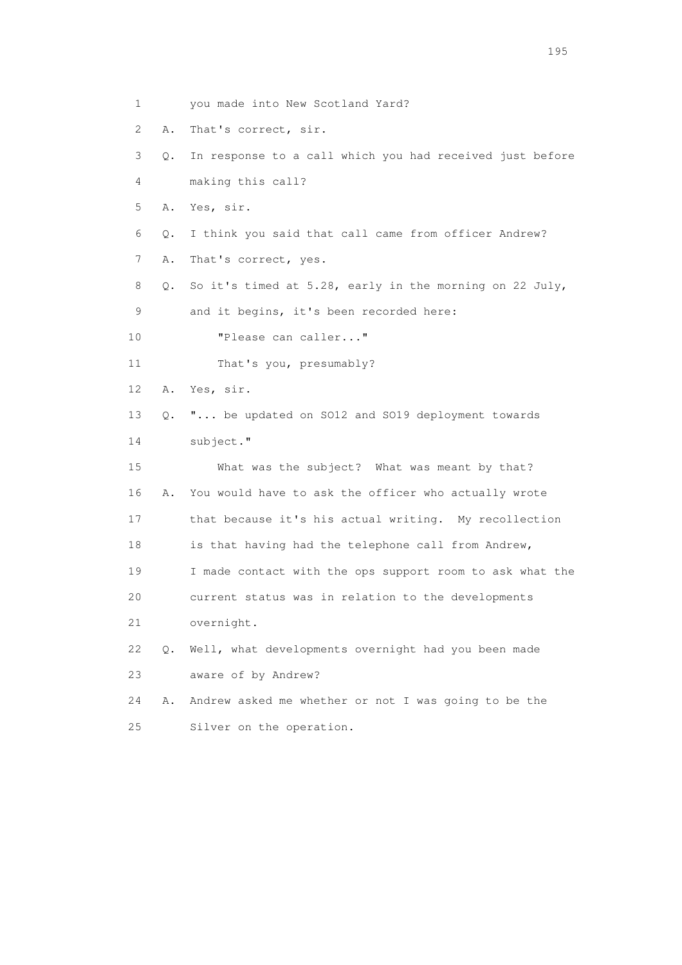1 you made into New Scotland Yard? 2 A. That's correct, sir. 3 Q. In response to a call which you had received just before 4 making this call? 5 A. Yes, sir. 6 Q. I think you said that call came from officer Andrew? 7 A. That's correct, yes. 8 Q. So it's timed at 5.28, early in the morning on 22 July, 9 and it begins, it's been recorded here: 10 "Please can caller..." 11 That's you, presumably? 12 A. Yes, sir. 13 Q. "... be updated on SO12 and SO19 deployment towards 14 subject." 15 What was the subject? What was meant by that? 16 A. You would have to ask the officer who actually wrote 17 that because it's his actual writing. My recollection 18 is that having had the telephone call from Andrew, 19 I made contact with the ops support room to ask what the 20 current status was in relation to the developments 21 overnight. 22 Q. Well, what developments overnight had you been made 23 aware of by Andrew? 24 A. Andrew asked me whether or not I was going to be the 25 Silver on the operation.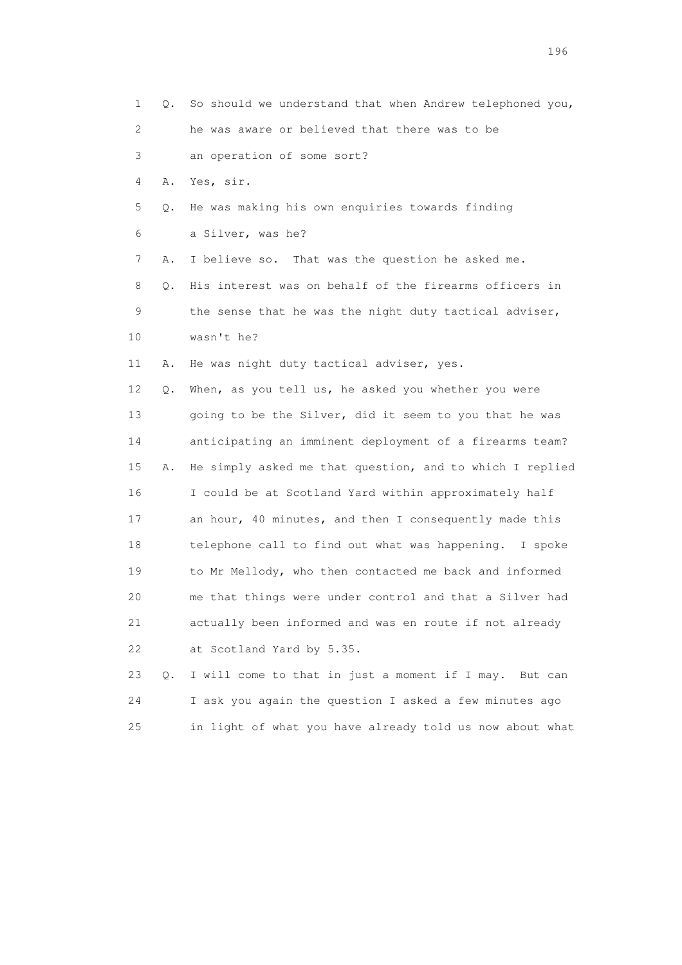| 1                         | Q. | So should we understand that when Andrew telephoned you, |
|---------------------------|----|----------------------------------------------------------|
| $\mathbf{2}^{\mathsf{I}}$ |    | he was aware or believed that there was to be            |
| 3                         |    | an operation of some sort?                               |
| 4                         | Α. | Yes, sir.                                                |
| 5                         | Q. | He was making his own enquiries towards finding          |
| 6                         |    | a Silver, was he?                                        |
| 7                         | Α. | I believe so. That was the question he asked me.         |
| 8                         | Q. | His interest was on behalf of the firearms officers in   |
| 9                         |    | the sense that he was the night duty tactical adviser,   |
| 10                        |    | wasn't he?                                               |
| 11                        | Α. | He was night duty tactical adviser, yes.                 |
| 12                        | Q. | When, as you tell us, he asked you whether you were      |
| 13                        |    | going to be the Silver, did it seem to you that he was   |
| 14                        |    | anticipating an imminent deployment of a firearms team?  |
| 15                        | Α. | He simply asked me that question, and to which I replied |
| 16                        |    | I could be at Scotland Yard within approximately half    |
| 17                        |    | an hour, 40 minutes, and then I consequently made this   |
| 18                        |    | telephone call to find out what was happening. I spoke   |
| 19                        |    | to Mr Mellody, who then contacted me back and informed   |
| 20                        |    | me that things were under control and that a Silver had  |
| 21                        |    | actually been informed and was en route if not already   |
| 22                        |    | at Scotland Yard by 5.35.                                |
| 23                        | Q. | I will come to that in just a moment if I may. But can   |
| 24                        |    | I ask you again the question I asked a few minutes ago   |
| 25                        |    | in light of what you have already told us now about what |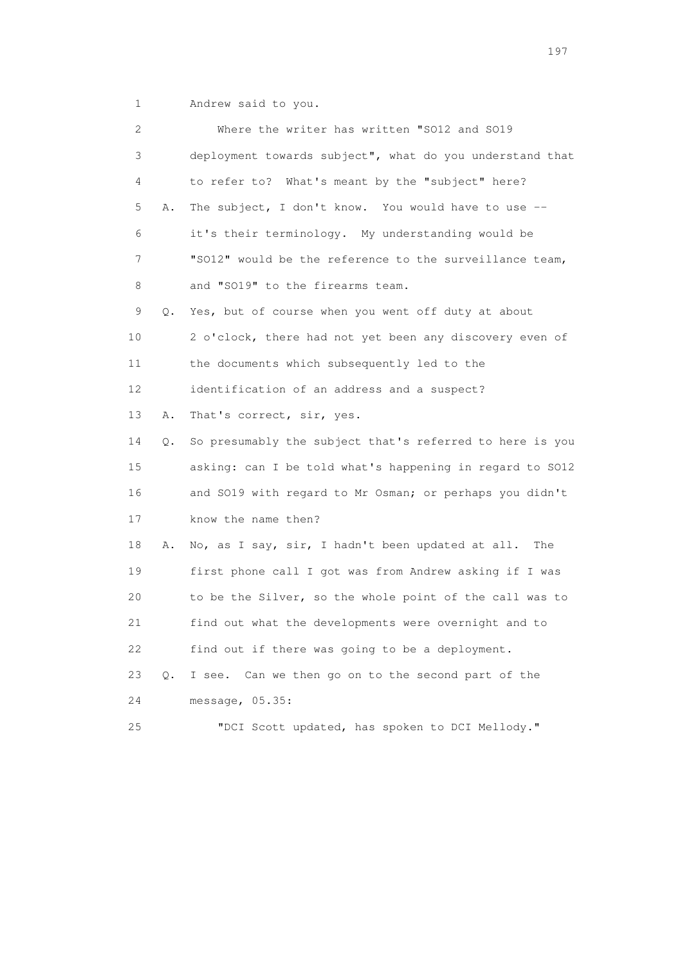1 Andrew said to you.

| 2  |    | Where the writer has written "SO12 and SO19              |
|----|----|----------------------------------------------------------|
| 3  |    | deployment towards subject", what do you understand that |
| 4  |    | to refer to? What's meant by the "subject" here?         |
| 5  | Α. | The subject, I don't know. You would have to use --      |
| 6  |    | it's their terminology. My understanding would be        |
| 7  |    | "SO12" would be the reference to the surveillance team,  |
| 8  |    | and "SO19" to the firearms team.                         |
| 9  | Q. | Yes, but of course when you went off duty at about       |
| 10 |    | 2 o'clock, there had not yet been any discovery even of  |
| 11 |    | the documents which subsequently led to the              |
| 12 |    | identification of an address and a suspect?              |
| 13 | Α. | That's correct, sir, yes.                                |
| 14 | Q. | So presumably the subject that's referred to here is you |
| 15 |    | asking: can I be told what's happening in regard to SO12 |
| 16 |    | and SO19 with regard to Mr Osman; or perhaps you didn't  |
| 17 |    | know the name then?                                      |
| 18 | Α. | No, as I say, sir, I hadn't been updated at all.<br>The  |
| 19 |    | first phone call I got was from Andrew asking if I was   |
| 20 |    | to be the Silver, so the whole point of the call was to  |
| 21 |    | find out what the developments were overnight and to     |
| 22 |    | find out if there was going to be a deployment.          |
| 23 | Q. | I see. Can we then go on to the second part of the       |
| 24 |    | message, 05.35:                                          |
| 25 |    | "DCI Scott updated, has spoken to DCI Mellody."          |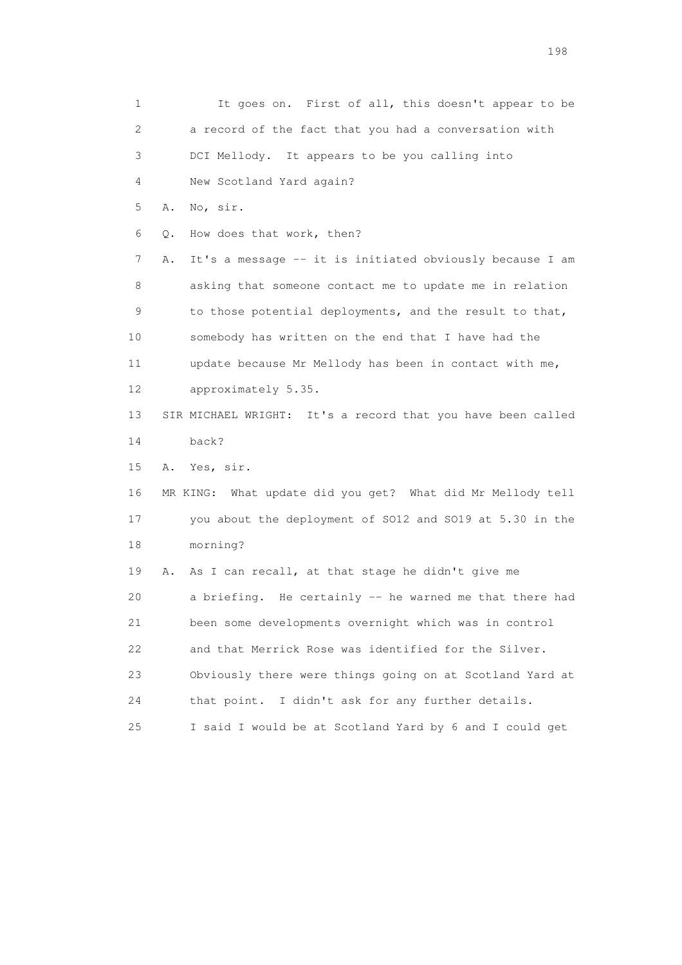1 It goes on. First of all, this doesn't appear to be 2 a record of the fact that you had a conversation with 3 DCI Mellody. It appears to be you calling into 4 New Scotland Yard again? 5 A. No, sir. 6 Q. How does that work, then? 7 A. It's a message -- it is initiated obviously because I am 8 asking that someone contact me to update me in relation 9 to those potential deployments, and the result to that, 10 somebody has written on the end that I have had the 11 update because Mr Mellody has been in contact with me, 12 approximately 5.35. 13 SIR MICHAEL WRIGHT: It's a record that you have been called 14 back? 15 A. Yes, sir. 16 MR KING: What update did you get? What did Mr Mellody tell 17 you about the deployment of SO12 and SO19 at 5.30 in the 18 morning? 19 A. As I can recall, at that stage he didn't give me 20 a briefing. He certainly -- he warned me that there had 21 been some developments overnight which was in control 22 and that Merrick Rose was identified for the Silver. 23 Obviously there were things going on at Scotland Yard at 24 that point. I didn't ask for any further details. 25 I said I would be at Scotland Yard by 6 and I could get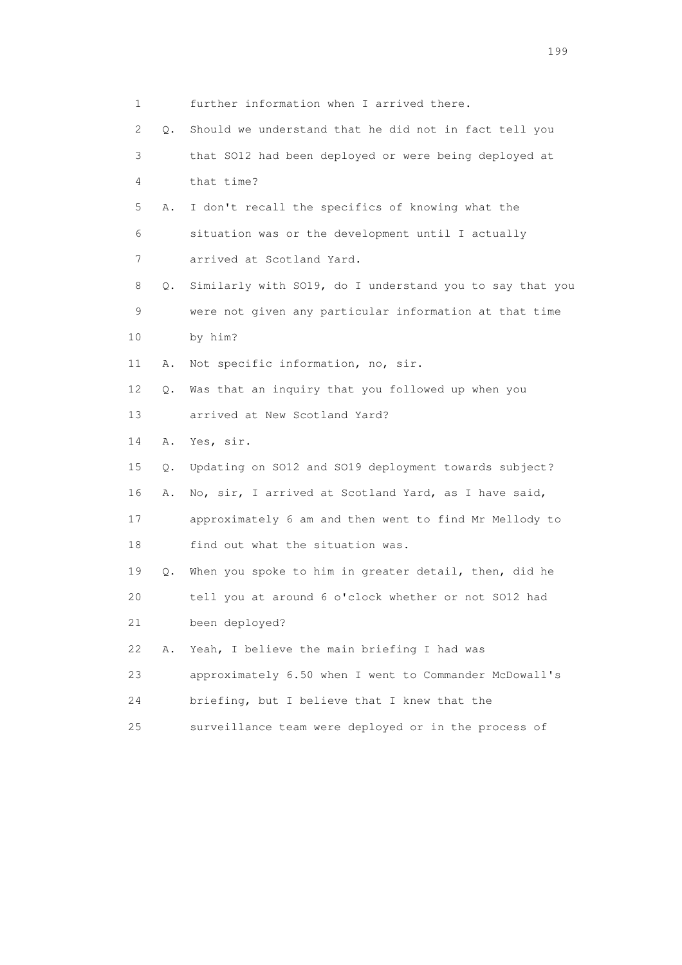|                 | 1       | further information when I arrived there.                |
|-----------------|---------|----------------------------------------------------------|
|                 | 2<br>Q. | Should we understand that he did not in fact tell you    |
|                 | 3       | that SO12 had been deployed or were being deployed at    |
|                 | 4       | that time?                                               |
|                 | 5<br>Α. | I don't recall the specifics of knowing what the         |
|                 | 6       | situation was or the development until I actually        |
|                 | 7       | arrived at Scotland Yard.                                |
|                 | 8<br>Q. | Similarly with SO19, do I understand you to say that you |
|                 | 9       | were not given any particular information at that time   |
| 10              |         | by him?                                                  |
| 11              | Α.      | Not specific information, no, sir.                       |
| 12 <sup>°</sup> | Q.      | Was that an inquiry that you followed up when you        |
| 13              |         | arrived at New Scotland Yard?                            |
| 14              | Α.      | Yes, sir.                                                |
| 15              | Q.      | Updating on SO12 and SO19 deployment towards subject?    |
| 16              | Α.      | No, sir, I arrived at Scotland Yard, as I have said,     |
| 17              |         | approximately 6 am and then went to find Mr Mellody to   |
| 18              |         | find out what the situation was.                         |
| 19              | Q.      | When you spoke to him in greater detail, then, did he    |
| 20              |         | tell you at around 6 o'clock whether or not SO12 had     |
| 21              |         | been deployed?                                           |
| 22              | Α.      | Yeah, I believe the main briefing I had was              |
| 23              |         | approximately 6.50 when I went to Commander McDowall's   |
| 24              |         | briefing, but I believe that I knew that the             |
| 25              |         | surveillance team were deployed or in the process of     |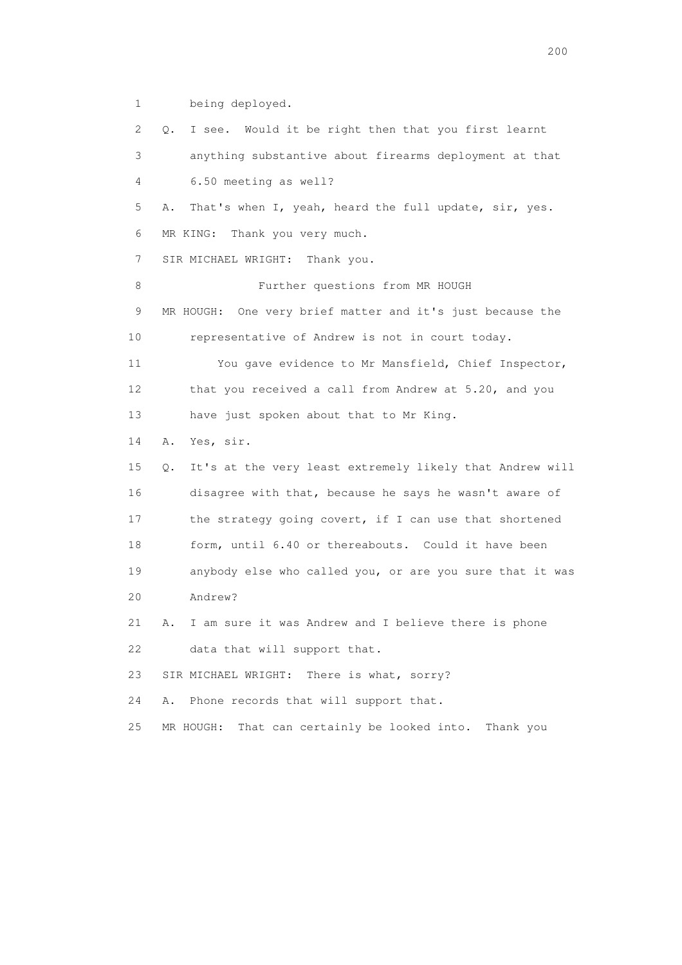1 being deployed.

 2 Q. I see. Would it be right then that you first learnt 3 anything substantive about firearms deployment at that 4 6.50 meeting as well? 5 A. That's when I, yeah, heard the full update, sir, yes. 6 MR KING: Thank you very much. 7 SIR MICHAEL WRIGHT: Thank you. 8 Further questions from MR HOUGH 9 MR HOUGH: One very brief matter and it's just because the 10 representative of Andrew is not in court today. 11 You gave evidence to Mr Mansfield, Chief Inspector, 12 that you received a call from Andrew at 5.20, and you 13 have just spoken about that to Mr King. 14 A. Yes, sir. 15 Q. It's at the very least extremely likely that Andrew will 16 disagree with that, because he says he wasn't aware of 17 the strategy going covert, if I can use that shortened 18 form, until 6.40 or thereabouts. Could it have been 19 anybody else who called you, or are you sure that it was 20 Andrew? 21 A. I am sure it was Andrew and I believe there is phone 22 data that will support that. 23 SIR MICHAEL WRIGHT: There is what, sorry? 24 A. Phone records that will support that. 25 MR HOUGH: That can certainly be looked into. Thank you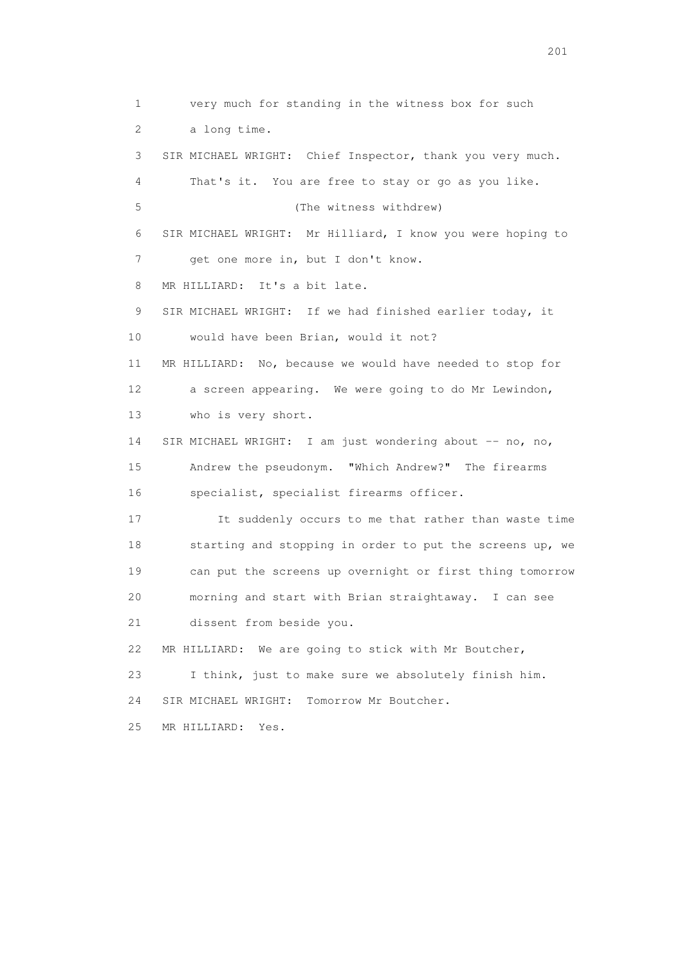1 very much for standing in the witness box for such 2 a long time. 3 SIR MICHAEL WRIGHT: Chief Inspector, thank you very much. 4 That's it. You are free to stay or go as you like. 5 (The witness withdrew) 6 SIR MICHAEL WRIGHT: Mr Hilliard, I know you were hoping to 7 get one more in, but I don't know. 8 MR HILLIARD: It's a bit late. 9 SIR MICHAEL WRIGHT: If we had finished earlier today, it 10 would have been Brian, would it not? 11 MR HILLIARD: No, because we would have needed to stop for 12 a screen appearing. We were going to do Mr Lewindon, 13 who is very short. 14 SIR MICHAEL WRIGHT: I am just wondering about -- no, no, 15 Andrew the pseudonym. "Which Andrew?" The firearms 16 specialist, specialist firearms officer. 17 It suddenly occurs to me that rather than waste time 18 starting and stopping in order to put the screens up, we 19 can put the screens up overnight or first thing tomorrow 20 morning and start with Brian straightaway. I can see 21 dissent from beside you. 22 MR HILLIARD: We are going to stick with Mr Boutcher, 23 I think, just to make sure we absolutely finish him. 24 SIR MICHAEL WRIGHT: Tomorrow Mr Boutcher. 25 MR HILLIARD: Yes.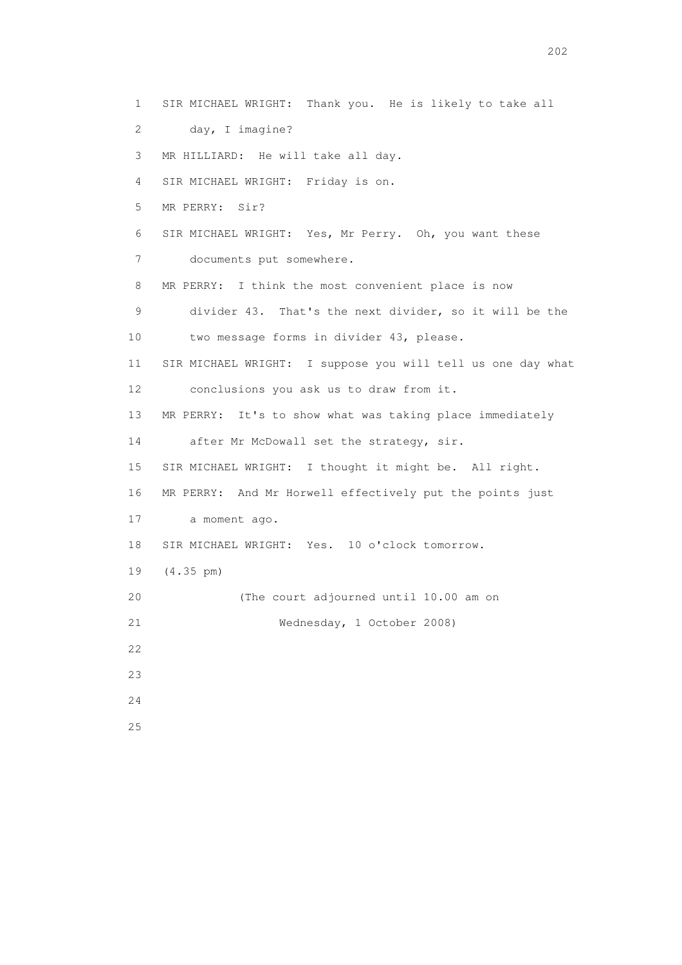1 SIR MICHAEL WRIGHT: Thank you. He is likely to take all 2 day, I imagine? 3 MR HILLIARD: He will take all day. 4 SIR MICHAEL WRIGHT: Friday is on. 5 MR PERRY: Sir? 6 SIR MICHAEL WRIGHT: Yes, Mr Perry. Oh, you want these 7 documents put somewhere. 8 MR PERRY: I think the most convenient place is now 9 divider 43. That's the next divider, so it will be the 10 two message forms in divider 43, please. 11 SIR MICHAEL WRIGHT: I suppose you will tell us one day what 12 conclusions you ask us to draw from it. 13 MR PERRY: It's to show what was taking place immediately 14 after Mr McDowall set the strategy, sir. 15 SIR MICHAEL WRIGHT: I thought it might be. All right. 16 MR PERRY: And Mr Horwell effectively put the points just 17 a moment ago. 18 SIR MICHAEL WRIGHT: Yes. 10 o'clock tomorrow. 19 (4.35 pm) 20 (The court adjourned until 10.00 am on 21 Wednesday, 1 October 2008) 22 23 24 25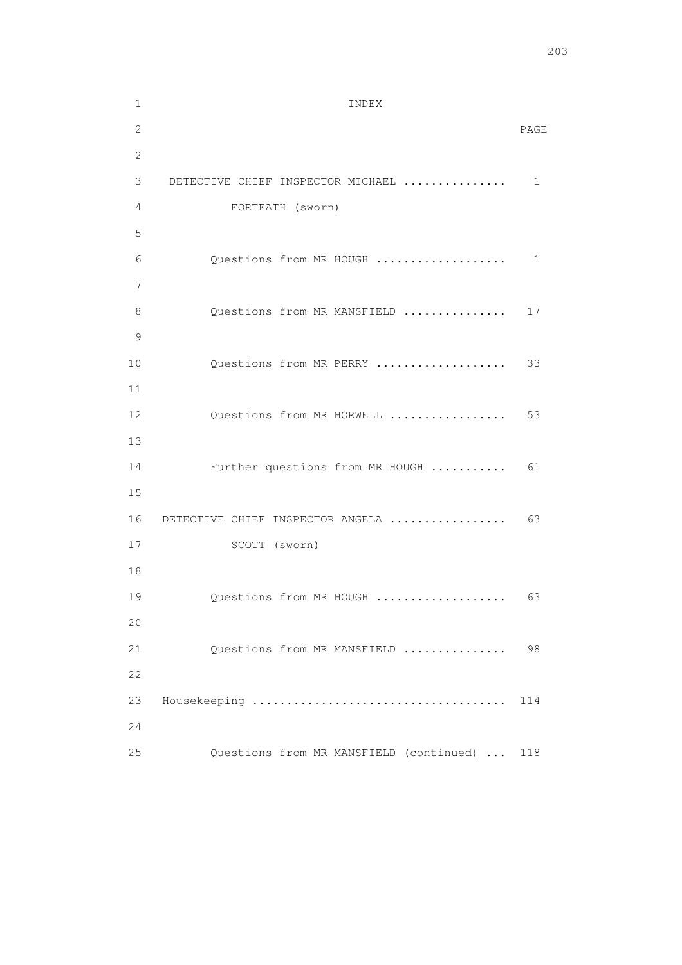1 INDEX

| 2  |                                              | PAGE |
|----|----------------------------------------------|------|
| 2  |                                              |      |
| 3  | DETECTIVE CHIEF INSPECTOR MICHAEL            | 1    |
| 4  | FORTEATH (sworn)                             |      |
| 5  |                                              |      |
| 6  | Questions from MR HOUGH                      | 1    |
| 7  |                                              |      |
| 8  | Questions from MR MANSFIELD                  | 17   |
| 9  |                                              |      |
| 10 | Questions from MR PERRY                      | 33   |
| 11 |                                              |      |
| 12 | Questions from MR HORWELL                    | 53   |
| 13 |                                              |      |
| 14 | Further questions from MR HOUGH              | 61   |
| 15 |                                              |      |
| 16 | DETECTIVE CHIEF INSPECTOR ANGELA             | 63   |
| 17 | SCOTT (sworn)                                |      |
| 18 |                                              |      |
| 19 | Questions from MR HOUGH                      | 63   |
| 20 |                                              |      |
| 21 | Questions from MR MANSFIELD                  | 98   |
| 22 |                                              |      |
| 23 |                                              | 114  |
| 24 |                                              |      |
| 25 | Questions from MR MANSFIELD (continued)  118 |      |